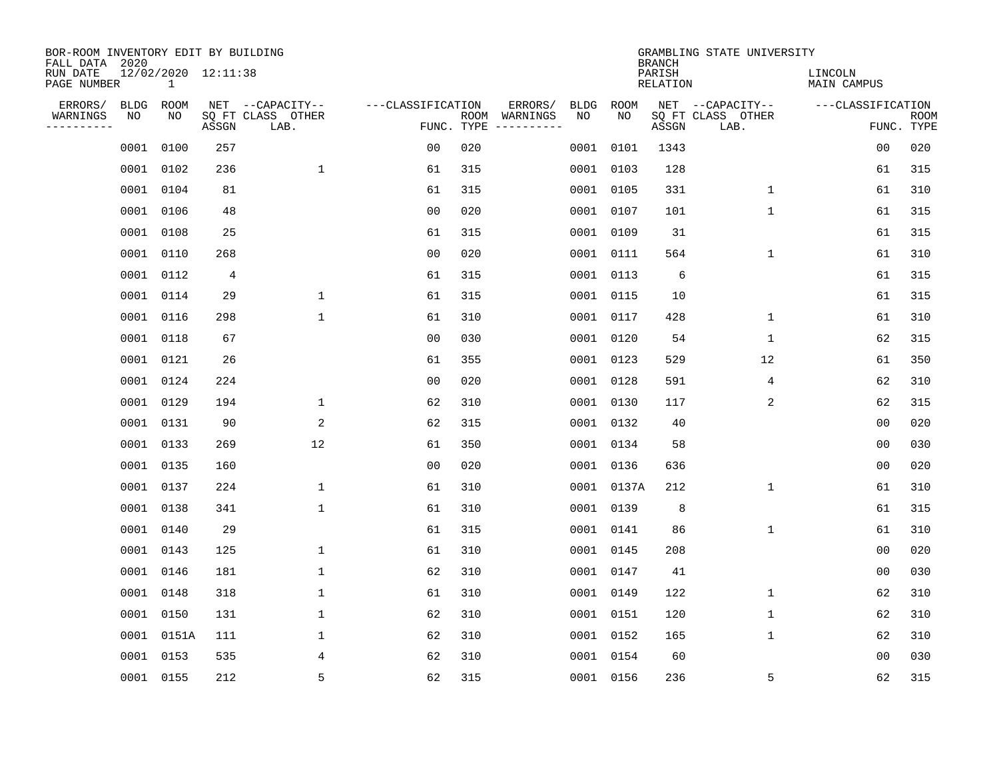| BOR-ROOM INVENTORY EDIT BY BUILDING<br>FALL DATA 2020 |            |              |                     |                                               |                                 |     |                                                                                                                                                                                                                                                                                                                                                                                                                                                                                                         |                   |            | <b>BRANCH</b>      | GRAMBLING STATE UNIVERSITY                    |                                 |             |
|-------------------------------------------------------|------------|--------------|---------------------|-----------------------------------------------|---------------------------------|-----|---------------------------------------------------------------------------------------------------------------------------------------------------------------------------------------------------------------------------------------------------------------------------------------------------------------------------------------------------------------------------------------------------------------------------------------------------------------------------------------------------------|-------------------|------------|--------------------|-----------------------------------------------|---------------------------------|-------------|
| RUN DATE<br>PAGE NUMBER                               |            | $\mathbf{1}$ | 12/02/2020 12:11:38 |                                               |                                 |     |                                                                                                                                                                                                                                                                                                                                                                                                                                                                                                         |                   |            | PARISH<br>RELATION |                                               | LINCOLN<br>MAIN CAMPUS          |             |
| ERRORS/<br>WARNINGS<br>---------                      | BLDG<br>NO | ROOM<br>NO   | ASSGN               | NET --CAPACITY--<br>SQ FT CLASS OTHER<br>LAB. | ---CLASSIFICATION<br>FUNC. TYPE |     | ERRORS/<br>ROOM WARNINGS<br>$\begin{tabular}{ccccccccc} \multicolumn{2}{c }{\multicolumn{2}{c }{\multicolumn{2}{c }{\multicolumn{2}{c }{\multicolumn{2}{c}}}} & \multicolumn{2}{c }{\multicolumn{2}{c }{\multicolumn{2}{c }{\multicolumn{2}{c}}}} & \multicolumn{2}{c }{\multicolumn{2}{c }{\multicolumn{2}{c }{\multicolumn{2}{c}}}} & \multicolumn{2}{c }{\multicolumn{2}{c }{\multicolumn{2}{c }{\multicolumn{2}{c}}}} & \multicolumn{2}{c }{\multicolumn{2}{c }{\multicolumn{2}{c }{\multicolumn{2$ | <b>BLDG</b><br>NO | ROOM<br>NO | ASSGN              | NET --CAPACITY--<br>SQ FT CLASS OTHER<br>LAB. | ---CLASSIFICATION<br>FUNC. TYPE | <b>ROOM</b> |
|                                                       | 0001       | 0100         | 257                 |                                               | 0 <sub>0</sub>                  | 020 |                                                                                                                                                                                                                                                                                                                                                                                                                                                                                                         |                   | 0001 0101  | 1343               |                                               | 0 <sub>0</sub>                  | 020         |
|                                                       | 0001       | 0102         | 236                 | $\mathbf{1}$                                  | 61                              | 315 |                                                                                                                                                                                                                                                                                                                                                                                                                                                                                                         |                   | 0001 0103  | 128                |                                               | 61                              | 315         |
|                                                       | 0001       | 0104         | 81                  |                                               | 61                              | 315 |                                                                                                                                                                                                                                                                                                                                                                                                                                                                                                         |                   | 0001 0105  | 331                | $\mathbf{1}$                                  | 61                              | 310         |
|                                                       | 0001 0106  |              | 48                  |                                               | 0 <sub>0</sub>                  | 020 |                                                                                                                                                                                                                                                                                                                                                                                                                                                                                                         |                   | 0001 0107  | 101                | $\mathbf{1}$                                  | 61                              | 315         |
|                                                       | 0001       | 0108         | 25                  |                                               | 61                              | 315 |                                                                                                                                                                                                                                                                                                                                                                                                                                                                                                         |                   | 0001 0109  | 31                 |                                               | 61                              | 315         |
|                                                       | 0001 0110  |              | 268                 |                                               | 0 <sub>0</sub>                  | 020 |                                                                                                                                                                                                                                                                                                                                                                                                                                                                                                         |                   | 0001 0111  | 564                | $\mathbf 1$                                   | 61                              | 310         |
|                                                       | 0001       | 0112         | $\overline{4}$      |                                               | 61                              | 315 |                                                                                                                                                                                                                                                                                                                                                                                                                                                                                                         |                   | 0001 0113  | 6                  |                                               | 61                              | 315         |
|                                                       | 0001 0114  |              | 29                  | 1                                             | 61                              | 315 |                                                                                                                                                                                                                                                                                                                                                                                                                                                                                                         |                   | 0001 0115  | 10                 |                                               | 61                              | 315         |
|                                                       | 0001       | 0116         | 298                 | $\mathbf 1$                                   | 61                              | 310 |                                                                                                                                                                                                                                                                                                                                                                                                                                                                                                         |                   | 0001 0117  | 428                | $\mathbf 1$                                   | 61                              | 310         |
|                                                       | 0001 0118  |              | 67                  |                                               | 0 <sub>0</sub>                  | 030 |                                                                                                                                                                                                                                                                                                                                                                                                                                                                                                         |                   | 0001 0120  | 54                 | $\mathbf 1$                                   | 62                              | 315         |
|                                                       | 0001 0121  |              | 26                  |                                               | 61                              | 355 |                                                                                                                                                                                                                                                                                                                                                                                                                                                                                                         |                   | 0001 0123  | 529                | 12                                            | 61                              | 350         |
|                                                       | 0001 0124  |              | 224                 |                                               | 0 <sub>0</sub>                  | 020 |                                                                                                                                                                                                                                                                                                                                                                                                                                                                                                         |                   | 0001 0128  | 591                | 4                                             | 62                              | 310         |
|                                                       | 0001       | 0129         | 194                 | $\mathbf 1$                                   | 62                              | 310 |                                                                                                                                                                                                                                                                                                                                                                                                                                                                                                         |                   | 0001 0130  | 117                | 2                                             | 62                              | 315         |
|                                                       | 0001       | 0131         | 90                  | 2                                             | 62                              | 315 |                                                                                                                                                                                                                                                                                                                                                                                                                                                                                                         |                   | 0001 0132  | 40                 |                                               | 0 <sub>0</sub>                  | 020         |
|                                                       | 0001       | 0133         | 269                 | 12                                            | 61                              | 350 |                                                                                                                                                                                                                                                                                                                                                                                                                                                                                                         |                   | 0001 0134  | 58                 |                                               | 0 <sub>0</sub>                  | 030         |
|                                                       | 0001       | 0135         | 160                 |                                               | 0 <sub>0</sub>                  | 020 |                                                                                                                                                                                                                                                                                                                                                                                                                                                                                                         |                   | 0001 0136  | 636                |                                               | 0 <sub>0</sub>                  | 020         |
|                                                       | 0001       | 0137         | 224                 | 1                                             | 61                              | 310 |                                                                                                                                                                                                                                                                                                                                                                                                                                                                                                         |                   | 0001 0137A | 212                | 1                                             | 61                              | 310         |
|                                                       | 0001       | 0138         | 341                 | $\mathbf 1$                                   | 61                              | 310 |                                                                                                                                                                                                                                                                                                                                                                                                                                                                                                         |                   | 0001 0139  | 8                  |                                               | 61                              | 315         |
|                                                       | 0001       | 0140         | 29                  |                                               | 61                              | 315 |                                                                                                                                                                                                                                                                                                                                                                                                                                                                                                         |                   | 0001 0141  | 86                 | 1                                             | 61                              | 310         |
|                                                       | 0001       | 0143         | 125                 | 1                                             | 61                              | 310 |                                                                                                                                                                                                                                                                                                                                                                                                                                                                                                         |                   | 0001 0145  | 208                |                                               | 0 <sub>0</sub>                  | 020         |
|                                                       | 0001       | 0146         | 181                 | 1                                             | 62                              | 310 |                                                                                                                                                                                                                                                                                                                                                                                                                                                                                                         |                   | 0001 0147  | 41                 |                                               | 0 <sub>0</sub>                  | 030         |
|                                                       | 0001       | 0148         | 318                 | $\mathbf 1$                                   | 61                              | 310 |                                                                                                                                                                                                                                                                                                                                                                                                                                                                                                         |                   | 0001 0149  | 122                | $\mathbf 1$                                   | 62                              | 310         |
|                                                       | 0001       | 0150         | 131                 | 1                                             | 62                              | 310 |                                                                                                                                                                                                                                                                                                                                                                                                                                                                                                         |                   | 0001 0151  | 120                | 1                                             | 62                              | 310         |
|                                                       | 0001 0151A |              | 111                 | $\mathbf{1}$                                  | 62                              | 310 |                                                                                                                                                                                                                                                                                                                                                                                                                                                                                                         |                   | 0001 0152  | 165                | $\mathbf 1$                                   | 62                              | 310         |
|                                                       | 0001       | 0153         | 535                 | 4                                             | 62                              | 310 |                                                                                                                                                                                                                                                                                                                                                                                                                                                                                                         |                   | 0001 0154  | 60                 |                                               | 00                              | 030         |
|                                                       | 0001 0155  |              | 212                 | 5                                             | 62                              | 315 |                                                                                                                                                                                                                                                                                                                                                                                                                                                                                                         |                   | 0001 0156  | 236                | 5                                             | 62                              | 315         |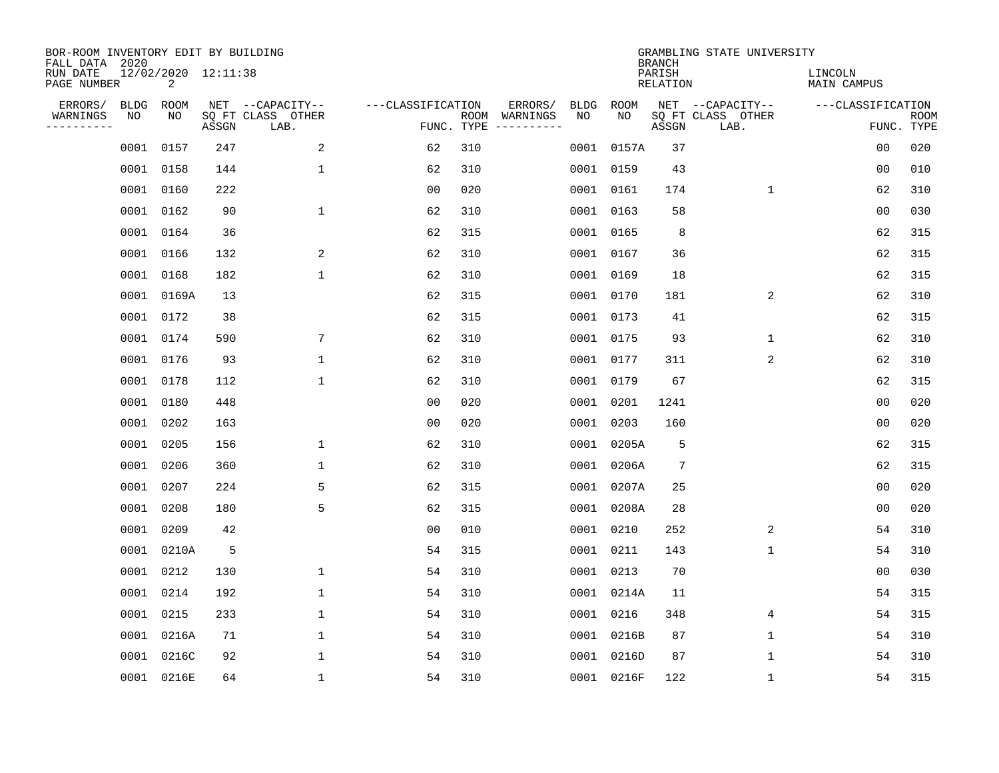| BOR-ROOM INVENTORY EDIT BY BUILDING<br>FALL DATA 2020 |             |                                       |       |                           |                   |                    |                         |             |            | <b>BRANCH</b>             | GRAMBLING STATE UNIVERSITY |                        |                           |
|-------------------------------------------------------|-------------|---------------------------------------|-------|---------------------------|-------------------|--------------------|-------------------------|-------------|------------|---------------------------|----------------------------|------------------------|---------------------------|
| RUN DATE<br>PAGE NUMBER                               |             | 12/02/2020 12:11:38<br>$\overline{2}$ |       |                           |                   |                    |                         |             |            | PARISH<br><b>RELATION</b> |                            | LINCOLN<br>MAIN CAMPUS |                           |
| ERRORS/                                               | <b>BLDG</b> | ROOM                                  |       | NET --CAPACITY--          | ---CLASSIFICATION |                    | ERRORS/                 | <b>BLDG</b> | ROOM       |                           | NET --CAPACITY--           | ---CLASSIFICATION      |                           |
| WARNINGS<br>----------                                | NO          | NO                                    | ASSGN | SQ FT CLASS OTHER<br>LAB. |                   | ROOM<br>FUNC. TYPE | WARNINGS<br>----------- | NO          | NO         | ASSGN                     | SQ FT CLASS OTHER<br>LAB.  |                        | <b>ROOM</b><br>FUNC. TYPE |
|                                                       | 0001        | 0157                                  | 247   | 2                         | 62                | 310                |                         |             | 0001 0157A | 37                        |                            | 00                     | 020                       |
|                                                       | 0001        | 0158                                  | 144   | 1                         | 62                | 310                |                         |             | 0001 0159  | 43                        |                            | 00                     | 010                       |
|                                                       | 0001        | 0160                                  | 222   |                           | 0 <sub>0</sub>    | 020                |                         |             | 0001 0161  | 174                       | 1                          | 62                     | 310                       |
|                                                       | 0001        | 0162                                  | 90    | $\mathbf{1}$              | 62                | 310                |                         |             | 0001 0163  | 58                        |                            | 0 <sub>0</sub>         | 030                       |
|                                                       | 0001        | 0164                                  | 36    |                           | 62                | 315                |                         |             | 0001 0165  | 8                         |                            | 62                     | 315                       |
|                                                       |             | 0001 0166                             | 132   | 2                         | 62                | 310                |                         |             | 0001 0167  | 36                        |                            | 62                     | 315                       |
|                                                       | 0001        | 0168                                  | 182   | $\mathbf{1}$              | 62                | 310                |                         |             | 0001 0169  | 18                        |                            | 62                     | 315                       |
|                                                       |             | 0001 0169A                            | 13    |                           | 62                | 315                |                         |             | 0001 0170  | 181                       | 2                          | 62                     | 310                       |
|                                                       | 0001        | 0172                                  | 38    |                           | 62                | 315                |                         |             | 0001 0173  | 41                        |                            | 62                     | 315                       |
|                                                       |             | 0001 0174                             | 590   | 7                         | 62                | 310                |                         |             | 0001 0175  | 93                        | 1                          | 62                     | 310                       |
|                                                       | 0001        | 0176                                  | 93    | 1                         | 62                | 310                |                         |             | 0001 0177  | 311                       | 2                          | 62                     | 310                       |
|                                                       |             | 0001 0178                             | 112   | 1                         | 62                | 310                |                         |             | 0001 0179  | 67                        |                            | 62                     | 315                       |
|                                                       | 0001        | 0180                                  | 448   |                           | 0 <sub>0</sub>    | 020                |                         |             | 0001 0201  | 1241                      |                            | 0 <sub>0</sub>         | 020                       |
|                                                       | 0001        | 0202                                  | 163   |                           | 0 <sub>0</sub>    | 020                |                         |             | 0001 0203  | 160                       |                            | 0 <sub>0</sub>         | 020                       |
|                                                       | 0001        | 0205                                  | 156   | 1                         | 62                | 310                |                         |             | 0001 0205A | 5                         |                            | 62                     | 315                       |
|                                                       | 0001        | 0206                                  | 360   | 1                         | 62                | 310                |                         |             | 0001 0206A | $7\phantom{.0}$           |                            | 62                     | 315                       |
|                                                       | 0001        | 0207                                  | 224   | 5                         | 62                | 315                |                         |             | 0001 0207A | 25                        |                            | 0 <sub>0</sub>         | 020                       |
|                                                       | 0001        | 0208                                  | 180   | 5                         | 62                | 315                |                         |             | 0001 0208A | 28                        |                            | 0 <sub>0</sub>         | 020                       |
|                                                       | 0001        | 0209                                  | 42    |                           | 0 <sub>0</sub>    | 010                |                         |             | 0001 0210  | 252                       | 2                          | 54                     | 310                       |
|                                                       | 0001        | 0210A                                 | 5     |                           | 54                | 315                |                         |             | 0001 0211  | 143                       | $\mathbf 1$                | 54                     | 310                       |
|                                                       | 0001        | 0212                                  | 130   | 1                         | 54                | 310                |                         |             | 0001 0213  | 70                        |                            | 0 <sub>0</sub>         | 030                       |
|                                                       | 0001        | 0214                                  | 192   | $\mathbf 1$               | 54                | 310                |                         |             | 0001 0214A | 11                        |                            | 54                     | 315                       |
|                                                       | 0001        | 0215                                  | 233   | 1                         | 54                | 310                |                         |             | 0001 0216  | 348                       | 4                          | 54                     | 315                       |
|                                                       | 0001        | 0216A                                 | 71    | $\mathbf 1$               | 54                | 310                |                         |             | 0001 0216B | 87                        | $\mathbf 1$                | 54                     | 310                       |
|                                                       | 0001        | 0216C                                 | 92    | 1                         | 54                | 310                |                         |             | 0001 0216D | 87                        | $\mathbf{1}$               | 54                     | 310                       |
|                                                       |             | 0001 0216E                            | 64    | 1                         | 54                | 310                |                         |             | 0001 0216F | 122                       | 1                          | 54                     | 315                       |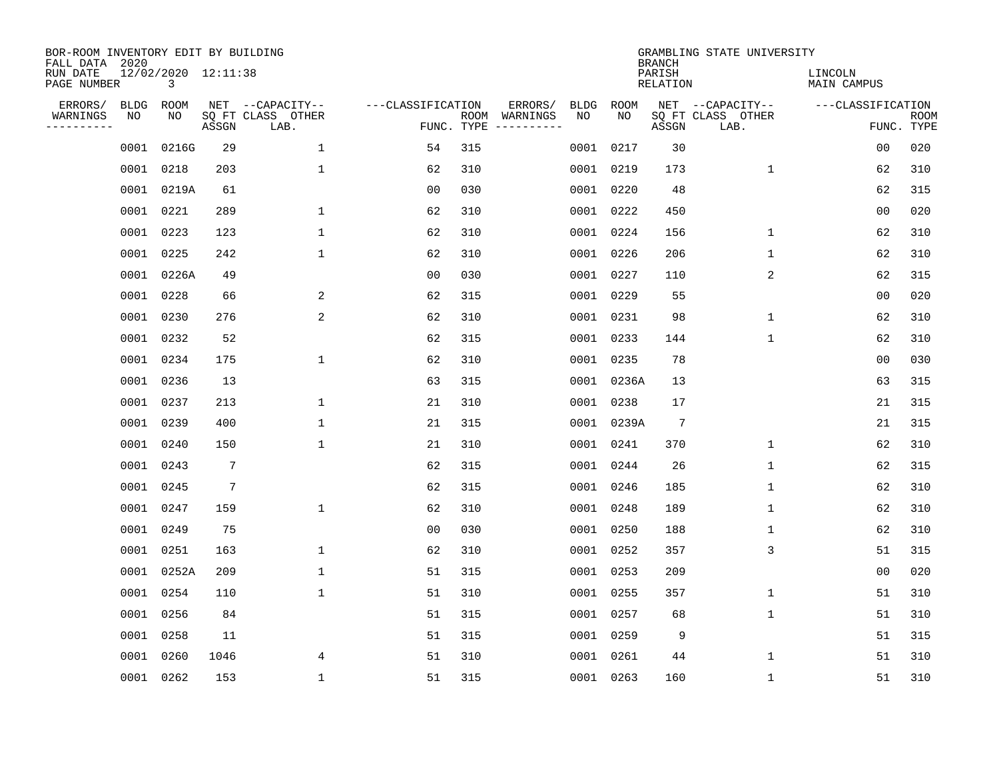| BOR-ROOM INVENTORY EDIT BY BUILDING<br>FALL DATA 2020 |            |                          |                 |                                               |                   |                    |                                    |                   |            | <b>BRANCH</b>      | GRAMBLING STATE UNIVERSITY                    |                        |                           |
|-------------------------------------------------------|------------|--------------------------|-----------------|-----------------------------------------------|-------------------|--------------------|------------------------------------|-------------------|------------|--------------------|-----------------------------------------------|------------------------|---------------------------|
| RUN DATE<br>PAGE NUMBER                               |            | 12/02/2020 12:11:38<br>3 |                 |                                               |                   |                    |                                    |                   |            | PARISH<br>RELATION |                                               | LINCOLN<br>MAIN CAMPUS |                           |
| ERRORS/<br>WARNINGS<br>---------                      | BLDG<br>NO | ROOM<br>NO               | ASSGN           | NET --CAPACITY--<br>SQ FT CLASS OTHER<br>LAB. | ---CLASSIFICATION | ROOM<br>FUNC. TYPE | ERRORS/<br>WARNINGS<br>----------- | <b>BLDG</b><br>NO | ROOM<br>NO | ASSGN              | NET --CAPACITY--<br>SQ FT CLASS OTHER<br>LAB. | ---CLASSIFICATION      | <b>ROOM</b><br>FUNC. TYPE |
|                                                       | 0001       | 0216G                    | 29              | $\mathbf{1}$                                  | 54                | 315                |                                    |                   | 0001 0217  | 30                 |                                               | 0 <sub>0</sub>         | 020                       |
|                                                       | 0001       | 0218                     | 203             | $\mathbf 1$                                   | 62                | 310                |                                    |                   | 0001 0219  | 173                | $\mathbf{1}$                                  | 62                     | 310                       |
|                                                       |            | 0001 0219A               | 61              |                                               | 00                | 030                |                                    |                   | 0001 0220  | 48                 |                                               | 62                     | 315                       |
|                                                       | 0001 0221  |                          | 289             | $\mathbf{1}$                                  | 62                | 310                |                                    |                   | 0001 0222  | 450                |                                               | 0 <sub>0</sub>         | 020                       |
|                                                       | 0001       | 0223                     | 123             | $\mathbf{1}$                                  | 62                | 310                |                                    |                   | 0001 0224  | 156                | $\mathbf 1$                                   | 62                     | 310                       |
|                                                       | 0001 0225  |                          | 242             | $\mathbf 1$                                   | 62                | 310                |                                    |                   | 0001 0226  | 206                | $\mathbf 1$                                   | 62                     | 310                       |
|                                                       |            | 0001 0226A               | 49              |                                               | 00                | 030                |                                    |                   | 0001 0227  | 110                | 2                                             | 62                     | 315                       |
|                                                       | 0001 0228  |                          | 66              | 2                                             | 62                | 315                |                                    |                   | 0001 0229  | 55                 |                                               | 0 <sub>0</sub>         | 020                       |
|                                                       | 0001       | 0230                     | 276             | 2                                             | 62                | 310                |                                    |                   | 0001 0231  | 98                 | $\mathbf 1$                                   | 62                     | 310                       |
|                                                       | 0001 0232  |                          | 52              |                                               | 62                | 315                |                                    |                   | 0001 0233  | 144                | $\mathbf 1$                                   | 62                     | 310                       |
|                                                       | 0001 0234  |                          | 175             | $\mathbf{1}$                                  | 62                | 310                |                                    |                   | 0001 0235  | 78                 |                                               | 0 <sub>0</sub>         | 030                       |
|                                                       | 0001 0236  |                          | 13              |                                               | 63                | 315                |                                    |                   | 0001 0236A | 13                 |                                               | 63                     | 315                       |
|                                                       | 0001       | 0237                     | 213             | $\mathbf 1$                                   | 21                | 310                |                                    |                   | 0001 0238  | 17                 |                                               | 21                     | 315                       |
|                                                       | 0001       | 0239                     | 400             | $\mathbf{1}$                                  | 21                | 315                |                                    |                   | 0001 0239A | $7\phantom{.0}$    |                                               | 21                     | 315                       |
|                                                       | 0001       | 0240                     | 150             | $\mathbf{1}$                                  | 21                | 310                |                                    |                   | 0001 0241  | 370                | 1                                             | 62                     | 310                       |
|                                                       | 0001       | 0243                     | $7\phantom{.0}$ |                                               | 62                | 315                |                                    |                   | 0001 0244  | 26                 | 1                                             | 62                     | 315                       |
|                                                       | 0001       | 0245                     | $7\phantom{.0}$ |                                               | 62                | 315                |                                    |                   | 0001 0246  | 185                | 1                                             | 62                     | 310                       |
|                                                       | 0001       | 0247                     | 159             | $\mathbf 1$                                   | 62                | 310                |                                    |                   | 0001 0248  | 189                | 1                                             | 62                     | 310                       |
|                                                       | 0001       | 0249                     | 75              |                                               | 0 <sub>0</sub>    | 030                |                                    |                   | 0001 0250  | 188                | 1                                             | 62                     | 310                       |
|                                                       | 0001       | 0251                     | 163             | 1                                             | 62                | 310                |                                    |                   | 0001 0252  | 357                | 3                                             | 51                     | 315                       |
|                                                       | 0001       | 0252A                    | 209             | 1                                             | 51                | 315                |                                    |                   | 0001 0253  | 209                |                                               | 0 <sub>0</sub>         | 020                       |
|                                                       | 0001       | 0254                     | 110             | $\mathbf 1$                                   | 51                | 310                |                                    |                   | 0001 0255  | 357                | $\mathbf 1$                                   | 51                     | 310                       |
|                                                       | 0001       | 0256                     | 84              |                                               | 51                | 315                |                                    |                   | 0001 0257  | 68                 | 1                                             | 51                     | 310                       |
|                                                       | 0001       | 0258                     | 11              |                                               | 51                | 315                |                                    |                   | 0001 0259  | 9                  |                                               | 51                     | 315                       |
|                                                       | 0001       | 0260                     | 1046            | 4                                             | 51                | 310                |                                    |                   | 0001 0261  | 44                 | 1                                             | 51                     | 310                       |
|                                                       | 0001 0262  |                          | 153             | $\mathbf{1}$                                  | 51                | 315                |                                    |                   | 0001 0263  | 160                | 1                                             | 51                     | 310                       |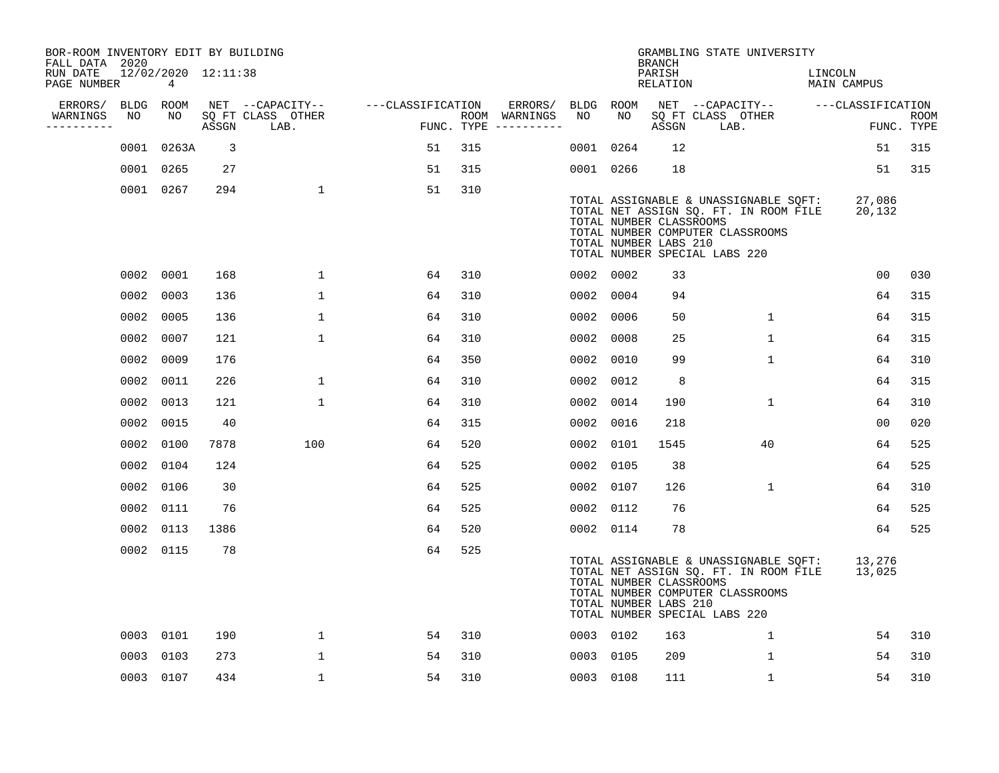| BOR-ROOM INVENTORY EDIT BY BUILDING<br>FALL DATA 2020 |      |                          |       |                           |                   |     |                                      |           |           | <b>BRANCH</b>                                    | GRAMBLING STATE UNIVERSITY                                                                                                                          |                        |                           |
|-------------------------------------------------------|------|--------------------------|-------|---------------------------|-------------------|-----|--------------------------------------|-----------|-----------|--------------------------------------------------|-----------------------------------------------------------------------------------------------------------------------------------------------------|------------------------|---------------------------|
| RUN DATE<br>PAGE NUMBER                               |      | 12/02/2020 12:11:38<br>4 |       |                           |                   |     |                                      |           |           | PARISH<br>RELATION                               |                                                                                                                                                     | LINCOLN<br>MAIN CAMPUS |                           |
| ERRORS/                                               |      | BLDG ROOM                |       | NET --CAPACITY--          | ---CLASSIFICATION |     | ERRORS/                              | BLDG ROOM |           |                                                  | NET --CAPACITY-- ---CLASSIFICATION                                                                                                                  |                        |                           |
| WARNINGS<br>----------                                | NO   | NO                       | ASSGN | SQ FT CLASS OTHER<br>LAB. |                   |     | ROOM WARNINGS<br>FUNC. TYPE $------$ | NO        | NO.       | ASSGN                                            | SQ FT CLASS OTHER<br>LAB.                                                                                                                           |                        | <b>ROOM</b><br>FUNC. TYPE |
|                                                       |      | 0001 0263A               | 3     |                           | 51                | 315 |                                      |           | 0001 0264 | 12                                               |                                                                                                                                                     | 51                     | 315                       |
|                                                       |      | 0001 0265                | 27    |                           | 51                | 315 |                                      |           | 0001 0266 | 18                                               |                                                                                                                                                     | 51                     | 315                       |
|                                                       |      | 0001 0267                | 294   | $\mathbf{1}$              | 51                | 310 |                                      |           |           | TOTAL NUMBER CLASSROOMS<br>TOTAL NUMBER LABS 210 | TOTAL ASSIGNABLE & UNASSIGNABLE SOFT:<br>TOTAL NET ASSIGN SQ. FT. IN ROOM FILE<br>TOTAL NUMBER COMPUTER CLASSROOMS<br>TOTAL NUMBER SPECIAL LABS 220 | 27,086<br>20,132       |                           |
|                                                       |      | 0002 0001                | 168   | $\mathbf{1}$              | 64                | 310 |                                      | 0002 0002 |           | 33                                               |                                                                                                                                                     | 0 <sub>0</sub>         | 030                       |
|                                                       | 0002 | 0003                     | 136   | $\mathbf{1}$              | 64                | 310 |                                      |           | 0002 0004 | 94                                               |                                                                                                                                                     | 64                     | 315                       |
|                                                       | 0002 | 0005                     | 136   | $\mathbf{1}$              | 64                | 310 |                                      | 0002      | 0006      | 50                                               | $\mathbf{1}$                                                                                                                                        | 64                     | 315                       |
|                                                       | 0002 | 0007                     | 121   | $\mathbf 1$               | 64                | 310 |                                      | 0002 0008 |           | 25                                               | $\mathbf{1}$                                                                                                                                        | 64                     | 315                       |
|                                                       | 0002 | 0009                     | 176   |                           | 64                | 350 |                                      | 0002 0010 |           | 99                                               | $\mathbf{1}$                                                                                                                                        | 64                     | 310                       |
|                                                       | 0002 | 0011                     | 226   | $\mathbf 1$               | 64                | 310 |                                      |           | 0002 0012 | 8                                                |                                                                                                                                                     | 64                     | 315                       |
|                                                       | 0002 | 0013                     | 121   | $\mathbf{1}$              | 64                | 310 |                                      | 0002      | 0014      | 190                                              | $\mathbf{1}$                                                                                                                                        | 64                     | 310                       |
|                                                       |      | 0002 0015                | 40    |                           | 64                | 315 |                                      | 0002      | 0016      | 218                                              |                                                                                                                                                     | 0 <sub>0</sub>         | 020                       |
|                                                       |      | 0002 0100                | 7878  | 100                       | 64                | 520 |                                      | 0002 0101 |           | 1545                                             | 40                                                                                                                                                  | 64                     | 525                       |
|                                                       |      | 0002 0104                | 124   |                           | 64                | 525 |                                      | 0002      | 0105      | 38                                               |                                                                                                                                                     | 64                     | 525                       |
|                                                       |      | 0002 0106                | 30    |                           | 64                | 525 |                                      |           | 0002 0107 | 126                                              | $\mathbf{1}$                                                                                                                                        | 64                     | 310                       |
|                                                       |      | 0002 0111                | 76    |                           | 64                | 525 |                                      |           | 0002 0112 | 76                                               |                                                                                                                                                     | 64                     | 525                       |
|                                                       |      | 0002 0113                | 1386  |                           | 64                | 520 |                                      |           | 0002 0114 | 78                                               |                                                                                                                                                     | 64                     | 525                       |
|                                                       |      | 0002 0115                | 78    |                           | 64                | 525 |                                      |           |           | TOTAL NUMBER CLASSROOMS<br>TOTAL NUMBER LABS 210 | TOTAL ASSIGNABLE & UNASSIGNABLE SQFT:<br>TOTAL NET ASSIGN SQ. FT. IN ROOM FILE<br>TOTAL NUMBER COMPUTER CLASSROOMS<br>TOTAL NUMBER SPECIAL LABS 220 | 13,276<br>13,025       |                           |
|                                                       |      | 0003 0101                | 190   | $\mathbf 1$               | 54                | 310 |                                      |           | 0003 0102 | 163                                              | $\mathbf{1}$                                                                                                                                        | 54                     | 310                       |
|                                                       | 0003 | 0103                     | 273   | $\mathbf{1}$              | 54                | 310 |                                      |           | 0003 0105 | 209                                              | $\mathbf{1}$                                                                                                                                        | 54                     | 310                       |
|                                                       |      | 0003 0107                | 434   | $\mathbf{1}$              | 54                | 310 |                                      | 0003 0108 |           | 111                                              | $\mathbf{1}$                                                                                                                                        | 54                     | 310                       |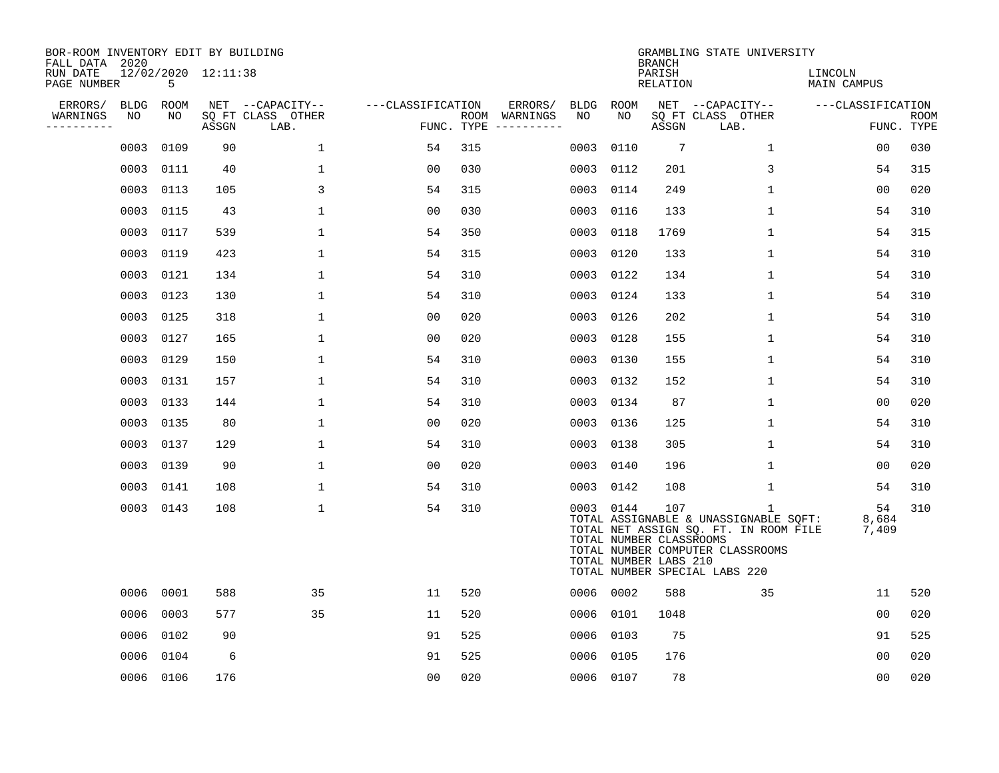| BOR-ROOM INVENTORY EDIT BY BUILDING<br>FALL DATA 2020 |             |           |                     |                           |                   |            |               |      |           | <b>BRANCH</b>                                           | GRAMBLING STATE UNIVERSITY                                                                                                                               |                        |                           |
|-------------------------------------------------------|-------------|-----------|---------------------|---------------------------|-------------------|------------|---------------|------|-----------|---------------------------------------------------------|----------------------------------------------------------------------------------------------------------------------------------------------------------|------------------------|---------------------------|
| RUN DATE<br>PAGE NUMBER                               |             | 5         | 12/02/2020 12:11:38 |                           |                   |            |               |      |           | PARISH<br>RELATION                                      |                                                                                                                                                          | LINCOLN<br>MAIN CAMPUS |                           |
| ERRORS/                                               | <b>BLDG</b> | ROOM      |                     | NET --CAPACITY--          | ---CLASSIFICATION |            | ERRORS/       | BLDG | ROOM      |                                                         | NET --CAPACITY--                                                                                                                                         | ---CLASSIFICATION      |                           |
| WARNINGS<br>----------                                | NO          | NO        | ASSGN               | SQ FT CLASS OTHER<br>LAB. |                   | FUNC. TYPE | ROOM WARNINGS | NO   | NO.       | ASSGN                                                   | SQ FT CLASS OTHER<br>LAB.                                                                                                                                |                        | <b>ROOM</b><br>FUNC. TYPE |
|                                                       | 0003        | 0109      | 90                  | $\mathbf{1}$              | 54                | 315        |               | 0003 | 0110      | $7\phantom{.0}$                                         | $\mathbf{1}$                                                                                                                                             | 00                     | 030                       |
|                                                       | 0003        | 0111      | 40                  | 1                         | 00                | 030        |               | 0003 | 0112      | 201                                                     | 3                                                                                                                                                        | 54                     | 315                       |
|                                                       | 0003        | 0113      | 105                 | 3                         | 54                | 315        |               | 0003 | 0114      | 249                                                     | $\mathbf 1$                                                                                                                                              | 0 <sub>0</sub>         | 020                       |
|                                                       | 0003        | 0115      | 43                  | $\mathbf 1$               | 0 <sub>0</sub>    | 030        |               | 0003 | 0116      | 133                                                     | $\mathbf 1$                                                                                                                                              | 54                     | 310                       |
|                                                       | 0003        | 0117      | 539                 | $\mathbf 1$               | 54                | 350        |               | 0003 | 0118      | 1769                                                    | $\mathbf{1}$                                                                                                                                             | 54                     | 315                       |
|                                                       | 0003        | 0119      | 423                 | 1                         | 54                | 315        |               |      | 0003 0120 | 133                                                     | $\mathbf{1}$                                                                                                                                             | 54                     | 310                       |
|                                                       | 0003        | 0121      | 134                 | $\mathbf 1$               | 54                | 310        |               |      | 0003 0122 | 134                                                     | $\mathbf 1$                                                                                                                                              | 54                     | 310                       |
|                                                       | 0003        | 0123      | 130                 | $\mathbf 1$               | 54                | 310        |               | 0003 | 0124      | 133                                                     | $\mathbf{1}$                                                                                                                                             | 54                     | 310                       |
|                                                       | 0003        | 0125      | 318                 | $\mathbf 1$               | 0 <sub>0</sub>    | 020        |               | 0003 | 0126      | 202                                                     | $\mathbf{1}$                                                                                                                                             | 54                     | 310                       |
|                                                       | 0003        | 0127      | 165                 | $\mathbf 1$               | 0 <sub>0</sub>    | 020        |               | 0003 | 0128      | 155                                                     | $\mathbf 1$                                                                                                                                              | 54                     | 310                       |
|                                                       | 0003        | 0129      | 150                 | 1                         | 54                | 310        |               | 0003 | 0130      | 155                                                     | 1                                                                                                                                                        | 54                     | 310                       |
|                                                       | 0003        | 0131      | 157                 | $\mathbf 1$               | 54                | 310        |               |      | 0003 0132 | 152                                                     | $\mathbf 1$                                                                                                                                              | 54                     | 310                       |
|                                                       | 0003        | 0133      | 144                 | $\mathbf 1$               | 54                | 310        |               | 0003 | 0134      | 87                                                      | $\mathbf 1$                                                                                                                                              | 0 <sub>0</sub>         | 020                       |
|                                                       | 0003        | 0135      | 80                  | $\mathbf 1$               | 0 <sub>0</sub>    | 020        |               |      | 0003 0136 | 125                                                     | $\mathbf 1$                                                                                                                                              | 54                     | 310                       |
|                                                       | 0003        | 0137      | 129                 | 1                         | 54                | 310        |               | 0003 | 0138      | 305                                                     | 1                                                                                                                                                        | 54                     | 310                       |
|                                                       | 0003        | 0139      | 90                  | $\mathbf 1$               | 0 <sub>0</sub>    | 020        |               |      | 0003 0140 | 196                                                     | $\mathbf 1$                                                                                                                                              | 00                     | 020                       |
|                                                       | 0003        | 0141      | 108                 | $\mathbf 1$               | 54                | 310        |               |      | 0003 0142 | 108                                                     | $\mathbf 1$                                                                                                                                              | 54                     | 310                       |
|                                                       | 0003        | 0143      | 108                 | $\mathbf{1}$              | 54                | 310        |               |      | 0003 0144 | 107<br>TOTAL NUMBER CLASSROOMS<br>TOTAL NUMBER LABS 210 | 1<br>TOTAL ASSIGNABLE & UNASSIGNABLE SQFT:<br>TOTAL NET ASSIGN SQ. FT. IN ROOM FILE<br>TOTAL NUMBER COMPUTER CLASSROOMS<br>TOTAL NUMBER SPECIAL LABS 220 | 54<br>8,684<br>7,409   | 310                       |
|                                                       | 0006        | 0001      | 588                 | 35                        | 11                | 520        |               | 0006 | 0002      | 588                                                     | 35                                                                                                                                                       | 11                     | 520                       |
|                                                       | 0006        | 0003      | 577                 | 35                        | 11                | 520        |               | 0006 | 0101      | 1048                                                    |                                                                                                                                                          | 00                     | 020                       |
|                                                       | 0006        | 0102      | 90                  |                           | 91                | 525        |               | 0006 | 0103      | 75                                                      |                                                                                                                                                          | 91                     | 525                       |
|                                                       | 0006        | 0104      | 6                   |                           | 91                | 525        |               | 0006 | 0105      | 176                                                     |                                                                                                                                                          | 0 <sub>0</sub>         | 020                       |
|                                                       |             | 0006 0106 | 176                 |                           | 0 <sub>0</sub>    | 020        |               |      | 0006 0107 | 78                                                      |                                                                                                                                                          | 0 <sub>0</sub>         | 020                       |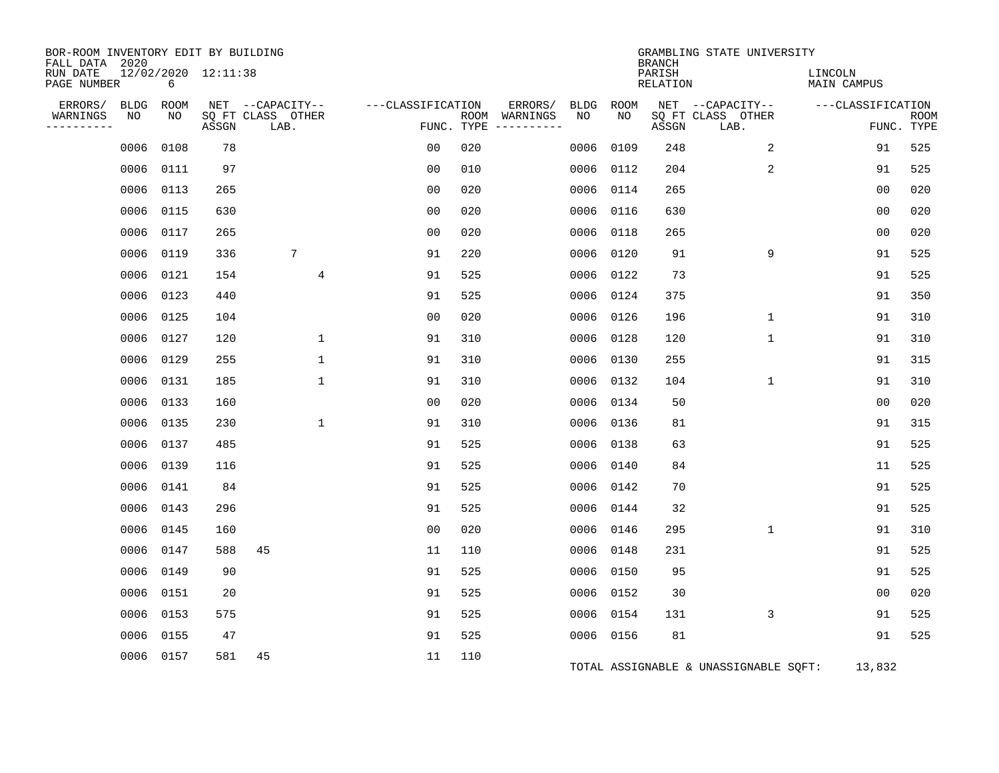| BOR-ROOM INVENTORY EDIT BY BUILDING       |      |           |                     |                           |                   |     |                                      |      |             |                                     | GRAMBLING STATE UNIVERSITY            |                               |                           |
|-------------------------------------------|------|-----------|---------------------|---------------------------|-------------------|-----|--------------------------------------|------|-------------|-------------------------------------|---------------------------------------|-------------------------------|---------------------------|
| FALL DATA 2020<br>RUN DATE<br>PAGE NUMBER |      | 6         | 12/02/2020 12:11:38 |                           |                   |     |                                      |      |             | <b>BRANCH</b><br>PARISH<br>RELATION |                                       | LINCOLN<br><b>MAIN CAMPUS</b> |                           |
| ERRORS/                                   | BLDG | ROOM      |                     | NET --CAPACITY--          | ---CLASSIFICATION |     | ERRORS/                              | BLDG | <b>ROOM</b> |                                     | NET --CAPACITY--                      | ---CLASSIFICATION             |                           |
| WARNINGS<br>----------                    | NO   | NO        | ASSGN               | SQ FT CLASS OTHER<br>LAB. |                   |     | ROOM WARNINGS<br>FUNC. TYPE $------$ | NO.  | NO.         | ASSGN                               | SQ FT CLASS OTHER<br>LAB.             |                               | <b>ROOM</b><br>FUNC. TYPE |
|                                           | 0006 | 0108      | 78                  |                           | 0 <sub>0</sub>    | 020 |                                      | 0006 | 0109        | 248                                 | 2                                     | 91                            | 525                       |
|                                           | 0006 | 0111      | 97                  |                           | 0 <sub>0</sub>    | 010 |                                      | 0006 | 0112        | 204                                 | 2                                     | 91                            | 525                       |
|                                           | 0006 | 0113      | 265                 |                           | 00                | 020 |                                      | 0006 | 0114        | 265                                 |                                       | 00                            | 020                       |
|                                           | 0006 | 0115      | 630                 |                           | 00                | 020 |                                      | 0006 | 0116        | 630                                 |                                       | 0 <sub>0</sub>                | 020                       |
|                                           | 0006 | 0117      | 265                 |                           | 0 <sub>0</sub>    | 020 |                                      | 0006 | 0118        | 265                                 |                                       | 0 <sub>0</sub>                | 020                       |
|                                           | 0006 | 0119      | 336                 | 7                         | 91                | 220 |                                      | 0006 | 0120        | 91                                  | 9                                     | 91                            | 525                       |
|                                           | 0006 | 0121      | 154                 | 4                         | 91                | 525 |                                      | 0006 | 0122        | 73                                  |                                       | 91                            | 525                       |
|                                           | 0006 | 0123      | 440                 |                           | 91                | 525 |                                      | 0006 | 0124        | 375                                 |                                       | 91                            | 350                       |
|                                           | 0006 | 0125      | 104                 |                           | 0 <sub>0</sub>    | 020 |                                      |      | 0006 0126   | 196                                 | $\mathbf{1}$                          | 91                            | 310                       |
|                                           | 0006 | 0127      | 120                 | $\mathbf 1$               | 91                | 310 |                                      | 0006 | 0128        | 120                                 | $\mathbf 1$                           | 91                            | 310                       |
|                                           | 0006 | 0129      | 255                 | $\mathbf 1$               | 91                | 310 |                                      |      | 0006 0130   | 255                                 |                                       | 91                            | 315                       |
|                                           | 0006 | 0131      | 185                 | $\mathbf{1}$              | 91                | 310 |                                      | 0006 | 0132        | 104                                 | 1                                     | 91                            | 310                       |
|                                           | 0006 | 0133      | 160                 |                           | 0 <sub>0</sub>    | 020 |                                      |      | 0006 0134   | 50                                  |                                       | 00                            | 020                       |
|                                           | 0006 | 0135      | 230                 | $\mathbf 1$               | 91                | 310 |                                      | 0006 | 0136        | 81                                  |                                       | 91                            | 315                       |
|                                           | 0006 | 0137      | 485                 |                           | 91                | 525 |                                      | 0006 | 0138        | 63                                  |                                       | 91                            | 525                       |
|                                           | 0006 | 0139      | 116                 |                           | 91                | 525 |                                      | 0006 | 0140        | 84                                  |                                       | 11                            | 525                       |
|                                           | 0006 | 0141      | 84                  |                           | 91                | 525 |                                      | 0006 | 0142        | 70                                  |                                       | 91                            | 525                       |
|                                           | 0006 | 0143      | 296                 |                           | 91                | 525 |                                      |      | 0006 0144   | 32                                  |                                       | 91                            | 525                       |
|                                           | 0006 | 0145      | 160                 |                           | 0 <sub>0</sub>    | 020 |                                      | 0006 | 0146        | 295                                 | $\mathbf 1$                           | 91                            | 310                       |
|                                           | 0006 | 0147      | 588                 | 45                        | 11                | 110 |                                      |      | 0006 0148   | 231                                 |                                       | 91                            | 525                       |
|                                           | 0006 | 0149      | 90                  |                           | 91                | 525 |                                      |      | 0006 0150   | 95                                  |                                       | 91                            | 525                       |
|                                           | 0006 | 0151      | 20                  |                           | 91                | 525 |                                      |      | 0006 0152   | 30                                  |                                       | 00                            | 020                       |
|                                           | 0006 | 0153      | 575                 |                           | 91                | 525 |                                      | 0006 | 0154        | 131                                 | 3                                     | 91                            | 525                       |
|                                           | 0006 | 0155      | 47                  |                           | 91                | 525 |                                      |      | 0006 0156   | 81                                  |                                       | 91                            | 525                       |
|                                           |      | 0006 0157 | 581                 | 45                        | 11                | 110 |                                      |      |             |                                     | TOTAL ASSIGNABLE & UNASSIGNABLE SQFT: | 13,832                        |                           |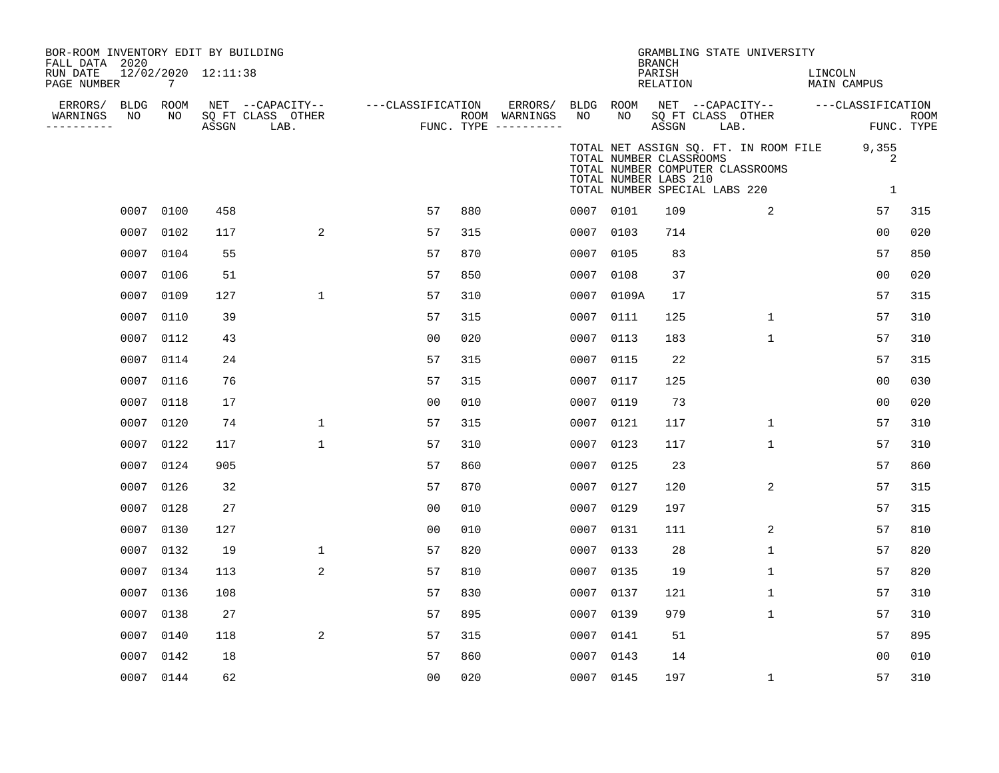| BOR-ROOM INVENTORY EDIT BY BUILDING<br>FALL DATA 2020<br>RUN DATE<br>PAGE NUMBER |                 | $7\overline{ }$ | 12/02/2020 12:11:38 |                                               |                   |     |                                                           |           |       | <b>BRANCH</b><br>PARISH<br>RELATION              |                               | GRAMBLING STATE UNIVERSITY       | LINCOLN<br>MAIN CAMPUS                |                 |             |
|----------------------------------------------------------------------------------|-----------------|-----------------|---------------------|-----------------------------------------------|-------------------|-----|-----------------------------------------------------------|-----------|-------|--------------------------------------------------|-------------------------------|----------------------------------|---------------------------------------|-----------------|-------------|
| ERRORS/<br>WARNINGS<br>. _ _ _ _ _ _ _ _ _                                       | BLDG ROOM<br>NO | NO              | ASSGN               | NET --CAPACITY--<br>SQ FT CLASS OTHER<br>LAB. | ---CLASSIFICATION |     | ERRORS/ BLDG ROOM<br>ROOM WARNINGS<br>FUNC. TYPE $------$ | NO        | NO    | ASSGN                                            | SQ FT CLASS OTHER<br>LAB.     | NET --CAPACITY--                 | ---CLASSIFICATION                     | FUNC. TYPE      | <b>ROOM</b> |
|                                                                                  |                 |                 |                     |                                               |                   |     |                                                           |           |       | TOTAL NUMBER CLASSROOMS<br>TOTAL NUMBER LABS 210 | TOTAL NUMBER SPECIAL LABS 220 | TOTAL NUMBER COMPUTER CLASSROOMS | TOTAL NET ASSIGN SQ. FT. IN ROOM FILE | 9,355<br>2<br>1 |             |
|                                                                                  | 0007 0100       |                 | 458                 |                                               | 57                | 880 |                                                           | 0007 0101 |       | 109                                              |                               | 2                                |                                       | 57              | 315         |
|                                                                                  | 0007            | 0102            | 117                 | 2                                             | 57                | 315 |                                                           | 0007 0103 |       | 714                                              |                               |                                  |                                       | 0 <sub>0</sub>  | 020         |
|                                                                                  | 0007            | 0104            | 55                  |                                               | 57                | 870 |                                                           | 0007 0105 |       | 83                                               |                               |                                  |                                       | 57              | 850         |
|                                                                                  | 0007            | 0106            | 51                  |                                               | 57                | 850 |                                                           | 0007      | 0108  | 37                                               |                               |                                  |                                       | 0 <sub>0</sub>  | 020         |
|                                                                                  | 0007            | 0109            | 127                 | $\mathbf 1$                                   | 57                | 310 |                                                           | 0007      | 0109A | 17                                               |                               |                                  |                                       | 57              | 315         |
|                                                                                  | 0007            | 0110            | 39                  |                                               | 57                | 315 |                                                           | 0007      | 0111  | 125                                              |                               | $\mathbf{1}$                     |                                       | 57              | 310         |
|                                                                                  | 0007            | 0112            | 43                  |                                               | 0 <sub>0</sub>    | 020 |                                                           | 0007      | 0113  | 183                                              |                               | $\mathbf{1}$                     |                                       | 57              | 310         |
|                                                                                  | 0007            | 0114            | 24                  |                                               | 57                | 315 |                                                           | 0007 0115 |       | 22                                               |                               |                                  |                                       | 57              | 315         |
|                                                                                  | 0007            | 0116            | 76                  |                                               | 57                | 315 |                                                           | 0007      | 0117  | 125                                              |                               |                                  |                                       | 00              | 030         |
|                                                                                  | 0007            | 0118            | 17                  |                                               | 0 <sub>0</sub>    | 010 |                                                           | 0007 0119 |       | 73                                               |                               |                                  |                                       | 0 <sub>0</sub>  | 020         |
|                                                                                  | 0007            | 0120            | 74                  | $\mathbf{1}$                                  | 57                | 315 |                                                           | 0007      | 0121  | 117                                              |                               | $\mathbf{1}$                     |                                       | 57              | 310         |
|                                                                                  | 0007            | 0122            | 117                 | $\mathbf 1$                                   | 57                | 310 |                                                           | 0007 0123 |       | 117                                              |                               | $\mathbf{1}$                     |                                       | 57              | 310         |
|                                                                                  | 0007            | 0124            | 905                 |                                               | 57                | 860 |                                                           | 0007 0125 |       | 23                                               |                               |                                  |                                       | 57              | 860         |
|                                                                                  | 0007            | 0126            | 32                  |                                               | 57                | 870 |                                                           | 0007 0127 |       | 120                                              |                               | 2                                |                                       | 57              | 315         |
|                                                                                  | 0007            | 0128            | 27                  |                                               | 0 <sub>0</sub>    | 010 |                                                           | 0007 0129 |       | 197                                              |                               |                                  |                                       | 57              | 315         |
|                                                                                  | 0007            | 0130            | 127                 |                                               | 0 <sub>0</sub>    | 010 |                                                           | 0007 0131 |       | 111                                              |                               | $\overline{2}$                   |                                       | 57              | 810         |
|                                                                                  | 0007            | 0132            | 19                  | $\mathbf{1}$                                  | 57                | 820 |                                                           | 0007      | 0133  | 28                                               |                               | $\mathbf{1}$                     |                                       | 57              | 820         |
|                                                                                  | 0007            | 0134            | 113                 | 2                                             | 57                | 810 |                                                           | 0007 0135 |       | 19                                               |                               | $\mathbf{1}$                     |                                       | 57              | 820         |
|                                                                                  | 0007            | 0136            | 108                 |                                               | 57                | 830 |                                                           | 0007 0137 |       | 121                                              |                               | $\mathbf{1}$                     |                                       | 57              | 310         |
|                                                                                  | 0007            | 0138            | 27                  |                                               | 57                | 895 |                                                           | 0007 0139 |       | 979                                              |                               | $\mathbf{1}$                     |                                       | 57              | 310         |
|                                                                                  | 0007            | 0140            | 118                 | 2                                             | 57                | 315 |                                                           | 0007      | 0141  | 51                                               |                               |                                  |                                       | 57              | 895         |
|                                                                                  | 0007            | 0142            | 18                  |                                               | 57                | 860 |                                                           | 0007 0143 |       | 14                                               |                               |                                  |                                       | 0 <sub>0</sub>  | 010         |
|                                                                                  | 0007 0144       |                 | 62                  |                                               | 0 <sub>0</sub>    | 020 |                                                           | 0007 0145 |       | 197                                              |                               | $\mathbf{1}$                     |                                       | 57              | 310         |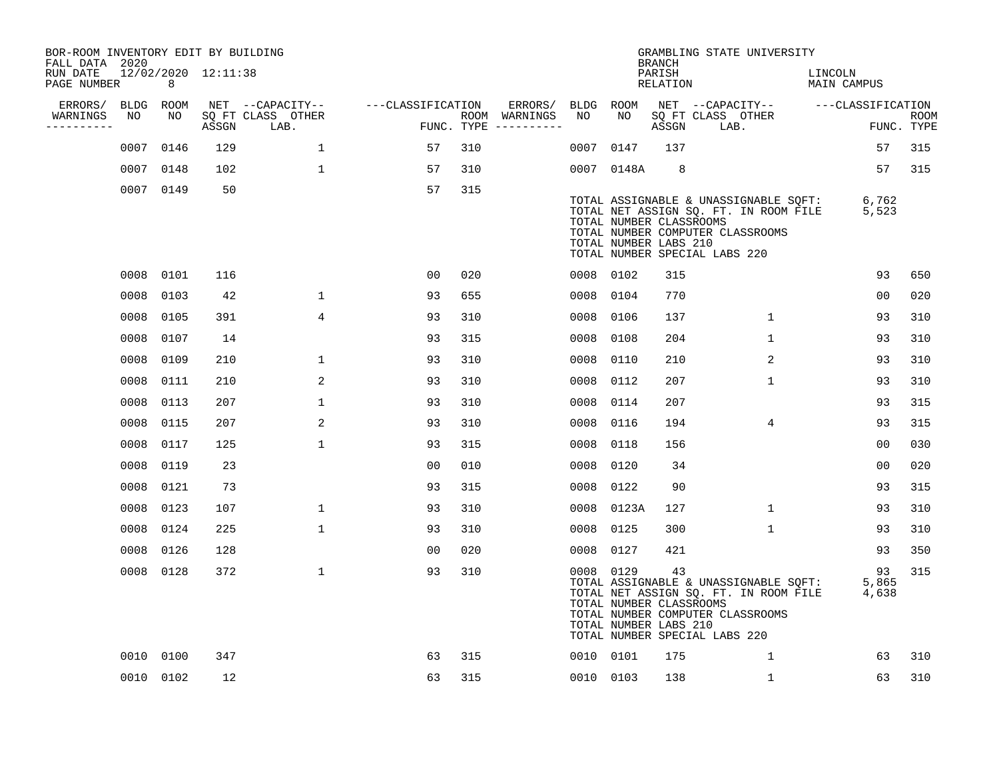| BOR-ROOM INVENTORY EDIT BY BUILDING<br>FALL DATA 2020 |      |           |                     |                           |                   |     |                                      |      |            | <b>BRANCH</b>                                          | GRAMBLING STATE UNIVERSITY                                                                                                                          |                        |                           |
|-------------------------------------------------------|------|-----------|---------------------|---------------------------|-------------------|-----|--------------------------------------|------|------------|--------------------------------------------------------|-----------------------------------------------------------------------------------------------------------------------------------------------------|------------------------|---------------------------|
| RUN DATE<br>PAGE NUMBER                               |      | 8         | 12/02/2020 12:11:38 |                           |                   |     |                                      |      |            | PARISH<br>RELATION                                     |                                                                                                                                                     | LINCOLN<br>MAIN CAMPUS |                           |
| ERRORS/                                               |      | BLDG ROOM |                     | NET --CAPACITY--          | ---CLASSIFICATION |     | ERRORS/                              | BLDG | ROOM       |                                                        | NET --CAPACITY-- ---CLASSIFICATION                                                                                                                  |                        |                           |
| WARNINGS<br>----------                                | NO   | NO.       | ASSGN               | SQ FT CLASS OTHER<br>LAB. |                   |     | ROOM WARNINGS<br>FUNC. TYPE $------$ | NO   | NO         | ASSGN                                                  | SQ FT CLASS OTHER<br>LAB.                                                                                                                           |                        | <b>ROOM</b><br>FUNC. TYPE |
|                                                       | 0007 | 0146      | 129                 | $\mathbf 1$               | 57                | 310 |                                      | 0007 | 0147       | 137                                                    |                                                                                                                                                     | 57                     | 315                       |
|                                                       | 0007 | 0148      | 102                 | $\mathbf{1}$              | 57                | 310 |                                      |      | 0007 0148A | 8                                                      |                                                                                                                                                     | 57                     | 315                       |
|                                                       |      | 0007 0149 | 50                  |                           | 57                | 315 |                                      |      |            | TOTAL NUMBER CLASSROOMS<br>TOTAL NUMBER LABS 210       | TOTAL ASSIGNABLE & UNASSIGNABLE SQFT:<br>TOTAL NET ASSIGN SQ. FT. IN ROOM FILE<br>TOTAL NUMBER COMPUTER CLASSROOMS<br>TOTAL NUMBER SPECIAL LABS 220 | 6,762<br>5,523         |                           |
|                                                       |      | 0008 0101 | 116                 |                           | 0 <sub>0</sub>    | 020 |                                      |      | 0008 0102  | 315                                                    |                                                                                                                                                     | 93                     | 650                       |
|                                                       |      | 0008 0103 | 42                  | 1                         | 93                | 655 |                                      |      | 0008 0104  | 770                                                    |                                                                                                                                                     | 0 <sub>0</sub>         | 020                       |
|                                                       |      | 0008 0105 | 391                 | $\overline{4}$            | 93                | 310 |                                      | 0008 | 0106       | 137                                                    | $\mathbf{1}$                                                                                                                                        | 93                     | 310                       |
|                                                       |      | 0008 0107 | 14                  |                           | 93                | 315 |                                      |      | 0008 0108  | 204                                                    | $\mathbf{1}$                                                                                                                                        | 93                     | 310                       |
|                                                       |      | 0008 0109 | 210                 | $\mathbf{1}$              | 93                | 310 |                                      | 0008 | 0110       | 210                                                    | 2                                                                                                                                                   | 93                     | 310                       |
|                                                       |      | 0008 0111 | 210                 | 2                         | 93                | 310 |                                      | 0008 | 0112       | 207                                                    | $\mathbf{1}$                                                                                                                                        | 93                     | 310                       |
|                                                       |      | 0008 0113 | 207                 | $\mathbf 1$               | 93                | 310 |                                      | 0008 | 0114       | 207                                                    |                                                                                                                                                     | 93                     | 315                       |
|                                                       |      | 0008 0115 | 207                 | 2                         | 93                | 310 |                                      |      | 0008 0116  | 194                                                    | 4                                                                                                                                                   | 93                     | 315                       |
|                                                       | 0008 | 0117      | 125                 | $\mathbf{1}$              | 93                | 315 |                                      | 0008 | 0118       | 156                                                    |                                                                                                                                                     | 0 <sub>0</sub>         | 030                       |
|                                                       |      | 0008 0119 | 23                  |                           | 0 <sub>0</sub>    | 010 |                                      |      | 0008 0120  | 34                                                     |                                                                                                                                                     | 0 <sub>0</sub>         | 020                       |
|                                                       | 0008 | 0121      | 73                  |                           | 93                | 315 |                                      | 0008 | 0122       | 90                                                     |                                                                                                                                                     | 93                     | 315                       |
|                                                       |      | 0008 0123 | 107                 | $\mathbf 1$               | 93                | 310 |                                      |      | 0008 0123A | 127                                                    | $\mathbf 1$                                                                                                                                         | 93                     | 310                       |
|                                                       |      | 0008 0124 | 225                 | $\mathbf{1}$              | 93                | 310 |                                      | 0008 | 0125       | 300                                                    | $\mathbf 1$                                                                                                                                         | 93                     | 310                       |
|                                                       |      | 0008 0126 | 128                 |                           | 0 <sub>0</sub>    | 020 |                                      |      | 0008 0127  | 421                                                    |                                                                                                                                                     | 93                     | 350                       |
|                                                       |      | 0008 0128 | 372                 | $\mathbf 1$               | 93                | 310 |                                      |      | 0008 0129  | 43<br>TOTAL NUMBER CLASSROOMS<br>TOTAL NUMBER LABS 210 | TOTAL ASSIGNABLE & UNASSIGNABLE SQFT:<br>TOTAL NET ASSIGN SQ. FT. IN ROOM FILE<br>TOTAL NUMBER COMPUTER CLASSROOMS<br>TOTAL NUMBER SPECIAL LABS 220 | 93<br>5,865<br>4,638   | 315                       |
|                                                       |      | 0010 0100 | 347                 |                           | 63                | 315 |                                      |      | 0010 0101  | 175                                                    | 1                                                                                                                                                   | 63                     | 310                       |
|                                                       |      | 0010 0102 | 12                  |                           | 63                | 315 |                                      |      | 0010 0103  | 138                                                    | 1                                                                                                                                                   | 63                     | 310                       |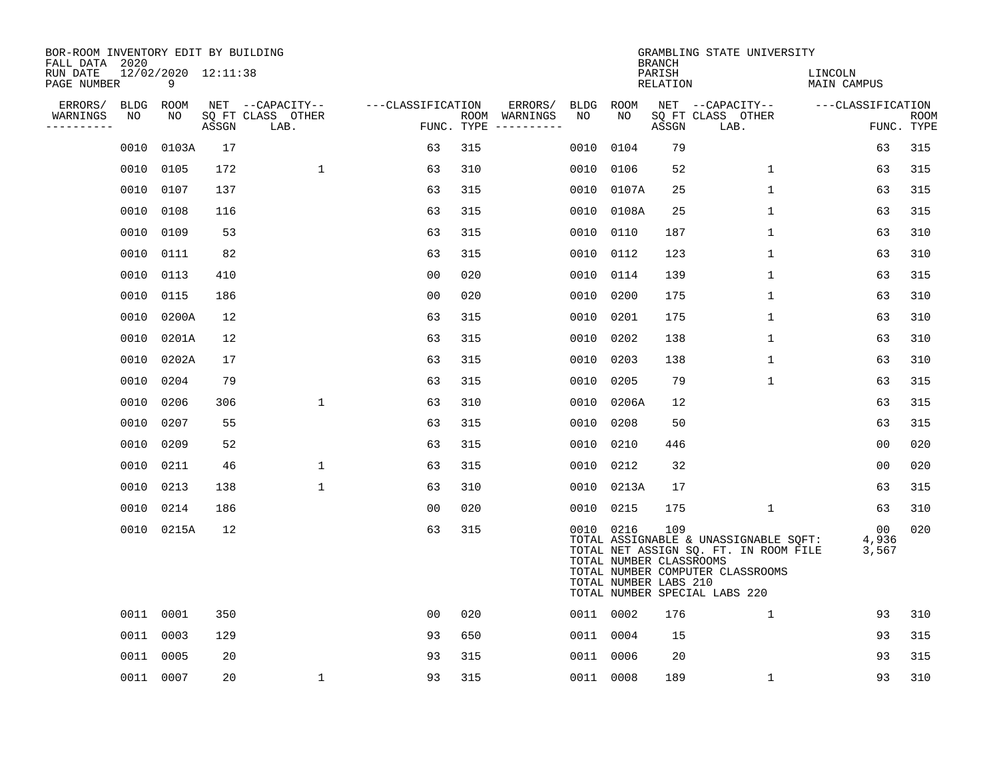| BOR-ROOM INVENTORY EDIT BY BUILDING<br>FALL DATA 2020 |             |                          |       |                           |                   |            |                              |             |                                                               | <b>BRANCH</b>      | GRAMBLING STATE UNIVERSITY                                                                                                                          |                        |                           |
|-------------------------------------------------------|-------------|--------------------------|-------|---------------------------|-------------------|------------|------------------------------|-------------|---------------------------------------------------------------|--------------------|-----------------------------------------------------------------------------------------------------------------------------------------------------|------------------------|---------------------------|
| RUN DATE<br>PAGE NUMBER                               |             | 12/02/2020 12:11:38<br>9 |       |                           |                   |            |                              |             |                                                               | PARISH<br>RELATION |                                                                                                                                                     | LINCOLN<br>MAIN CAMPUS |                           |
| ERRORS/                                               | <b>BLDG</b> | ROOM                     |       | NET --CAPACITY--          | ---CLASSIFICATION |            | ERRORS/                      | <b>BLDG</b> | ROOM                                                          |                    | NET --CAPACITY--                                                                                                                                    | ---CLASSIFICATION      |                           |
| WARNINGS<br>----------                                | NO          | NO                       | ASSGN | SQ FT CLASS OTHER<br>LAB. |                   | FUNC. TYPE | ROOM WARNINGS<br>----------- | NO          | NO.                                                           | ASSGN              | SQ FT CLASS OTHER<br>LAB.                                                                                                                           |                        | <b>ROOM</b><br>FUNC. TYPE |
|                                                       | 0010        | 0103A                    | 17    |                           | 63                | 315        |                              | 0010        | 0104                                                          | 79                 |                                                                                                                                                     | 63                     | 315                       |
|                                                       | 0010        | 0105                     | 172   | $\mathbf{1}$              | 63                | 310        |                              | 0010        | 0106                                                          | 52                 | $\mathbf{1}$                                                                                                                                        | 63                     | 315                       |
|                                                       | 0010        | 0107                     | 137   |                           | 63                | 315        |                              | 0010        | 0107A                                                         | 25                 | 1                                                                                                                                                   | 63                     | 315                       |
|                                                       | 0010        | 0108                     | 116   |                           | 63                | 315        |                              | 0010        | 0108A                                                         | 25                 | $\mathbf 1$                                                                                                                                         | 63                     | 315                       |
|                                                       | 0010        | 0109                     | 53    |                           | 63                | 315        |                              | 0010        | 0110                                                          | 187                | $\mathbf 1$                                                                                                                                         | 63                     | 310                       |
|                                                       | 0010        | 0111                     | 82    |                           | 63                | 315        |                              | 0010        | 0112                                                          | 123                | $\mathbf 1$                                                                                                                                         | 63                     | 310                       |
|                                                       | 0010        | 0113                     | 410   |                           | 0 <sub>0</sub>    | 020        |                              | 0010        | 0114                                                          | 139                | $\mathbf{1}$                                                                                                                                        | 63                     | 315                       |
|                                                       | 0010        | 0115                     | 186   |                           | 0 <sub>0</sub>    | 020        |                              | 0010        | 0200                                                          | 175                | $\mathbf 1$                                                                                                                                         | 63                     | 310                       |
|                                                       | 0010        | 0200A                    | 12    |                           | 63                | 315        |                              | 0010        | 0201                                                          | 175                | $\mathbf 1$                                                                                                                                         | 63                     | 310                       |
|                                                       | 0010        | 0201A                    | 12    |                           | 63                | 315        |                              | 0010        | 0202                                                          | 138                | $\mathbf 1$                                                                                                                                         | 63                     | 310                       |
|                                                       | 0010        | 0202A                    | 17    |                           | 63                | 315        |                              | 0010        | 0203                                                          | 138                | $\mathbf 1$                                                                                                                                         | 63                     | 310                       |
|                                                       | 0010        | 0204                     | 79    |                           | 63                | 315        |                              | 0010        | 0205                                                          | 79                 | $\mathbf{1}$                                                                                                                                        | 63                     | 315                       |
|                                                       | 0010        | 0206                     | 306   | 1                         | 63                | 310        |                              | 0010        | 0206A                                                         | 12                 |                                                                                                                                                     | 63                     | 315                       |
|                                                       | 0010        | 0207                     | 55    |                           | 63                | 315        |                              | 0010        | 0208                                                          | 50                 |                                                                                                                                                     | 63                     | 315                       |
|                                                       | 0010        | 0209                     | 52    |                           | 63                | 315        |                              | 0010        | 0210                                                          | 446                |                                                                                                                                                     | 0 <sub>0</sub>         | 020                       |
|                                                       | 0010        | 0211                     | 46    | $\mathbf{1}$              | 63                | 315        |                              | 0010        | 0212                                                          | 32                 |                                                                                                                                                     | 00                     | 020                       |
|                                                       | 0010        | 0213                     | 138   | $\mathbf{1}$              | 63                | 310        |                              | 0010        | 0213A                                                         | 17                 |                                                                                                                                                     | 63                     | 315                       |
|                                                       | 0010        | 0214                     | 186   |                           | 0 <sub>0</sub>    | 020        |                              | 0010        | 0215                                                          | 175                | 1                                                                                                                                                   | 63                     | 310                       |
|                                                       |             | 0010 0215A               | 12    |                           | 63                | 315        |                              |             | 0010 0216<br>TOTAL NUMBER CLASSROOMS<br>TOTAL NUMBER LABS 210 | 109                | TOTAL ASSIGNABLE & UNASSIGNABLE SQFT:<br>TOTAL NET ASSIGN SQ. FT. IN ROOM FILE<br>TOTAL NUMBER COMPUTER CLASSROOMS<br>TOTAL NUMBER SPECIAL LABS 220 | 00<br>4,936<br>3,567   | 020                       |
|                                                       |             | 0011 0001                | 350   |                           | 00                | 020        |                              |             | 0011 0002                                                     | 176                | $\mathbf{1}$                                                                                                                                        | 93                     | 310                       |
|                                                       | 0011        | 0003                     | 129   |                           | 93                | 650        |                              |             | 0011 0004                                                     | 15                 |                                                                                                                                                     | 93                     | 315                       |
|                                                       | 0011        | 0005                     | 20    |                           | 93                | 315        |                              | 0011 0006   |                                                               | 20                 |                                                                                                                                                     | 93                     | 315                       |
|                                                       |             | 0011 0007                | 20    | $\mathbf{1}$              | 93                | 315        |                              | 0011 0008   |                                                               | 189                | $\mathbf{1}$                                                                                                                                        | 93                     | 310                       |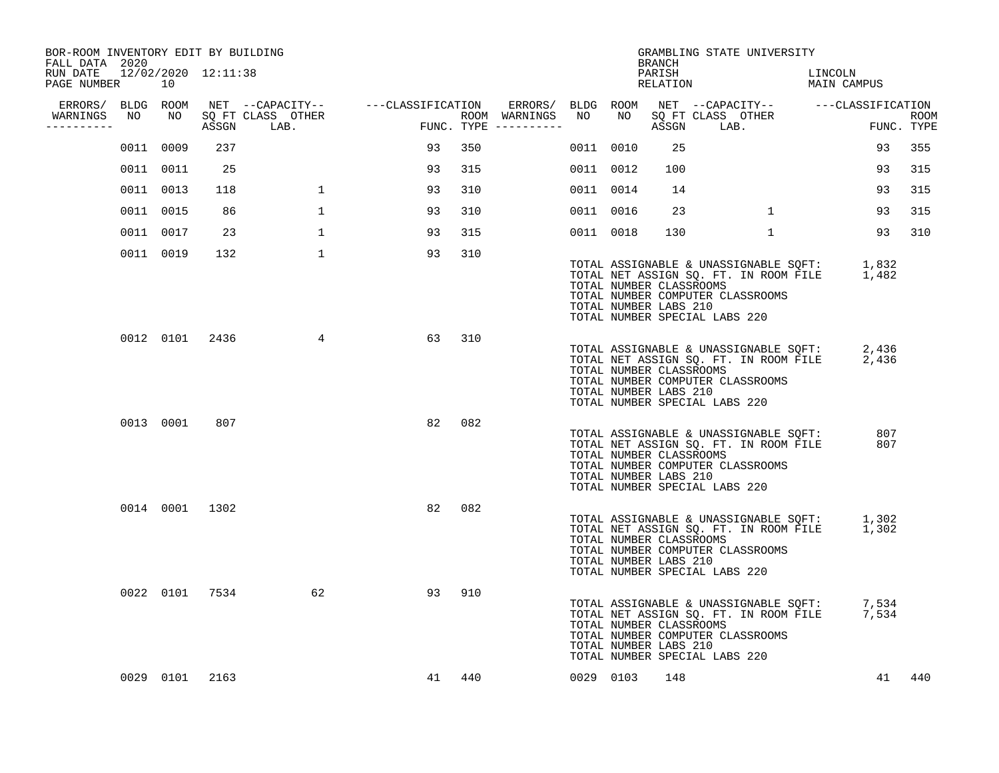| BOR-ROOM INVENTORY EDIT BY BUILDING<br>FALL DATA 2020 |    |           |                |                                   |                                    |     |                                      |           |           | BRANCH                                           | GRAMBLING STATE UNIVERSITY                                                                                                                                      |                        |                    |
|-------------------------------------------------------|----|-----------|----------------|-----------------------------------|------------------------------------|-----|--------------------------------------|-----------|-----------|--------------------------------------------------|-----------------------------------------------------------------------------------------------------------------------------------------------------------------|------------------------|--------------------|
| RUN DATE 12/02/2020 12:11:38<br>PAGE NUMBER           |    | 10        |                |                                   |                                    |     |                                      |           |           | PARISH<br>RELATION                               |                                                                                                                                                                 | LINCOLN<br>MAIN CAMPUS |                    |
| ERRORS/ BLDG ROOM                                     |    |           |                |                                   | NET --CAPACITY-- ---CLASSIFICATION |     | ERRORS/ BLDG ROOM                    |           |           |                                                  |                                                                                                                                                                 |                        |                    |
| WARNINGS<br>----------                                | NO | NO        |                | SQ FT CLASS OTHER<br>ASSGN LAB.   | <b>EXECUTE:</b>                    |     | ROOM WARNINGS<br>FUNC. TYPE $------$ | NO        | NO        | ASSGN                                            | LAB.                                                                                                                                                            |                        | ROOM<br>FUNC. TYPE |
|                                                       |    | 0011 0009 | 237            |                                   | 93                                 | 350 |                                      |           | 0011 0010 | 25                                               |                                                                                                                                                                 | 93                     | 355                |
|                                                       |    | 0011 0011 | 25             |                                   | 93                                 | 315 |                                      | 0011 0012 |           | 100                                              |                                                                                                                                                                 | 93                     | 315                |
|                                                       |    | 0011 0013 | 118            | 1                                 | 93                                 | 310 |                                      |           | 0011 0014 | 14                                               |                                                                                                                                                                 | 93                     | 315                |
|                                                       |    | 0011 0015 | 86             | $\mathbf 1$                       | 93                                 | 310 |                                      |           | 0011 0016 | 23                                               | $\mathbf{1}$                                                                                                                                                    | 93                     | 315                |
|                                                       |    | 0011 0017 | 23             | $\mathbf{1}$                      | 93                                 | 315 |                                      |           | 0011 0018 | 130                                              | $\mathbf{1}$                                                                                                                                                    | 93                     | 310                |
|                                                       |    | 0011 0019 | 132            | $\mathbf{1}$                      | 93                                 | 310 |                                      |           |           | TOTAL NUMBER CLASSROOMS<br>TOTAL NUMBER LABS 210 | TOTAL ASSIGNABLE & UNASSIGNABLE SQFT: 1,832<br>TOTAL NET ASSIGN SQ. FT. IN ROOM FILE 1,482<br>TOTAL NUMBER COMPUTER CLASSROOMS<br>TOTAL NUMBER SPECIAL LABS 220 |                        |                    |
|                                                       |    |           |                | 0012 0101 2436<br>$4\overline{ }$ | 63                                 | 310 |                                      |           |           | TOTAL NUMBER CLASSROOMS<br>TOTAL NUMBER LABS 210 | TOTAL ASSIGNABLE & UNASSIGNABLE SQFT: 2,436<br>TOTAL NET ASSIGN SQ. FT. IN ROOM FILE 2,436<br>TOTAL NUMBER COMPUTER CLASSROOMS<br>TOTAL NUMBER SPECIAL LABS 220 |                        |                    |
|                                                       |    | 0013 0001 | 807            |                                   | 82                                 | 082 |                                      |           |           | TOTAL NUMBER CLASSROOMS<br>TOTAL NUMBER LABS 210 | TOTAL ASSIGNABLE & UNASSIGNABLE SQFT:<br>TOTAL NET ASSIGN SQ. FT. IN ROOM FILE<br>TOTAL NUMBER COMPUTER CLASSROOMS<br>TOTAL NUMBER SPECIAL LABS 220             | 807<br>807             |                    |
|                                                       |    |           | 0014 0001 1302 |                                   | 82                                 | 082 |                                      |           |           | TOTAL NUMBER CLASSROOMS<br>TOTAL NUMBER LABS 210 | TOTAL ASSIGNABLE & UNASSIGNABLE SQFT:<br>TOTAL NET ASSIGN SQ. FT. IN ROOM FILE<br>TOTAL NUMBER COMPUTER CLASSROOMS<br>TOTAL NUMBER SPECIAL LABS 220             | 1,302<br>1,302         |                    |
|                                                       |    |           |                | 0022 0101 7534 62                 | 93                                 | 910 |                                      |           |           | TOTAL NUMBER CLASSROOMS<br>TOTAL NUMBER LABS 210 | TOTAL ASSIGNABLE & UNASSIGNABLE SQFT: 7,534<br>TOTAL NET ASSIGN SQ. FT. IN ROOM FILE 7,534<br>TOTAL NUMBER COMPUTER CLASSROOMS<br>TOTAL NUMBER SPECIAL LABS 220 |                        |                    |
|                                                       |    | 0029 0101 | 2163           |                                   | 41                                 | 440 |                                      |           | 0029 0103 | 148                                              |                                                                                                                                                                 |                        | 41 440             |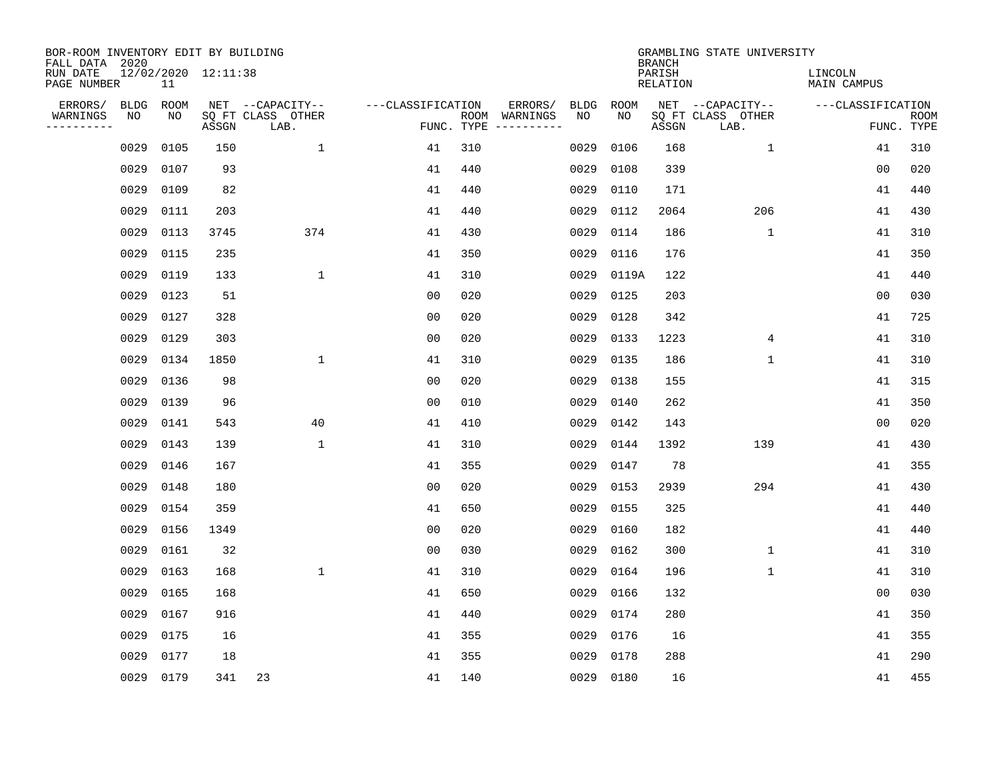| BOR-ROOM INVENTORY EDIT BY BUILDING<br>FALL DATA 2020 |                   |            |                     |                                               |                                 |     |                          |            |             | <b>BRANCH</b>      | GRAMBLING STATE UNIVERSITY                    |                               |                           |
|-------------------------------------------------------|-------------------|------------|---------------------|-----------------------------------------------|---------------------------------|-----|--------------------------|------------|-------------|--------------------|-----------------------------------------------|-------------------------------|---------------------------|
| RUN DATE<br>PAGE NUMBER                               |                   | 11         | 12/02/2020 12:11:38 |                                               |                                 |     |                          |            |             | PARISH<br>RELATION |                                               | LINCOLN<br><b>MAIN CAMPUS</b> |                           |
| ERRORS/<br>WARNINGS<br>. <u>.</u>                     | <b>BLDG</b><br>NO | ROOM<br>NO | ASSGN               | NET --CAPACITY--<br>SQ FT CLASS OTHER<br>LAB. | ---CLASSIFICATION<br>FUNC. TYPE |     | ERRORS/<br>ROOM WARNINGS | BLDG<br>NO | ROOM<br>NO. | ASSGN              | NET --CAPACITY--<br>SQ FT CLASS OTHER<br>LAB. | ---CLASSIFICATION             | <b>ROOM</b><br>FUNC. TYPE |
|                                                       | 0029              | 0105       | 150                 | $\mathbf{1}$                                  | 41                              | 310 |                          | 0029       | 0106        | 168                | $\mathbf{1}$                                  | 41                            | 310                       |
|                                                       | 0029              | 0107       | 93                  |                                               | 41                              | 440 |                          | 0029       | 0108        | 339                |                                               | 00                            | 020                       |
|                                                       | 0029              | 0109       | 82                  |                                               | 41                              | 440 |                          | 0029       | 0110        | 171                |                                               | 41                            | 440                       |
|                                                       | 0029              | 0111       | 203                 |                                               | 41                              | 440 |                          | 0029       | 0112        | 2064               | 206                                           | 41                            | 430                       |
|                                                       | 0029              | 0113       | 3745                | 374                                           | 41                              | 430 |                          | 0029       | 0114        | 186                | 1                                             | 41                            | 310                       |
|                                                       | 0029              | 0115       | 235                 |                                               | 41                              | 350 |                          | 0029       | 0116        | 176                |                                               | 41                            | 350                       |
|                                                       | 0029              | 0119       | 133                 | $\mathbf 1$                                   | 41                              | 310 |                          | 0029       | 0119A       | 122                |                                               | 41                            | 440                       |
|                                                       | 0029              | 0123       | 51                  |                                               | 0 <sub>0</sub>                  | 020 |                          | 0029       | 0125        | 203                |                                               | 0 <sub>0</sub>                | 030                       |
|                                                       | 0029              | 0127       | 328                 |                                               | 0 <sub>0</sub>                  | 020 |                          | 0029       | 0128        | 342                |                                               | 41                            | 725                       |
|                                                       | 0029              | 0129       | 303                 |                                               | 0 <sub>0</sub>                  | 020 |                          | 0029       | 0133        | 1223               | 4                                             | 41                            | 310                       |
|                                                       | 0029              | 0134       | 1850                | $\mathbf{1}$                                  | 41                              | 310 |                          | 0029       | 0135        | 186                | $\mathbf 1$                                   | 41                            | 310                       |
|                                                       | 0029              | 0136       | 98                  |                                               | 0 <sub>0</sub>                  | 020 |                          | 0029       | 0138        | 155                |                                               | 41                            | 315                       |
|                                                       | 0029              | 0139       | 96                  |                                               | 0 <sub>0</sub>                  | 010 |                          | 0029       | 0140        | 262                |                                               | 41                            | 350                       |
|                                                       | 0029              | 0141       | 543                 | 40                                            | 41                              | 410 |                          | 0029       | 0142        | 143                |                                               | 00                            | 020                       |
|                                                       | 0029              | 0143       | 139                 | $\mathbf{1}$                                  | 41                              | 310 |                          | 0029       | 0144        | 1392               | 139                                           | 41                            | 430                       |
|                                                       | 0029              | 0146       | 167                 |                                               | 41                              | 355 |                          | 0029       | 0147        | 78                 |                                               | 41                            | 355                       |
|                                                       | 0029              | 0148       | 180                 |                                               | 0 <sub>0</sub>                  | 020 |                          | 0029       | 0153        | 2939               | 294                                           | 41                            | 430                       |
|                                                       | 0029              | 0154       | 359                 |                                               | 41                              | 650 |                          | 0029       | 0155        | 325                |                                               | 41                            | 440                       |
|                                                       | 0029              | 0156       | 1349                |                                               | 0 <sub>0</sub>                  | 020 |                          | 0029       | 0160        | 182                |                                               | 41                            | 440                       |
|                                                       | 0029              | 0161       | 32                  |                                               | 0 <sub>0</sub>                  | 030 |                          | 0029       | 0162        | 300                | $\mathbf 1$                                   | 41                            | 310                       |
|                                                       | 0029              | 0163       | 168                 | $\mathbf 1$                                   | 41                              | 310 |                          | 0029       | 0164        | 196                | 1                                             | 41                            | 310                       |
|                                                       | 0029              | 0165       | 168                 |                                               | 41                              | 650 |                          | 0029       | 0166        | 132                |                                               | 00                            | 030                       |
|                                                       | 0029              | 0167       | 916                 |                                               | 41                              | 440 |                          | 0029       | 0174        | 280                |                                               | 41                            | 350                       |
|                                                       | 0029              | 0175       | 16                  |                                               | 41                              | 355 |                          | 0029       | 0176        | 16                 |                                               | 41                            | 355                       |
|                                                       | 0029              | 0177       | 18                  |                                               | 41                              | 355 |                          | 0029       | 0178        | 288                |                                               | 41                            | 290                       |
|                                                       | 0029 0179         |            | 341                 | 23                                            | 41                              | 140 |                          | 0029       | 0180        | 16                 |                                               | 41                            | 455                       |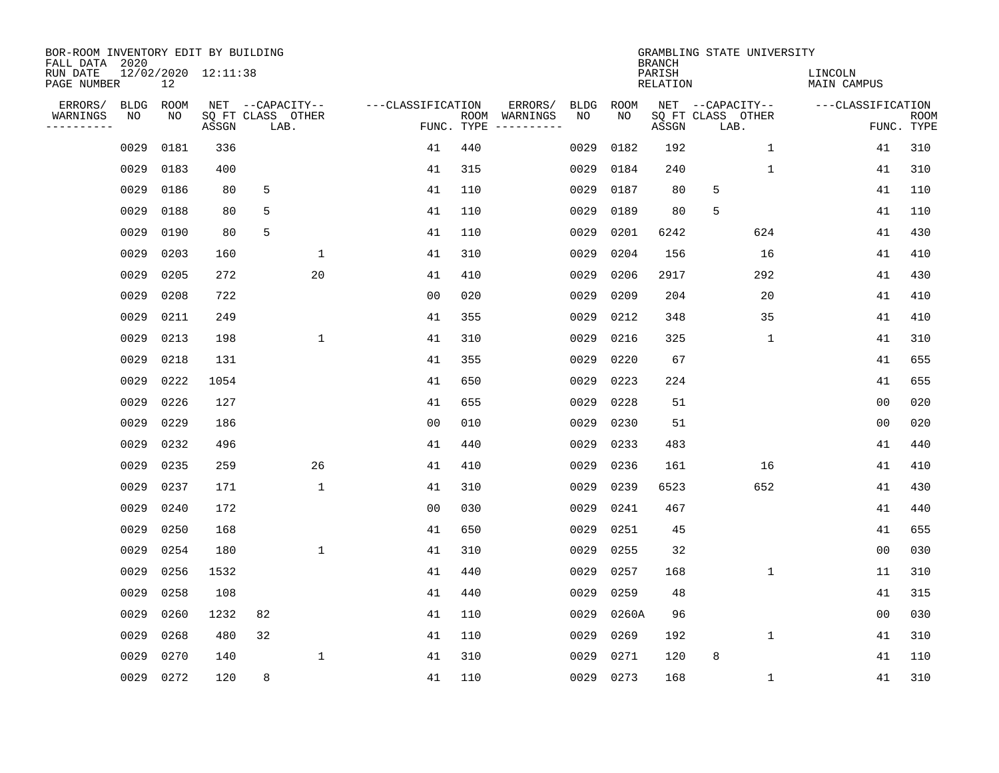| BOR-ROOM INVENTORY EDIT BY BUILDING<br>FALL DATA 2020 |             |      |                     |                           |              |                   |                    |                         |             |       | <b>BRANCH</b>             | GRAMBLING STATE UNIVERSITY |              |                               |                           |
|-------------------------------------------------------|-------------|------|---------------------|---------------------------|--------------|-------------------|--------------------|-------------------------|-------------|-------|---------------------------|----------------------------|--------------|-------------------------------|---------------------------|
| RUN DATE<br>PAGE NUMBER                               |             | 12   | 12/02/2020 12:11:38 |                           |              |                   |                    |                         |             |       | PARISH<br><b>RELATION</b> |                            |              | LINCOLN<br><b>MAIN CAMPUS</b> |                           |
| ERRORS/                                               | <b>BLDG</b> | ROOM |                     | NET --CAPACITY--          |              | ---CLASSIFICATION |                    | ERRORS/                 | <b>BLDG</b> | ROOM  |                           | NET --CAPACITY--           |              | ---CLASSIFICATION             |                           |
| WARNINGS<br>----------                                | NO          | NO   | ASSGN               | SQ FT CLASS OTHER<br>LAB. |              |                   | ROOM<br>FUNC. TYPE | WARNINGS<br>----------- | NO          | NO    | ASSGN                     | SQ FT CLASS OTHER<br>LAB.  |              |                               | <b>ROOM</b><br>FUNC. TYPE |
|                                                       | 0029        | 0181 | 336                 |                           |              | 41                | 440                |                         | 0029        | 0182  | 192                       |                            | $\mathbf{1}$ | 41                            | 310                       |
|                                                       | 0029        | 0183 | 400                 |                           |              | 41                | 315                |                         | 0029        | 0184  | 240                       |                            | 1            | 41                            | 310                       |
|                                                       | 0029        | 0186 | 80                  | 5                         |              | 41                | 110                |                         | 0029        | 0187  | 80                        | 5                          |              | 41                            | 110                       |
|                                                       | 0029        | 0188 | 80                  | 5                         |              | 41                | 110                |                         | 0029        | 0189  | 80                        | 5                          |              | 41                            | 110                       |
|                                                       | 0029        | 0190 | 80                  | 5                         |              | 41                | 110                |                         | 0029        | 0201  | 6242                      | 624                        |              | 41                            | 430                       |
|                                                       | 0029        | 0203 | 160                 |                           | $\mathbf{1}$ | 41                | 310                |                         | 0029        | 0204  | 156                       |                            | 16           | 41                            | 410                       |
|                                                       | 0029        | 0205 | 272                 |                           | 20           | 41                | 410                |                         | 0029        | 0206  | 2917                      | 292                        |              | 41                            | 430                       |
|                                                       | 0029        | 0208 | 722                 |                           |              | 0 <sub>0</sub>    | 020                |                         | 0029        | 0209  | 204                       |                            | 20           | 41                            | 410                       |
|                                                       | 0029        | 0211 | 249                 |                           |              | 41                | 355                |                         | 0029        | 0212  | 348                       |                            | 35           | 41                            | 410                       |
|                                                       | 0029        | 0213 | 198                 |                           | 1            | 41                | 310                |                         | 0029        | 0216  | 325                       |                            | 1            | 41                            | 310                       |
|                                                       | 0029        | 0218 | 131                 |                           |              | 41                | 355                |                         | 0029        | 0220  | 67                        |                            |              | 41                            | 655                       |
|                                                       | 0029        | 0222 | 1054                |                           |              | 41                | 650                |                         | 0029        | 0223  | 224                       |                            |              | 41                            | 655                       |
|                                                       | 0029        | 0226 | 127                 |                           |              | 41                | 655                |                         | 0029        | 0228  | 51                        |                            |              | 0 <sub>0</sub>                | 020                       |
|                                                       | 0029        | 0229 | 186                 |                           |              | 0 <sub>0</sub>    | 010                |                         | 0029        | 0230  | 51                        |                            |              | 0 <sub>0</sub>                | 020                       |
|                                                       | 0029        | 0232 | 496                 |                           |              | 41                | 440                |                         | 0029        | 0233  | 483                       |                            |              | 41                            | 440                       |
|                                                       | 0029        | 0235 | 259                 |                           | 26           | 41                | 410                |                         | 0029        | 0236  | 161                       |                            | 16           | 41                            | 410                       |
|                                                       | 0029        | 0237 | 171                 |                           | $\mathbf{1}$ | 41                | 310                |                         | 0029        | 0239  | 6523                      | 652                        |              | 41                            | 430                       |
|                                                       | 0029        | 0240 | 172                 |                           |              | 00                | 030                |                         | 0029        | 0241  | 467                       |                            |              | 41                            | 440                       |
|                                                       | 0029        | 0250 | 168                 |                           |              | 41                | 650                |                         | 0029        | 0251  | 45                        |                            |              | 41                            | 655                       |
|                                                       | 0029        | 0254 | 180                 |                           | $\mathbf 1$  | 41                | 310                |                         | 0029        | 0255  | 32                        |                            |              | 0 <sub>0</sub>                | 030                       |
|                                                       | 0029        | 0256 | 1532                |                           |              | 41                | 440                |                         | 0029        | 0257  | 168                       |                            | 1            | 11                            | 310                       |
|                                                       | 0029        | 0258 | 108                 |                           |              | 41                | 440                |                         | 0029        | 0259  | 48                        |                            |              | 41                            | 315                       |
|                                                       | 0029        | 0260 | 1232                | 82                        |              | 41                | 110                |                         | 0029        | 0260A | 96                        |                            |              | 0 <sub>0</sub>                | 030                       |
|                                                       | 0029        | 0268 | 480                 | 32                        |              | 41                | 110                |                         | 0029        | 0269  | 192                       |                            | $\mathbf 1$  | 41                            | 310                       |
|                                                       | 0029        | 0270 | 140                 |                           | 1            | 41                | 310                |                         | 0029        | 0271  | 120                       | 8                          |              | 41                            | 110                       |
|                                                       | 0029        | 0272 | 120                 | 8                         |              | 41                | 110                |                         | 0029        | 0273  | 168                       |                            | 1            | 41                            | 310                       |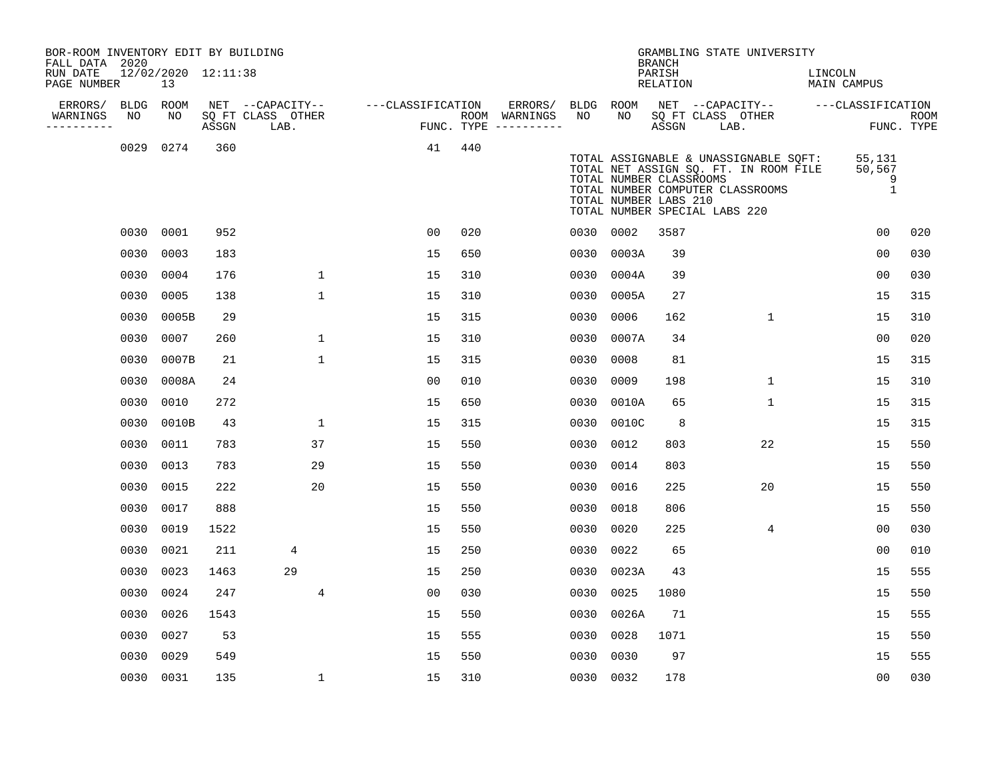| BOR-ROOM INVENTORY EDIT BY BUILDING<br>FALL DATA 2020 |             |                           |       |                           |                   |            |                              |           |                                                  | <b>BRANCH</b>      |                               | GRAMBLING STATE UNIVERSITY                                                                                         |         |                                       |                           |
|-------------------------------------------------------|-------------|---------------------------|-------|---------------------------|-------------------|------------|------------------------------|-----------|--------------------------------------------------|--------------------|-------------------------------|--------------------------------------------------------------------------------------------------------------------|---------|---------------------------------------|---------------------------|
| RUN DATE<br>PAGE NUMBER                               |             | 12/02/2020 12:11:38<br>13 |       |                           |                   |            |                              |           |                                                  | PARISH<br>RELATION |                               |                                                                                                                    | LINCOLN | <b>MAIN CAMPUS</b>                    |                           |
| ERRORS/                                               | <b>BLDG</b> | ROOM                      |       | NET --CAPACITY--          | ---CLASSIFICATION |            | ERRORS/                      | BLDG ROOM |                                                  |                    |                               | NET --CAPACITY--                                                                                                   |         | ---CLASSIFICATION                     |                           |
| WARNINGS<br>---------                                 | ΝO          | NO                        | ASSGN | SQ FT CLASS OTHER<br>LAB. |                   | FUNC. TYPE | ROOM WARNINGS<br>----------- | NO        | NO                                               | ASSGN              | SQ FT CLASS OTHER<br>LAB.     |                                                                                                                    |         |                                       | <b>ROOM</b><br>FUNC. TYPE |
|                                                       |             | 0029 0274                 | 360   |                           | 41                | 440        |                              |           | TOTAL NUMBER CLASSROOMS<br>TOTAL NUMBER LABS 210 |                    | TOTAL NUMBER SPECIAL LABS 220 | TOTAL ASSIGNABLE & UNASSIGNABLE SQFT:<br>TOTAL NET ASSIGN SQ. FT. IN ROOM FILE<br>TOTAL NUMBER COMPUTER CLASSROOMS |         | 55,131<br>50,567<br>9<br>$\mathbf{1}$ |                           |
|                                                       | 0030        | 0001                      | 952   |                           | 00                | 020        |                              | 0030 0002 |                                                  | 3587               |                               |                                                                                                                    |         | 0 <sub>0</sub>                        | 020                       |
|                                                       | 0030        | 0003                      | 183   |                           | 15                | 650        |                              | 0030      | 0003A                                            | 39                 |                               |                                                                                                                    |         | 0 <sub>0</sub>                        | 030                       |
|                                                       | 0030        | 0004                      | 176   | $\mathbf{1}$              | 15                | 310        |                              | 0030      | 0004A                                            | 39                 |                               |                                                                                                                    |         | 00                                    | 030                       |
|                                                       | 0030        | 0005                      | 138   | 1                         | 15                | 310        |                              | 0030      | 0005A                                            | 27                 |                               |                                                                                                                    |         | 15                                    | 315                       |
|                                                       | 0030        | 0005B                     | 29    |                           | 15                | 315        |                              | 0030      | 0006                                             | 162                |                               | 1                                                                                                                  |         | 15                                    | 310                       |
|                                                       | 0030        | 0007                      | 260   | 1                         | 15                | 310        |                              | 0030      | 0007A                                            | 34                 |                               |                                                                                                                    |         | 0 <sub>0</sub>                        | 020                       |
|                                                       | 0030        | 0007B                     | 21    | $\mathbf{1}$              | 15                | 315        |                              | 0030      | 0008                                             | 81                 |                               |                                                                                                                    |         | 15                                    | 315                       |
|                                                       | 0030        | 0008A                     | 24    |                           | 0 <sub>0</sub>    | 010        |                              | 0030      | 0009                                             | 198                |                               | $\mathbf{1}$                                                                                                       |         | 15                                    | 310                       |
|                                                       | 0030        | 0010                      | 272   |                           | 15                | 650        |                              | 0030      | 0010A                                            | 65                 |                               | $\mathbf{1}$                                                                                                       |         | 15                                    | 315                       |
|                                                       | 0030        | 0010B                     | 43    | $\mathbf{1}$              | 15                | 315        |                              | 0030      | 0010C                                            | 8                  |                               |                                                                                                                    |         | 15                                    | 315                       |
|                                                       | 0030        | 0011                      | 783   | 37                        | 15                | 550        |                              | 0030      | 0012                                             | 803                |                               | 22                                                                                                                 |         | 15                                    | 550                       |
|                                                       | 0030        | 0013                      | 783   | 29                        | 15                | 550        |                              | 0030      | 0014                                             | 803                |                               |                                                                                                                    |         | 15                                    | 550                       |
|                                                       | 0030        | 0015                      | 222   | 20                        | 15                | 550        |                              | 0030      | 0016                                             | 225                |                               | 20                                                                                                                 |         | 15                                    | 550                       |
|                                                       | 0030        | 0017                      | 888   |                           | 15                | 550        |                              | 0030      | 0018                                             | 806                |                               |                                                                                                                    |         | 15                                    | 550                       |
|                                                       | 0030        | 0019                      | 1522  |                           | 15                | 550        |                              | 0030      | 0020                                             | 225                |                               | 4                                                                                                                  |         | 0 <sub>0</sub>                        | 030                       |
|                                                       | 0030        | 0021                      | 211   | 4                         | 15                | 250        |                              | 0030      | 0022                                             | 65                 |                               |                                                                                                                    |         | 00                                    | 010                       |
|                                                       | 0030        | 0023                      | 1463  | 29                        | 15                | 250        |                              | 0030      | 0023A                                            | 43                 |                               |                                                                                                                    |         | 15                                    | 555                       |
|                                                       | 0030        | 0024                      | 247   | 4                         | 0 <sub>0</sub>    | 030        |                              | 0030      | 0025                                             | 1080               |                               |                                                                                                                    |         | 15                                    | 550                       |
|                                                       | 0030        | 0026                      | 1543  |                           | 15                | 550        |                              | 0030      | 0026A                                            | 71                 |                               |                                                                                                                    |         | 15                                    | 555                       |
|                                                       | 0030        | 0027                      | 53    |                           | 15                | 555        |                              | 0030      | 0028                                             | 1071               |                               |                                                                                                                    |         | 15                                    | 550                       |
|                                                       | 0030        | 0029                      | 549   |                           | 15                | 550        |                              | 0030      | 0030                                             | 97                 |                               |                                                                                                                    |         | 15                                    | 555                       |
|                                                       |             | 0030 0031                 | 135   | $\mathbf 1$               | 15                | 310        |                              | 0030 0032 |                                                  | 178                |                               |                                                                                                                    |         | 0 <sub>0</sub>                        | 030                       |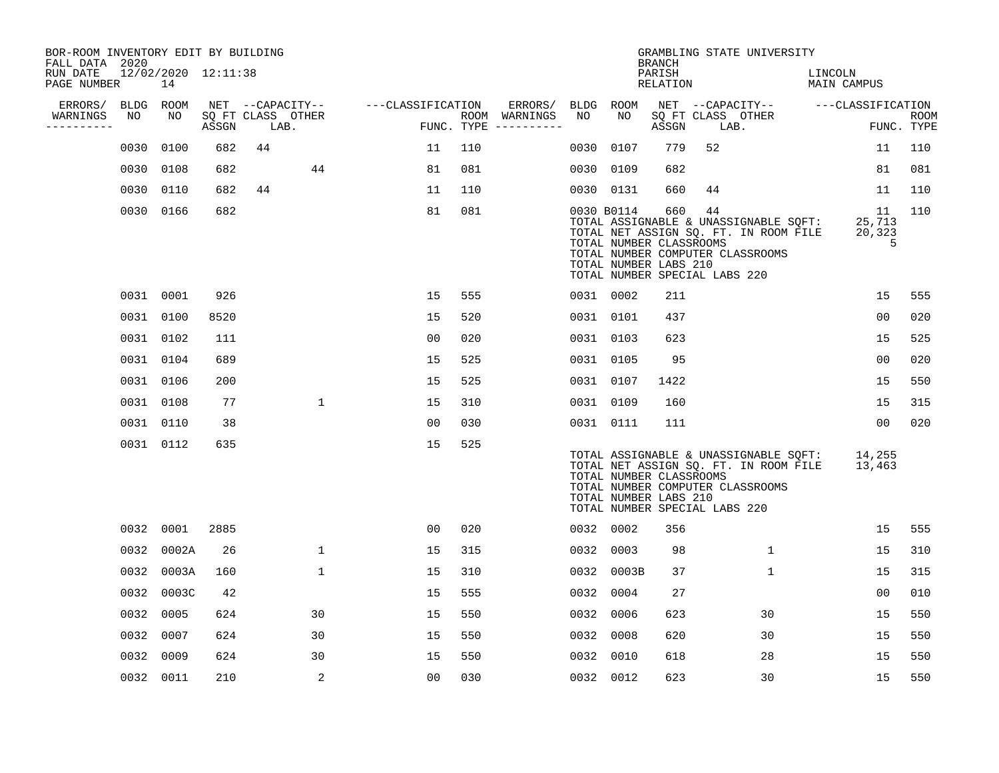| BOR-ROOM INVENTORY EDIT BY BUILDING<br>FALL DATA 2020 |      |                           |       |                           |                  |                   |     |                                      |      |                                                                | <b>BRANCH</b>      | GRAMBLING STATE UNIVERSITY                                                                                                                                |              |                        |                             |                           |
|-------------------------------------------------------|------|---------------------------|-------|---------------------------|------------------|-------------------|-----|--------------------------------------|------|----------------------------------------------------------------|--------------------|-----------------------------------------------------------------------------------------------------------------------------------------------------------|--------------|------------------------|-----------------------------|---------------------------|
| RUN DATE<br>PAGE NUMBER                               |      | 12/02/2020 12:11:38<br>14 |       |                           |                  |                   |     |                                      |      |                                                                | PARISH<br>RELATION |                                                                                                                                                           |              | LINCOLN<br>MAIN CAMPUS |                             |                           |
| ERRORS/                                               |      | BLDG ROOM                 |       |                           | NET --CAPACITY-- | ---CLASSIFICATION |     | ERRORS/                              |      | BLDG ROOM                                                      |                    | NET --CAPACITY-- ---CLASSIFICATION                                                                                                                        |              |                        |                             |                           |
| WARNINGS<br>-----------                               | NO   | NO                        | ASSGN | SQ FT CLASS OTHER<br>LAB. |                  |                   |     | ROOM WARNINGS<br>FUNC. TYPE $------$ | NO   | NO                                                             | ASSGN              | SQ FT CLASS OTHER<br>LAB.                                                                                                                                 |              |                        |                             | <b>ROOM</b><br>FUNC. TYPE |
|                                                       | 0030 | 0100                      | 682   | 44                        |                  | 11                | 110 |                                      | 0030 | 0107                                                           | 779                | 52                                                                                                                                                        |              |                        | 11                          | 110                       |
|                                                       | 0030 | 0108                      | 682   |                           | 44               | 81                | 081 |                                      | 0030 | 0109                                                           | 682                |                                                                                                                                                           |              |                        | 81                          | 081                       |
|                                                       | 0030 | 0110                      | 682   | 44                        |                  | 11                | 110 |                                      |      | 0030 0131                                                      | 660                | 44                                                                                                                                                        |              |                        | 11                          | 110                       |
|                                                       |      | 0030 0166                 | 682   |                           |                  | 81                | 081 |                                      |      | 0030 B0114<br>TOTAL NUMBER CLASSROOMS<br>TOTAL NUMBER LABS 210 | 660                | 44<br>TOTAL ASSIGNABLE & UNASSIGNABLE SQFT:<br>TOTAL NET ASSIGN SQ. FT. IN ROOM FILE<br>TOTAL NUMBER COMPUTER CLASSROOMS<br>TOTAL NUMBER SPECIAL LABS 220 |              |                        | 11<br>25,713<br>20,323<br>5 | 110                       |
|                                                       |      | 0031 0001                 | 926   |                           |                  | 15                | 555 |                                      |      | 0031 0002                                                      | 211                |                                                                                                                                                           |              |                        | 15                          | 555                       |
|                                                       | 0031 | 0100                      | 8520  |                           |                  | 15                | 520 |                                      |      | 0031 0101                                                      | 437                |                                                                                                                                                           |              |                        | 0 <sub>0</sub>              | 020                       |
|                                                       |      | 0031 0102                 | 111   |                           |                  | 0 <sub>0</sub>    | 020 |                                      |      | 0031 0103                                                      | 623                |                                                                                                                                                           |              |                        | 15                          | 525                       |
|                                                       |      | 0031 0104                 | 689   |                           |                  | 15                | 525 |                                      |      | 0031 0105                                                      | 95                 |                                                                                                                                                           |              |                        | 0 <sub>0</sub>              | 020                       |
|                                                       |      | 0031 0106                 | 200   |                           |                  | 15                | 525 |                                      |      | 0031 0107                                                      | 1422               |                                                                                                                                                           |              |                        | 15                          | 550                       |
|                                                       |      | 0031 0108                 | 77    |                           | $\mathbf 1$      | 15                | 310 |                                      |      | 0031 0109                                                      | 160                |                                                                                                                                                           |              |                        | 15                          | 315                       |
|                                                       |      | 0031 0110                 | 38    |                           |                  | 00                | 030 |                                      |      | 0031 0111                                                      | 111                |                                                                                                                                                           |              |                        | 0 <sub>0</sub>              | 020                       |
|                                                       |      | 0031 0112                 | 635   |                           |                  | 15                | 525 |                                      |      | TOTAL NUMBER CLASSROOMS<br>TOTAL NUMBER LABS 210               |                    | TOTAL ASSIGNABLE & UNASSIGNABLE SQFT:<br>TOTAL NET ASSIGN SQ. FT. IN ROOM FILE<br>TOTAL NUMBER COMPUTER CLASSROOMS<br>TOTAL NUMBER SPECIAL LABS 220       |              |                        | 14,255<br>13,463            |                           |
|                                                       | 0032 | 0001                      | 2885  |                           |                  | 0 <sub>0</sub>    | 020 |                                      |      | 0032 0002                                                      | 356                |                                                                                                                                                           |              |                        | 15                          | 555                       |
|                                                       | 0032 | 0002A                     | 26    |                           | $\mathbf{1}$     | 15                | 315 |                                      | 0032 | 0003                                                           | 98                 |                                                                                                                                                           | $\mathbf{1}$ |                        | 15                          | 310                       |
|                                                       | 0032 | 0003A                     | 160   |                           | $\mathbf{1}$     | 15                | 310 |                                      | 0032 | 0003B                                                          | 37                 |                                                                                                                                                           | $\mathbf 1$  |                        | 15                          | 315                       |
|                                                       | 0032 | 0003C                     | 42    |                           |                  | 15                | 555 |                                      | 0032 | 0004                                                           | 27                 |                                                                                                                                                           |              |                        | 00                          | 010                       |
|                                                       | 0032 | 0005                      | 624   |                           | 30               | 15                | 550 |                                      | 0032 | 0006                                                           | 623                |                                                                                                                                                           | 30           |                        | 15                          | 550                       |
|                                                       | 0032 | 0007                      | 624   |                           | 30               | 15                | 550 |                                      | 0032 | 0008                                                           | 620                |                                                                                                                                                           | 30           |                        | 15                          | 550                       |
|                                                       | 0032 | 0009                      | 624   |                           | 30               | 15                | 550 |                                      | 0032 | 0010                                                           | 618                |                                                                                                                                                           | 28           |                        | 15                          | 550                       |
|                                                       |      | 0032 0011                 | 210   |                           | 2                | 0 <sub>0</sub>    | 030 |                                      |      | 0032 0012                                                      | 623                |                                                                                                                                                           | 30           |                        | 15                          | 550                       |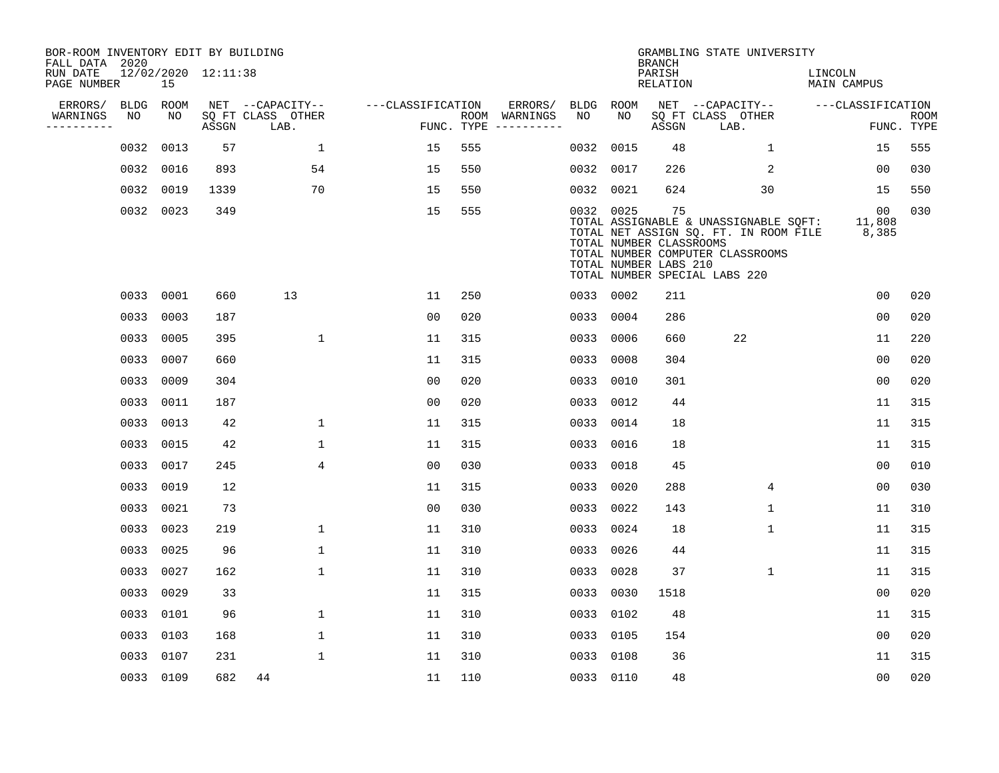| BOR-ROOM INVENTORY EDIT BY BUILDING<br>FALL DATA 2020 |             |           |                     |                           |                   |            |                              |           |           | <b>BRANCH</b>                                          | GRAMBLING STATE UNIVERSITY                                                                                                                          |                               |                           |
|-------------------------------------------------------|-------------|-----------|---------------------|---------------------------|-------------------|------------|------------------------------|-----------|-----------|--------------------------------------------------------|-----------------------------------------------------------------------------------------------------------------------------------------------------|-------------------------------|---------------------------|
| RUN DATE<br>PAGE NUMBER                               |             | 15        | 12/02/2020 12:11:38 |                           |                   |            |                              |           |           | PARISH<br><b>RELATION</b>                              |                                                                                                                                                     | LINCOLN<br><b>MAIN CAMPUS</b> |                           |
| ERRORS/                                               | <b>BLDG</b> | ROOM      |                     | NET --CAPACITY--          | ---CLASSIFICATION |            | ERRORS/                      | BLDG      | ROOM      |                                                        | NET --CAPACITY--                                                                                                                                    | ---CLASSIFICATION             |                           |
| WARNINGS<br>----------                                | NO          | NO        | ASSGN               | SQ FT CLASS OTHER<br>LAB. |                   | FUNC. TYPE | ROOM WARNINGS<br>----------- | NO        | NO        | ASSGN                                                  | SQ FT CLASS OTHER<br>LAB.                                                                                                                           |                               | <b>ROOM</b><br>FUNC. TYPE |
|                                                       | 0032        | 0013      | 57                  | 1                         | 15                | 555        |                              | 0032      | 0015      | 48                                                     | $\mathbf{1}$                                                                                                                                        | 15                            | 555                       |
|                                                       | 0032        | 0016      | 893                 | 54                        | 15                | 550        |                              | 0032      | 0017      | 226                                                    | 2                                                                                                                                                   | 00                            | 030                       |
|                                                       | 0032        | 0019      | 1339                | 70                        | 15                | 550        |                              | 0032 0021 |           | 624                                                    | 30                                                                                                                                                  | 15                            | 550                       |
|                                                       | 0032        | 0023      | 349                 |                           | 15                | 555        |                              | 0032 0025 |           | 75<br>TOTAL NUMBER CLASSROOMS<br>TOTAL NUMBER LABS 210 | TOTAL ASSIGNABLE & UNASSIGNABLE SQFT:<br>TOTAL NET ASSIGN SQ. FT. IN ROOM FILE<br>TOTAL NUMBER COMPUTER CLASSROOMS<br>TOTAL NUMBER SPECIAL LABS 220 | 00<br>11,808<br>8,385         | 030                       |
|                                                       | 0033        | 0001      | 660                 | 13                        | 11                | 250        |                              |           | 0033 0002 | 211                                                    |                                                                                                                                                     | 0 <sub>0</sub>                | 020                       |
|                                                       | 0033        | 0003      | 187                 |                           | 0 <sub>0</sub>    | 020        |                              | 0033      | 0004      | 286                                                    |                                                                                                                                                     | 0 <sub>0</sub>                | 020                       |
|                                                       | 0033        | 0005      | 395                 | 1                         | 11                | 315        |                              | 0033      | 0006      | 660                                                    | 22                                                                                                                                                  | 11                            | 220                       |
|                                                       | 0033        | 0007      | 660                 |                           | 11                | 315        |                              | 0033      | 0008      | 304                                                    |                                                                                                                                                     | 00                            | 020                       |
|                                                       | 0033        | 0009      | 304                 |                           | 0 <sub>0</sub>    | 020        |                              | 0033      | 0010      | 301                                                    |                                                                                                                                                     | 0 <sub>0</sub>                | 020                       |
|                                                       | 0033        | 0011      | 187                 |                           | 0 <sub>0</sub>    | 020        |                              | 0033      | 0012      | 44                                                     |                                                                                                                                                     | 11                            | 315                       |
|                                                       | 0033        | 0013      | 42                  | 1                         | 11                | 315        |                              | 0033      | 0014      | 18                                                     |                                                                                                                                                     | 11                            | 315                       |
|                                                       | 0033        | 0015      | 42                  | 1                         | 11                | 315        |                              | 0033      | 0016      | 18                                                     |                                                                                                                                                     | 11                            | 315                       |
|                                                       | 0033        | 0017      | 245                 | 4                         | 0 <sub>0</sub>    | 030        |                              | 0033      | 0018      | 45                                                     |                                                                                                                                                     | 00                            | 010                       |
|                                                       | 0033        | 0019      | 12                  |                           | 11                | 315        |                              | 0033      | 0020      | 288                                                    | 4                                                                                                                                                   | 0 <sub>0</sub>                | 030                       |
|                                                       | 0033        | 0021      | 73                  |                           | 0 <sub>0</sub>    | 030        |                              | 0033      | 0022      | 143                                                    | $\mathbf 1$                                                                                                                                         | 11                            | 310                       |
|                                                       | 0033        | 0023      | 219                 | $\mathbf{1}$              | 11                | 310        |                              | 0033      | 0024      | 18                                                     | $\mathbf 1$                                                                                                                                         | 11                            | 315                       |
|                                                       | 0033        | 0025      | 96                  | 1                         | 11                | 310        |                              | 0033      | 0026      | 44                                                     |                                                                                                                                                     | 11                            | 315                       |
|                                                       | 0033        | 0027      | 162                 | $\mathbf 1$               | 11                | 310        |                              | 0033      | 0028      | 37                                                     | 1                                                                                                                                                   | 11                            | 315                       |
|                                                       | 0033        | 0029      | 33                  |                           | 11                | 315        |                              | 0033      | 0030      | 1518                                                   |                                                                                                                                                     | 0 <sub>0</sub>                | 020                       |
|                                                       | 0033        | 0101      | 96                  | $\mathbf 1$               | 11                | 310        |                              | 0033      | 0102      | 48                                                     |                                                                                                                                                     | 11                            | 315                       |
|                                                       | 0033        | 0103      | 168                 | $\mathbf{1}$              | 11                | 310        |                              | 0033      | 0105      | 154                                                    |                                                                                                                                                     | 00                            | 020                       |
|                                                       | 0033        | 0107      | 231                 | $\mathbf 1$               | 11                | 310        |                              | 0033 0108 |           | 36                                                     |                                                                                                                                                     | 11                            | 315                       |
|                                                       |             | 0033 0109 | 682                 | 44                        | 11                | 110        |                              | 0033 0110 |           | 48                                                     |                                                                                                                                                     | 0 <sub>0</sub>                | 020                       |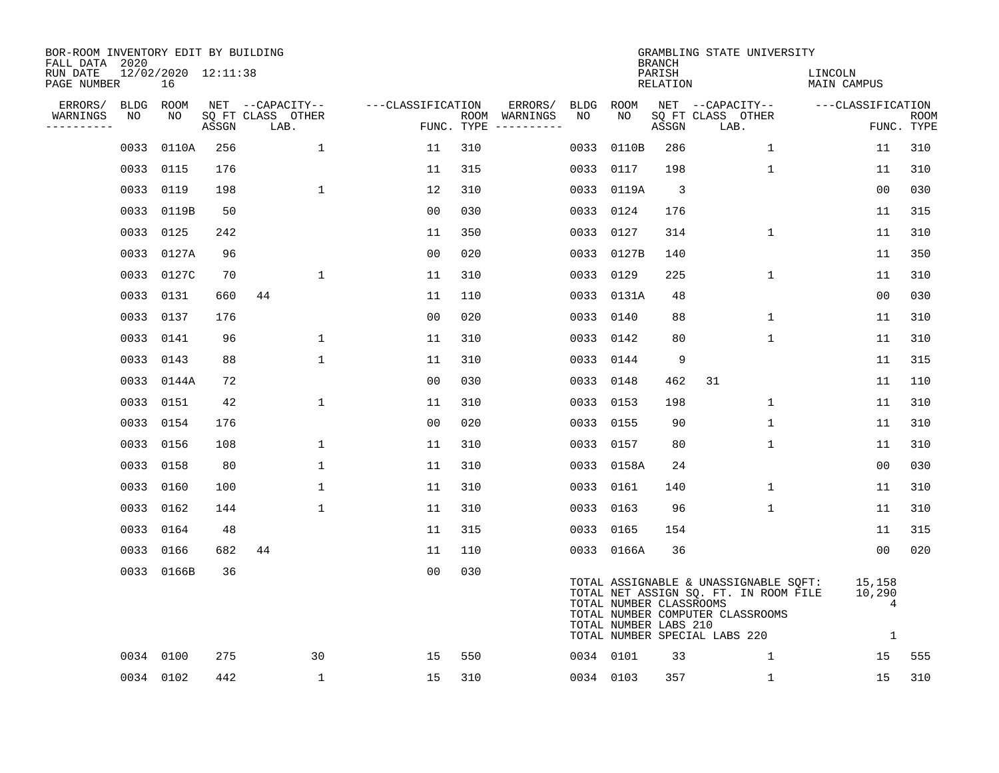| BOR-ROOM INVENTORY EDIT BY BUILDING<br>FALL DATA 2020 |             |                           |       |                           |                   |            |                              |             |                                                  | <b>BRANCH</b>             | GRAMBLING STATE UNIVERSITY                                                                                                                          |                                       |                           |
|-------------------------------------------------------|-------------|---------------------------|-------|---------------------------|-------------------|------------|------------------------------|-------------|--------------------------------------------------|---------------------------|-----------------------------------------------------------------------------------------------------------------------------------------------------|---------------------------------------|---------------------------|
| RUN DATE<br>PAGE NUMBER                               |             | 12/02/2020 12:11:38<br>16 |       |                           |                   |            |                              |             |                                                  | PARISH<br><b>RELATION</b> |                                                                                                                                                     | LINCOLN<br><b>MAIN CAMPUS</b>         |                           |
| ERRORS/                                               | <b>BLDG</b> | ROOM                      |       | NET --CAPACITY--          | ---CLASSIFICATION |            | ERRORS/                      | <b>BLDG</b> | ROOM                                             |                           | NET --CAPACITY--                                                                                                                                    | ---CLASSIFICATION                     |                           |
| WARNINGS<br>----------                                | NO          | NO                        | ASSGN | SQ FT CLASS OTHER<br>LAB. |                   | FUNC. TYPE | ROOM WARNINGS<br>----------- | NO          | NO                                               | ASSGN                     | SQ FT CLASS OTHER<br>LAB.                                                                                                                           |                                       | <b>ROOM</b><br>FUNC. TYPE |
|                                                       | 0033        | 0110A                     | 256   | $\mathbf{1}$              | 11                | 310        |                              | 0033        | 0110B                                            | 286                       | 1                                                                                                                                                   | 11                                    | 310                       |
|                                                       | 0033        | 0115                      | 176   |                           | 11                | 315        |                              | 0033        | 0117                                             | 198                       | $\mathbf 1$                                                                                                                                         | 11                                    | 310                       |
|                                                       | 0033        | 0119                      | 198   | $\mathbf 1$               | 12                | 310        |                              | 0033        | 0119A                                            | 3                         |                                                                                                                                                     | 0 <sub>0</sub>                        | 030                       |
|                                                       | 0033        | 0119B                     | 50    |                           | 0 <sub>0</sub>    | 030        |                              |             | 0033 0124                                        | 176                       |                                                                                                                                                     | 11                                    | 315                       |
|                                                       | 0033        | 0125                      | 242   |                           | 11                | 350        |                              |             | 0033 0127                                        | 314                       | $\mathbf{1}$                                                                                                                                        | 11                                    | 310                       |
|                                                       | 0033        | 0127A                     | 96    |                           | 0 <sub>0</sub>    | 020        |                              |             | 0033 0127B                                       | 140                       |                                                                                                                                                     | 11                                    | 350                       |
|                                                       | 0033        | 0127C                     | 70    | $\mathbf 1$               | 11                | 310        |                              | 0033        | 0129                                             | 225                       | $\mathbf{1}$                                                                                                                                        | 11                                    | 310                       |
|                                                       | 0033        | 0131                      | 660   | 44                        | 11                | 110        |                              |             | 0033 0131A                                       | 48                        |                                                                                                                                                     | 0 <sub>0</sub>                        | 030                       |
|                                                       | 0033        | 0137                      | 176   |                           | 0 <sub>0</sub>    | 020        |                              | 0033        | 0140                                             | 88                        | $\mathbf 1$                                                                                                                                         | 11                                    | 310                       |
|                                                       | 0033        | 0141                      | 96    | $\mathbf{1}$              | 11                | 310        |                              |             | 0033 0142                                        | 80                        | $\mathbf{1}$                                                                                                                                        | 11                                    | 310                       |
|                                                       | 0033        | 0143                      | 88    | $\mathbf{1}$              | 11                | 310        |                              | 0033        | 0144                                             | 9                         |                                                                                                                                                     | 11                                    | 315                       |
|                                                       | 0033        | 0144A                     | 72    |                           | 0 <sub>0</sub>    | 030        |                              | 0033        | 0148                                             | 462                       | 31                                                                                                                                                  | 11                                    | 110                       |
|                                                       | 0033        | 0151                      | 42    | 1                         | 11                | 310        |                              | 0033        | 0153                                             | 198                       | 1                                                                                                                                                   | 11                                    | 310                       |
|                                                       | 0033        | 0154                      | 176   |                           | 00                | 020        |                              |             | 0033 0155                                        | 90                        | 1                                                                                                                                                   | 11                                    | 310                       |
|                                                       | 0033        | 0156                      | 108   | 1                         | 11                | 310        |                              | 0033        | 0157                                             | 80                        | 1                                                                                                                                                   | 11                                    | 310                       |
|                                                       | 0033        | 0158                      | 80    | $\mathbf 1$               | 11                | 310        |                              |             | 0033 0158A                                       | 24                        |                                                                                                                                                     | 00                                    | 030                       |
|                                                       | 0033        | 0160                      | 100   | $\mathbf 1$               | 11                | 310        |                              | 0033        | 0161                                             | 140                       | $\mathbf 1$                                                                                                                                         | 11                                    | 310                       |
|                                                       | 0033        | 0162                      | 144   | $\mathbf 1$               | 11                | 310        |                              |             | 0033 0163                                        | 96                        | $\mathbf 1$                                                                                                                                         | 11                                    | 310                       |
|                                                       | 0033        | 0164                      | 48    |                           | 11                | 315        |                              |             | 0033 0165                                        | 154                       |                                                                                                                                                     | 11                                    | 315                       |
|                                                       | 0033        | 0166                      | 682   | 44                        | 11                | 110        |                              |             | 0033 0166A                                       | 36                        |                                                                                                                                                     | 0 <sub>0</sub>                        | 020                       |
|                                                       | 0033        | 0166B                     | 36    |                           | 0 <sub>0</sub>    | 030        |                              |             | TOTAL NUMBER CLASSROOMS<br>TOTAL NUMBER LABS 210 |                           | TOTAL ASSIGNABLE & UNASSIGNABLE SQFT:<br>TOTAL NET ASSIGN SQ. FT. IN ROOM FILE<br>TOTAL NUMBER COMPUTER CLASSROOMS<br>TOTAL NUMBER SPECIAL LABS 220 | 15,158<br>10,290<br>4<br>$\mathbf{1}$ |                           |
|                                                       | 0034        | 0100                      | 275   | 30                        | 15                | 550        |                              |             | 0034 0101                                        | 33                        | 1                                                                                                                                                   | 15                                    | 555                       |
|                                                       |             | 0034 0102                 | 442   | $\mathbf{1}$              | 15                | 310        |                              |             | 0034 0103                                        | 357                       | 1                                                                                                                                                   | 15                                    | 310                       |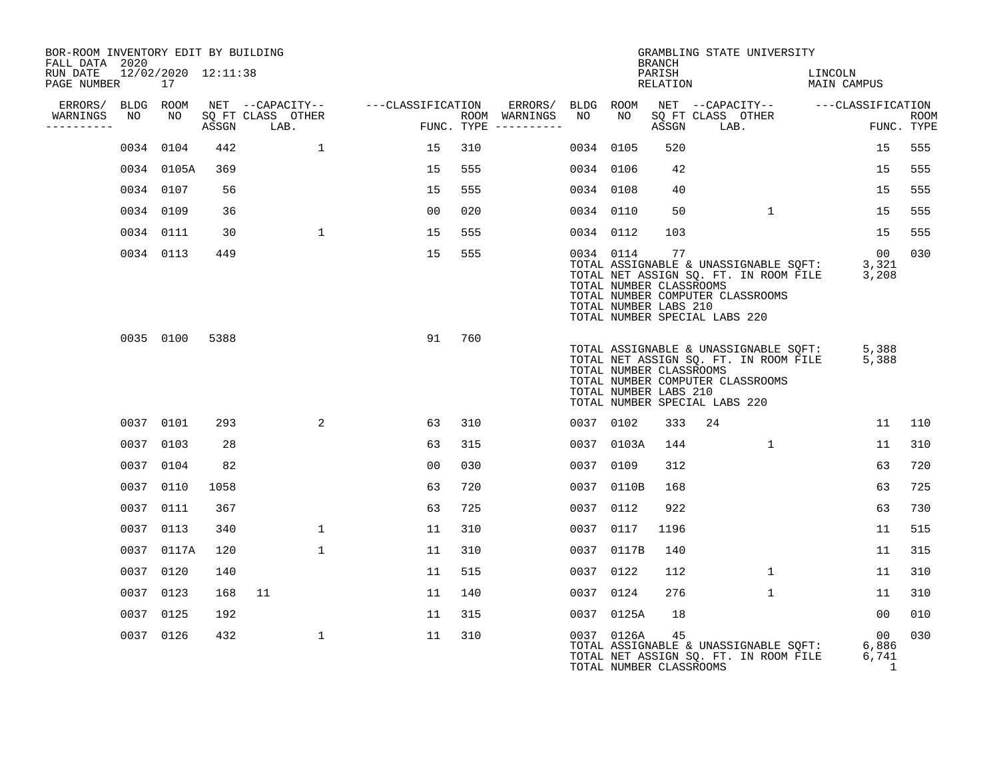| BOR-ROOM INVENTORY EDIT BY BUILDING<br>FALL DATA 2020 |                           |       |                           |                   |     |                                      |           |                                                                                                | <b>BRANCH</b>      |    | GRAMBLING STATE UNIVERSITY                                                                                         |         |                                        |                           |
|-------------------------------------------------------|---------------------------|-------|---------------------------|-------------------|-----|--------------------------------------|-----------|------------------------------------------------------------------------------------------------|--------------------|----|--------------------------------------------------------------------------------------------------------------------|---------|----------------------------------------|---------------------------|
| RUN DATE<br>PAGE NUMBER                               | 12/02/2020 12:11:38<br>17 |       |                           |                   |     |                                      |           |                                                                                                | PARISH<br>RELATION |    |                                                                                                                    | LINCOLN | MAIN CAMPUS                            |                           |
| ERRORS/                                               | BLDG ROOM                 |       | NET --CAPACITY--          | ---CLASSIFICATION |     | ERRORS/ BLDG ROOM                    |           |                                                                                                |                    |    |                                                                                                                    |         | NET --CAPACITY-- ---CLASSIFICATION     |                           |
| WARNINGS<br>NO<br>----------                          | NO                        | ASSGN | SQ FT CLASS OTHER<br>LAB. |                   |     | ROOM WARNINGS<br>FUNC. TYPE $------$ | NO        | NO                                                                                             | ASSGN              |    | SQ FT CLASS OTHER<br>LAB.                                                                                          |         |                                        | <b>ROOM</b><br>FUNC. TYPE |
|                                                       | 0034 0104                 | 442   | $\mathbf{1}$              | 15                | 310 |                                      |           | 0034 0105                                                                                      | 520                |    |                                                                                                                    |         | 15                                     | 555                       |
|                                                       | 0034 0105A                | 369   |                           | 15                | 555 |                                      |           | 0034 0106                                                                                      | 42                 |    |                                                                                                                    |         | 15                                     | 555                       |
|                                                       | 0034 0107                 | 56    |                           | 15                | 555 |                                      |           | 0034 0108                                                                                      | 40                 |    |                                                                                                                    |         | 15                                     | 555                       |
|                                                       | 0034 0109                 | 36    |                           | 00                | 020 |                                      |           | 0034 0110                                                                                      | 50                 |    | $\mathbf{1}$                                                                                                       |         | 15                                     | 555                       |
|                                                       | 0034 0111                 | 30    | $\mathbf{1}$              | 15                | 555 |                                      |           | 0034 0112                                                                                      | 103                |    |                                                                                                                    |         | 15                                     | 555                       |
|                                                       | 0034 0113                 | 449   |                           | 15                | 555 |                                      |           | 0034 0114<br>TOTAL NUMBER CLASSROOMS<br>TOTAL NUMBER LABS 210<br>TOTAL NUMBER SPECIAL LABS 220 | 77                 |    | TOTAL ASSIGNABLE & UNASSIGNABLE SQFT:<br>TOTAL NET ASSIGN SQ. FT. IN ROOM FILE<br>TOTAL NUMBER COMPUTER CLASSROOMS |         | 00<br>3,321<br>3,208                   | 030                       |
|                                                       | 0035 0100                 | 5388  |                           | 91                | 760 |                                      |           | TOTAL NUMBER CLASSROOMS<br>TOTAL NUMBER LABS 210<br>TOTAL NUMBER SPECIAL LABS 220              |                    |    | TOTAL ASSIGNABLE & UNASSIGNABLE SQFT:<br>TOTAL NET ASSIGN SQ. FT. IN ROOM FILE<br>TOTAL NUMBER COMPUTER CLASSROOMS |         | 5,388<br>5,388                         |                           |
|                                                       | 0037 0101                 | 293   | 2                         | 63                | 310 |                                      |           | 0037 0102                                                                                      | 333                | 24 |                                                                                                                    |         | 11                                     | 110                       |
|                                                       | 0037 0103                 | 28    |                           | 63                | 315 |                                      |           | 0037 0103A                                                                                     | 144                |    | 1                                                                                                                  |         | 11                                     | 310                       |
|                                                       | 0037 0104                 | 82    |                           | 00                | 030 |                                      |           | 0037 0109                                                                                      | 312                |    |                                                                                                                    |         | 63                                     | 720                       |
|                                                       | 0037 0110                 | 1058  |                           | 63                | 720 |                                      |           | 0037 0110B                                                                                     | 168                |    |                                                                                                                    |         | 63                                     | 725                       |
|                                                       | 0037 0111                 | 367   |                           | 63                | 725 |                                      |           | 0037 0112                                                                                      | 922                |    |                                                                                                                    |         | 63                                     | 730                       |
|                                                       | 0037 0113                 | 340   | $\mathbf{1}$              | 11                | 310 |                                      |           | 0037 0117                                                                                      | 1196               |    |                                                                                                                    |         | 11                                     | 515                       |
|                                                       | 0037 0117A                | 120   | $\mathbf{1}$              | 11                | 310 |                                      |           | 0037 0117B                                                                                     | 140                |    |                                                                                                                    |         | 11                                     | 315                       |
|                                                       | 0037 0120                 | 140   |                           | 11                | 515 |                                      | 0037 0122 |                                                                                                | 112                |    | $\mathbf{1}$                                                                                                       |         | 11                                     | 310                       |
|                                                       | 0037 0123                 | 168   | 11                        | 11                | 140 |                                      |           | 0037 0124                                                                                      | 276                |    | $\mathbf{1}$                                                                                                       |         | 11                                     | 310                       |
|                                                       | 0037 0125                 | 192   |                           | 11                | 315 |                                      |           | 0037 0125A                                                                                     | 18                 |    |                                                                                                                    |         | 00                                     | 010                       |
|                                                       | 0037 0126                 | 432   | $\mathbf 1$               | 11                | 310 |                                      |           | 0037 0126A<br>TOTAL NUMBER CLASSROOMS                                                          | 45                 |    | TOTAL ASSIGNABLE & UNASSIGNABLE SOFT:<br>TOTAL NET ASSIGN SQ. FT. IN ROOM FILE                                     |         | 00<br>6,886<br>6,741<br>$\overline{1}$ | 030                       |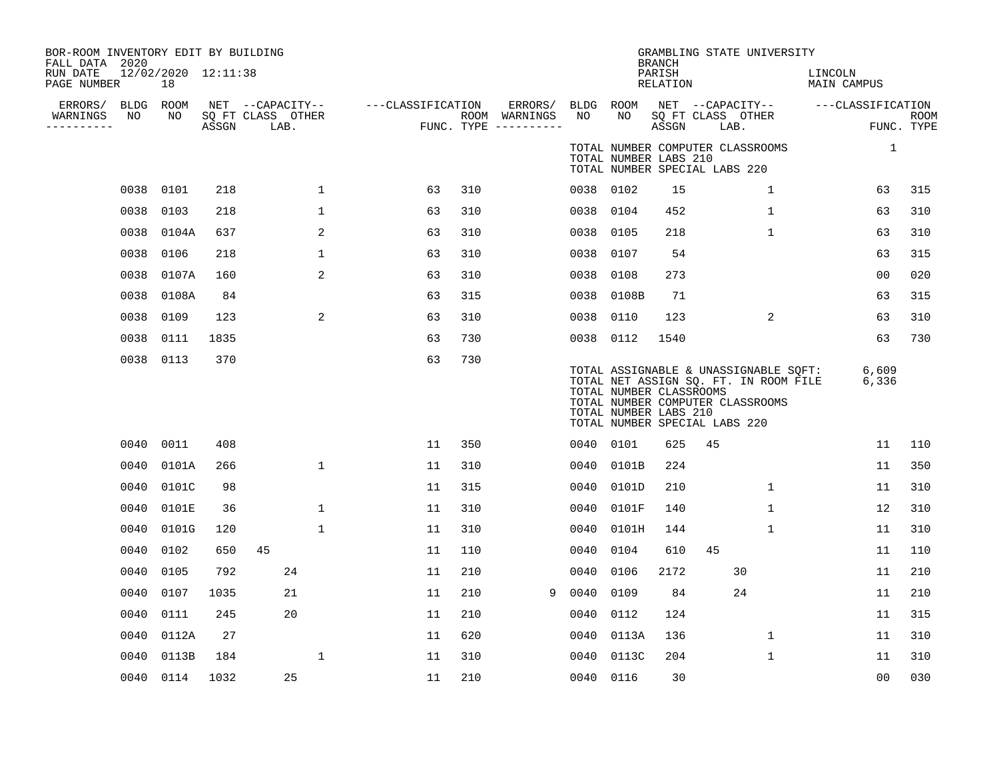| BOR-ROOM INVENTORY EDIT BY BUILDING<br>FALL DATA 2020<br>RUN DATE<br>PAGE NUMBER |      | 12/02/2020 12:11:38<br>18 |       |                                               |              |                   |     |                                                           |      |                                                  | <b>BRANCH</b><br>PARISH<br>RELATION | GRAMBLING STATE UNIVERSITY                                                                                                                          | LINCOLN<br>MAIN CAMPUS |                           |
|----------------------------------------------------------------------------------|------|---------------------------|-------|-----------------------------------------------|--------------|-------------------|-----|-----------------------------------------------------------|------|--------------------------------------------------|-------------------------------------|-----------------------------------------------------------------------------------------------------------------------------------------------------|------------------------|---------------------------|
| ERRORS/<br>WARNINGS<br>----------                                                | NO   | BLDG ROOM<br>NO           | ASSGN | NET --CAPACITY--<br>SQ FT CLASS OTHER<br>LAB. |              | ---CLASSIFICATION |     | ERRORS/ BLDG ROOM<br>ROOM WARNINGS<br>FUNC. TYPE $------$ | NO   | NO                                               | ASSGN                               | NET --CAPACITY--<br>SQ FT CLASS OTHER<br>LAB.                                                                                                       | ---CLASSIFICATION      | <b>ROOM</b><br>FUNC. TYPE |
|                                                                                  |      |                           |       |                                               |              |                   |     |                                                           |      | TOTAL NUMBER LABS 210                            |                                     | TOTAL NUMBER COMPUTER CLASSROOMS<br>TOTAL NUMBER SPECIAL LABS 220                                                                                   | $\mathbf{1}$           |                           |
|                                                                                  | 0038 | 0101                      | 218   |                                               | $\mathbf{1}$ | 63                | 310 |                                                           |      | 0038 0102                                        | 15                                  | $\mathbf{1}$                                                                                                                                        | 63                     | 315                       |
|                                                                                  | 0038 | 0103                      | 218   |                                               | 1            | 63                | 310 |                                                           |      | 0038 0104                                        | 452                                 | $\mathbf 1$                                                                                                                                         | 63                     | 310                       |
|                                                                                  | 0038 | 0104A                     | 637   |                                               | 2            | 63                | 310 |                                                           |      | 0038 0105                                        | 218                                 | 1                                                                                                                                                   | 63                     | 310                       |
|                                                                                  | 0038 | 0106                      | 218   |                                               | $\mathbf 1$  | 63                | 310 |                                                           |      | 0038 0107                                        | 54                                  |                                                                                                                                                     | 63                     | 315                       |
|                                                                                  | 0038 | 0107A                     | 160   |                                               | 2            | 63                | 310 |                                                           |      | 0038 0108                                        | 273                                 |                                                                                                                                                     | 0 <sub>0</sub>         | 020                       |
|                                                                                  | 0038 | 0108A                     | 84    |                                               |              | 63                | 315 |                                                           |      | 0038 0108B                                       | 71                                  |                                                                                                                                                     | 63                     | 315                       |
|                                                                                  | 0038 | 0109                      | 123   |                                               | 2            | 63                | 310 |                                                           | 0038 | 0110                                             | 123                                 | 2                                                                                                                                                   | 63                     | 310                       |
|                                                                                  | 0038 | 0111                      | 1835  |                                               |              | 63                | 730 |                                                           |      | 0038 0112                                        | 1540                                |                                                                                                                                                     | 63                     | 730                       |
|                                                                                  |      | 0038 0113                 | 370   |                                               |              | 63                | 730 |                                                           |      | TOTAL NUMBER CLASSROOMS<br>TOTAL NUMBER LABS 210 |                                     | TOTAL ASSIGNABLE & UNASSIGNABLE SQFT:<br>TOTAL NET ASSIGN SQ. FT. IN ROOM FILE<br>TOTAL NUMBER COMPUTER CLASSROOMS<br>TOTAL NUMBER SPECIAL LABS 220 | 6,609<br>6,336         |                           |
|                                                                                  |      | 0040 0011                 | 408   |                                               |              | 11                | 350 |                                                           |      | 0040 0101                                        | 625                                 | 45                                                                                                                                                  | 11                     | 110                       |
|                                                                                  | 0040 | 0101A                     | 266   |                                               | $\mathbf 1$  | 11                | 310 |                                                           |      | 0040 0101B                                       | 224                                 |                                                                                                                                                     | 11                     | 350                       |
|                                                                                  | 0040 | 0101C                     | 98    |                                               |              | 11                | 315 |                                                           |      | 0040 0101D                                       | 210                                 | $\mathbf 1$                                                                                                                                         | 11                     | 310                       |
|                                                                                  | 0040 | 0101E                     | 36    |                                               | $\mathbf 1$  | 11                | 310 |                                                           | 0040 | 0101F                                            | 140                                 | $\mathbf{1}$                                                                                                                                        | 12                     | 310                       |
|                                                                                  | 0040 | 0101G                     | 120   |                                               | 1            | 11                | 310 |                                                           |      | 0040 0101H                                       | 144                                 | $\mathbf 1$                                                                                                                                         | 11                     | 310                       |
|                                                                                  | 0040 | 0102                      | 650   | 45                                            |              | 11                | 110 |                                                           | 0040 | 0104                                             | 610                                 | 45                                                                                                                                                  | 11                     | 110                       |
|                                                                                  | 0040 | 0105                      | 792   | 24                                            |              | 11                | 210 |                                                           | 0040 | 0106                                             | 2172                                | 30                                                                                                                                                  | 11                     | 210                       |
|                                                                                  | 0040 | 0107                      | 1035  | 21                                            |              | 11                | 210 | 9                                                         | 0040 | 0109                                             | 84                                  | 24                                                                                                                                                  | 11                     | 210                       |
|                                                                                  | 0040 | 0111                      | 245   | 20                                            |              | 11                | 210 |                                                           |      | 0040 0112                                        | 124                                 |                                                                                                                                                     | 11                     | 315                       |
|                                                                                  | 0040 | 0112A                     | 27    |                                               |              | 11                | 620 |                                                           |      | 0040 0113A                                       | 136                                 | $\mathbf 1$                                                                                                                                         | 11                     | 310                       |
|                                                                                  | 0040 | 0113B                     | 184   |                                               | 1            | 11                | 310 |                                                           |      | 0040 0113C                                       | 204                                 | $\mathbf 1$                                                                                                                                         | 11                     | 310                       |
|                                                                                  |      | 0040 0114                 | 1032  | 25                                            |              | 11                | 210 |                                                           |      | 0040 0116                                        | 30                                  |                                                                                                                                                     | 0 <sub>0</sub>         | 030                       |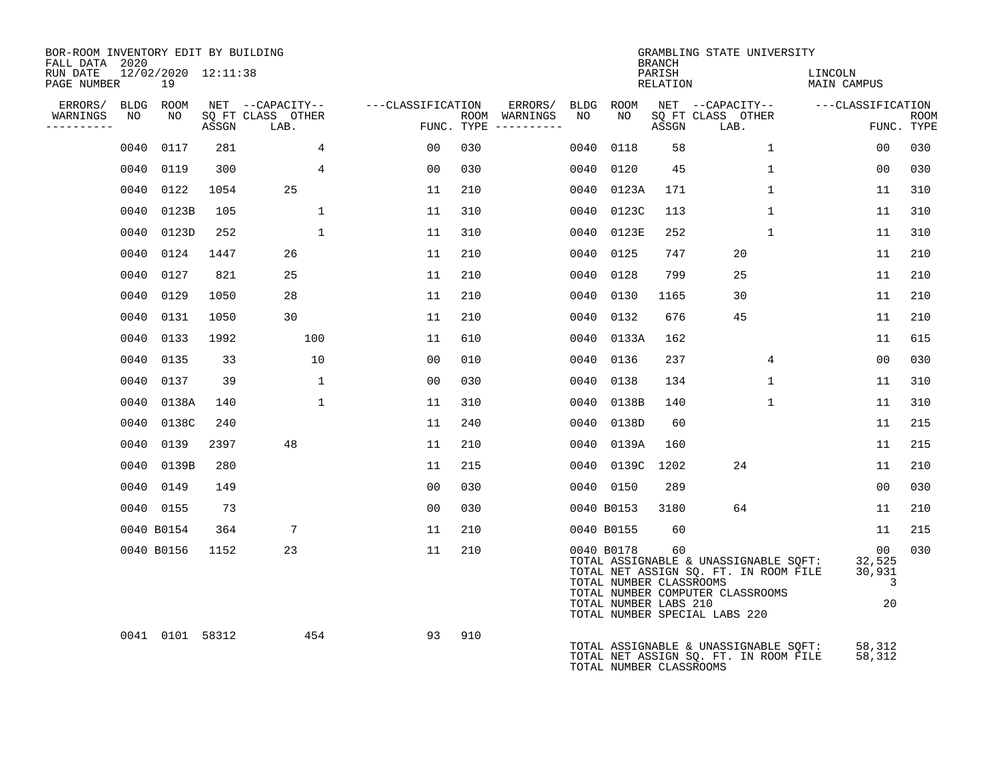| BOR-ROOM INVENTORY EDIT BY BUILDING<br>FALL DATA 2020 |      |                           |       |                           |                   |      |                                      |      |                                                                | <b>BRANCH</b>      | GRAMBLING STATE UNIVERSITY                                                                                                                          |                                                |                           |
|-------------------------------------------------------|------|---------------------------|-------|---------------------------|-------------------|------|--------------------------------------|------|----------------------------------------------------------------|--------------------|-----------------------------------------------------------------------------------------------------------------------------------------------------|------------------------------------------------|---------------------------|
| RUN DATE<br>PAGE NUMBER                               |      | 12/02/2020 12:11:38<br>19 |       |                           |                   |      |                                      |      |                                                                | PARISH<br>RELATION |                                                                                                                                                     | LINCOLN<br><b>MAIN CAMPUS</b>                  |                           |
| ERRORS/                                               |      | BLDG ROOM                 |       | NET --CAPACITY--          | ---CLASSIFICATION |      | ERRORS/                              |      | BLDG ROOM                                                      |                    | NET --CAPACITY--                                                                                                                                    | ---CLASSIFICATION                              |                           |
| WARNINGS<br>----------                                | NO   | NO                        | ASSGN | SQ FT CLASS OTHER<br>LAB. |                   |      | ROOM WARNINGS<br>FUNC. TYPE $------$ | NO   | NO                                                             | ASSGN              | SQ FT CLASS OTHER<br>LAB.                                                                                                                           |                                                | <b>ROOM</b><br>FUNC. TYPE |
|                                                       | 0040 | 0117                      | 281   | 4                         | 00                | 030  |                                      | 0040 | 0118                                                           | 58                 | $\mathbf{1}$                                                                                                                                        | 00                                             | 030                       |
|                                                       | 0040 | 0119                      | 300   | $\overline{4}$            | 00                | 030  |                                      | 0040 | 0120                                                           | 45                 | $\mathbf{1}$                                                                                                                                        | 00                                             | 030                       |
|                                                       |      | 0040 0122                 | 1054  | 25                        | 11                | 210  |                                      |      | 0040 0123A                                                     | 171                | $\mathbf{1}$                                                                                                                                        | 11                                             | 310                       |
|                                                       | 0040 | 0123B                     | 105   | $\mathbf{1}$              | 11                | 310  |                                      | 0040 | 0123C                                                          | 113                | $\mathbf{1}$                                                                                                                                        | 11                                             | 310                       |
|                                                       |      | 0040 0123D                | 252   | $\mathbf{1}$              | 11                | 310  |                                      |      | 0040 0123E                                                     | 252                | $\mathbf{1}$                                                                                                                                        | 11                                             | 310                       |
|                                                       |      | 0040 0124                 | 1447  | 26                        | 11                | 210  |                                      | 0040 | 0125                                                           | 747                | 20                                                                                                                                                  | 11                                             | 210                       |
|                                                       |      | 0040 0127                 | 821   | 25                        | 11                | 210  |                                      | 0040 | 0128                                                           | 799                | 25                                                                                                                                                  | 11                                             | 210                       |
|                                                       | 0040 | 0129                      | 1050  | 28                        | 11                | 210  |                                      | 0040 | 0130                                                           | 1165               | 30                                                                                                                                                  | 11                                             | 210                       |
|                                                       |      | 0040 0131                 | 1050  | 30                        | 11                | 210  |                                      | 0040 | 0132                                                           | 676                | 45                                                                                                                                                  | 11                                             | 210                       |
|                                                       |      | 0040 0133                 | 1992  | 100                       | 11                | 610  |                                      | 0040 | 0133A                                                          | 162                |                                                                                                                                                     | 11                                             | 615                       |
|                                                       |      | 0040 0135                 | 33    | 10                        | 0 <sub>0</sub>    | 010  |                                      | 0040 | 0136                                                           | 237                | 4                                                                                                                                                   | 0 <sub>0</sub>                                 | 030                       |
|                                                       | 0040 | 0137                      | 39    | $\mathbf{1}$              | 0 <sub>0</sub>    | 030  |                                      | 0040 | 0138                                                           | 134                | $\mathbf{1}$                                                                                                                                        | 11                                             | 310                       |
|                                                       |      | 0040 0138A                | 140   | $\mathbf{1}$              | 11                | 310  |                                      |      | 0040 0138B                                                     | 140                | $\mathbf{1}$                                                                                                                                        | 11                                             | 310                       |
|                                                       |      | 0040 0138C                | 240   |                           | 11                | 240  |                                      | 0040 | 0138D                                                          | 60                 |                                                                                                                                                     | 11                                             | 215                       |
|                                                       |      | 0040 0139                 | 2397  | 48                        | 11                | 210  |                                      | 0040 | 0139A                                                          | 160                |                                                                                                                                                     | 11                                             | 215                       |
|                                                       |      | 0040 0139B                | 280   |                           | 11                | 215  |                                      | 0040 | 0139C                                                          | 1202               | 24                                                                                                                                                  | 11                                             | 210                       |
|                                                       |      | 0040 0149                 | 149   |                           | 0 <sub>0</sub>    | 0.30 |                                      |      | 0040 0150                                                      | 289                |                                                                                                                                                     | 0 <sub>0</sub>                                 | 030                       |
|                                                       |      | 0040 0155                 | 73    |                           | 00                | 030  |                                      |      | 0040 B0153                                                     | 3180               | 64                                                                                                                                                  | 11                                             | 210                       |
|                                                       |      | 0040 B0154                | 364   | 7                         | 11                | 210  |                                      |      | 0040 B0155                                                     | 60                 |                                                                                                                                                     | 11                                             | 215                       |
|                                                       |      | 0040 B0156                | 1152  | 23                        | 11                | 210  |                                      |      | 0040 B0178<br>TOTAL NUMBER CLASSROOMS<br>TOTAL NUMBER LABS 210 | 60                 | TOTAL ASSIGNABLE & UNASSIGNABLE SQFT:<br>TOTAL NET ASSIGN SQ. FT. IN ROOM FILE<br>TOTAL NUMBER COMPUTER CLASSROOMS<br>TOTAL NUMBER SPECIAL LABS 220 | 00 <sub>o</sub><br>32,525<br>30,931<br>3<br>20 | 030                       |
|                                                       |      | 0041 0101 58312           |       | 454                       | 93                | 910  |                                      |      | TOTAL NUMBER CLASSROOMS                                        |                    | TOTAL ASSIGNABLE & UNASSIGNABLE SQFT:<br>TOTAL NET ASSIGN SQ. FT. IN ROOM FILE                                                                      | 58,312<br>58,312                               |                           |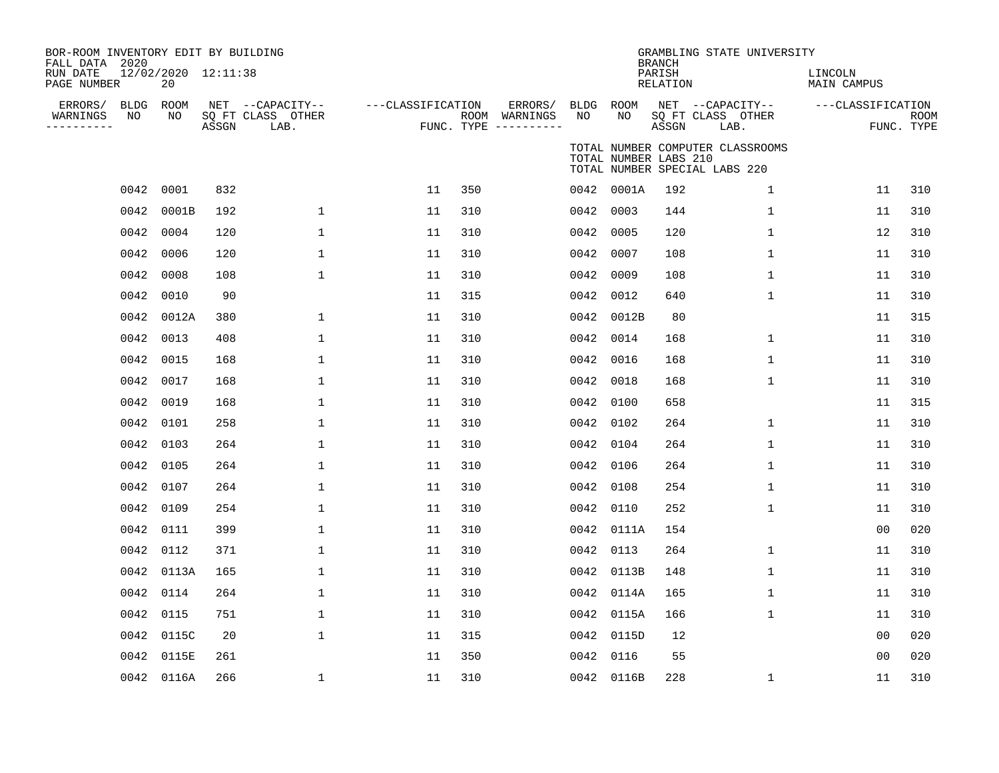| BOR-ROOM INVENTORY EDIT BY BUILDING<br>FALL DATA 2020<br>RUN DATE<br>PAGE NUMBER |            | 12/02/2020 12:11:38<br>20 |       |                                               |                   |     |                                                 |           |                       | <b>BRANCH</b><br>PARISH<br>RELATION | GRAMBLING STATE UNIVERSITY                                        | LINCOLN<br>MAIN CAMPUS |                    |
|----------------------------------------------------------------------------------|------------|---------------------------|-------|-----------------------------------------------|-------------------|-----|-------------------------------------------------|-----------|-----------------------|-------------------------------------|-------------------------------------------------------------------|------------------------|--------------------|
| ERRORS/<br>WARNINGS<br>----------                                                | BLDG<br>NO | ROOM<br>NO.               | ASSGN | NET --CAPACITY--<br>SQ FT CLASS OTHER<br>LAB. | ---CLASSIFICATION |     | ERRORS/<br>ROOM WARNINGS<br>FUNC. TYPE $------$ | NO        | BLDG ROOM<br>NO.      | ASSGN                               | NET --CAPACITY--<br>SQ FT CLASS OTHER<br>LAB.                     | ---CLASSIFICATION      | ROOM<br>FUNC. TYPE |
|                                                                                  |            |                           |       |                                               |                   |     |                                                 |           | TOTAL NUMBER LABS 210 |                                     | TOTAL NUMBER COMPUTER CLASSROOMS<br>TOTAL NUMBER SPECIAL LABS 220 |                        |                    |
|                                                                                  | 0042       | 0001                      | 832   |                                               | 11                | 350 |                                                 |           | 0042 0001A            | 192                                 | $\mathbf{1}$                                                      | 11                     | 310                |
|                                                                                  | 0042       | 0001B                     | 192   | 1                                             | 11                | 310 |                                                 | 0042      | 0003                  | 144                                 | 1                                                                 | 11                     | 310                |
|                                                                                  | 0042       | 0004                      | 120   | 1                                             | 11                | 310 |                                                 | 0042      | 0005                  | 120                                 | 1                                                                 | 12                     | 310                |
|                                                                                  | 0042       | 0006                      | 120   | 1                                             | 11                | 310 |                                                 | 0042      | 0007                  | 108                                 | 1                                                                 | 11                     | 310                |
|                                                                                  | 0042       | 0008                      | 108   | 1                                             | 11                | 310 |                                                 | 0042      | 0009                  | 108                                 | 1                                                                 | 11                     | 310                |
|                                                                                  | 0042       | 0010                      | 90    |                                               | 11                | 315 |                                                 | 0042      | 0012                  | 640                                 | $\mathbf{1}$                                                      | 11                     | 310                |
|                                                                                  | 0042       | 0012A                     | 380   | 1                                             | 11                | 310 |                                                 |           | 0042 0012B            | 80                                  |                                                                   | 11                     | 315                |
|                                                                                  | 0042       | 0013                      | 408   | 1                                             | 11                | 310 |                                                 | 0042      | 0014                  | 168                                 | 1                                                                 | 11                     | 310                |
|                                                                                  | 0042       | 0015                      | 168   | 1                                             | 11                | 310 |                                                 | 0042 0016 |                       | 168                                 | 1                                                                 | 11                     | 310                |
|                                                                                  | 0042       | 0017                      | 168   | 1                                             | 11                | 310 |                                                 | 0042 0018 |                       | 168                                 | $\mathbf{1}$                                                      | 11                     | 310                |
|                                                                                  | 0042       | 0019                      | 168   | $\mathbf{1}$                                  | 11                | 310 |                                                 |           | 0042 0100             | 658                                 |                                                                   | 11                     | 315                |
|                                                                                  | 0042       | 0101                      | 258   | $\mathbf{1}$                                  | 11                | 310 |                                                 |           | 0042 0102             | 264                                 | $\mathbf{1}$                                                      | 11                     | 310                |
|                                                                                  | 0042       | 0103                      | 264   | 1                                             | 11                | 310 |                                                 |           | 0042 0104             | 264                                 | $\mathbf{1}$                                                      | 11                     | 310                |
|                                                                                  | 0042       | 0105                      | 264   | 1                                             | 11                | 310 |                                                 |           | 0042 0106             | 264                                 | $\mathbf 1$                                                       | 11                     | 310                |
|                                                                                  | 0042       | 0107                      | 264   | 1                                             | 11                | 310 |                                                 |           | 0042 0108             | 254                                 | 1                                                                 | 11                     | 310                |
|                                                                                  | 0042       | 0109                      | 254   | $\mathbf 1$                                   | 11                | 310 |                                                 | 0042 0110 |                       | 252                                 | $\mathbf 1$                                                       | 11                     | 310                |
|                                                                                  | 0042       | 0111                      | 399   | $\mathbf 1$                                   | 11                | 310 |                                                 |           | 0042 0111A            | 154                                 |                                                                   | 0 <sub>0</sub>         | 020                |
|                                                                                  | 0042       | 0112                      | 371   | 1                                             | 11                | 310 |                                                 | 0042      | 0113                  | 264                                 | $\mathbf{1}$                                                      | 11                     | 310                |
|                                                                                  | 0042       | 0113A                     | 165   | $\mathbf 1$                                   | 11                | 310 |                                                 |           | 0042 0113B            | 148                                 | $\mathbf{1}$                                                      | 11                     | 310                |
|                                                                                  | 0042       | 0114                      | 264   | $\mathbf{1}$                                  | 11                | 310 |                                                 | 0042      | 0114A                 | 165                                 | $\mathbf{1}$                                                      | 11                     | 310                |
|                                                                                  | 0042       | 0115                      | 751   | 1                                             | 11                | 310 |                                                 |           | 0042 0115A            | 166                                 | 1                                                                 | 11                     | 310                |
|                                                                                  | 0042       | 0115C                     | 20    | $\mathbf 1$                                   | 11                | 315 |                                                 | 0042      | 0115D                 | 12                                  |                                                                   | 00                     | 020                |
|                                                                                  | 0042       | 0115E                     | 261   |                                               | 11                | 350 |                                                 | 0042      | 0116                  | 55                                  |                                                                   | 0 <sub>0</sub>         | 020                |
|                                                                                  |            | 0042 0116A                | 266   | $\mathbf 1$                                   | 11                | 310 |                                                 |           | 0042 0116B            | 228                                 | $\mathbf{1}$                                                      | 11                     | 310                |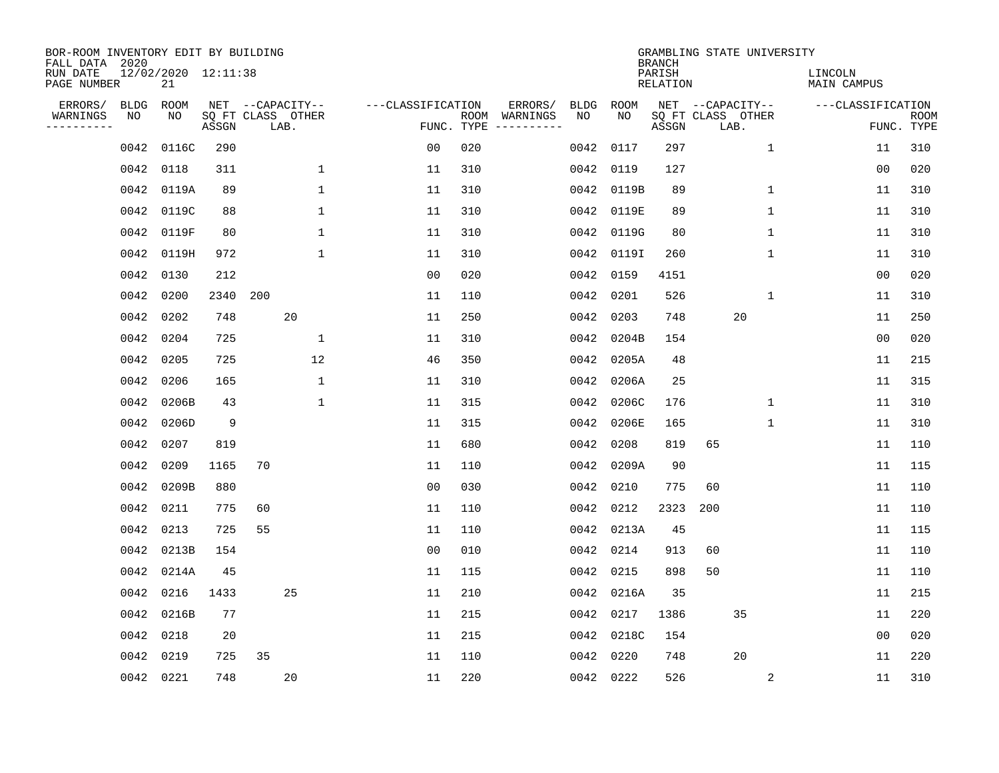| BOR-ROOM INVENTORY EDIT BY BUILDING<br>FALL DATA 2020 |                   |                           |       |                                               |                                 |     |                                                                                                                                        |            |            | <b>BRANCH</b>             | GRAMBLING STATE UNIVERSITY                    |                               |                |                           |
|-------------------------------------------------------|-------------------|---------------------------|-------|-----------------------------------------------|---------------------------------|-----|----------------------------------------------------------------------------------------------------------------------------------------|------------|------------|---------------------------|-----------------------------------------------|-------------------------------|----------------|---------------------------|
| RUN DATE<br>PAGE NUMBER                               |                   | 12/02/2020 12:11:38<br>21 |       |                                               |                                 |     |                                                                                                                                        |            |            | PARISH<br><b>RELATION</b> |                                               | LINCOLN<br><b>MAIN CAMPUS</b> |                |                           |
| ERRORS/<br>WARNINGS<br>---------                      | <b>BLDG</b><br>NO | ROOM<br>NO                | ASSGN | NET --CAPACITY--<br>SQ FT CLASS OTHER<br>LAB. | ---CLASSIFICATION<br>FUNC. TYPE |     | ERRORS/<br>ROOM WARNINGS<br>$\begin{tabular}{ccccccccc} - & - & - & - & - & - & - & - \\ & - & - & - & - & - & - & - \\ \end{tabular}$ | BLDG<br>NO | ROOM<br>NO | ASSGN                     | NET --CAPACITY--<br>SQ FT CLASS OTHER<br>LAB. | ---CLASSIFICATION             |                | <b>ROOM</b><br>FUNC. TYPE |
|                                                       | 0042              | 0116C                     | 290   |                                               | 0 <sub>0</sub>                  | 020 |                                                                                                                                        | 0042       | 0117       | 297                       | $\mathbf{1}$                                  |                               | 11             | 310                       |
|                                                       | 0042              | 0118                      | 311   |                                               | $\mathbf 1$<br>11               | 310 |                                                                                                                                        | 0042       | 0119       | 127                       |                                               |                               | 00             | 020                       |
|                                                       |                   | 0042 0119A                | 89    |                                               | $\mathbf{1}$<br>11              | 310 |                                                                                                                                        | 0042       | 0119B      | 89                        | $\mathbf{1}$                                  |                               | 11             | 310                       |
|                                                       |                   | 0042 0119C                | 88    |                                               | $\mathbf{1}$<br>11              | 310 |                                                                                                                                        | 0042       | 0119E      | 89                        | $\mathbf{1}$                                  |                               | 11             | 310                       |
|                                                       |                   | 0042 0119F                | 80    |                                               | $\mathbf{1}$<br>11              | 310 |                                                                                                                                        | 0042       | 0119G      | 80                        | $\mathbf 1$                                   |                               | 11             | 310                       |
|                                                       |                   | 0042 0119H                | 972   |                                               | $\mathbf 1$<br>11               | 310 |                                                                                                                                        | 0042       | 0119I      | 260                       | 1                                             |                               | 11             | 310                       |
|                                                       | 0042              | 0130                      | 212   |                                               | 0 <sub>0</sub>                  | 020 |                                                                                                                                        | 0042       | 0159       | 4151                      |                                               |                               | 0 <sub>0</sub> | 020                       |
|                                                       | 0042              | 0200                      | 2340  | 200                                           | 11                              | 110 |                                                                                                                                        | 0042       | 0201       | 526                       | 1                                             |                               | 11             | 310                       |
|                                                       | 0042              | 0202                      | 748   | 20                                            | 11                              | 250 |                                                                                                                                        | 0042       | 0203       | 748                       | 20                                            |                               | 11             | 250                       |
|                                                       | 0042              | 0204                      | 725   |                                               | $\mathbf 1$<br>11               | 310 |                                                                                                                                        | 0042       | 0204B      | 154                       |                                               |                               | 0 <sub>0</sub> | 020                       |
|                                                       | 0042              | 0205                      | 725   |                                               | 12<br>46                        | 350 |                                                                                                                                        | 0042       | 0205A      | 48                        |                                               |                               | 11             | 215                       |
|                                                       | 0042              | 0206                      | 165   |                                               | $\mathbf{1}$<br>11              | 310 |                                                                                                                                        | 0042       | 0206A      | 25                        |                                               |                               | 11             | 315                       |
|                                                       | 0042              | 0206B                     | 43    |                                               | $\mathbf{1}$<br>11              | 315 |                                                                                                                                        | 0042       | 0206C      | 176                       | $\mathbf 1$                                   |                               | 11             | 310                       |
|                                                       | 0042              | 0206D                     | 9     |                                               | 11                              | 315 |                                                                                                                                        | 0042       | 0206E      | 165                       | 1                                             |                               | 11             | 310                       |
|                                                       | 0042              | 0207                      | 819   |                                               | 11                              | 680 |                                                                                                                                        | 0042       | 0208       | 819                       | 65                                            |                               | 11             | 110                       |
|                                                       | 0042              | 0209                      | 1165  | 70                                            | 11                              | 110 |                                                                                                                                        | 0042       | 0209A      | 90                        |                                               |                               | 11             | 115                       |
|                                                       | 0042              | 0209B                     | 880   |                                               | 0 <sub>0</sub>                  | 030 |                                                                                                                                        | 0042       | 0210       | 775                       | 60                                            |                               | 11             | 110                       |
|                                                       | 0042              | 0211                      | 775   | 60                                            | 11                              | 110 |                                                                                                                                        | 0042       | 0212       | 2323                      | 200                                           |                               | 11             | 110                       |
|                                                       | 0042              | 0213                      | 725   | 55                                            | 11                              | 110 |                                                                                                                                        | 0042       | 0213A      | 45                        |                                               |                               | 11             | 115                       |
|                                                       | 0042              | 0213B                     | 154   |                                               | 0 <sub>0</sub>                  | 010 |                                                                                                                                        | 0042       | 0214       | 913                       | 60                                            |                               | 11             | 110                       |
|                                                       | 0042              | 0214A                     | 45    |                                               | 11                              | 115 |                                                                                                                                        | 0042       | 0215       | 898                       | 50                                            |                               | 11             | 110                       |
|                                                       | 0042              | 0216                      | 1433  | 25                                            | 11                              | 210 |                                                                                                                                        | 0042       | 0216A      | 35                        |                                               |                               | 11             | 215                       |
|                                                       | 0042              | 0216B                     | 77    |                                               | 11                              | 215 |                                                                                                                                        | 0042       | 0217       | 1386                      | 35                                            |                               | 11             | 220                       |
|                                                       | 0042              | 0218                      | 20    |                                               | 11                              | 215 |                                                                                                                                        | 0042       | 0218C      | 154                       |                                               |                               | 0 <sub>0</sub> | 020                       |
|                                                       | 0042              | 0219                      | 725   | 35                                            | 11                              | 110 |                                                                                                                                        | 0042       | 0220       | 748                       | 20                                            |                               | 11             | 220                       |
|                                                       |                   | 0042 0221                 | 748   | 20                                            | 11                              | 220 |                                                                                                                                        |            | 0042 0222  | 526                       | $\overline{c}$                                |                               | 11             | 310                       |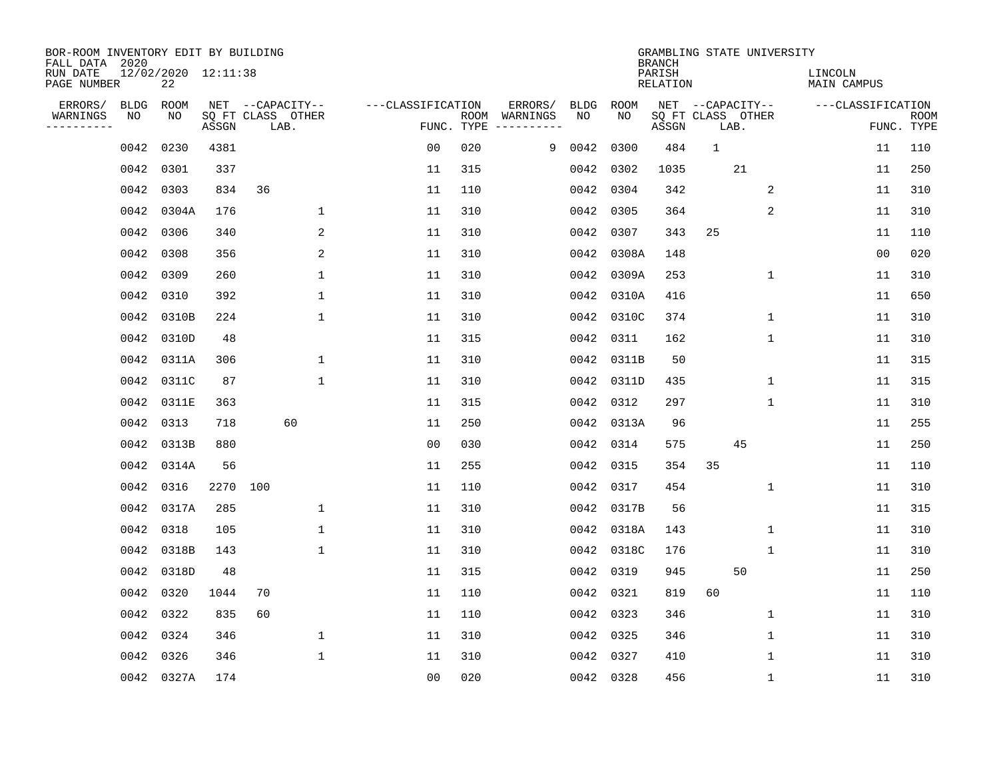| BOR-ROOM INVENTORY EDIT BY BUILDING<br>FALL DATA 2020<br>RUN DATE<br>PAGE NUMBER |                   | 12/02/2020 12:11:38<br>22 |       |                                               |              |                   |                    |                                                                                                                        |                   |            | <b>BRANCH</b><br>PARISH<br><b>RELATION</b> |              | GRAMBLING STATE UNIVERSITY            | LINCOLN<br>MAIN CAMPUS |                           |  |
|----------------------------------------------------------------------------------|-------------------|---------------------------|-------|-----------------------------------------------|--------------|-------------------|--------------------|------------------------------------------------------------------------------------------------------------------------|-------------------|------------|--------------------------------------------|--------------|---------------------------------------|------------------------|---------------------------|--|
| ERRORS/<br>WARNINGS<br>----------                                                | <b>BLDG</b><br>NO | <b>ROOM</b><br>NO.        | ASSGN | NET --CAPACITY--<br>SQ FT CLASS OTHER<br>LAB. |              | ---CLASSIFICATION | ROOM<br>FUNC. TYPE | ERRORS/<br>WARNINGS<br>$\begin{tabular}{cccccc} - & - & - & - & - & - & - \\ & - & - & - & - & - & - \\ \end{tabular}$ | <b>BLDG</b><br>NO | ROOM<br>NO | ASSGN                                      | LAB.         | NET --CAPACITY--<br>SQ FT CLASS OTHER | ---CLASSIFICATION      | <b>ROOM</b><br>FUNC. TYPE |  |
|                                                                                  | 0042              | 0230                      | 4381  |                                               |              | 0 <sub>0</sub>    | 020                | 9                                                                                                                      | 0042              | 0300       | 484                                        | $\mathbf{1}$ |                                       | 11                     | 110                       |  |
|                                                                                  | 0042              | 0301                      | 337   |                                               |              | 11                | 315                |                                                                                                                        | 0042              | 0302       | 1035                                       |              | 21                                    | 11                     | 250                       |  |
|                                                                                  | 0042              | 0303                      | 834   | 36                                            |              | 11                | 110                |                                                                                                                        | 0042              | 0304       | 342                                        |              | 2                                     | 11                     | 310                       |  |
|                                                                                  | 0042              | 0304A                     | 176   |                                               | 1            | 11                | 310                |                                                                                                                        | 0042              | 0305       | 364                                        |              | 2                                     | 11                     | 310                       |  |
|                                                                                  | 0042              | 0306                      | 340   |                                               | 2            | 11                | 310                |                                                                                                                        | 0042              | 0307       | 343                                        | 25           |                                       | 11                     | 110                       |  |
|                                                                                  | 0042              | 0308                      | 356   |                                               | 2            | 11                | 310                |                                                                                                                        | 0042              | 0308A      | 148                                        |              |                                       | 0 <sub>0</sub>         | 020                       |  |
|                                                                                  | 0042              | 0309                      | 260   |                                               | $\mathbf 1$  | 11                | 310                |                                                                                                                        | 0042              | 0309A      | 253                                        |              | $\mathbf 1$                           | 11                     | 310                       |  |
|                                                                                  | 0042              | 0310                      | 392   |                                               | 1            | 11                | 310                |                                                                                                                        |                   | 0042 0310A | 416                                        |              |                                       | 11                     | 650                       |  |
|                                                                                  | 0042              | 0310B                     | 224   |                                               | 1            | 11                | 310                |                                                                                                                        | 0042              | 0310C      | 374                                        |              | $\mathbf 1$                           | 11                     | 310                       |  |
|                                                                                  |                   | 0042 0310D                | 48    |                                               |              | 11                | 315                |                                                                                                                        | 0042              | 0311       | 162                                        |              | $\mathbf 1$                           | 11                     | 310                       |  |
|                                                                                  |                   | 0042 0311A                | 306   |                                               | $\mathbf{1}$ | 11                | 310                |                                                                                                                        |                   | 0042 0311B | 50                                         |              |                                       | 11                     | 315                       |  |
|                                                                                  | 0042              | 0311C                     | 87    |                                               | $\mathbf{1}$ | 11                | 310                |                                                                                                                        | 0042              | 0311D      | 435                                        |              | $\mathbf 1$                           | 11                     | 315                       |  |
|                                                                                  | 0042              | 0311E                     | 363   |                                               |              | 11                | 315                |                                                                                                                        | 0042              | 0312       | 297                                        |              | $\mathbf 1$                           | 11                     | 310                       |  |
|                                                                                  | 0042              | 0313                      | 718   | 60                                            |              | 11                | 250                |                                                                                                                        |                   | 0042 0313A | 96                                         |              |                                       | 11                     | 255                       |  |
|                                                                                  | 0042              | 0313B                     | 880   |                                               |              | 0 <sub>0</sub>    | 030                |                                                                                                                        |                   | 0042 0314  | 575                                        |              | 45                                    | 11                     | 250                       |  |
|                                                                                  | 0042              | 0314A                     | 56    |                                               |              | 11                | 255                |                                                                                                                        | 0042              | 0315       | 354                                        | 35           |                                       | 11                     | 110                       |  |
|                                                                                  | 0042              | 0316                      | 2270  | 100                                           |              | 11                | 110                |                                                                                                                        | 0042              | 0317       | 454                                        |              | 1                                     | 11                     | 310                       |  |
|                                                                                  | 0042              | 0317A                     | 285   |                                               | 1            | 11                | 310                |                                                                                                                        | 0042              | 0317B      | 56                                         |              |                                       | 11                     | 315                       |  |
|                                                                                  | 0042              | 0318                      | 105   |                                               | 1            | 11                | 310                |                                                                                                                        |                   | 0042 0318A | 143                                        |              | 1                                     | 11                     | 310                       |  |
|                                                                                  | 0042              | 0318B                     | 143   |                                               | $\mathbf{1}$ | 11                | 310                |                                                                                                                        |                   | 0042 0318C | 176                                        |              | $\mathbf 1$                           | 11                     | 310                       |  |
|                                                                                  | 0042              | 0318D                     | 48    |                                               |              | 11                | 315                |                                                                                                                        |                   | 0042 0319  | 945                                        |              | 50                                    | 11                     | 250                       |  |
|                                                                                  | 0042              | 0320                      | 1044  | 70                                            |              | 11                | 110                |                                                                                                                        |                   | 0042 0321  | 819                                        | 60           |                                       | 11                     | 110                       |  |
|                                                                                  | 0042              | 0322                      | 835   | 60                                            |              | 11                | 110                |                                                                                                                        |                   | 0042 0323  | 346                                        |              | 1                                     | 11                     | 310                       |  |
|                                                                                  | 0042              | 0324                      | 346   |                                               | $\mathbf 1$  | 11                | 310                |                                                                                                                        |                   | 0042 0325  | 346                                        |              | $\mathbf 1$                           | 11                     | 310                       |  |
|                                                                                  | 0042              | 0326                      | 346   |                                               | 1            | 11                | 310                |                                                                                                                        |                   | 0042 0327  | 410                                        |              | 1                                     | 11                     | 310                       |  |
|                                                                                  |                   | 0042 0327A                | 174   |                                               |              | 00                | 020                |                                                                                                                        |                   | 0042 0328  | 456                                        |              | $\mathbf 1$                           | 11                     | 310                       |  |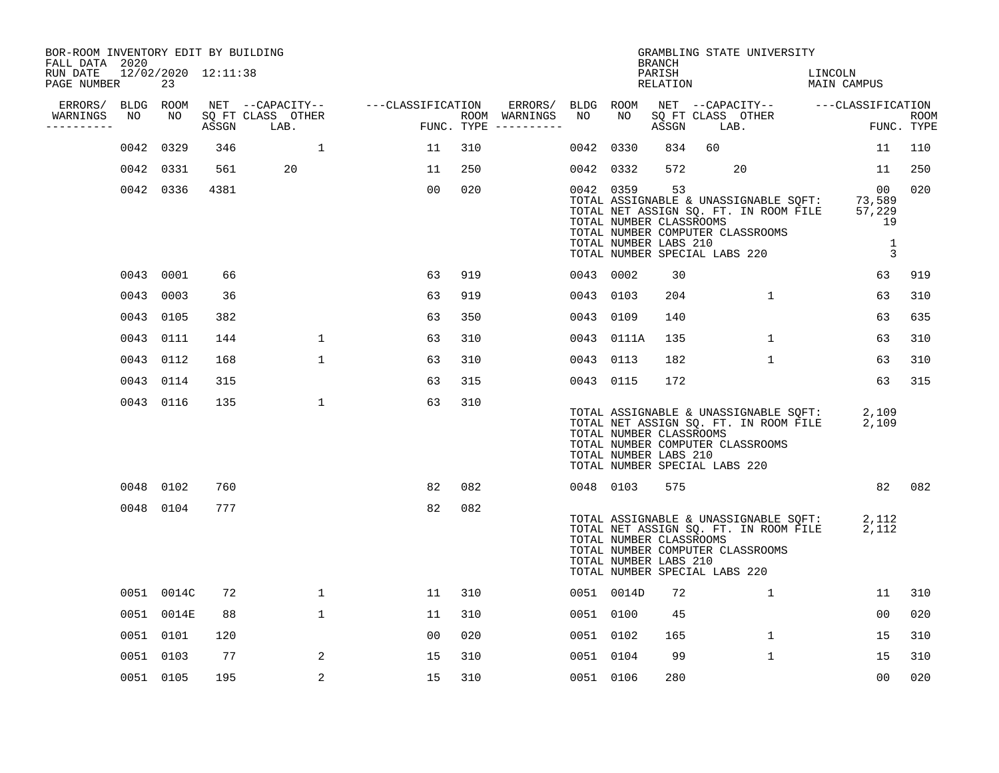| BOR-ROOM INVENTORY EDIT BY BUILDING<br>FALL DATA 2020 |                     |            |       |                           |                   |     |                                      |           |                                                                                                | <b>BRANCH</b>      |    | GRAMBLING STATE UNIVERSITY                                                                                                       |         |                                            |                    |
|-------------------------------------------------------|---------------------|------------|-------|---------------------------|-------------------|-----|--------------------------------------|-----------|------------------------------------------------------------------------------------------------|--------------------|----|----------------------------------------------------------------------------------------------------------------------------------|---------|--------------------------------------------|--------------------|
| RUN DATE<br>PAGE NUMBER                               | 12/02/2020 12:11:38 | 23         |       |                           |                   |     |                                      |           |                                                                                                | PARISH<br>RELATION |    |                                                                                                                                  | LINCOLN | MAIN CAMPUS                                |                    |
| ERRORS/ BLDG ROOM                                     |                     |            |       | NET --CAPACITY--          | ---CLASSIFICATION |     | ERRORS/                              | BLDG ROOM |                                                                                                |                    |    | NET --CAPACITY-- ---CLASSIFICATION                                                                                               |         |                                            |                    |
| WARNINGS<br>----------                                | NO                  | NO         | ASSGN | SQ FT CLASS OTHER<br>LAB. |                   |     | ROOM WARNINGS<br>FUNC. TYPE $------$ | NO        | NO                                                                                             | ASSGN              |    | SQ FT CLASS OTHER<br>LAB.                                                                                                        |         |                                            | ROOM<br>FUNC. TYPE |
|                                                       |                     | 0042 0329  | 346   | $\mathbf{1}$              | 11                | 310 |                                      | 0042 0330 |                                                                                                | 834                | 60 |                                                                                                                                  |         | 11                                         | 110                |
|                                                       |                     | 0042 0331  | 561   | 20                        | 11                | 250 |                                      | 0042 0332 |                                                                                                | 572                |    | 20                                                                                                                               |         | 11                                         | 250                |
|                                                       |                     | 0042 0336  | 4381  |                           | 0 <sub>0</sub>    | 020 |                                      |           | 0042 0359<br>TOTAL NUMBER CLASSROOMS<br>TOTAL NUMBER LABS 210<br>TOTAL NUMBER SPECIAL LABS 220 | 53                 |    | TOTAL ASSIGNABLE & UNASSIGNABLE SQFT: 73,589<br>TOTAL NET ASSIGN SQ. FT. IN ROOM FILE 57,229<br>TOTAL NUMBER COMPUTER CLASSROOMS |         | 00<br>19<br>$\mathbf{1}$<br>$\overline{3}$ | 020                |
|                                                       |                     | 0043 0001  | 66    |                           | 63                | 919 |                                      | 0043 0002 |                                                                                                | 30                 |    |                                                                                                                                  |         | 63                                         | 919                |
|                                                       |                     | 0043 0003  | 36    |                           | 63                | 919 |                                      | 0043 0103 |                                                                                                | 204                |    | $\mathbf{1}$                                                                                                                     |         | 63                                         | 310                |
|                                                       |                     | 0043 0105  | 382   |                           | 63                | 350 |                                      | 0043 0109 |                                                                                                | 140                |    |                                                                                                                                  |         | 63                                         | 635                |
|                                                       |                     | 0043 0111  | 144   | $\mathbf 1$               | 63                | 310 |                                      |           | 0043 0111A                                                                                     | 135                |    | $\mathbf{1}$                                                                                                                     |         | 63                                         | 310                |
|                                                       |                     | 0043 0112  | 168   | $\mathbf 1$               | 63                | 310 |                                      | 0043 0113 |                                                                                                | 182                |    | $\mathbf{1}$                                                                                                                     |         | 63                                         | 310                |
|                                                       |                     | 0043 0114  | 315   |                           | 63                | 315 |                                      | 0043 0115 |                                                                                                | 172                |    |                                                                                                                                  |         | 63                                         | 315                |
|                                                       |                     | 0043 0116  | 135   | $\mathbf{1}$              | 63                | 310 |                                      |           | TOTAL NUMBER CLASSROOMS<br>TOTAL NUMBER LABS 210<br>TOTAL NUMBER SPECIAL LABS 220              |                    |    | TOTAL ASSIGNABLE & UNASSIGNABLE SQFT:<br>TOTAL NET ASSIGN SQ. FT. IN ROOM FILE<br>TOTAL NUMBER COMPUTER CLASSROOMS               |         | 2,109<br>2,109                             |                    |
|                                                       |                     | 0048 0102  | 760   |                           | 82                | 082 |                                      | 0048 0103 |                                                                                                | 575                |    |                                                                                                                                  |         | 82                                         | 082                |
|                                                       |                     | 0048 0104  | 777   |                           | 82                | 082 |                                      |           | TOTAL NUMBER CLASSROOMS<br>TOTAL NUMBER LABS 210<br>TOTAL NUMBER SPECIAL LABS 220              |                    |    | TOTAL ASSIGNABLE & UNASSIGNABLE SQFT:<br>TOTAL NET ASSIGN SQ. FT. IN ROOM FILE<br>TOTAL NUMBER COMPUTER CLASSROOMS               |         | 2,112<br>2,112                             |                    |
|                                                       |                     | 0051 0014C | 72    | 1                         | 11                | 310 |                                      |           | 0051 0014D                                                                                     | 72                 |    | $\mathbf{1}$                                                                                                                     |         | 11                                         | 310                |
|                                                       |                     | 0051 0014E | 88    | $\mathbf{1}$              | 11                | 310 |                                      | 0051 0100 |                                                                                                | 45                 |    |                                                                                                                                  |         | 0 <sub>0</sub>                             | 020                |
|                                                       |                     | 0051 0101  | 120   |                           | 00                | 020 |                                      | 0051 0102 |                                                                                                | 165                |    | 1                                                                                                                                |         | 15                                         | 310                |
|                                                       |                     | 0051 0103  | 77    | 2                         | 15                | 310 |                                      | 0051 0104 |                                                                                                | 99                 |    | $\mathbf{1}$                                                                                                                     |         | 15                                         | 310                |
|                                                       |                     | 0051 0105  | 195   | 2                         | 15                | 310 |                                      | 0051 0106 |                                                                                                | 280                |    |                                                                                                                                  |         | 00                                         | 020                |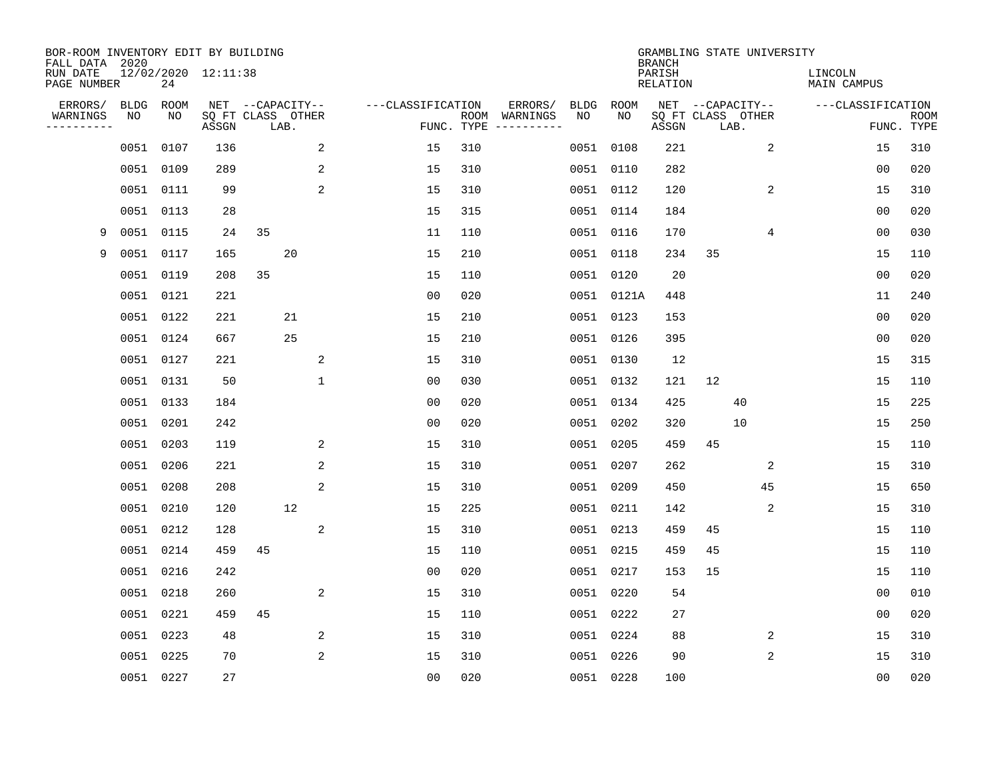| BOR-ROOM INVENTORY EDIT BY BUILDING<br>FALL DATA 2020 |             |           |                     |    |                           |   |                   |                    |                         |             |            | GRAMBLING STATE UNIVERSITY<br><b>BRANCH</b> |                  |      |                |                               |                |                           |
|-------------------------------------------------------|-------------|-----------|---------------------|----|---------------------------|---|-------------------|--------------------|-------------------------|-------------|------------|---------------------------------------------|------------------|------|----------------|-------------------------------|----------------|---------------------------|
| RUN DATE<br>PAGE NUMBER                               |             | 24        | 12/02/2020 12:11:38 |    |                           |   |                   |                    |                         |             |            | PARISH<br><b>RELATION</b>                   |                  |      |                | LINCOLN<br><b>MAIN CAMPUS</b> |                |                           |
| ERRORS/                                               | <b>BLDG</b> | ROOM      |                     |    | NET --CAPACITY--          |   | ---CLASSIFICATION |                    | ERRORS/                 | <b>BLDG</b> | ROOM       |                                             | NET --CAPACITY-- |      |                | ---CLASSIFICATION             |                |                           |
| WARNINGS<br>----------                                | NO          | NO        | ASSGN               |    | SQ FT CLASS OTHER<br>LAB. |   |                   | ROOM<br>FUNC. TYPE | WARNINGS<br>----------- | NO          | NO         | SQ FT CLASS OTHER<br>ASSGN                  |                  | LAB. |                |                               |                | <b>ROOM</b><br>FUNC. TYPE |
|                                                       | 0051        | 0107      | 136                 |    |                           | 2 | 15                | 310                |                         | 0051        | 0108       | 221                                         |                  |      | $\overline{a}$ |                               | 15             | 310                       |
|                                                       | 0051        | 0109      | 289                 |    |                           | 2 | 15                | 310                |                         | 0051        | 0110       | 282                                         |                  |      |                |                               | 00             | 020                       |
|                                                       | 0051        | 0111      | 99                  |    |                           | 2 | 15                | 310                |                         |             | 0051 0112  | 120                                         |                  |      | 2              |                               | 15             | 310                       |
|                                                       | 0051        | 0113      | 28                  |    |                           |   | 15                | 315                |                         |             | 0051 0114  | 184                                         |                  |      |                |                               | 0 <sub>0</sub> | 020                       |
| 9                                                     | 0051        | 0115      | 24                  | 35 |                           |   | 11                | 110                |                         | 0051        | 0116       | 170                                         |                  |      | 4              |                               | 0 <sub>0</sub> | 030                       |
| 9                                                     | 0051        | 0117      | 165                 |    | 20                        |   | 15                | 210                |                         |             | 0051 0118  | 234                                         | 35               |      |                |                               | 15             | 110                       |
|                                                       | 0051        | 0119      | 208                 | 35 |                           |   | 15                | 110                |                         | 0051        | 0120       | 20                                          |                  |      |                |                               | 0 <sub>0</sub> | 020                       |
|                                                       | 0051        | 0121      | 221                 |    |                           |   | 0 <sub>0</sub>    | 020                |                         |             | 0051 0121A | 448                                         |                  |      |                |                               | 11             | 240                       |
|                                                       | 0051        | 0122      | 221                 |    | 21                        |   | 15                | 210                |                         | 0051        | 0123       | 153                                         |                  |      |                |                               | 0 <sub>0</sub> | 020                       |
|                                                       | 0051        | 0124      | 667                 |    | 25                        |   | 15                | 210                |                         |             | 0051 0126  | 395                                         |                  |      |                |                               | 0 <sub>0</sub> | 020                       |
|                                                       | 0051        | 0127      | 221                 |    |                           | 2 | 15                | 310                |                         | 0051        | 0130       | 12                                          |                  |      |                |                               | 15             | 315                       |
|                                                       | 0051        | 0131      | 50                  |    |                           | 1 | 0 <sub>0</sub>    | 030                |                         | 0051        | 0132       | 121                                         | 12               |      |                |                               | 15             | 110                       |
|                                                       | 0051        | 0133      | 184                 |    |                           |   | 0 <sub>0</sub>    | 020                |                         | 0051        | 0134       | 425                                         |                  | 40   |                |                               | 15             | 225                       |
|                                                       | 0051        | 0201      | 242                 |    |                           |   | 0 <sub>0</sub>    | 020                |                         | 0051        | 0202       | 320                                         |                  | 10   |                |                               | 15             | 250                       |
|                                                       | 0051        | 0203      | 119                 |    |                           | 2 | 15                | 310                |                         | 0051        | 0205       | 459                                         | 45               |      |                |                               | 15             | 110                       |
|                                                       | 0051        | 0206      | 221                 |    |                           | 2 | 15                | 310                |                         | 0051        | 0207       | 262                                         |                  |      | 2              |                               | 15             | 310                       |
|                                                       | 0051        | 0208      | 208                 |    |                           | 2 | 15                | 310                |                         | 0051        | 0209       | 450                                         |                  |      | 45             |                               | 15             | 650                       |
|                                                       | 0051        | 0210      | 120                 |    | 12                        |   | 15                | 225                |                         | 0051        | 0211       | 142                                         |                  |      | 2              |                               | 15             | 310                       |
|                                                       | 0051        | 0212      | 128                 |    |                           | 2 | 15                | 310                |                         | 0051        | 0213       | 459                                         | 45               |      |                |                               | 15             | 110                       |
|                                                       | 0051        | 0214      | 459                 | 45 |                           |   | 15                | 110                |                         | 0051        | 0215       | 459                                         | 45               |      |                |                               | 15             | 110                       |
|                                                       | 0051        | 0216      | 242                 |    |                           |   | 0 <sub>0</sub>    | 020                |                         | 0051        | 0217       | 153                                         | 15               |      |                |                               | 15             | 110                       |
|                                                       | 0051        | 0218      | 260                 |    |                           | 2 | 15                | 310                |                         | 0051        | 0220       | 54                                          |                  |      |                |                               | 0 <sub>0</sub> | 010                       |
|                                                       | 0051        | 0221      | 459                 | 45 |                           |   | 15                | 110                |                         | 0051        | 0222       | 27                                          |                  |      |                |                               | 0 <sub>0</sub> | 020                       |
|                                                       | 0051        | 0223      | 48                  |    |                           | 2 | 15                | 310                |                         | 0051        | 0224       | 88                                          |                  |      | 2              |                               | 15             | 310                       |
|                                                       | 0051        | 0225      | 70                  |    |                           | 2 | 15                | 310                |                         | 0051        | 0226       | 90                                          |                  |      | 2              |                               | 15             | 310                       |
|                                                       |             | 0051 0227 | 27                  |    |                           |   | 0 <sub>0</sub>    | 020                |                         |             | 0051 0228  | 100                                         |                  |      |                |                               | 00             | 020                       |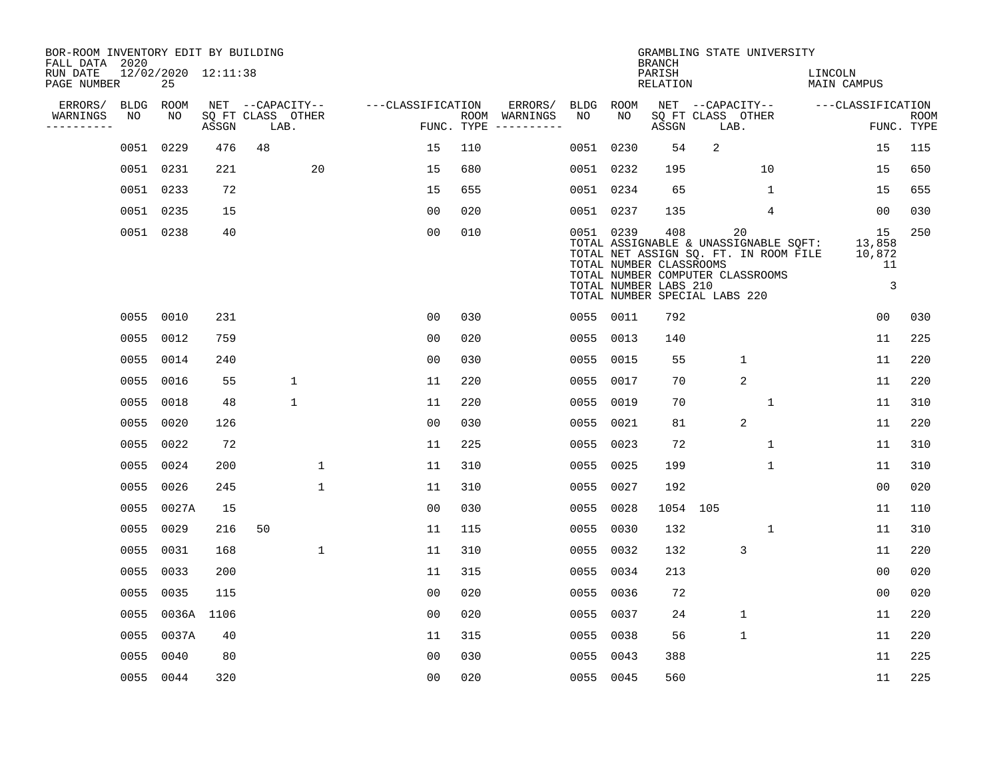| BOR-ROOM INVENTORY EDIT BY BUILDING<br>FALL DATA 2020 |      |                           |       |                           |                   |            |               |           |                                                               | <b>BRANCH</b>             | GRAMBLING STATE UNIVERSITY                                                                                                                                |         |                                   |                           |
|-------------------------------------------------------|------|---------------------------|-------|---------------------------|-------------------|------------|---------------|-----------|---------------------------------------------------------------|---------------------------|-----------------------------------------------------------------------------------------------------------------------------------------------------------|---------|-----------------------------------|---------------------------|
| RUN DATE<br>PAGE NUMBER                               |      | 12/02/2020 12:11:38<br>25 |       |                           |                   |            |               |           |                                                               | PARISH<br><b>RELATION</b> |                                                                                                                                                           | LINCOLN | <b>MAIN CAMPUS</b>                |                           |
| ERRORS/                                               | BLDG | ROOM                      |       | NET --CAPACITY--          | ---CLASSIFICATION |            | ERRORS/       | BLDG ROOM |                                                               |                           | NET --CAPACITY--                                                                                                                                          |         | ---CLASSIFICATION                 |                           |
| WARNINGS<br>----------                                | NO   | NO                        | ASSGN | SQ FT CLASS OTHER<br>LAB. |                   | FUNC. TYPE | ROOM WARNINGS | NO        | NO                                                            | ASSGN                     | SQ FT CLASS OTHER<br>LAB.                                                                                                                                 |         |                                   | <b>ROOM</b><br>FUNC. TYPE |
|                                                       | 0051 | 0229                      | 476   | 48                        | 15                | 110        |               | 0051      | 0230                                                          | 54                        | $\sqrt{2}$                                                                                                                                                |         | 15                                | 115                       |
|                                                       |      | 0051 0231                 | 221   | 20                        | 15                | 680        |               |           | 0051 0232                                                     | 195                       | 10                                                                                                                                                        |         | 15                                | 650                       |
|                                                       |      | 0051 0233                 | 72    |                           | 15                | 655        |               |           | 0051 0234                                                     | 65                        | $\mathbf 1$                                                                                                                                               |         | 15                                | 655                       |
|                                                       |      | 0051 0235                 | 15    |                           | 0 <sub>0</sub>    | 020        |               |           | 0051 0237                                                     | 135                       | 4                                                                                                                                                         |         | 00                                | 030                       |
|                                                       |      | 0051 0238                 | 40    |                           | 0 <sub>0</sub>    | 010        |               |           | 0051 0239<br>TOTAL NUMBER CLASSROOMS<br>TOTAL NUMBER LABS 210 | 408                       | 20<br>TOTAL ASSIGNABLE & UNASSIGNABLE SQFT:<br>TOTAL NET ASSIGN SQ. FT. IN ROOM FILE<br>TOTAL NUMBER COMPUTER CLASSROOMS<br>TOTAL NUMBER SPECIAL LABS 220 |         | 15<br>13,858<br>10,872<br>11<br>3 | 250                       |
|                                                       |      | 0055 0010                 | 231   |                           | 0 <sub>0</sub>    | 030        |               |           | 0055 0011                                                     | 792                       |                                                                                                                                                           |         | 0 <sub>0</sub>                    | 030                       |
|                                                       | 0055 | 0012                      | 759   |                           | 0 <sub>0</sub>    | 020        |               | 0055      | 0013                                                          | 140                       |                                                                                                                                                           |         | 11                                | 225                       |
|                                                       | 0055 | 0014                      | 240   |                           | 0 <sub>0</sub>    | 030        |               | 0055      | 0015                                                          | 55                        | $\mathbf{1}$                                                                                                                                              |         | 11                                | 220                       |
|                                                       | 0055 | 0016                      | 55    | $\mathbf 1$               | 11                | 220        |               | 0055      | 0017                                                          | 70                        | 2                                                                                                                                                         |         | 11                                | 220                       |
|                                                       | 0055 | 0018                      | 48    | 1                         | 11                | 220        |               | 0055      | 0019                                                          | 70                        | 1                                                                                                                                                         |         | 11                                | 310                       |
|                                                       | 0055 | 0020                      | 126   |                           | 0 <sub>0</sub>    | 030        |               | 0055      | 0021                                                          | 81                        | $\sqrt{2}$                                                                                                                                                |         | 11                                | 220                       |
|                                                       | 0055 | 0022                      | 72    |                           | 11                | 225        |               | 0055      | 0023                                                          | 72                        | 1                                                                                                                                                         |         | 11                                | 310                       |
|                                                       | 0055 | 0024                      | 200   | $\mathbf{1}$              | 11                | 310        |               | 0055      | 0025                                                          | 199                       | 1                                                                                                                                                         |         | 11                                | 310                       |
|                                                       | 0055 | 0026                      | 245   | $\mathbf{1}$              | 11                | 310        |               | 0055      | 0027                                                          | 192                       |                                                                                                                                                           |         | 0 <sub>0</sub>                    | 020                       |
|                                                       | 0055 | 0027A                     | 15    |                           | 0 <sub>0</sub>    | 030        |               | 0055      | 0028                                                          | 1054                      | 105                                                                                                                                                       |         | 11                                | 110                       |
|                                                       | 0055 | 0029                      | 216   | 50                        | 11                | 115        |               | 0055      | 0030                                                          | 132                       | 1                                                                                                                                                         |         | 11                                | 310                       |
|                                                       | 0055 | 0031                      | 168   | $\mathbf{1}$              | 11                | 310        |               | 0055      | 0032                                                          | 132                       | 3                                                                                                                                                         |         | 11                                | 220                       |
|                                                       | 0055 | 0033                      | 200   |                           | 11                | 315        |               | 0055      | 0034                                                          | 213                       |                                                                                                                                                           |         | 0 <sub>0</sub>                    | 020                       |
|                                                       | 0055 | 0035                      | 115   |                           | 0 <sub>0</sub>    | 020        |               | 0055      | 0036                                                          | 72                        |                                                                                                                                                           |         | 0 <sub>0</sub>                    | 020                       |
|                                                       | 0055 | 0036A 1106                |       |                           | 0 <sub>0</sub>    | 020        |               | 0055      | 0037                                                          | 24                        | $\mathbf 1$                                                                                                                                               |         | 11                                | 220                       |
|                                                       | 0055 | 0037A                     | 40    |                           | 11                | 315        |               | 0055      | 0038                                                          | 56                        | $\mathbf{1}$                                                                                                                                              |         | 11                                | 220                       |
|                                                       | 0055 | 0040                      | 80    |                           | 0 <sub>0</sub>    | 030        |               | 0055      | 0043                                                          | 388                       |                                                                                                                                                           |         | 11                                | 225                       |
|                                                       |      | 0055 0044                 | 320   |                           | 0 <sub>0</sub>    | 020        |               |           | 0055 0045                                                     | 560                       |                                                                                                                                                           |         | 11                                | 225                       |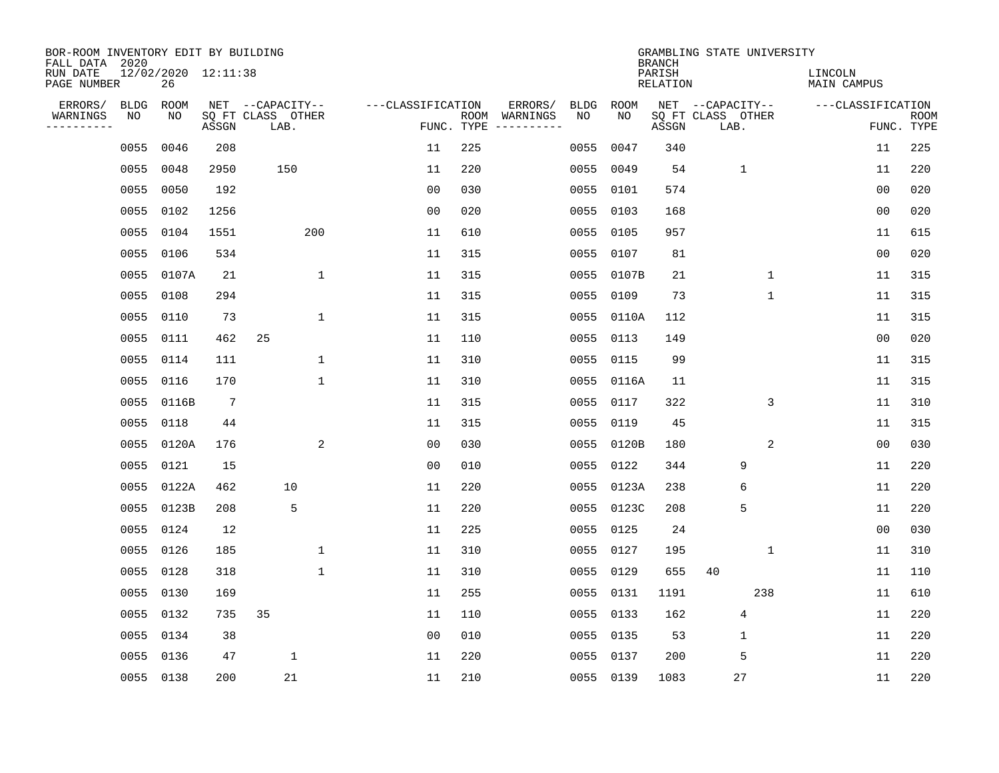| BOR-ROOM INVENTORY EDIT BY BUILDING<br>FALL DATA 2020 |                   |                           |                 |                                       |                   |     |                                                                                                            |                   |            | <b>BRANCH</b>             | GRAMBLING STATE UNIVERSITY            |                        |                |             |
|-------------------------------------------------------|-------------------|---------------------------|-----------------|---------------------------------------|-------------------|-----|------------------------------------------------------------------------------------------------------------|-------------------|------------|---------------------------|---------------------------------------|------------------------|----------------|-------------|
| RUN DATE<br>PAGE NUMBER                               |                   | 12/02/2020 12:11:38<br>26 |                 |                                       |                   |     |                                                                                                            |                   |            | PARISH<br><b>RELATION</b> |                                       | LINCOLN<br>MAIN CAMPUS |                |             |
| ERRORS/<br>WARNINGS                                   | <b>BLDG</b><br>NO | ROOM<br>NO                |                 | NET --CAPACITY--<br>SQ FT CLASS OTHER | ---CLASSIFICATION |     | ERRORS/<br>ROOM WARNINGS                                                                                   | <b>BLDG</b><br>NO | ROOM<br>NO |                           | NET --CAPACITY--<br>SQ FT CLASS OTHER | ---CLASSIFICATION      |                | <b>ROOM</b> |
| ---------                                             |                   |                           | ASSGN           | LAB.                                  | FUNC. TYPE        |     | $\begin{tabular}{ccccccccc} - & - & - & - & - & - & - & - \\ & - & - & - & - & - & - & - \\ \end{tabular}$ |                   |            | ASSGN                     | LAB.                                  |                        |                | FUNC. TYPE  |
|                                                       | 0055              | 0046                      | 208             |                                       | 11                | 225 |                                                                                                            | 0055              | 0047       | 340                       |                                       |                        | 11             | 225         |
|                                                       | 0055              | 0048                      | 2950            | 150                                   | 11                | 220 |                                                                                                            | 0055              | 0049       | 54                        | $\mathbf{1}$                          |                        | 11             | 220         |
|                                                       | 0055              | 0050                      | 192             |                                       | 0 <sub>0</sub>    | 030 |                                                                                                            | 0055              | 0101       | 574                       |                                       |                        | 0 <sub>0</sub> | 020         |
|                                                       | 0055              | 0102                      | 1256            |                                       | 0 <sub>0</sub>    | 020 |                                                                                                            | 0055              | 0103       | 168                       |                                       |                        | 0 <sub>0</sub> | 020         |
|                                                       | 0055              | 0104                      | 1551            | 200                                   | 11                | 610 |                                                                                                            | 0055              | 0105       | 957                       |                                       |                        | 11             | 615         |
|                                                       | 0055              | 0106                      | 534             |                                       | 11                | 315 |                                                                                                            | 0055              | 0107       | 81                        |                                       |                        | 0 <sub>0</sub> | 020         |
|                                                       |                   | 0055 0107A                | 21              | $\mathbf{1}$                          | 11                | 315 |                                                                                                            | 0055              | 0107B      | 21                        |                                       | $\mathbf{1}$           | 11             | 315         |
|                                                       |                   | 0055 0108                 | 294             |                                       | 11                | 315 |                                                                                                            | 0055              | 0109       | 73                        |                                       | $\mathbf{1}$           | 11             | 315         |
|                                                       | 0055              | 0110                      | 73              | 1                                     | 11                | 315 |                                                                                                            | 0055              | 0110A      | 112                       |                                       |                        | 11             | 315         |
|                                                       |                   | 0055 0111                 | 462             | 25                                    | 11                | 110 |                                                                                                            | 0055              | 0113       | 149                       |                                       |                        | 0 <sub>0</sub> | 020         |
|                                                       |                   | 0055 0114                 | 111             | $\mathbf 1$                           | 11                | 310 |                                                                                                            | 0055              | 0115       | 99                        |                                       |                        | 11             | 315         |
|                                                       |                   | 0055 0116                 | 170             | $\mathbf{1}$                          | 11                | 310 |                                                                                                            | 0055              | 0116A      | 11                        |                                       |                        | 11             | 315         |
|                                                       | 0055              | 0116B                     | $7\phantom{.0}$ |                                       | 11                | 315 |                                                                                                            | 0055              | 0117       | 322                       |                                       | 3                      | 11             | 310         |
|                                                       |                   | 0055 0118                 | 44              |                                       | 11                | 315 |                                                                                                            | 0055              | 0119       | 45                        |                                       |                        | 11             | 315         |
|                                                       |                   | 0055 0120A                | 176             | 2                                     | 0 <sub>0</sub>    | 030 |                                                                                                            | 0055              | 0120B      | 180                       |                                       | 2                      | 0 <sub>0</sub> | 030         |
|                                                       | 0055              | 0121                      | 15              |                                       | 00                | 010 |                                                                                                            | 0055              | 0122       | 344                       | 9                                     |                        | 11             | 220         |
|                                                       | 0055              | 0122A                     | 462             | 10                                    | 11                | 220 |                                                                                                            | 0055              | 0123A      | 238                       | 6                                     |                        | 11             | 220         |
|                                                       | 0055              | 0123B                     | 208             | 5                                     | 11                | 220 |                                                                                                            | 0055              | 0123C      | 208                       | 5                                     |                        | 11             | 220         |
|                                                       | 0055              | 0124                      | 12              |                                       | 11                | 225 |                                                                                                            | 0055              | 0125       | 24                        |                                       |                        | 00             | 030         |
|                                                       | 0055              | 0126                      | 185             | 1                                     | 11                | 310 |                                                                                                            | 0055              | 0127       | 195                       |                                       | 1                      | 11             | 310         |
|                                                       | 0055              | 0128                      | 318             | $\mathbf 1$                           | 11                | 310 |                                                                                                            | 0055              | 0129       | 655                       | 40                                    |                        | 11             | 110         |
|                                                       | 0055              | 0130                      | 169             |                                       | 11                | 255 |                                                                                                            | 0055              | 0131       | 1191                      | 238                                   |                        | 11             | 610         |
|                                                       | 0055              | 0132                      | 735             | 35                                    | 11                | 110 |                                                                                                            | 0055              | 0133       | 162                       | 4                                     |                        | 11             | 220         |
|                                                       | 0055              | 0134                      | 38              |                                       | 0 <sub>0</sub>    | 010 |                                                                                                            | 0055              | 0135       | 53                        | $\mathbf 1$                           |                        | 11             | 220         |
|                                                       | 0055              | 0136                      | 47              | $\mathbf 1$                           | 11                | 220 |                                                                                                            | 0055              | 0137       | 200                       | 5                                     |                        | 11             | 220         |
|                                                       |                   | 0055 0138                 | 200             | 21                                    | 11                | 210 |                                                                                                            |                   | 0055 0139  | 1083                      | 27                                    |                        | 11             | 220         |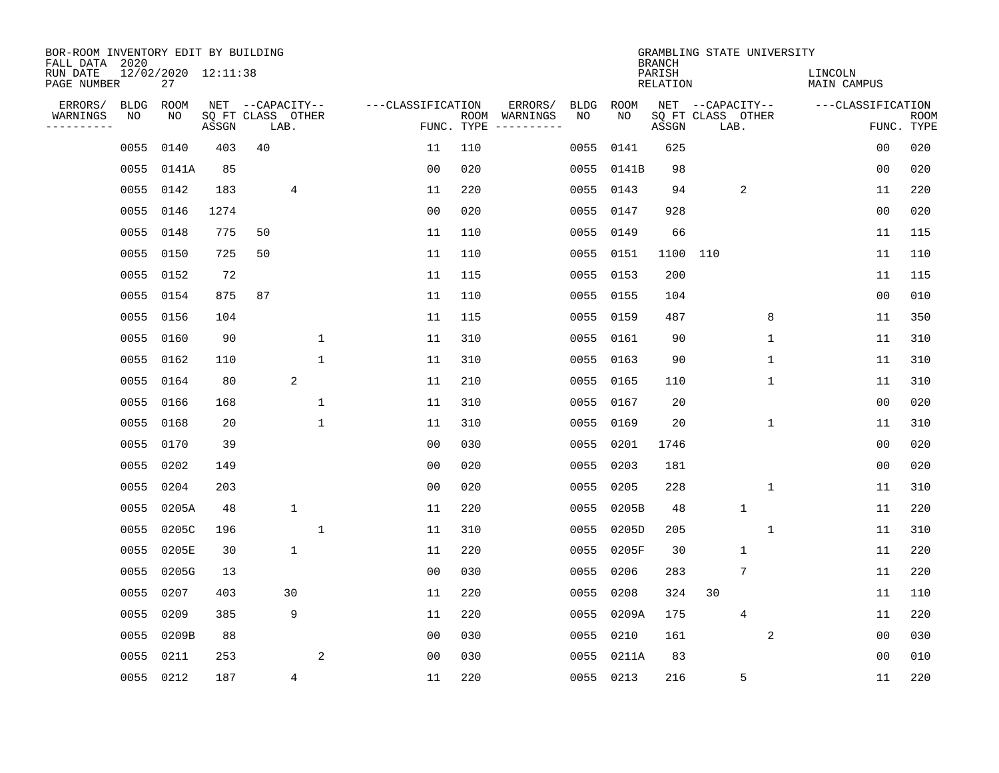| BOR-ROOM INVENTORY EDIT BY BUILDING<br>FALL DATA 2020<br>RUN DATE |                   | 12/02/2020 12:11:38 |       |                                               |              |                   |                    |                                          |             | <b>BRANCH</b><br>PARISH | GRAMBLING STATE UNIVERSITY                    |                | LINCOLN           |                           |
|-------------------------------------------------------------------|-------------------|---------------------|-------|-----------------------------------------------|--------------|-------------------|--------------------|------------------------------------------|-------------|-------------------------|-----------------------------------------------|----------------|-------------------|---------------------------|
| PAGE NUMBER                                                       |                   | 27                  |       |                                               |              |                   |                    |                                          |             | <b>RELATION</b>         |                                               |                | MAIN CAMPUS       |                           |
| ERRORS/<br>WARNINGS<br>. <u>.</u> .                               | <b>BLDG</b><br>NO | ROOM<br>NO          | ASSGN | NET --CAPACITY--<br>SQ FT CLASS OTHER<br>LAB. |              | ---CLASSIFICATION | ROOM<br>FUNC. TYPE | ERRORS/<br><b>BLDG</b><br>WARNINGS<br>NO | ROOM<br>NO. | ASSGN                   | NET --CAPACITY--<br>SQ FT CLASS OTHER<br>LAB. |                | ---CLASSIFICATION | <b>ROOM</b><br>FUNC. TYPE |
|                                                                   | 0055              | 0140                | 403   | 40                                            |              | 11                | 110                | 0055                                     | 0141        | 625                     |                                               |                | 0 <sub>0</sub>    | 020                       |
|                                                                   | 0055              | 0141A               | 85    |                                               |              | 0 <sub>0</sub>    | 020                | 0055                                     | 0141B       | 98                      |                                               |                | 0 <sub>0</sub>    | 020                       |
|                                                                   | 0055              | 0142                | 183   |                                               | 4            | 11                | 220                | 0055                                     | 0143        | 94                      | 2                                             |                | 11                | 220                       |
|                                                                   | 0055              | 0146                | 1274  |                                               |              | 0 <sub>0</sub>    | 020                | 0055                                     | 0147        | 928                     |                                               |                | 0 <sub>0</sub>    | 020                       |
|                                                                   | 0055              | 0148                | 775   | 50                                            |              | 11                | 110                | 0055                                     | 0149        | 66                      |                                               |                | 11                | 115                       |
|                                                                   | 0055              | 0150                | 725   | 50                                            |              | 11                | 110                | 0055                                     | 0151        | 1100                    | 110                                           |                | 11                | 110                       |
|                                                                   | 0055              | 0152                | 72    |                                               |              | 11                | 115                | 0055                                     | 0153        | 200                     |                                               |                | 11                | 115                       |
|                                                                   | 0055              | 0154                | 875   | 87                                            |              | 11                | 110                | 0055                                     | 0155        | 104                     |                                               |                | 00                | 010                       |
|                                                                   | 0055              | 0156                | 104   |                                               |              | 11                | 115                | 0055                                     | 0159        | 487                     |                                               | 8              | 11                | 350                       |
|                                                                   | 0055              | 0160                | 90    |                                               | 1            | 11                | 310                | 0055                                     | 0161        | 90                      |                                               | $\mathbf 1$    | 11                | 310                       |
|                                                                   | 0055              | 0162                | 110   |                                               | 1            | 11                | 310                | 0055                                     | 0163        | 90                      |                                               | $\mathbf{1}$   | 11                | 310                       |
|                                                                   | 0055              | 0164                | 80    |                                               | 2            | 11                | 210                | 0055                                     | 0165        | 110                     |                                               | $\mathbf 1$    | 11                | 310                       |
|                                                                   | 0055              | 0166                | 168   |                                               | 1            | 11                | 310                | 0055                                     | 0167        | 20                      |                                               |                | 0 <sub>0</sub>    | 020                       |
|                                                                   | 0055              | 0168                | 20    |                                               | 1            | 11                | 310                | 0055                                     | 0169        | 20                      |                                               | $\mathbf 1$    | 11                | 310                       |
|                                                                   | 0055              | 0170                | 39    |                                               |              | 0 <sub>0</sub>    | 030                | 0055                                     | 0201        | 1746                    |                                               |                | 0 <sub>0</sub>    | 020                       |
|                                                                   | 0055              | 0202                | 149   |                                               |              | 0 <sub>0</sub>    | 020                | 0055                                     | 0203        | 181                     |                                               |                | 0 <sub>0</sub>    | 020                       |
|                                                                   | 0055              | 0204                | 203   |                                               |              | 0 <sub>0</sub>    | 020                | 0055                                     | 0205        | 228                     |                                               | 1              | 11                | 310                       |
|                                                                   | 0055              | 0205A               | 48    |                                               | $\mathbf 1$  | 11                | 220                | 0055                                     | 0205B       | 48                      | $\mathbf{1}$                                  |                | 11                | 220                       |
|                                                                   | 0055              | 0205C               | 196   |                                               | $\mathbf{1}$ | 11                | 310                | 0055                                     | 0205D       | 205                     |                                               | 1              | 11                | 310                       |
|                                                                   | 0055              | 0205E               | 30    |                                               | 1            | 11                | 220                | 0055                                     | 0205F       | 30                      | $\mathbf{1}$                                  |                | 11                | 220                       |
|                                                                   | 0055              | 0205G               | 13    |                                               |              | 0 <sub>0</sub>    | 030                | 0055                                     | 0206        | 283                     | 7                                             |                | 11                | 220                       |
|                                                                   | 0055              | 0207                | 403   |                                               | 30           | 11                | 220                | 0055                                     | 0208        | 324                     | 30                                            |                | 11                | 110                       |
|                                                                   | 0055              | 0209                | 385   |                                               | 9            | 11                | 220                | 0055                                     | 0209A       | 175                     | 4                                             |                | 11                | 220                       |
|                                                                   | 0055              | 0209B               | 88    |                                               |              | 00                | 030                | 0055                                     | 0210        | 161                     |                                               | $\overline{a}$ | 00                | 030                       |
|                                                                   | 0055              | 0211                | 253   |                                               | 2            | 0 <sub>0</sub>    | 030                | 0055                                     | 0211A       | 83                      |                                               |                | 0 <sub>0</sub>    | 010                       |
|                                                                   | 0055              | 0212                | 187   |                                               | 4            | 11                | 220                |                                          | 0055 0213   | 216                     | 5                                             |                | 11                | 220                       |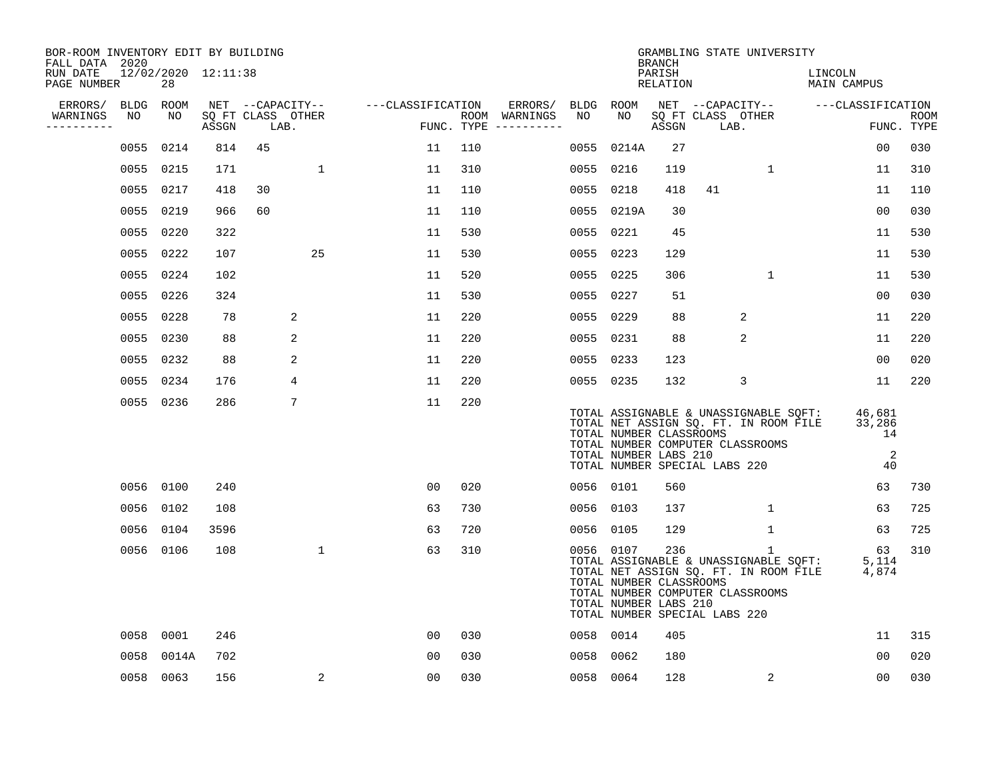| BOR-ROOM INVENTORY EDIT BY BUILDING<br>FALL DATA 2020 |           |                           |       |                           |             |                   |     |                                      |           |                                                  | <b>BRANCH</b>      |                               | GRAMBLING STATE UNIVERSITY                       |                                                                                |                                                |                           |
|-------------------------------------------------------|-----------|---------------------------|-------|---------------------------|-------------|-------------------|-----|--------------------------------------|-----------|--------------------------------------------------|--------------------|-------------------------------|--------------------------------------------------|--------------------------------------------------------------------------------|------------------------------------------------|---------------------------|
| RUN DATE<br>PAGE NUMBER                               |           | 12/02/2020 12:11:38<br>28 |       |                           |             |                   |     |                                      |           |                                                  | PARISH<br>RELATION |                               |                                                  |                                                                                | LINCOLN<br>MAIN CAMPUS                         |                           |
| ERRORS/                                               | BLDG      | ROOM                      |       | NET --CAPACITY--          |             | ---CLASSIFICATION |     | ERRORS/                              | BLDG ROOM |                                                  |                    |                               |                                                  |                                                                                | NET --CAPACITY-- ---CLASSIFICATION             |                           |
| WARNINGS<br>----------                                | NO        | NO                        | ASSGN | SQ FT CLASS OTHER<br>LAB. |             |                   |     | ROOM WARNINGS<br>FUNC. TYPE $------$ | NO        | NO                                               | ASSGN              | SQ FT CLASS OTHER<br>LAB.     |                                                  |                                                                                |                                                | <b>ROOM</b><br>FUNC. TYPE |
|                                                       |           | 0055 0214                 | 814   | 45                        |             | 11                | 110 |                                      | 0055      | 0214A                                            | 27                 |                               |                                                  |                                                                                | 0 <sub>0</sub>                                 | 030                       |
|                                                       |           | 0055 0215                 | 171   |                           | 1           | 11                | 310 |                                      | 0055 0216 |                                                  | 119                |                               | $\mathbf 1$                                      |                                                                                | 11                                             | 310                       |
|                                                       | 0055 0217 |                           | 418   | 30                        |             | 11                | 110 |                                      | 0055 0218 |                                                  | 418                | 41                            |                                                  |                                                                                | 11                                             | 110                       |
|                                                       |           | 0055 0219                 | 966   | 60                        |             | 11                | 110 |                                      |           | 0055 0219A                                       | 30                 |                               |                                                  |                                                                                | 00                                             | 030                       |
|                                                       |           | 0055 0220                 | 322   |                           |             | 11                | 530 |                                      | 0055 0221 |                                                  | 45                 |                               |                                                  |                                                                                | 11                                             | 530                       |
|                                                       |           | 0055 0222                 | 107   |                           | 25          | 11                | 530 |                                      | 0055 0223 |                                                  | 129                |                               |                                                  |                                                                                | 11                                             | 530                       |
|                                                       |           | 0055 0224                 | 102   |                           |             | 11                | 520 |                                      | 0055 0225 |                                                  | 306                |                               | $\mathbf{1}$                                     |                                                                                | 11                                             | 530                       |
|                                                       |           | 0055 0226                 | 324   |                           |             | 11                | 530 |                                      | 0055 0227 |                                                  | 51                 |                               |                                                  |                                                                                | 00                                             | 030                       |
|                                                       | 0055      | 0228                      | 78    | 2                         |             | 11                | 220 |                                      | 0055 0229 |                                                  | 88                 |                               | 2                                                |                                                                                | 11                                             | 220                       |
|                                                       |           | 0055 0230                 | 88    | 2                         |             | 11                | 220 |                                      | 0055 0231 |                                                  | 88                 |                               | 2                                                |                                                                                | 11                                             | 220                       |
|                                                       |           | 0055 0232                 | 88    | 2                         |             | 11                | 220 |                                      | 0055 0233 |                                                  | 123                |                               |                                                  |                                                                                | 00                                             | 020                       |
|                                                       |           | 0055 0234                 | 176   | 4                         |             | 11                | 220 |                                      | 0055 0235 |                                                  | 132                |                               | 3                                                |                                                                                | 11                                             | 220                       |
|                                                       |           | 0055 0236                 | 286   | 7                         |             | 11                | 220 |                                      |           | TOTAL NUMBER CLASSROOMS<br>TOTAL NUMBER LABS 210 |                    | TOTAL NUMBER SPECIAL LABS 220 | TOTAL NUMBER COMPUTER CLASSROOMS                 | TOTAL ASSIGNABLE & UNASSIGNABLE SQFT:<br>TOTAL NET ASSIGN SQ. FT. IN ROOM FILE | 46,681<br>33,286<br>14<br>$\overline{a}$<br>40 |                           |
|                                                       |           | 0056 0100                 | 240   |                           |             | 00                | 020 |                                      | 0056 0101 |                                                  | 560                |                               |                                                  |                                                                                | 63                                             | 730                       |
|                                                       |           | 0056 0102                 | 108   |                           |             | 63                | 730 |                                      | 0056 0103 |                                                  | 137                |                               | 1                                                |                                                                                | 63                                             | 725                       |
|                                                       |           | 0056 0104                 | 3596  |                           |             | 63                | 720 |                                      | 0056 0105 |                                                  | 129                |                               | $\mathbf{1}$                                     |                                                                                | 63                                             | 725                       |
|                                                       |           | 0056 0106                 | 108   |                           | $\mathbf 1$ | 63                | 310 |                                      | 0056 0107 | TOTAL NUMBER CLASSROOMS<br>TOTAL NUMBER LABS 210 | 236                | TOTAL NUMBER SPECIAL LABS 220 | $\mathbf{1}$<br>TOTAL NUMBER COMPUTER CLASSROOMS | TOTAL ASSIGNABLE & UNASSIGNABLE SOFT:<br>TOTAL NET ASSIGN SQ. FT. IN ROOM FILE | 63<br>5,114<br>4,874                           | 310                       |
|                                                       |           | 0058 0001                 | 246   |                           |             | 00                | 030 |                                      | 0058 0014 |                                                  | 405                |                               |                                                  |                                                                                | 11                                             | 315                       |
|                                                       | 0058      | 0014A                     | 702   |                           |             | 0 <sub>0</sub>    | 030 |                                      | 0058 0062 |                                                  | 180                |                               |                                                  |                                                                                | 00                                             | 020                       |
|                                                       |           | 0058 0063                 | 156   |                           | 2           | 00                | 030 |                                      | 0058 0064 |                                                  | 128                |                               | $\overline{a}$                                   |                                                                                | 00                                             | 030                       |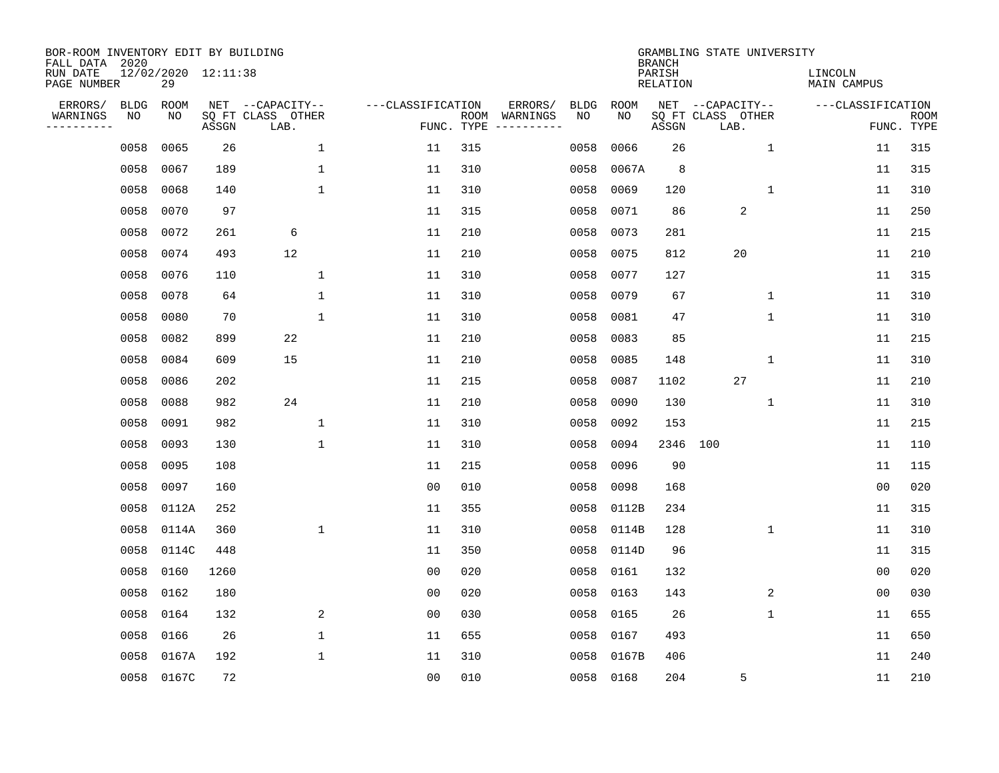| BOR-ROOM INVENTORY EDIT BY BUILDING<br>FALL DATA 2020 |                   |                           |       |                                       |                   |            |                                                                                                            |             | <b>BRANCH</b>             | GRAMBLING STATE UNIVERSITY            |                        |             |
|-------------------------------------------------------|-------------------|---------------------------|-------|---------------------------------------|-------------------|------------|------------------------------------------------------------------------------------------------------------|-------------|---------------------------|---------------------------------------|------------------------|-------------|
| RUN DATE<br>PAGE NUMBER                               |                   | 12/02/2020 12:11:38<br>29 |       |                                       |                   |            |                                                                                                            |             | PARISH<br><b>RELATION</b> |                                       | LINCOLN<br>MAIN CAMPUS |             |
| ERRORS/<br>WARNINGS                                   | <b>BLDG</b><br>NO | ROOM<br>ΝO                |       | NET --CAPACITY--<br>SQ FT CLASS OTHER | ---CLASSIFICATION | ROOM       | ERRORS/<br><b>BLDG</b><br>WARNINGS<br>NO                                                                   | ROOM<br>NO. |                           | NET --CAPACITY--<br>SQ FT CLASS OTHER | ---CLASSIFICATION      | <b>ROOM</b> |
| ---------                                             |                   |                           | ASSGN | LAB.                                  |                   | FUNC. TYPE | $\begin{tabular}{ccccccccc} - & - & - & - & - & - & - & - \\ & - & - & - & - & - & - & - \\ \end{tabular}$ |             | ASSGN                     | LAB.                                  |                        | FUNC. TYPE  |
|                                                       | 0058              | 0065                      | 26    | $\mathbf 1$                           | 11                | 315        | 0058                                                                                                       | 0066        | 26                        | $\mathbf{1}$                          | 11                     | 315         |
|                                                       | 0058              | 0067                      | 189   | $\mathbf{1}$                          | 11                | 310        | 0058                                                                                                       | 0067A       | 8                         |                                       | 11                     | 315         |
|                                                       | 0058              | 0068                      | 140   | $\mathbf{1}$                          | 11                | 310        | 0058                                                                                                       | 0069        | 120                       | $\mathbf{1}$                          | 11                     | 310         |
|                                                       | 0058              | 0070                      | 97    |                                       | 11                | 315        | 0058                                                                                                       | 0071        | 86                        | 2                                     | 11                     | 250         |
|                                                       | 0058              | 0072                      | 261   | 6                                     | 11                | 210        | 0058                                                                                                       | 0073        | 281                       |                                       | 11                     | 215         |
|                                                       | 0058              | 0074                      | 493   | 12                                    | 11                | 210        | 0058                                                                                                       | 0075        | 812                       | 20                                    | 11                     | 210         |
|                                                       | 0058              | 0076                      | 110   | $\mathbf 1$                           | 11                | 310        | 0058                                                                                                       | 0077        | 127                       |                                       | 11                     | 315         |
|                                                       | 0058              | 0078                      | 64    | 1                                     | 11                | 310        | 0058                                                                                                       | 0079        | 67                        | 1                                     | 11                     | 310         |
|                                                       | 0058              | 0080                      | 70    | $\mathbf 1$                           | 11                | 310        | 0058                                                                                                       | 0081        | 47                        | $\mathbf 1$                           | 11                     | 310         |
|                                                       | 0058              | 0082                      | 899   | 22                                    | 11                | 210        | 0058                                                                                                       | 0083        | 85                        |                                       | 11                     | 215         |
|                                                       | 0058              | 0084                      | 609   | 15                                    | 11                | 210        | 0058                                                                                                       | 0085        | 148                       | 1                                     | 11                     | 310         |
|                                                       | 0058              | 0086                      | 202   |                                       | 11                | 215        | 0058                                                                                                       | 0087        | 1102                      | 27                                    | 11                     | 210         |
|                                                       | 0058              | 0088                      | 982   | 24                                    | 11                | 210        | 0058                                                                                                       | 0090        | 130                       | 1                                     | 11                     | 310         |
|                                                       | 0058              | 0091                      | 982   | $\mathbf 1$                           | 11                | 310        | 0058                                                                                                       | 0092        | 153                       |                                       | 11                     | 215         |
|                                                       | 0058              | 0093                      | 130   | $\mathbf{1}$                          | 11                | 310        | 0058                                                                                                       | 0094        | 2346                      | 100                                   | 11                     | 110         |
|                                                       | 0058              | 0095                      | 108   |                                       | 11                | 215        | 0058                                                                                                       | 0096        | 90                        |                                       | 11                     | 115         |
|                                                       | 0058              | 0097                      | 160   |                                       | 0 <sub>0</sub>    | 010        | 0058                                                                                                       | 0098        | 168                       |                                       | 0 <sub>0</sub>         | 020         |
|                                                       | 0058              | 0112A                     | 252   |                                       | 11                | 355        | 0058                                                                                                       | 0112B       | 234                       |                                       | 11                     | 315         |
|                                                       | 0058              | 0114A                     | 360   | 1                                     | 11                | 310        | 0058                                                                                                       | 0114B       | 128                       | 1                                     | 11                     | 310         |
|                                                       | 0058              | 0114C                     | 448   |                                       | 11                | 350        | 0058                                                                                                       | 0114D       | 96                        |                                       | 11                     | 315         |
|                                                       | 0058              | 0160                      | 1260  |                                       | 0 <sub>0</sub>    | 020        | 0058                                                                                                       | 0161        | 132                       |                                       | 0 <sub>0</sub>         | 020         |
|                                                       | 0058              | 0162                      | 180   |                                       | 0 <sub>0</sub>    | 020        | 0058                                                                                                       | 0163        | 143                       | 2                                     | 0 <sub>0</sub>         | 030         |
|                                                       | 0058              | 0164                      | 132   | 2                                     | 0 <sub>0</sub>    | 030        | 0058                                                                                                       | 0165        | 26                        | 1                                     | 11                     | 655         |
|                                                       | 0058              | 0166                      | 26    | $\mathbf{1}$                          | 11                | 655        | 0058                                                                                                       | 0167        | 493                       |                                       | 11                     | 650         |
|                                                       | 0058              | 0167A                     | 192   | $\mathbf{1}$                          | 11                | 310        | 0058                                                                                                       | 0167B       | 406                       |                                       | 11                     | 240         |
|                                                       |                   | 0058 0167C                | 72    |                                       | 0 <sub>0</sub>    | 010        | 0058                                                                                                       | 0168        | 204                       | 5                                     | 11                     | 210         |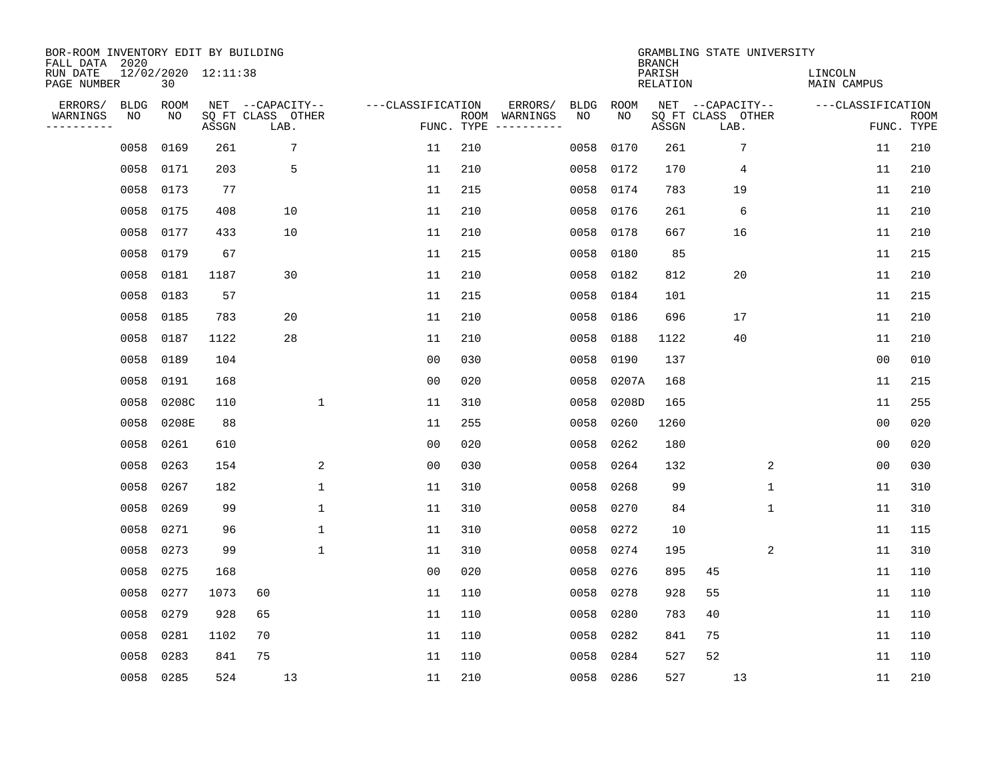| BOR-ROOM INVENTORY EDIT BY BUILDING<br>FALL DATA 2020 |             |                           |       |                           |                 |                   |                    |                                                                                                                        |             |             | <b>BRANCH</b>             | GRAMBLING STATE UNIVERSITY |   |                        |                           |
|-------------------------------------------------------|-------------|---------------------------|-------|---------------------------|-----------------|-------------------|--------------------|------------------------------------------------------------------------------------------------------------------------|-------------|-------------|---------------------------|----------------------------|---|------------------------|---------------------------|
| RUN DATE<br>PAGE NUMBER                               |             | 12/02/2020 12:11:38<br>30 |       |                           |                 |                   |                    |                                                                                                                        |             |             | PARISH<br><b>RELATION</b> |                            |   | LINCOLN<br>MAIN CAMPUS |                           |
| ERRORS/                                               | <b>BLDG</b> | ROOM                      |       | NET --CAPACITY--          |                 | ---CLASSIFICATION |                    | ERRORS/                                                                                                                | <b>BLDG</b> | ROOM<br>NO. |                           | NET --CAPACITY--           |   | ---CLASSIFICATION      |                           |
| WARNINGS<br>---------                                 | NO          | ΝO                        | ASSGN | SQ FT CLASS OTHER<br>LAB. |                 |                   | ROOM<br>FUNC. TYPE | WARNINGS<br>$\begin{tabular}{ccccccccc} - & - & - & - & - & - & - & - \\ & - & - & - & - & - & - & - \\ \end{tabular}$ | NO          |             | ASSGN                     | SQ FT CLASS OTHER<br>LAB.  |   |                        | <b>ROOM</b><br>FUNC. TYPE |
|                                                       | 0058        | 0169                      | 261   |                           | $7\phantom{.0}$ | 11                | 210                |                                                                                                                        | 0058        | 0170        | 261                       | 7                          |   | 11                     | 210                       |
|                                                       | 0058        | 0171                      | 203   |                           | 5               | 11                | 210                |                                                                                                                        | 0058        | 0172        | 170                       | 4                          |   | 11                     | 210                       |
|                                                       | 0058        | 0173                      | 77    |                           |                 | 11                | 215                |                                                                                                                        | 0058        | 0174        | 783                       | 19                         |   | 11                     | 210                       |
|                                                       | 0058        | 0175                      | 408   |                           | 10              | 11                | 210                |                                                                                                                        | 0058        | 0176        | 261                       | 6                          |   | 11                     | 210                       |
|                                                       | 0058        | 0177                      | 433   |                           | 10              | 11                | 210                |                                                                                                                        | 0058        | 0178        | 667                       | 16                         |   | 11                     | 210                       |
|                                                       | 0058        | 0179                      | 67    |                           |                 | 11                | 215                |                                                                                                                        | 0058        | 0180        | 85                        |                            |   | 11                     | 215                       |
|                                                       | 0058        | 0181                      | 1187  |                           | 30              | 11                | 210                |                                                                                                                        | 0058        | 0182        | 812                       | 20                         |   | 11                     | 210                       |
|                                                       | 0058        | 0183                      | 57    |                           |                 | 11                | 215                |                                                                                                                        | 0058        | 0184        | 101                       |                            |   | 11                     | 215                       |
|                                                       | 0058        | 0185                      | 783   |                           | 20              | 11                | 210                |                                                                                                                        | 0058        | 0186        | 696                       | 17                         |   | 11                     | 210                       |
|                                                       | 0058        | 0187                      | 1122  |                           | 28              | 11                | 210                |                                                                                                                        | 0058        | 0188        | 1122                      | 40                         |   | 11                     | 210                       |
|                                                       | 0058        | 0189                      | 104   |                           |                 | 0 <sub>0</sub>    | 030                |                                                                                                                        | 0058        | 0190        | 137                       |                            |   | 0 <sub>0</sub>         | 010                       |
|                                                       | 0058        | 0191                      | 168   |                           |                 | 0 <sub>0</sub>    | 020                |                                                                                                                        | 0058        | 0207A       | 168                       |                            |   | 11                     | 215                       |
|                                                       | 0058        | 0208C                     | 110   |                           | $\mathbf 1$     | 11                | 310                |                                                                                                                        | 0058        | 0208D       | 165                       |                            |   | 11                     | 255                       |
|                                                       | 0058        | 0208E                     | 88    |                           |                 | 11                | 255                |                                                                                                                        | 0058        | 0260        | 1260                      |                            |   | 0 <sub>0</sub>         | 020                       |
|                                                       | 0058        | 0261                      | 610   |                           |                 | 0 <sub>0</sub>    | 020                |                                                                                                                        | 0058        | 0262        | 180                       |                            |   | 0 <sub>0</sub>         | 020                       |
|                                                       | 0058        | 0263                      | 154   |                           | 2               | 0 <sub>0</sub>    | 030                |                                                                                                                        | 0058        | 0264        | 132                       |                            | 2 | 0 <sub>0</sub>         | 030                       |
|                                                       | 0058        | 0267                      | 182   |                           | $\mathbf 1$     | 11                | 310                |                                                                                                                        | 0058        | 0268        | 99                        |                            | 1 | 11                     | 310                       |
|                                                       | 0058        | 0269                      | 99    |                           | $\mathbf 1$     | 11                | 310                |                                                                                                                        | 0058        | 0270        | 84                        |                            | 1 | 11                     | 310                       |
|                                                       | 0058        | 0271                      | 96    |                           | 1               | 11                | 310                |                                                                                                                        | 0058        | 0272        | 10                        |                            |   | 11                     | 115                       |
|                                                       | 0058        | 0273                      | 99    |                           | $\mathbf{1}$    | 11                | 310                |                                                                                                                        | 0058        | 0274        | 195                       |                            | 2 | 11                     | 310                       |
|                                                       | 0058        | 0275                      | 168   |                           |                 | 0 <sub>0</sub>    | 020                |                                                                                                                        | 0058        | 0276        | 895                       | 45                         |   | 11                     | 110                       |
|                                                       | 0058        | 0277                      | 1073  | 60                        |                 | 11                | 110                |                                                                                                                        | 0058        | 0278        | 928                       | 55                         |   | 11                     | 110                       |
|                                                       | 0058        | 0279                      | 928   | 65                        |                 | 11                | 110                |                                                                                                                        | 0058        | 0280        | 783                       | 40                         |   | 11                     | 110                       |
|                                                       | 0058        | 0281                      | 1102  | 70                        |                 | 11                | 110                |                                                                                                                        | 0058        | 0282        | 841                       | 75                         |   | 11                     | 110                       |
|                                                       | 0058        | 0283                      | 841   | 75                        |                 | 11                | 110                |                                                                                                                        | 0058        | 0284        | 527                       | 52                         |   | 11                     | 110                       |
|                                                       | 0058 0285   |                           | 524   |                           | 13              | 11                | 210                |                                                                                                                        | 0058        | 0286        | 527                       | 13                         |   | 11                     | 210                       |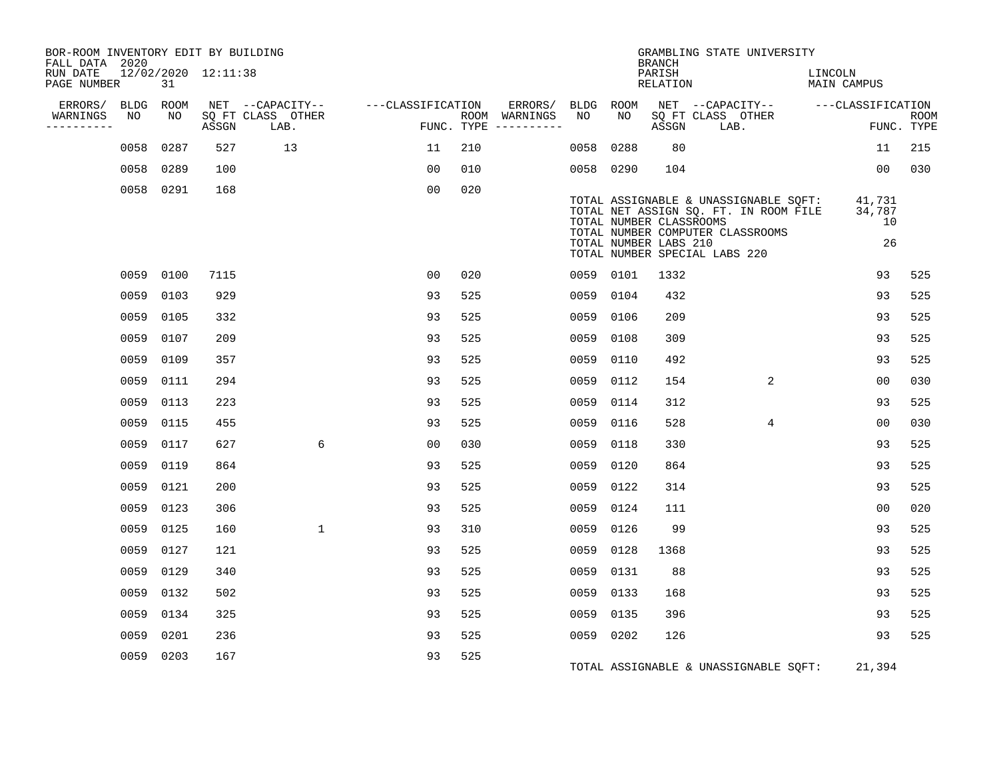| BOR-ROOM INVENTORY EDIT BY BUILDING<br>FALL DATA 2020 |    |           |                     |                           |                   |                |     |                                      |           |                                                                                   | <b>BRANCH</b>      | GRAMBLING STATE UNIVERSITY                                                                                         |                                    |                           |
|-------------------------------------------------------|----|-----------|---------------------|---------------------------|-------------------|----------------|-----|--------------------------------------|-----------|-----------------------------------------------------------------------------------|--------------------|--------------------------------------------------------------------------------------------------------------------|------------------------------------|---------------------------|
| RUN DATE<br>PAGE NUMBER                               |    | 31        | 12/02/2020 12:11:38 |                           |                   |                |     |                                      |           |                                                                                   | PARISH<br>RELATION |                                                                                                                    | LINCOLN<br>MAIN CAMPUS             |                           |
| ERRORS/ BLDG ROOM                                     |    |           |                     | NET --CAPACITY--          | ---CLASSIFICATION |                |     | ERRORS/ BLDG ROOM                    |           |                                                                                   |                    |                                                                                                                    | NET --CAPACITY-- ---CLASSIFICATION |                           |
| WARNINGS<br>----------                                | NO | NO        | ASSGN               | SQ FT CLASS OTHER<br>LAB. |                   |                |     | ROOM WARNINGS<br>FUNC. TYPE $------$ | NO        | NO                                                                                | ASSGN              | SQ FT CLASS OTHER<br>LAB.                                                                                          |                                    | <b>ROOM</b><br>FUNC. TYPE |
|                                                       |    | 0058 0287 | 527                 | 13                        |                   | 11             | 210 |                                      | 0058 0288 |                                                                                   | 80                 |                                                                                                                    | 11                                 | 215                       |
|                                                       |    | 0058 0289 | 100                 |                           |                   | 00             | 010 |                                      | 0058 0290 |                                                                                   | 104                |                                                                                                                    | 00                                 | 030                       |
|                                                       |    | 0058 0291 | 168                 |                           |                   | 0 <sub>0</sub> | 020 |                                      |           | TOTAL NUMBER CLASSROOMS<br>TOTAL NUMBER LABS 210<br>TOTAL NUMBER SPECIAL LABS 220 |                    | TOTAL ASSIGNABLE & UNASSIGNABLE SQFT:<br>TOTAL NET ASSIGN SQ. FT. IN ROOM FILE<br>TOTAL NUMBER COMPUTER CLASSROOMS | 41,731<br>34,787<br>10<br>26       |                           |
|                                                       |    | 0059 0100 | 7115                |                           |                   | 00             | 020 |                                      | 0059 0101 |                                                                                   | 1332               |                                                                                                                    | 93                                 | 525                       |
|                                                       |    | 0059 0103 | 929                 |                           |                   | 93             | 525 |                                      | 0059 0104 |                                                                                   | 432                |                                                                                                                    | 93                                 | 525                       |
|                                                       |    | 0059 0105 | 332                 |                           |                   | 93             | 525 |                                      | 0059 0106 |                                                                                   | 209                |                                                                                                                    | 93                                 | 525                       |
|                                                       |    | 0059 0107 | 209                 |                           |                   | 93             | 525 |                                      | 0059      | 0108                                                                              | 309                |                                                                                                                    | 93                                 | 525                       |
|                                                       |    | 0059 0109 | 357                 |                           |                   | 93             | 525 |                                      | 0059      | 0110                                                                              | 492                |                                                                                                                    | 93                                 | 525                       |
|                                                       |    | 0059 0111 | 294                 |                           |                   | 93             | 525 |                                      | 0059      | 0112                                                                              | 154                | $\overline{2}$                                                                                                     | 0 <sub>0</sub>                     | 030                       |
|                                                       |    | 0059 0113 | 223                 |                           |                   | 93             | 525 |                                      | 0059      | 0114                                                                              | 312                |                                                                                                                    | 93                                 | 525                       |
|                                                       |    | 0059 0115 | 455                 |                           |                   | 93             | 525 |                                      | 0059      | 0116                                                                              | 528                | 4                                                                                                                  | 00                                 | 030                       |
|                                                       |    | 0059 0117 | 627                 | 6                         |                   | 00             | 030 |                                      | 0059      | 0118                                                                              | 330                |                                                                                                                    | 93                                 | 525                       |
|                                                       |    | 0059 0119 | 864                 |                           |                   | 93             | 525 |                                      | 0059      | 0120                                                                              | 864                |                                                                                                                    | 93                                 | 525                       |
|                                                       |    | 0059 0121 | 200                 |                           |                   | 93             | 525 |                                      | 0059      | 0122                                                                              | 314                |                                                                                                                    | 93                                 | 525                       |
|                                                       |    | 0059 0123 | 306                 |                           |                   | 93             | 525 |                                      | 0059      | 0124                                                                              | 111                |                                                                                                                    | 0 <sub>0</sub>                     | 020                       |
|                                                       |    | 0059 0125 | 160                 | $\mathbf{1}$              |                   | 93             | 310 |                                      | 0059      | 0126                                                                              | 99                 |                                                                                                                    | 93                                 | 525                       |
|                                                       |    | 0059 0127 | 121                 |                           |                   | 93             | 525 |                                      | 0059      | 0128                                                                              | 1368               |                                                                                                                    | 93                                 | 525                       |
|                                                       |    | 0059 0129 | 340                 |                           |                   | 93             | 525 |                                      | 0059      | 0131                                                                              | 88                 |                                                                                                                    | 93                                 | 525                       |
|                                                       |    | 0059 0132 | 502                 |                           |                   | 93             | 525 |                                      | 0059 0133 |                                                                                   | 168                |                                                                                                                    | 93                                 | 525                       |
|                                                       |    | 0059 0134 | 325                 |                           |                   | 93             | 525 |                                      | 0059      | 0135                                                                              | 396                |                                                                                                                    | 93                                 | 525                       |
|                                                       |    | 0059 0201 | 236                 |                           |                   | 93             | 525 |                                      | 0059 0202 |                                                                                   | 126                |                                                                                                                    | 93                                 | 525                       |
|                                                       |    | 0059 0203 | 167                 |                           |                   | 93             | 525 |                                      |           |                                                                                   |                    | TOTAL ASSIGNABLE & UNASSIGNABLE SQFT:                                                                              | 21,394                             |                           |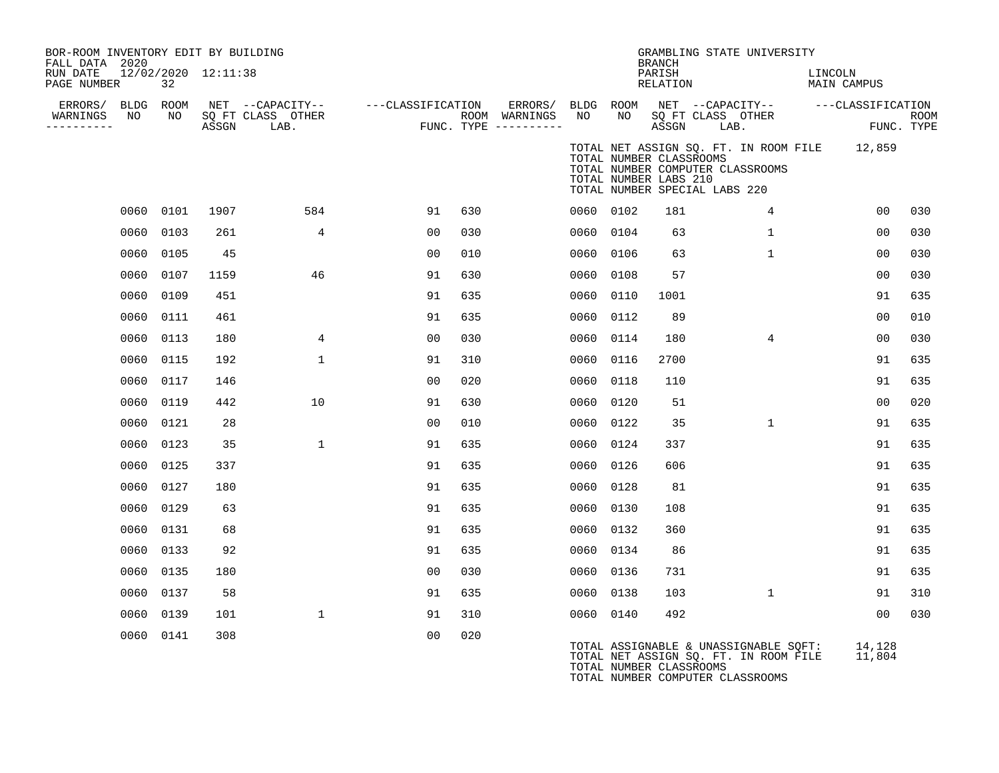| BOR-ROOM INVENTORY EDIT BY BUILDING<br>FALL DATA 2020             |           |                     |                                                     |                   |     |                                                 |           |                                                  | <b>BRANCH</b>      | GRAMBLING STATE UNIVERSITY                                                                                         |                        |             |
|-------------------------------------------------------------------|-----------|---------------------|-----------------------------------------------------|-------------------|-----|-------------------------------------------------|-----------|--------------------------------------------------|--------------------|--------------------------------------------------------------------------------------------------------------------|------------------------|-------------|
| RUN DATE<br>PAGE NUMBER                                           | 32        | 12/02/2020 12:11:38 |                                                     |                   |     |                                                 |           |                                                  | PARISH<br>RELATION |                                                                                                                    | LINCOLN<br>MAIN CAMPUS |             |
| ERRORS/ BLDG ROOM<br><b>NO</b><br>WARNINGS<br>$- - - - - - - - -$ | NO        |                     | NET --CAPACITY--<br>SQ FT CLASS OTHER<br>ASSGN LAB. | ---CLASSIFICATION |     | ERRORS/<br>ROOM WARNINGS<br>FUNC. TYPE $------$ | NO        | NO                                               |                    | BLDG ROOM NET --CAPACITY-- ---CLASSIFICATION<br>SQ FT CLASS OTHER<br>ASSGN LAB.                                    | FUNC. TYPE             | <b>ROOM</b> |
|                                                                   |           |                     |                                                     |                   |     |                                                 |           | TOTAL NUMBER CLASSROOMS<br>TOTAL NUMBER LABS 210 |                    | TOTAL NET ASSIGN SQ. FT. IN ROOM FILE 12,859<br>TOTAL NUMBER COMPUTER CLASSROOMS<br>TOTAL NUMBER SPECIAL LABS 220  |                        |             |
|                                                                   | 0060 0101 | 1907                | 584                                                 | 91                | 630 |                                                 |           | 0060 0102                                        | 181                | 4                                                                                                                  | 0 <sub>0</sub>         | 030         |
| 0060                                                              | 0103      | 261                 | $\overline{4}$                                      | 0 <sub>0</sub>    | 030 |                                                 | 0060 0104 |                                                  | 63                 | $\mathbf{1}$                                                                                                       | 00                     | 030         |
|                                                                   | 0060 0105 | 45                  |                                                     | 0 <sub>0</sub>    | 010 |                                                 | 0060 0106 |                                                  | 63                 | $\mathbf{1}$                                                                                                       | 00                     | 030         |
|                                                                   | 0060 0107 | 1159                | 46                                                  | 91                | 630 |                                                 | 0060      | 0108                                             | 57                 |                                                                                                                    | 00                     | 030         |
|                                                                   | 0060 0109 | 451                 |                                                     | 91                | 635 |                                                 | 0060      | 0110                                             | 1001               |                                                                                                                    | 91                     | 635         |
| 0060                                                              | 0111      | 461                 |                                                     | 91                | 635 |                                                 | 0060      | 0112                                             | 89                 |                                                                                                                    | 0 <sub>0</sub>         | 010         |
|                                                                   | 0060 0113 | 180                 | 4                                                   | 0 <sub>0</sub>    | 030 |                                                 | 0060 0114 |                                                  | 180                | $\overline{4}$                                                                                                     | 00                     | 030         |
|                                                                   | 0060 0115 | 192                 | $\mathbf{1}$                                        | 91                | 310 |                                                 | 0060 0116 |                                                  | 2700               |                                                                                                                    | 91                     | 635         |
| 0060                                                              | 0117      | 146                 |                                                     | 0 <sub>0</sub>    | 020 |                                                 | 0060      | 0118                                             | 110                |                                                                                                                    | 91                     | 635         |
| 0060                                                              | 0119      | 442                 | 10                                                  | 91                | 630 |                                                 | 0060      | 0120                                             | 51                 |                                                                                                                    | 0 <sub>0</sub>         | 020         |
|                                                                   | 0060 0121 | 28                  |                                                     | 0 <sub>0</sub>    | 010 |                                                 | 0060 0122 |                                                  | 35                 | $\mathbf{1}$                                                                                                       | 91                     | 635         |
| 0060                                                              | 0123      | 35                  | $\mathbf{1}$                                        | 91                | 635 |                                                 | 0060      | 0124                                             | 337                |                                                                                                                    | 91                     | 635         |
|                                                                   | 0060 0125 | 337                 |                                                     | 91                | 635 |                                                 | 0060 0126 |                                                  | 606                |                                                                                                                    | 91                     | 635         |
| 0060                                                              | 0127      | 180                 |                                                     | 91                | 635 |                                                 | 0060      | 0128                                             | 81                 |                                                                                                                    | 91                     | 635         |
|                                                                   | 0060 0129 | 63                  |                                                     | 91                | 635 |                                                 | 0060 0130 |                                                  | 108                |                                                                                                                    | 91                     | 635         |
| 0060                                                              | 0131      | 68                  |                                                     | 91                | 635 |                                                 | 0060 0132 |                                                  | 360                |                                                                                                                    | 91                     | 635         |
|                                                                   | 0060 0133 | 92                  |                                                     | 91                | 635 |                                                 | 0060 0134 |                                                  | 86                 |                                                                                                                    | 91                     | 635         |
| 0060                                                              | 0135      | 180                 |                                                     | 0 <sub>0</sub>    | 030 |                                                 | 0060 0136 |                                                  | 731                |                                                                                                                    | 91                     | 635         |
|                                                                   | 0060 0137 | 58                  |                                                     | 91                | 635 |                                                 | 0060 0138 |                                                  | 103                | $\mathbf{1}$                                                                                                       | 91                     | 310         |
| 0060                                                              | 0139      | 101                 | $\mathbf{1}$                                        | 91                | 310 |                                                 | 0060 0140 |                                                  | 492                |                                                                                                                    | 0 <sub>0</sub>         | 030         |
|                                                                   | 0060 0141 | 308                 |                                                     | 0 <sub>0</sub>    | 020 |                                                 |           | TOTAL NUMBER CLASSROOMS                          |                    | TOTAL ASSIGNABLE & UNASSIGNABLE SQFT:<br>TOTAL NET ASSIGN SQ. FT. IN ROOM FILE<br>TOTAL NUMBER COMPUTER CLASSROOMS | 14,128<br>11,804       |             |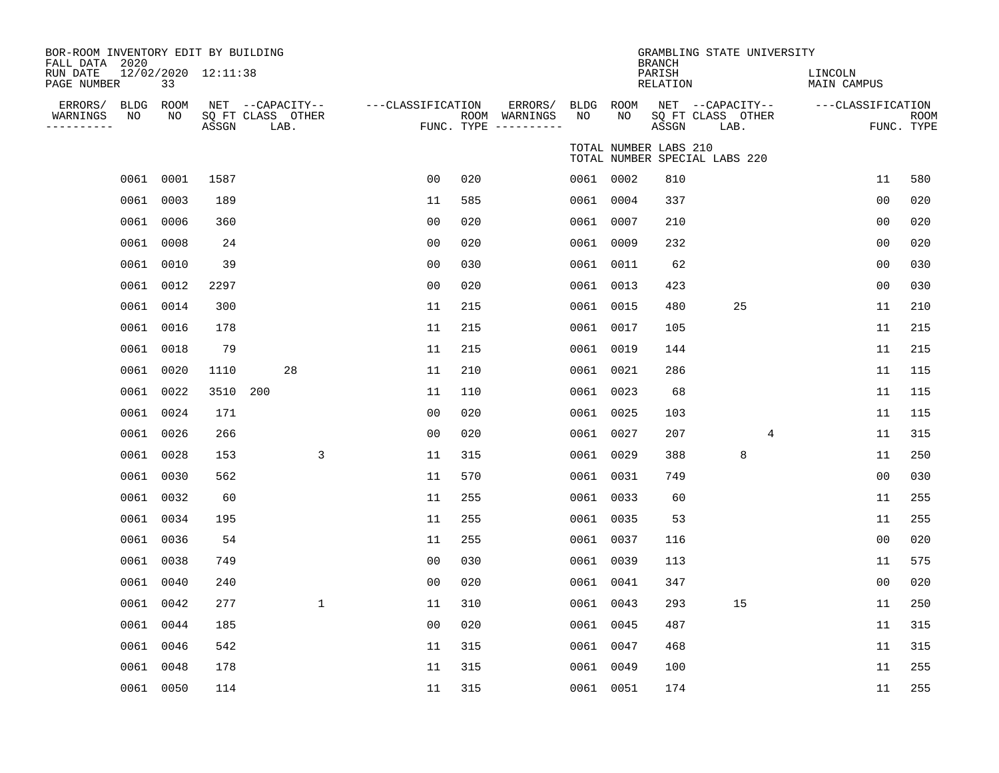| BOR-ROOM INVENTORY EDIT BY BUILDING       |    |                 |                     |                                               |                   |     |                                                   |            |                       |                                     | GRAMBLING STATE UNIVERSITY                    |                               |                |                           |
|-------------------------------------------|----|-----------------|---------------------|-----------------------------------------------|-------------------|-----|---------------------------------------------------|------------|-----------------------|-------------------------------------|-----------------------------------------------|-------------------------------|----------------|---------------------------|
| FALL DATA 2020<br>RUN DATE<br>PAGE NUMBER |    | 33              | 12/02/2020 12:11:38 |                                               |                   |     |                                                   |            |                       | <b>BRANCH</b><br>PARISH<br>RELATION |                                               | LINCOLN<br><b>MAIN CAMPUS</b> |                |                           |
| ERRORS/<br>WARNINGS<br>----------         | NO | BLDG ROOM<br>NO | ASSGN               | NET --CAPACITY--<br>SQ FT CLASS OTHER<br>LAB. | ---CLASSIFICATION |     | ERRORS/<br>ROOM WARNINGS<br>FUNC. TYPE ---------- | BLDG<br>NO | ROOM<br>NO.           | ASSGN                               | NET --CAPACITY--<br>SQ FT CLASS OTHER<br>LAB. | ---CLASSIFICATION             |                | <b>ROOM</b><br>FUNC. TYPE |
|                                           |    |                 |                     |                                               |                   |     |                                                   |            | TOTAL NUMBER LABS 210 |                                     | TOTAL NUMBER SPECIAL LABS 220                 |                               |                |                           |
|                                           |    | 0061 0001       | 1587                |                                               | 0 <sub>0</sub>    | 020 |                                                   |            | 0061 0002             | 810                                 |                                               |                               | 11             | 580                       |
|                                           |    | 0061 0003       | 189                 |                                               | 11                | 585 |                                                   |            | 0061 0004             | 337                                 |                                               |                               | 0 <sub>0</sub> | 020                       |
|                                           |    | 0061 0006       | 360                 |                                               | 0 <sub>0</sub>    | 020 |                                                   |            | 0061 0007             | 210                                 |                                               |                               | 00             | 020                       |
|                                           |    | 0061 0008       | 24                  |                                               | 0 <sub>0</sub>    | 020 |                                                   |            | 0061 0009             | 232                                 |                                               |                               | 0 <sub>0</sub> | 020                       |
|                                           |    | 0061 0010       | 39                  |                                               | 0 <sub>0</sub>    | 030 |                                                   |            | 0061 0011             | 62                                  |                                               |                               | 0 <sub>0</sub> | 030                       |
|                                           |    | 0061 0012       | 2297                |                                               | 0 <sub>0</sub>    | 020 |                                                   |            | 0061 0013             | 423                                 |                                               |                               | 0 <sub>0</sub> | 030                       |
|                                           |    | 0061 0014       | 300                 |                                               | 11                | 215 |                                                   |            | 0061 0015             | 480                                 | 25                                            |                               | 11             | 210                       |
|                                           |    | 0061 0016       | 178                 |                                               | 11                | 215 |                                                   |            | 0061 0017             | 105                                 |                                               |                               | 11             | 215                       |
|                                           |    | 0061 0018       | 79                  |                                               | 11                | 215 |                                                   |            | 0061 0019             | 144                                 |                                               |                               | 11             | 215                       |
|                                           |    | 0061 0020       | 1110                | 28                                            | 11                | 210 |                                                   |            | 0061 0021             | 286                                 |                                               |                               | 11             | 115                       |
|                                           |    | 0061 0022       | 3510 200            |                                               | 11                | 110 |                                                   |            | 0061 0023             | 68                                  |                                               |                               | 11             | 115                       |
|                                           |    | 0061 0024       | 171                 |                                               | 0 <sub>0</sub>    | 020 |                                                   |            | 0061 0025             | 103                                 |                                               |                               | 11             | 115                       |
|                                           |    | 0061 0026       | 266                 |                                               | 0 <sub>0</sub>    | 020 |                                                   |            | 0061 0027             | 207                                 | 4                                             |                               | 11             | 315                       |
|                                           |    | 0061 0028       | 153                 | 3                                             | 11                | 315 |                                                   |            | 0061 0029             | 388                                 | 8                                             |                               | 11             | 250                       |
|                                           |    | 0061 0030       | 562                 |                                               | 11                | 570 |                                                   |            | 0061 0031             | 749                                 |                                               |                               | 0 <sub>0</sub> | 030                       |
|                                           |    | 0061 0032       | 60                  |                                               | 11                | 255 |                                                   |            | 0061 0033             | 60                                  |                                               |                               | 11             | 255                       |
|                                           |    | 0061 0034       | 195                 |                                               | 11                | 255 |                                                   |            | 0061 0035             | 53                                  |                                               |                               | 11             | 255                       |
|                                           |    | 0061 0036       | 54                  |                                               | 11                | 255 |                                                   |            | 0061 0037             | 116                                 |                                               |                               | 0 <sub>0</sub> | 020                       |
|                                           |    | 0061 0038       | 749                 |                                               | 0 <sub>0</sub>    | 030 |                                                   |            | 0061 0039             | 113                                 |                                               |                               | 11             | 575                       |
|                                           |    | 0061 0040       | 240                 |                                               | 0 <sub>0</sub>    | 020 |                                                   |            | 0061 0041             | 347                                 |                                               |                               | 0 <sub>0</sub> | 020                       |
|                                           |    | 0061 0042       | 277                 | $\mathbf{1}$                                  | 11                | 310 |                                                   |            | 0061 0043             | 293                                 | 15                                            |                               | 11             | 250                       |
|                                           |    | 0061 0044       | 185                 |                                               | 0 <sub>0</sub>    | 020 |                                                   |            | 0061 0045             | 487                                 |                                               |                               | 11             | 315                       |
|                                           |    | 0061 0046       | 542                 |                                               | 11                | 315 |                                                   |            | 0061 0047             | 468                                 |                                               |                               | 11             | 315                       |
|                                           |    | 0061 0048       | 178                 |                                               | 11                | 315 |                                                   |            | 0061 0049             | 100                                 |                                               |                               | 11             | 255                       |
|                                           |    | 0061 0050       | 114                 |                                               | 11                | 315 |                                                   |            | 0061 0051             | 174                                 |                                               |                               | 11             | 255                       |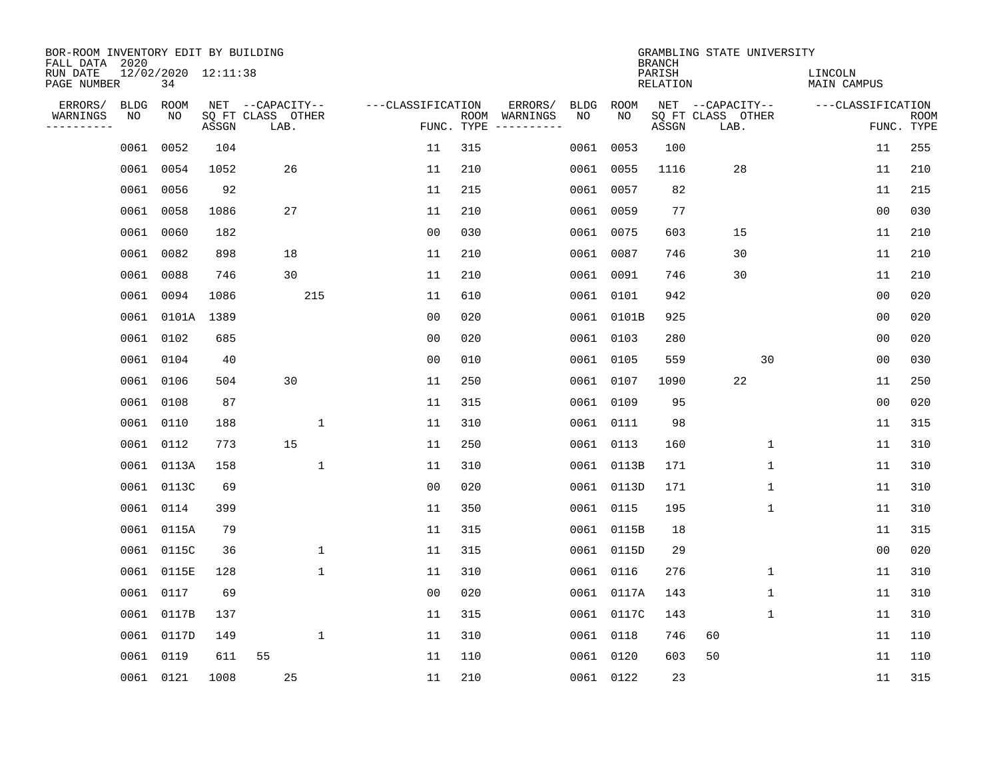| BOR-ROOM INVENTORY EDIT BY BUILDING<br>FALL DATA 2020 |                   |                           |       |                                               |                    |                    |                                          |            | <b>BRANCH</b>             | GRAMBLING STATE UNIVERSITY                    |                               |                           |
|-------------------------------------------------------|-------------------|---------------------------|-------|-----------------------------------------------|--------------------|--------------------|------------------------------------------|------------|---------------------------|-----------------------------------------------|-------------------------------|---------------------------|
| RUN DATE<br>PAGE NUMBER                               |                   | 12/02/2020 12:11:38<br>34 |       |                                               |                    |                    |                                          |            | PARISH<br><b>RELATION</b> |                                               | LINCOLN<br><b>MAIN CAMPUS</b> |                           |
| ERRORS/<br>WARNINGS<br>---------                      | <b>BLDG</b><br>NO | ROOM<br>NO                | ASSGN | NET --CAPACITY--<br>SQ FT CLASS OTHER<br>LAB. | ---CLASSIFICATION  | ROOM<br>FUNC. TYPE | ERRORS/<br><b>BLDG</b><br>WARNINGS<br>NO | ROOM<br>NO | ASSGN                     | NET --CAPACITY--<br>SQ FT CLASS OTHER<br>LAB. | ---CLASSIFICATION             | <b>ROOM</b><br>FUNC. TYPE |
|                                                       | 0061              | 0052                      | 104   |                                               | 11                 | 315                | 0061                                     | 0053       | 100                       |                                               | 11                            | 255                       |
|                                                       | 0061              | 0054                      | 1052  | 26                                            | 11                 | 210                |                                          | 0061 0055  | 1116                      | 28                                            | 11                            | 210                       |
|                                                       | 0061              | 0056                      | 92    |                                               | 11                 | 215                | 0061                                     | 0057       | 82                        |                                               | 11                            | 215                       |
|                                                       | 0061              | 0058                      | 1086  | 27                                            | 11                 | 210                |                                          | 0061 0059  | 77                        |                                               | 0 <sub>0</sub>                | 030                       |
|                                                       | 0061              | 0060                      | 182   |                                               | 0 <sub>0</sub>     | 030                | 0061                                     | 0075       | 603                       | 15                                            | 11                            | 210                       |
|                                                       | 0061              | 0082                      | 898   | 18                                            | 11                 | 210                |                                          | 0061 0087  | 746                       | 30                                            | 11                            | 210                       |
|                                                       | 0061              | 0088                      | 746   | 30                                            | 11                 | 210                | 0061                                     | 0091       | 746                       | 30                                            | 11                            | 210                       |
|                                                       | 0061              | 0094                      | 1086  | 215                                           | 11                 | 610                |                                          | 0061 0101  | 942                       |                                               | 0 <sub>0</sub>                | 020                       |
|                                                       | 0061              | 0101A                     | 1389  |                                               | 0 <sub>0</sub>     | 020                | 0061                                     | 0101B      | 925                       |                                               | 0 <sub>0</sub>                | 020                       |
|                                                       | 0061              | 0102                      | 685   |                                               | 00                 | 020                | 0061                                     | 0103       | 280                       |                                               | 0 <sub>0</sub>                | 020                       |
|                                                       | 0061              | 0104                      | 40    |                                               | 00                 | 010                | 0061                                     | 0105       | 559                       | 30                                            | 00                            | 030                       |
|                                                       | 0061              | 0106                      | 504   | 30                                            | 11                 | 250                | 0061                                     | 0107       | 1090                      | 22                                            | 11                            | 250                       |
|                                                       | 0061              | 0108                      | 87    |                                               | 11                 | 315                | 0061                                     | 0109       | 95                        |                                               | 0 <sub>0</sub>                | 020                       |
|                                                       | 0061              | 0110                      | 188   |                                               | 1<br>11            | 310                | 0061                                     | 0111       | 98                        |                                               | 11                            | 315                       |
|                                                       | 0061              | 0112                      | 773   | 15                                            | 11                 | 250                | 0061                                     | 0113       | 160                       | $\mathbf 1$                                   | 11                            | 310                       |
|                                                       | 0061              | 0113A                     | 158   |                                               | $\mathbf{1}$<br>11 | 310                | 0061                                     | 0113B      | 171                       | 1                                             | 11                            | 310                       |
|                                                       | 0061              | 0113C                     | 69    |                                               | 0 <sub>0</sub>     | 020                | 0061                                     | 0113D      | 171                       | 1                                             | 11                            | 310                       |
|                                                       | 0061              | 0114                      | 399   |                                               | 11                 | 350                | 0061                                     | 0115       | 195                       | $\mathbf{1}$                                  | 11                            | 310                       |
|                                                       | 0061              | 0115A                     | 79    |                                               | 11                 | 315                |                                          | 0061 0115B | 18                        |                                               | 11                            | 315                       |
|                                                       | 0061              | 0115C                     | 36    |                                               | 1<br>11            | 315                |                                          | 0061 0115D | 29                        |                                               | 0 <sub>0</sub>                | 020                       |
|                                                       | 0061              | 0115E                     | 128   |                                               | 1<br>11            | 310                |                                          | 0061 0116  | 276                       | 1                                             | 11                            | 310                       |
|                                                       | 0061              | 0117                      | 69    |                                               | 0 <sub>0</sub>     | 020                | 0061                                     | 0117A      | 143                       | $\mathbf 1$                                   | 11                            | 310                       |
|                                                       | 0061              | 0117B                     | 137   |                                               | 11                 | 315                |                                          | 0061 0117C | 143                       | 1                                             | 11                            | 310                       |
|                                                       | 0061              | 0117D                     | 149   |                                               | $\mathbf{1}$<br>11 | 310                |                                          | 0061 0118  | 746                       | 60                                            | 11                            | 110                       |
|                                                       | 0061              | 0119                      | 611   | 55                                            | 11                 | 110                |                                          | 0061 0120  | 603                       | 50                                            | 11                            | 110                       |
|                                                       | 0061 0121         |                           | 1008  | 25                                            | 11                 | 210                |                                          | 0061 0122  | 23                        |                                               | 11                            | 315                       |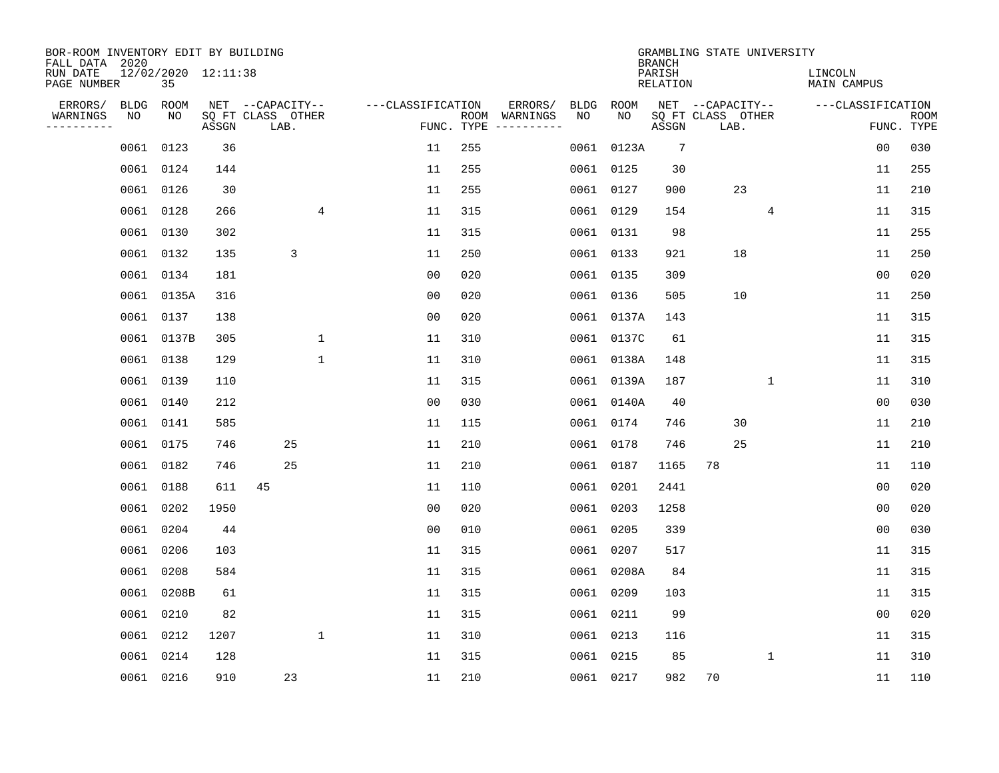| BOR-ROOM INVENTORY EDIT BY BUILDING<br>FALL DATA 2020 |             |                           |       |                           |              |                   |                    |                         |             |            | <b>BRANCH</b>             | GRAMBLING STATE UNIVERSITY |              |                               |                |                           |
|-------------------------------------------------------|-------------|---------------------------|-------|---------------------------|--------------|-------------------|--------------------|-------------------------|-------------|------------|---------------------------|----------------------------|--------------|-------------------------------|----------------|---------------------------|
| RUN DATE<br>PAGE NUMBER                               |             | 12/02/2020 12:11:38<br>35 |       |                           |              |                   |                    |                         |             |            | PARISH<br><b>RELATION</b> |                            |              | LINCOLN<br><b>MAIN CAMPUS</b> |                |                           |
| ERRORS/                                               | <b>BLDG</b> | ROOM                      |       | NET --CAPACITY--          |              | ---CLASSIFICATION |                    | ERRORS/                 | <b>BLDG</b> | ROOM       |                           | NET --CAPACITY--           |              | ---CLASSIFICATION             |                |                           |
| WARNINGS<br>----------                                | NO          | NO                        | ASSGN | SQ FT CLASS OTHER<br>LAB. |              |                   | ROOM<br>FUNC. TYPE | WARNINGS<br>----------- | NO          | NO         | ASSGN                     | SQ FT CLASS OTHER<br>LAB.  |              |                               |                | <b>ROOM</b><br>FUNC. TYPE |
|                                                       | 0061        | 0123                      | 36    |                           |              | 11                | 255                |                         | 0061        | 0123A      | $7\phantom{.0}$           |                            |              |                               | 00             | 030                       |
|                                                       | 0061        | 0124                      | 144   |                           |              | 11                | 255                |                         |             | 0061 0125  | 30                        |                            |              |                               | 11             | 255                       |
|                                                       | 0061        | 0126                      | 30    |                           |              | 11                | 255                |                         |             | 0061 0127  | 900                       | 23                         |              |                               | 11             | 210                       |
|                                                       | 0061        | 0128                      | 266   |                           | 4            | 11                | 315                |                         |             | 0061 0129  | 154                       |                            | 4            |                               | 11             | 315                       |
|                                                       | 0061        | 0130                      | 302   |                           |              | 11                | 315                |                         |             | 0061 0131  | 98                        |                            |              |                               | 11             | 255                       |
|                                                       | 0061        | 0132                      | 135   | 3                         |              | 11                | 250                |                         |             | 0061 0133  | 921                       | 18                         |              |                               | 11             | 250                       |
|                                                       | 0061        | 0134                      | 181   |                           |              | 0 <sub>0</sub>    | 020                |                         |             | 0061 0135  | 309                       |                            |              |                               | 00             | 020                       |
|                                                       | 0061        | 0135A                     | 316   |                           |              | 0 <sub>0</sub>    | 020                |                         |             | 0061 0136  | 505                       | 10                         |              |                               | 11             | 250                       |
|                                                       | 0061        | 0137                      | 138   |                           |              | 0 <sub>0</sub>    | 020                |                         |             | 0061 0137A | 143                       |                            |              |                               | 11             | 315                       |
|                                                       | 0061        | 0137B                     | 305   |                           | 1            | 11                | 310                |                         |             | 0061 0137C | 61                        |                            |              |                               | 11             | 315                       |
|                                                       | 0061        | 0138                      | 129   |                           | $\mathbf{1}$ | 11                | 310                |                         | 0061        | 0138A      | 148                       |                            |              |                               | 11             | 315                       |
|                                                       | 0061        | 0139                      | 110   |                           |              | 11                | 315                |                         |             | 0061 0139A | 187                       |                            | $\mathbf{1}$ |                               | 11             | 310                       |
|                                                       | 0061        | 0140                      | 212   |                           |              | 0 <sub>0</sub>    | 030                |                         | 0061        | 0140A      | 40                        |                            |              |                               | 0 <sub>0</sub> | 030                       |
|                                                       | 0061        | 0141                      | 585   |                           |              | 11                | 115                |                         | 0061        | 0174       | 746                       | 30                         |              |                               | 11             | 210                       |
|                                                       | 0061        | 0175                      | 746   | 25                        |              | 11                | 210                |                         | 0061        | 0178       | 746                       | 25                         |              |                               | 11             | 210                       |
|                                                       | 0061        | 0182                      | 746   | 25                        |              | 11                | 210                |                         | 0061        | 0187       | 1165                      | 78                         |              |                               | 11             | 110                       |
|                                                       | 0061        | 0188                      | 611   | 45                        |              | 11                | 110                |                         | 0061        | 0201       | 2441                      |                            |              |                               | 0 <sub>0</sub> | 020                       |
|                                                       | 0061        | 0202                      | 1950  |                           |              | 0 <sub>0</sub>    | 020                |                         | 0061        | 0203       | 1258                      |                            |              |                               | 0 <sub>0</sub> | 020                       |
|                                                       | 0061        | 0204                      | 44    |                           |              | 0 <sub>0</sub>    | 010                |                         | 0061        | 0205       | 339                       |                            |              |                               | 0 <sub>0</sub> | 030                       |
|                                                       | 0061        | 0206                      | 103   |                           |              | 11                | 315                |                         | 0061        | 0207       | 517                       |                            |              |                               | 11             | 315                       |
|                                                       | 0061        | 0208                      | 584   |                           |              | 11                | 315                |                         | 0061        | 0208A      | 84                        |                            |              |                               | 11             | 315                       |
|                                                       | 0061        | 0208B                     | 61    |                           |              | 11                | 315                |                         | 0061        | 0209       | 103                       |                            |              |                               | 11             | 315                       |
|                                                       | 0061        | 0210                      | 82    |                           |              | 11                | 315                |                         | 0061        | 0211       | 99                        |                            |              |                               | 0 <sub>0</sub> | 020                       |
|                                                       | 0061        | 0212                      | 1207  |                           | $\mathbf{1}$ | 11                | 310                |                         |             | 0061 0213  | 116                       |                            |              |                               | 11             | 315                       |
|                                                       | 0061        | 0214                      | 128   |                           |              | 11                | 315                |                         | 0061        | 0215       | 85                        |                            | 1            |                               | 11             | 310                       |
|                                                       |             | 0061 0216                 | 910   | 23                        |              | 11                | 210                |                         |             | 0061 0217  | 982                       | 70                         |              |                               | 11             | 110                       |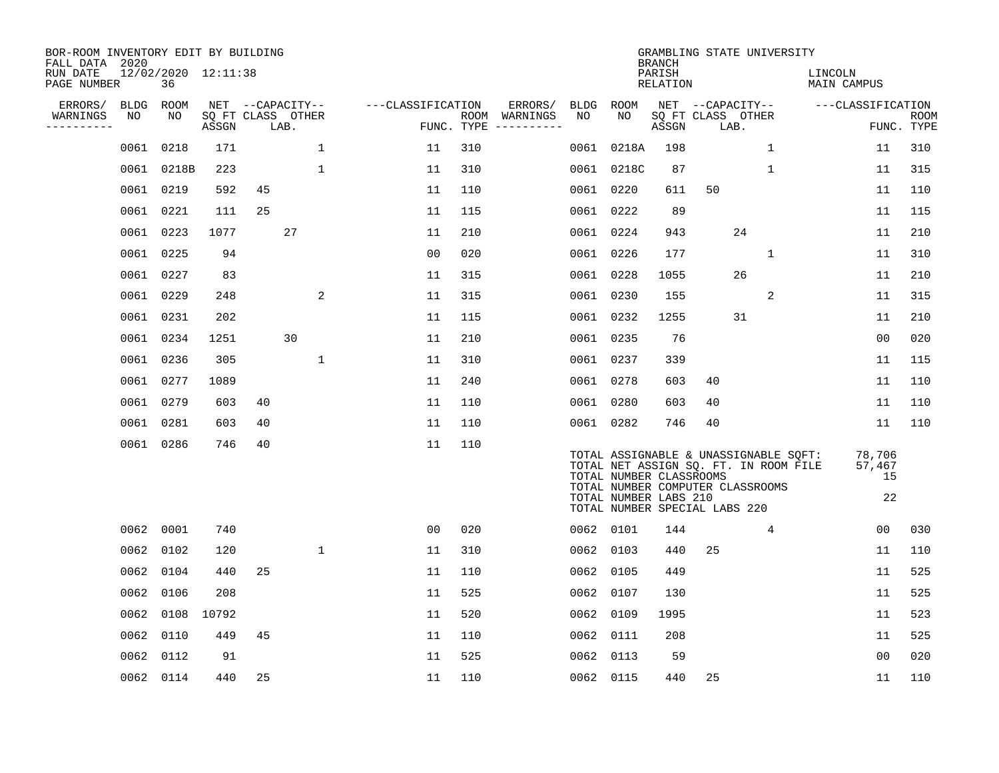| BOR-ROOM INVENTORY EDIT BY BUILDING<br>FALL DATA 2020 |             |                           |       |    |                           |              |                   |            |                                                                                                                                                                                                                                                                                                                                                                                                                                                                          |           |                                                                                                                                                                                                         | <b>BRANCH</b>      | GRAMBLING STATE UNIVERSITY |      |              |                        |                              |                           |
|-------------------------------------------------------|-------------|---------------------------|-------|----|---------------------------|--------------|-------------------|------------|--------------------------------------------------------------------------------------------------------------------------------------------------------------------------------------------------------------------------------------------------------------------------------------------------------------------------------------------------------------------------------------------------------------------------------------------------------------------------|-----------|---------------------------------------------------------------------------------------------------------------------------------------------------------------------------------------------------------|--------------------|----------------------------|------|--------------|------------------------|------------------------------|---------------------------|
| RUN DATE<br>PAGE NUMBER                               |             | 12/02/2020 12:11:38<br>36 |       |    |                           |              |                   |            |                                                                                                                                                                                                                                                                                                                                                                                                                                                                          |           |                                                                                                                                                                                                         | PARISH<br>RELATION |                            |      |              | LINCOLN<br>MAIN CAMPUS |                              |                           |
| ERRORS/                                               | <b>BLDG</b> | ROOM                      |       |    | NET --CAPACITY--          |              | ---CLASSIFICATION |            | ERRORS/                                                                                                                                                                                                                                                                                                                                                                                                                                                                  | BLDG      | ROOM                                                                                                                                                                                                    |                    | NET --CAPACITY--           |      |              | ---CLASSIFICATION      |                              |                           |
| WARNINGS<br>----------                                | NO          | NO                        | ASSGN |    | SQ FT CLASS OTHER<br>LAB. |              |                   | FUNC. TYPE | ROOM WARNINGS<br>$\begin{tabular}{ccccccccc} \multicolumn{2}{c }{\textbf{1} } & \multicolumn{2}{c }{\textbf{2} } & \multicolumn{2}{c }{\textbf{3} } & \multicolumn{2}{c }{\textbf{4} } & \multicolumn{2}{c }{\textbf{5} } & \multicolumn{2}{c }{\textbf{6} } & \multicolumn{2}{c }{\textbf{7} } & \multicolumn{2}{c }{\textbf{8} } & \multicolumn{2}{c }{\textbf{9} } & \multicolumn{2}{c }{\textbf{1} } & \multicolumn{2}{c }{\textbf{1} } & \multicolumn{2}{c }{\text$ | NO        | NO                                                                                                                                                                                                      | ASSGN              | SQ FT CLASS OTHER          | LAB. |              |                        |                              | <b>ROOM</b><br>FUNC. TYPE |
|                                                       | 0061        | 0218                      | 171   |    |                           | $\mathbf{1}$ | 11                | 310        |                                                                                                                                                                                                                                                                                                                                                                                                                                                                          | 0061      | 0218A                                                                                                                                                                                                   | 198                |                            |      | $\mathbf{1}$ |                        | 11                           | 310                       |
|                                                       |             | 0061 0218B                | 223   |    | 1                         |              | 11                | 310        |                                                                                                                                                                                                                                                                                                                                                                                                                                                                          |           | 0061 0218C                                                                                                                                                                                              | 87                 |                            |      | $\mathbf{1}$ |                        | 11                           | 315                       |
|                                                       | 0061 0219   |                           | 592   | 45 |                           |              | 11                | 110        |                                                                                                                                                                                                                                                                                                                                                                                                                                                                          |           | 0061 0220                                                                                                                                                                                               | 611                | 50                         |      |              |                        | 11                           | 110                       |
|                                                       | 0061 0221   |                           | 111   | 25 |                           |              | 11                | 115        |                                                                                                                                                                                                                                                                                                                                                                                                                                                                          |           | 0061 0222                                                                                                                                                                                               | 89                 |                            |      |              |                        | 11                           | 115                       |
|                                                       | 0061 0223   |                           | 1077  |    | 27                        |              | 11                | 210        |                                                                                                                                                                                                                                                                                                                                                                                                                                                                          |           | 0061 0224                                                                                                                                                                                               | 943                |                            | 24   |              |                        | 11                           | 210                       |
|                                                       | 0061 0225   |                           | 94    |    |                           |              | 0 <sub>0</sub>    | 020        |                                                                                                                                                                                                                                                                                                                                                                                                                                                                          |           | 0061 0226                                                                                                                                                                                               | 177                |                            |      | 1            |                        | 11                           | 310                       |
|                                                       | 0061 0227   |                           | 83    |    |                           |              | 11                | 315        |                                                                                                                                                                                                                                                                                                                                                                                                                                                                          | 0061 0228 |                                                                                                                                                                                                         | 1055               |                            | 26   |              |                        | 11                           | 210                       |
|                                                       | 0061 0229   |                           | 248   |    |                           | 2            | 11                | 315        |                                                                                                                                                                                                                                                                                                                                                                                                                                                                          | 0061 0230 |                                                                                                                                                                                                         | 155                |                            |      | 2            |                        | 11                           | 315                       |
|                                                       | 0061 0231   |                           | 202   |    |                           |              | 11                | 115        |                                                                                                                                                                                                                                                                                                                                                                                                                                                                          |           | 0061 0232                                                                                                                                                                                               | 1255               |                            | 31   |              |                        | 11                           | 210                       |
|                                                       | 0061 0234   |                           | 1251  |    | 30                        |              | 11                | 210        |                                                                                                                                                                                                                                                                                                                                                                                                                                                                          |           | 0061 0235                                                                                                                                                                                               | 76                 |                            |      |              |                        | 0 <sub>0</sub>               | 020                       |
|                                                       | 0061 0236   |                           | 305   |    | 1                         |              | 11                | 310        |                                                                                                                                                                                                                                                                                                                                                                                                                                                                          | 0061 0237 |                                                                                                                                                                                                         | 339                |                            |      |              |                        | 11                           | 115                       |
|                                                       | 0061 0277   |                           | 1089  |    |                           |              | 11                | 240        |                                                                                                                                                                                                                                                                                                                                                                                                                                                                          | 0061 0278 |                                                                                                                                                                                                         | 603                | 40                         |      |              |                        | 11                           | 110                       |
|                                                       | 0061 0279   |                           | 603   | 40 |                           |              | 11                | 110        |                                                                                                                                                                                                                                                                                                                                                                                                                                                                          | 0061      | 0280                                                                                                                                                                                                    | 603                | 40                         |      |              |                        | 11                           | 110                       |
|                                                       | 0061 0281   |                           | 603   | 40 |                           |              | 11                | 110        |                                                                                                                                                                                                                                                                                                                                                                                                                                                                          |           | 0061 0282                                                                                                                                                                                               | 746                | 40                         |      |              |                        | 11                           | 110                       |
|                                                       |             | 0061 0286                 | 746   | 40 |                           |              | 11                | 110        |                                                                                                                                                                                                                                                                                                                                                                                                                                                                          |           | TOTAL ASSIGNABLE & UNASSIGNABLE SQFT:<br>TOTAL NET ASSIGN SQ. FT. IN ROOM FILE<br>TOTAL NUMBER CLASSROOMS<br>TOTAL NUMBER COMPUTER CLASSROOMS<br>TOTAL NUMBER LABS 210<br>TOTAL NUMBER SPECIAL LABS 220 |                    |                            |      |              |                        | 78,706<br>57,467<br>15<br>22 |                           |
|                                                       | 0062 0001   |                           | 740   |    |                           |              | 0 <sub>0</sub>    | 020        |                                                                                                                                                                                                                                                                                                                                                                                                                                                                          |           | 0062 0101                                                                                                                                                                                               | 144                |                            |      | 4            |                        | 00                           | 030                       |
|                                                       |             | 0062 0102                 | 120   |    |                           | $\mathbf{1}$ | 11                | 310        |                                                                                                                                                                                                                                                                                                                                                                                                                                                                          | 0062 0103 |                                                                                                                                                                                                         | 440                | 25                         |      |              |                        | 11                           | 110                       |
|                                                       | 0062 0104   |                           | 440   | 25 |                           |              | 11                | 110        |                                                                                                                                                                                                                                                                                                                                                                                                                                                                          | 0062 0105 |                                                                                                                                                                                                         | 449                |                            |      |              |                        | 11                           | 525                       |
|                                                       | 0062        | 0106                      | 208   |    |                           |              | 11                | 525        |                                                                                                                                                                                                                                                                                                                                                                                                                                                                          | 0062      | 0107                                                                                                                                                                                                    | 130                |                            |      |              |                        | 11                           | 525                       |
|                                                       | 0062        | 0108                      | 10792 |    |                           |              | 11                | 520        |                                                                                                                                                                                                                                                                                                                                                                                                                                                                          | 0062      | 0109                                                                                                                                                                                                    | 1995               |                            |      |              |                        | 11                           | 523                       |
|                                                       | 0062        | 0110                      | 449   | 45 |                           |              | 11                | 110        |                                                                                                                                                                                                                                                                                                                                                                                                                                                                          | 0062      | 0111                                                                                                                                                                                                    | 208                |                            |      |              |                        | 11                           | 525                       |
|                                                       | 0062        | 0112                      | 91    |    |                           |              | 11                | 525        |                                                                                                                                                                                                                                                                                                                                                                                                                                                                          | 0062      | 0113                                                                                                                                                                                                    | 59                 |                            |      |              |                        | 0 <sub>0</sub>               | 020                       |
|                                                       |             | 0062 0114                 | 440   | 25 |                           |              | 11                | 110        |                                                                                                                                                                                                                                                                                                                                                                                                                                                                          | 0062 0115 |                                                                                                                                                                                                         | 440                | 25                         |      |              |                        | 11                           | 110                       |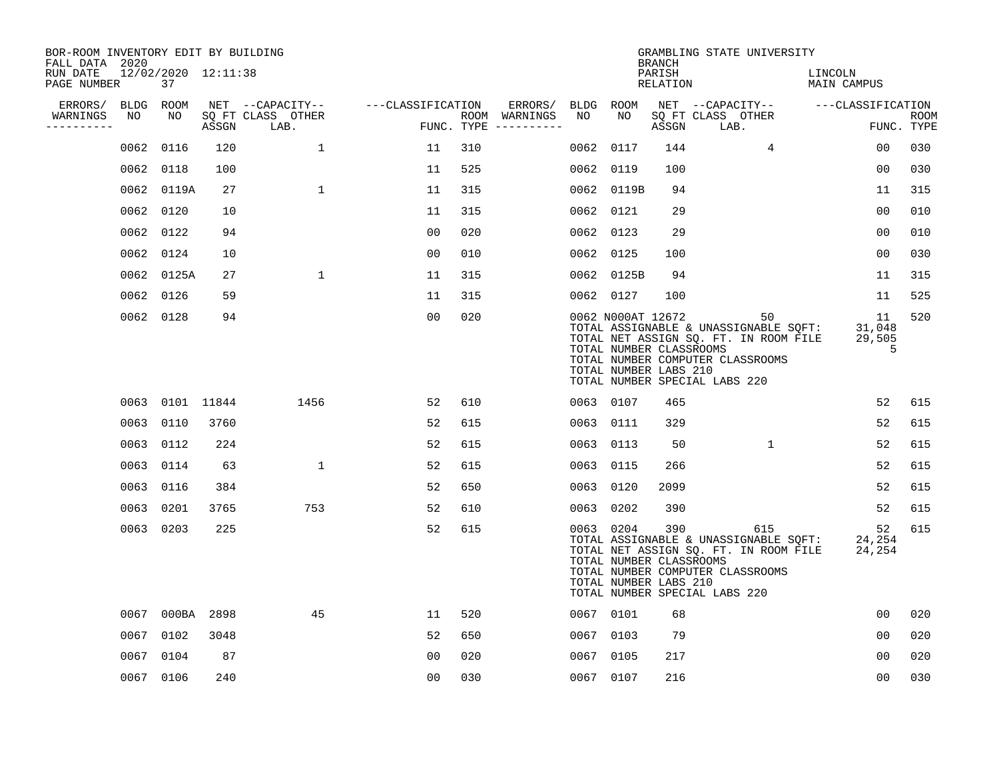| BOR-ROOM INVENTORY EDIT BY BUILDING<br>FALL DATA 2020 |                           |      |                                 |                   |     |                                      |           |                                                                       | <b>BRANCH</b>      | GRAMBLING STATE UNIVERSITY                                                                                                                                 |                             |                           |
|-------------------------------------------------------|---------------------------|------|---------------------------------|-------------------|-----|--------------------------------------|-----------|-----------------------------------------------------------------------|--------------------|------------------------------------------------------------------------------------------------------------------------------------------------------------|-----------------------------|---------------------------|
| RUN DATE<br>PAGE NUMBER                               | 12/02/2020 12:11:38<br>37 |      |                                 |                   |     |                                      |           |                                                                       | PARISH<br>RELATION |                                                                                                                                                            | LINCOLN<br>MAIN CAMPUS      |                           |
| ERRORS/                                               | BLDG ROOM                 |      | NET --CAPACITY--                | ---CLASSIFICATION |     | ERRORS/                              | BLDG ROOM |                                                                       |                    | NET --CAPACITY--                                                                                                                                           | ---CLASSIFICATION           |                           |
| WARNINGS<br>NO<br>----------                          | NO                        |      | SQ FT CLASS OTHER<br>ASSGN LAB. |                   |     | ROOM WARNINGS<br>FUNC. TYPE $------$ | NO        | NO                                                                    | ASSGN              | SQ FT CLASS OTHER<br>LAB.                                                                                                                                  |                             | <b>ROOM</b><br>FUNC. TYPE |
|                                                       | 0062 0116                 | 120  | $\mathbf{1}$                    | 11                | 310 |                                      | 0062      | 0117                                                                  | 144                | $4\overline{ }$                                                                                                                                            | 00                          | 030                       |
|                                                       | 0062 0118                 | 100  |                                 | 11                | 525 |                                      |           | 0062 0119                                                             | 100                |                                                                                                                                                            | 0 <sub>0</sub>              | 030                       |
|                                                       | 0062 0119A                | 27   | $\mathbf{1}$                    | 11                | 315 |                                      |           | 0062 0119B                                                            | 94                 |                                                                                                                                                            | 11                          | 315                       |
|                                                       | 0062 0120                 | 10   |                                 | 11                | 315 |                                      |           | 0062 0121                                                             | 29                 |                                                                                                                                                            | 0 <sub>0</sub>              | 010                       |
|                                                       | 0062 0122                 | 94   |                                 | 0 <sub>0</sub>    | 020 |                                      |           | 0062 0123                                                             | 29                 |                                                                                                                                                            | 00                          | 010                       |
|                                                       | 0062 0124                 | 10   |                                 | 0 <sub>0</sub>    | 010 |                                      |           | 0062 0125                                                             | 100                |                                                                                                                                                            | 00                          | 030                       |
|                                                       | 0062 0125A                | 27   | $\mathbf{1}$                    | 11                | 315 |                                      |           | 0062 0125B                                                            | 94                 |                                                                                                                                                            | 11                          | 315                       |
|                                                       | 0062 0126                 | 59   |                                 | 11                | 315 |                                      |           | 0062 0127                                                             | 100                |                                                                                                                                                            | 11                          | 525                       |
|                                                       | 0062 0128                 | 94   |                                 | 0 <sub>0</sub>    | 020 |                                      |           | 0062 N000AT 12672<br>TOTAL NUMBER CLASSROOMS<br>TOTAL NUMBER LABS 210 |                    | 50<br>TOTAL ASSIGNABLE & UNASSIGNABLE SQFT:<br>TOTAL NET ASSIGN SQ. FT. IN ROOM FILE<br>TOTAL NUMBER COMPUTER CLASSROOMS<br>TOTAL NUMBER SPECIAL LABS 220  | 11<br>31,048<br>29,505<br>5 | 520                       |
|                                                       | 0063 0101 11844           |      | 1456                            | 52                | 610 |                                      |           | 0063 0107                                                             | 465                |                                                                                                                                                            | 52                          | 615                       |
|                                                       | 0063 0110                 | 3760 |                                 | 52                | 615 |                                      |           | 0063 0111                                                             | 329                |                                                                                                                                                            | 52                          | 615                       |
|                                                       | 0063 0112                 | 224  |                                 | 52                | 615 |                                      |           | 0063 0113                                                             | 50                 | $\mathbf{1}$                                                                                                                                               | 52                          | 615                       |
|                                                       | 0063 0114                 | 63   | $\mathbf{1}$                    | 52                | 615 |                                      |           | 0063 0115                                                             | 266                |                                                                                                                                                            | 52                          | 615                       |
|                                                       | 0063 0116                 | 384  |                                 | 52                | 650 |                                      |           | 0063 0120                                                             | 2099               |                                                                                                                                                            | 52                          | 615                       |
|                                                       | 0063 0201                 | 3765 | 753                             | 52                | 610 |                                      |           | 0063 0202                                                             | 390                |                                                                                                                                                            | 52                          | 615                       |
|                                                       | 0063 0203                 | 225  |                                 | 52                | 615 |                                      |           | 0063 0204<br>TOTAL NUMBER CLASSROOMS<br>TOTAL NUMBER LABS 210         | 390                | 615<br>TOTAL ASSIGNABLE & UNASSIGNABLE SQFT:<br>TOTAL NET ASSIGN SQ. FT. IN ROOM FILE<br>TOTAL NUMBER COMPUTER CLASSROOMS<br>TOTAL NUMBER SPECIAL LABS 220 | 52<br>24,254<br>24,254      | 615                       |
|                                                       | 0067 000BA 2898           |      | 45                              | 11                | 520 |                                      |           | 0067 0101                                                             | 68                 |                                                                                                                                                            | 00                          | 020                       |
|                                                       | 0067 0102                 | 3048 |                                 | 52                | 650 |                                      |           | 0067 0103                                                             | 79                 |                                                                                                                                                            | 0 <sub>0</sub>              | 020                       |
|                                                       | 0067<br>0104              | 87   |                                 | 0 <sub>0</sub>    | 020 |                                      |           | 0067 0105                                                             | 217                |                                                                                                                                                            | 00                          | 020                       |
|                                                       | 0067 0106                 | 240  |                                 | 0 <sub>0</sub>    | 030 |                                      |           | 0067 0107                                                             | 216                |                                                                                                                                                            | 0 <sub>0</sub>              | 030                       |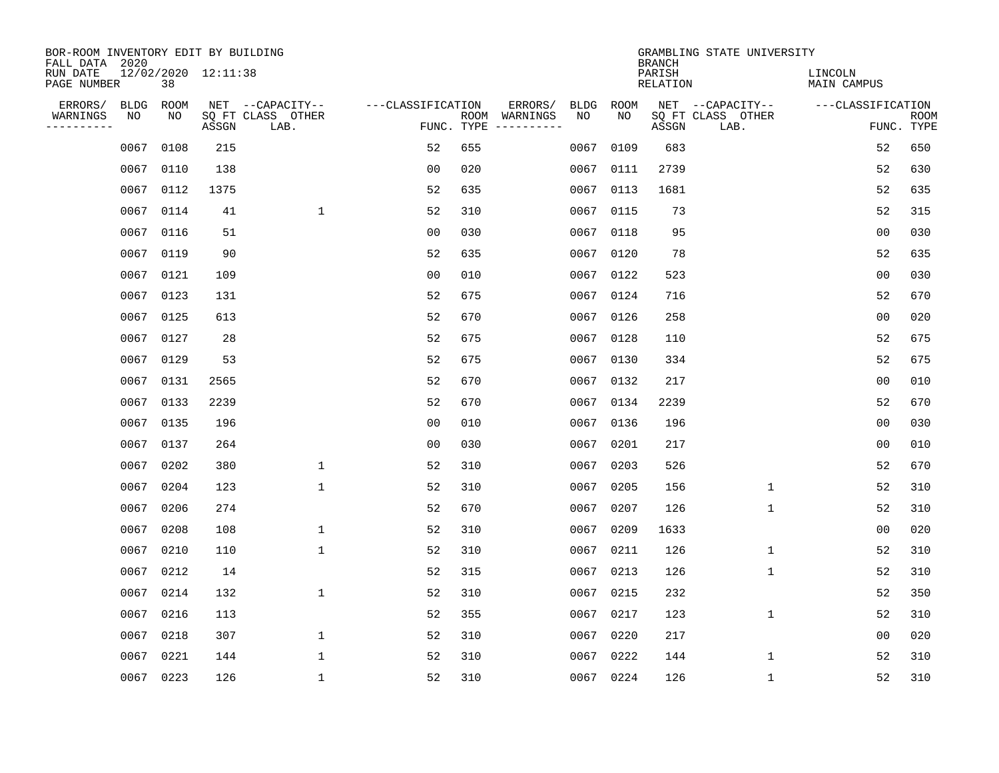| BOR-ROOM INVENTORY EDIT BY BUILDING            |              |                     |                                               |                   |            |                          |            |             |                                     | GRAMBLING STATE UNIVERSITY                    |                               |                           |
|------------------------------------------------|--------------|---------------------|-----------------------------------------------|-------------------|------------|--------------------------|------------|-------------|-------------------------------------|-----------------------------------------------|-------------------------------|---------------------------|
| FALL DATA 2020<br>RUN DATE<br>PAGE NUMBER      | 38           | 12/02/2020 12:11:38 |                                               |                   |            |                          |            |             | <b>BRANCH</b><br>PARISH<br>RELATION |                                               | LINCOLN<br><b>MAIN CAMPUS</b> |                           |
| ERRORS/<br>BLDG<br>WARNINGS<br>NO<br>--------- | ROOM<br>NO   | ASSGN               | NET --CAPACITY--<br>SQ FT CLASS OTHER<br>LAB. | ---CLASSIFICATION | FUNC. TYPE | ERRORS/<br>ROOM WARNINGS | BLDG<br>NO | ROOM<br>NO. | ASSGN                               | NET --CAPACITY--<br>SQ FT CLASS OTHER<br>LAB. | ---CLASSIFICATION             | <b>ROOM</b><br>FUNC. TYPE |
|                                                | 0108<br>0067 | 215                 |                                               | 52                | 655        |                          | 0067       | 0109        | 683                                 |                                               | 52                            | 650                       |
|                                                | 0067<br>0110 | 138                 |                                               | 0 <sub>0</sub>    | 020        |                          |            | 0067 0111   | 2739                                |                                               | 52                            | 630                       |
|                                                | 0112<br>0067 | 1375                |                                               | 52                | 635        |                          | 0067       | 0113        | 1681                                |                                               | 52                            | 635                       |
|                                                | 0067<br>0114 | 41                  | $\mathbf{1}$                                  | 52                | 310        |                          |            | 0067 0115   | 73                                  |                                               | 52                            | 315                       |
|                                                | 0116<br>0067 | 51                  |                                               | 0 <sub>0</sub>    | 030        |                          |            | 0067 0118   | 95                                  |                                               | 00                            | 030                       |
|                                                | 0067<br>0119 | 90                  |                                               | 52                | 635        |                          |            | 0067 0120   | 78                                  |                                               | 52                            | 635                       |
|                                                | 0067<br>0121 | 109                 |                                               | 00                | 010        |                          |            | 0067 0122   | 523                                 |                                               | 0 <sub>0</sub>                | 030                       |
|                                                | 0067<br>0123 | 131                 |                                               | 52                | 675        |                          |            | 0067 0124   | 716                                 |                                               | 52                            | 670                       |
|                                                | 0067<br>0125 | 613                 |                                               | 52                | 670        |                          | 0067       | 0126        | 258                                 |                                               | 0 <sub>0</sub>                | 020                       |
|                                                | 0067<br>0127 | 28                  |                                               | 52                | 675        |                          |            | 0067 0128   | 110                                 |                                               | 52                            | 675                       |
|                                                | 0067<br>0129 | 53                  |                                               | 52                | 675        |                          | 0067       | 0130        | 334                                 |                                               | 52                            | 675                       |
|                                                | 0067<br>0131 | 2565                |                                               | 52                | 670        |                          |            | 0067 0132   | 217                                 |                                               | 0 <sub>0</sub>                | 010                       |
|                                                | 0133<br>0067 | 2239                |                                               | 52                | 670        |                          | 0067       | 0134        | 2239                                |                                               | 52                            | 670                       |
|                                                | 0135<br>0067 | 196                 |                                               | 0 <sub>0</sub>    | 010        |                          | 0067       | 0136        | 196                                 |                                               | 0 <sub>0</sub>                | 030                       |
|                                                | 0137<br>0067 | 264                 |                                               | 0 <sub>0</sub>    | 030        |                          | 0067       | 0201        | 217                                 |                                               | 0 <sub>0</sub>                | 010                       |
| 0067                                           | 0202         | 380                 | $\mathbf 1$                                   | 52                | 310        |                          | 0067       | 0203        | 526                                 |                                               | 52                            | 670                       |
| 0067                                           | 0204         | 123                 | $\mathbf{1}$                                  | 52                | 310        |                          | 0067       | 0205        | 156                                 | 1                                             | 52                            | 310                       |
| 0067                                           | 0206         | 274                 |                                               | 52                | 670        |                          | 0067       | 0207        | 126                                 | 1                                             | 52                            | 310                       |
|                                                | 0067<br>0208 | 108                 | 1                                             | 52                | 310        |                          | 0067       | 0209        | 1633                                |                                               | 0 <sub>0</sub>                | 020                       |
| 0067                                           | 0210         | 110                 | $\mathbf{1}$                                  | 52                | 310        |                          | 0067       | 0211        | 126                                 | $\mathbf 1$                                   | 52                            | 310                       |
| 0067                                           | 0212         | 14                  |                                               | 52                | 315        |                          | 0067       | 0213        | 126                                 | 1                                             | 52                            | 310                       |
| 0067                                           | 0214         | 132                 | $\mathbf{1}$                                  | 52                | 310        |                          | 0067       | 0215        | 232                                 |                                               | 52                            | 350                       |
|                                                | 0216<br>0067 | 113                 |                                               | 52                | 355        |                          | 0067       | 0217        | 123                                 | $\mathbf 1$                                   | 52                            | 310                       |
|                                                | 0067<br>0218 | 307                 | $\mathbf{1}$                                  | 52                | 310        |                          | 0067       | 0220        | 217                                 |                                               | 0 <sub>0</sub>                | 020                       |
|                                                | 0221<br>0067 | 144                 | $\mathbf{1}$                                  | 52                | 310        |                          |            | 0067 0222   | 144                                 | 1                                             | 52                            | 310                       |
|                                                | 0067 0223    | 126                 | $\mathbf{1}$                                  | 52                | 310        |                          |            | 0067 0224   | 126                                 | $\mathbf 1$                                   | 52                            | 310                       |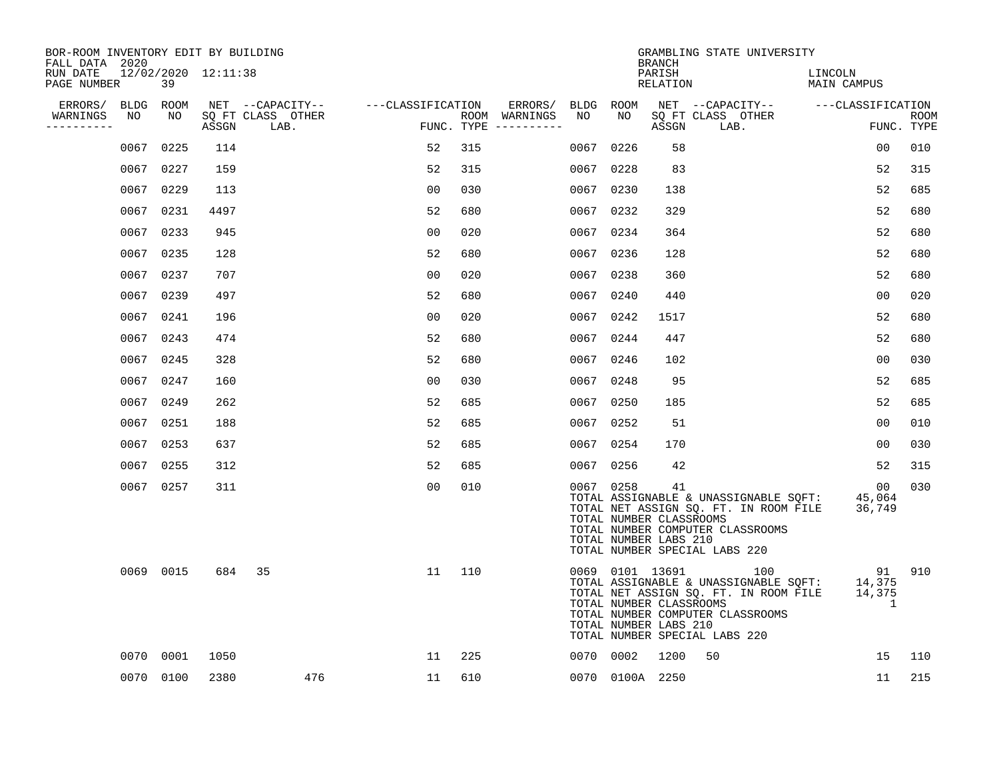| BOR-ROOM INVENTORY EDIT BY BUILDING<br>FALL DATA 2020 |           |                     |                           |                   |     |                                    |           |           | <b>BRANCH</b>                                                       | GRAMBLING STATE UNIVERSITY                                                                                                                                        |                        |                           |
|-------------------------------------------------------|-----------|---------------------|---------------------------|-------------------|-----|------------------------------------|-----------|-----------|---------------------------------------------------------------------|-------------------------------------------------------------------------------------------------------------------------------------------------------------------|------------------------|---------------------------|
| RUN DATE<br>PAGE NUMBER                               | 39        | 12/02/2020 12:11:38 |                           |                   |     |                                    |           |           | PARISH<br>RELATION                                                  |                                                                                                                                                                   | LINCOLN<br>MAIN CAMPUS |                           |
| ERRORS/ BLDG ROOM<br>WARNINGS<br>NO                   | NO        |                     | NET --CAPACITY--          | ---CLASSIFICATION |     | ERRORS/ BLDG ROOM<br>ROOM WARNINGS | NO        | NO        |                                                                     | NET --CAPACITY-- ---CLASSIFICATION                                                                                                                                |                        |                           |
| ----------                                            |           | ASSGN               | SQ FT CLASS OTHER<br>LAB. |                   |     | FUNC. TYPE $------$                |           |           | ASSGN                                                               | SQ FT CLASS OTHER<br>LAB.                                                                                                                                         |                        | <b>ROOM</b><br>FUNC. TYPE |
| 0067                                                  | 0225      | 114                 |                           | 52                | 315 |                                    | 0067      | 0226      | 58                                                                  |                                                                                                                                                                   | 00                     | 010                       |
|                                                       | 0067 0227 | 159                 |                           | 52                | 315 |                                    | 0067      | 0228      | 83                                                                  |                                                                                                                                                                   | 52                     | 315                       |
|                                                       | 0067 0229 | 113                 |                           | 00                | 030 |                                    | 0067 0230 |           | 138                                                                 |                                                                                                                                                                   | 52                     | 685                       |
|                                                       | 0067 0231 | 4497                |                           | 52                | 680 |                                    | 0067 0232 |           | 329                                                                 |                                                                                                                                                                   | 52                     | 680                       |
| 0067                                                  | 0233      | 945                 |                           | 0 <sub>0</sub>    | 020 |                                    | 0067      | 0234      | 364                                                                 |                                                                                                                                                                   | 52                     | 680                       |
|                                                       | 0067 0235 | 128                 |                           | 52                | 680 |                                    | 0067 0236 |           | 128                                                                 |                                                                                                                                                                   | 52                     | 680                       |
|                                                       | 0067 0237 | 707                 |                           | 0 <sub>0</sub>    | 020 |                                    | 0067 0238 |           | 360                                                                 |                                                                                                                                                                   | 52                     | 680                       |
|                                                       | 0067 0239 | 497                 |                           | 52                | 680 |                                    | 0067 0240 |           | 440                                                                 |                                                                                                                                                                   | 0 <sub>0</sub>         | 020                       |
|                                                       | 0067 0241 | 196                 |                           | 0 <sub>0</sub>    | 020 |                                    | 0067 0242 |           | 1517                                                                |                                                                                                                                                                   | 52                     | 680                       |
|                                                       | 0067 0243 | 474                 |                           | 52                | 680 |                                    | 0067 0244 |           | 447                                                                 |                                                                                                                                                                   | 52                     | 680                       |
|                                                       | 0067 0245 | 328                 |                           | 52                | 680 |                                    | 0067 0246 |           | 102                                                                 |                                                                                                                                                                   | 0 <sub>0</sub>         | 030                       |
|                                                       | 0067 0247 | 160                 |                           | 0 <sub>0</sub>    | 030 |                                    | 0067 0248 |           | 95                                                                  |                                                                                                                                                                   | 52                     | 685                       |
|                                                       | 0067 0249 | 262                 |                           | 52                | 685 |                                    | 0067      | 0250      | 185                                                                 |                                                                                                                                                                   | 52                     | 685                       |
|                                                       | 0067 0251 | 188                 |                           | 52                | 685 |                                    | 0067 0252 |           | 51                                                                  |                                                                                                                                                                   | 0 <sub>0</sub>         | 010                       |
|                                                       | 0067 0253 | 637                 |                           | 52                | 685 |                                    | 0067      | 0254      | 170                                                                 |                                                                                                                                                                   | 00                     | 030                       |
|                                                       | 0067 0255 | 312                 |                           | 52                | 685 |                                    | 0067 0256 |           | 42                                                                  |                                                                                                                                                                   | 52                     | 315                       |
|                                                       | 0067 0257 | 311                 |                           | 0 <sub>0</sub>    | 010 |                                    |           | 0067 0258 | 41<br>TOTAL NUMBER CLASSROOMS<br>TOTAL NUMBER LABS 210              | TOTAL ASSIGNABLE & UNASSIGNABLE SQFT: 45,064<br>TOTAL NET ASSIGN SQ. FT. IN ROOM FILE 36,749<br>TOTAL NUMBER COMPUTER CLASSROOMS<br>TOTAL NUMBER SPECIAL LABS 220 | 00 <sub>o</sub>        | 030                       |
|                                                       | 0069 0015 | 684                 | 35                        | 11                | 110 |                                    |           |           | 0069 0101 13691<br>TOTAL NUMBER CLASSROOMS<br>TOTAL NUMBER LABS 210 | 100<br>TOTAL ASSIGNABLE & UNASSIGNABLE SQFT: 14,375<br>TOTAL NET ASSIGN SQ. FT. IN ROOM FILE<br>TOTAL NUMBER COMPUTER CLASSROOMS<br>TOTAL NUMBER SPECIAL LABS 220 | 91<br>14,375<br>1      | 910                       |
|                                                       | 0070 0001 | 1050                |                           | 11                | 225 |                                    |           | 0070 0002 | 1200                                                                | 50                                                                                                                                                                | 15                     | 110                       |
|                                                       | 0070 0100 | 2380                | 476                       | 11                | 610 |                                    |           |           | 0070 0100A 2250                                                     |                                                                                                                                                                   | 11                     | 215                       |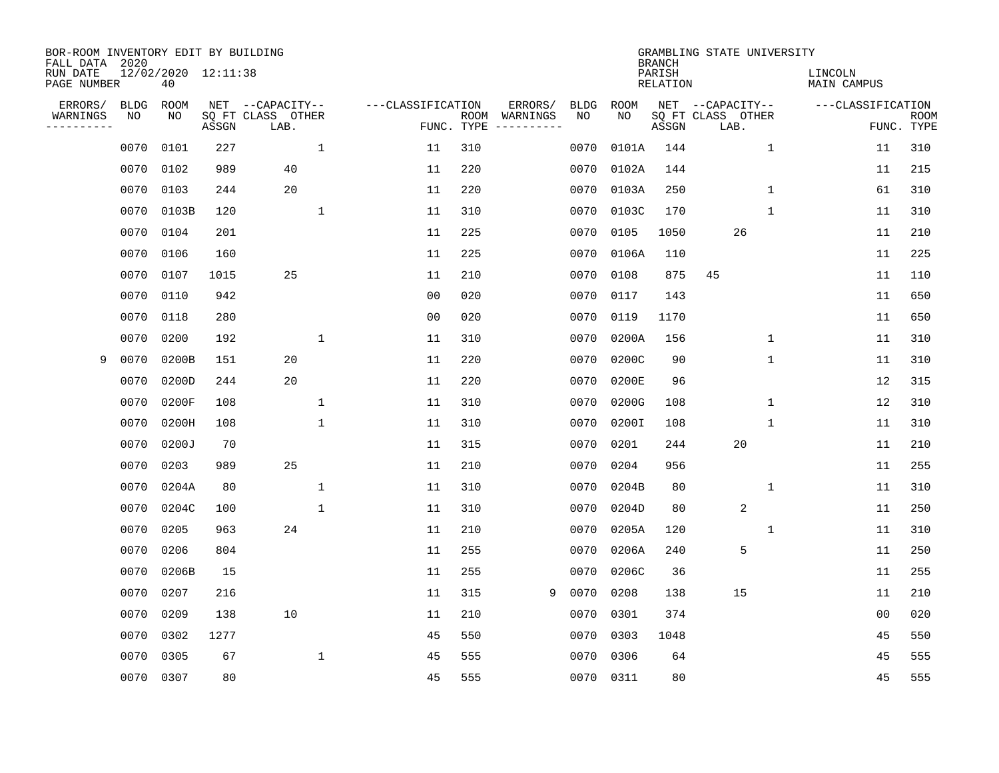| BOR-ROOM INVENTORY EDIT BY BUILDING<br>FALL DATA 2020<br>RUN DATE |                   | 12/02/2020 12:11:38 |       |                                               |                    |                    |                     |                   |             | <b>BRANCH</b><br>PARISH | GRAMBLING STATE UNIVERSITY                    | LINCOLN            |                           |
|-------------------------------------------------------------------|-------------------|---------------------|-------|-----------------------------------------------|--------------------|--------------------|---------------------|-------------------|-------------|-------------------------|-----------------------------------------------|--------------------|---------------------------|
| PAGE NUMBER                                                       |                   | 40                  |       |                                               |                    |                    |                     |                   |             | <b>RELATION</b>         |                                               | <b>MAIN CAMPUS</b> |                           |
| ERRORS/<br>WARNINGS<br>--------                                   | <b>BLDG</b><br>NO | ROOM<br>NO          | ASSGN | NET --CAPACITY--<br>SQ FT CLASS OTHER<br>LAB. | ---CLASSIFICATION  | ROOM<br>FUNC. TYPE | ERRORS/<br>WARNINGS | <b>BLDG</b><br>NO | ROOM<br>NO. | ASSGN                   | NET --CAPACITY--<br>SQ FT CLASS OTHER<br>LAB. | ---CLASSIFICATION  | <b>ROOM</b><br>FUNC. TYPE |
|                                                                   | 0070              | 0101                | 227   |                                               | $\mathbf{1}$<br>11 | 310                |                     | 0070              | 0101A       | 144                     | $\mathbf{1}$                                  | 11                 | 310                       |
|                                                                   | 0070              | 0102                | 989   | 40                                            | 11                 | 220                |                     | 0070              | 0102A       | 144                     |                                               | 11                 | 215                       |
|                                                                   | 0070              | 0103                | 244   | 20                                            | 11                 | 220                |                     | 0070              | 0103A       | 250                     | $\mathbf{1}$                                  | 61                 | 310                       |
|                                                                   | 0070              | 0103B               | 120   |                                               | $\mathbf{1}$<br>11 | 310                |                     | 0070              | 0103C       | 170                     | $\mathbf{1}$                                  | 11                 | 310                       |
|                                                                   | 0070              | 0104                | 201   |                                               | 11                 | 225                |                     | 0070              | 0105        | 1050                    | 26                                            | 11                 | 210                       |
|                                                                   | 0070              | 0106                | 160   |                                               | 11                 | 225                |                     | 0070              | 0106A       | 110                     |                                               | 11                 | 225                       |
|                                                                   | 0070              | 0107                | 1015  | 25                                            | 11                 | 210                |                     | 0070              | 0108        | 875                     | 45                                            | 11                 | 110                       |
|                                                                   | 0070              | 0110                | 942   |                                               | 0 <sub>0</sub>     | 020                |                     | 0070              | 0117        | 143                     |                                               | 11                 | 650                       |
|                                                                   | 0070              | 0118                | 280   |                                               | 0 <sub>0</sub>     | 020                |                     | 0070              | 0119        | 1170                    |                                               | 11                 | 650                       |
|                                                                   | 0070              | 0200                | 192   |                                               | 1<br>11            | 310                |                     | 0070              | 0200A       | 156                     | $\mathbf 1$                                   | 11                 | 310                       |
| 9                                                                 | 0070              | 0200B               | 151   | 20                                            | 11                 | 220                |                     | 0070              | 0200C       | 90                      | $\mathbf 1$                                   | 11                 | 310                       |
|                                                                   | 0070              | 0200D               | 244   | 20                                            | 11                 | 220                |                     | 0070              | 0200E       | 96                      |                                               | 12                 | 315                       |
|                                                                   | 0070              | 0200F               | 108   |                                               | 1<br>11            | 310                |                     | 0070              | 0200G       | 108                     | $\mathbf 1$                                   | 12                 | 310                       |
|                                                                   | 0070              | 0200H               | 108   |                                               | $\mathbf{1}$<br>11 | 310                |                     | 0070              | 0200I       | 108                     | 1                                             | 11                 | 310                       |
|                                                                   | 0070              | 0200J               | 70    |                                               | 11                 | 315                |                     | 0070              | 0201        | 244                     | 20                                            | 11                 | 210                       |
|                                                                   | 0070              | 0203                | 989   | 25                                            | 11                 | 210                |                     | 0070              | 0204        | 956                     |                                               | 11                 | 255                       |
|                                                                   | 0070              | 0204A               | 80    |                                               | 1<br>11            | 310                |                     | 0070              | 0204B       | 80                      | 1                                             | 11                 | 310                       |
|                                                                   | 0070              | 0204C               | 100   |                                               | 1<br>11            | 310                |                     | 0070              | 0204D       | 80                      | $\overline{2}$                                | 11                 | 250                       |
|                                                                   | 0070              | 0205                | 963   | 24                                            | 11                 | 210                |                     | 0070              | 0205A       | 120                     | 1                                             | 11                 | 310                       |
|                                                                   | 0070              | 0206                | 804   |                                               | 11                 | 255                |                     | 0070              | 0206A       | 240                     | 5                                             | 11                 | 250                       |
|                                                                   | 0070              | 0206B               | 15    |                                               | 11                 | 255                |                     | 0070              | 0206C       | 36                      |                                               | 11                 | 255                       |
|                                                                   | 0070              | 0207                | 216   |                                               | 11                 | 315                | 9                   | 0070              | 0208        | 138                     | 15                                            | 11                 | 210                       |
|                                                                   | 0070              | 0209                | 138   | 10                                            | 11                 | 210                |                     | 0070              | 0301        | 374                     |                                               | 0 <sub>0</sub>     | 020                       |
|                                                                   | 0070              | 0302                | 1277  |                                               | 45                 | 550                |                     | 0070              | 0303        | 1048                    |                                               | 45                 | 550                       |
|                                                                   | 0070              | 0305                | 67    |                                               | 1<br>45            | 555                |                     | 0070              | 0306        | 64                      |                                               | 45                 | 555                       |
|                                                                   | 0070              | 0307                | 80    |                                               | 45                 | 555                |                     | 0070              | 0311        | 80                      |                                               | 45                 | 555                       |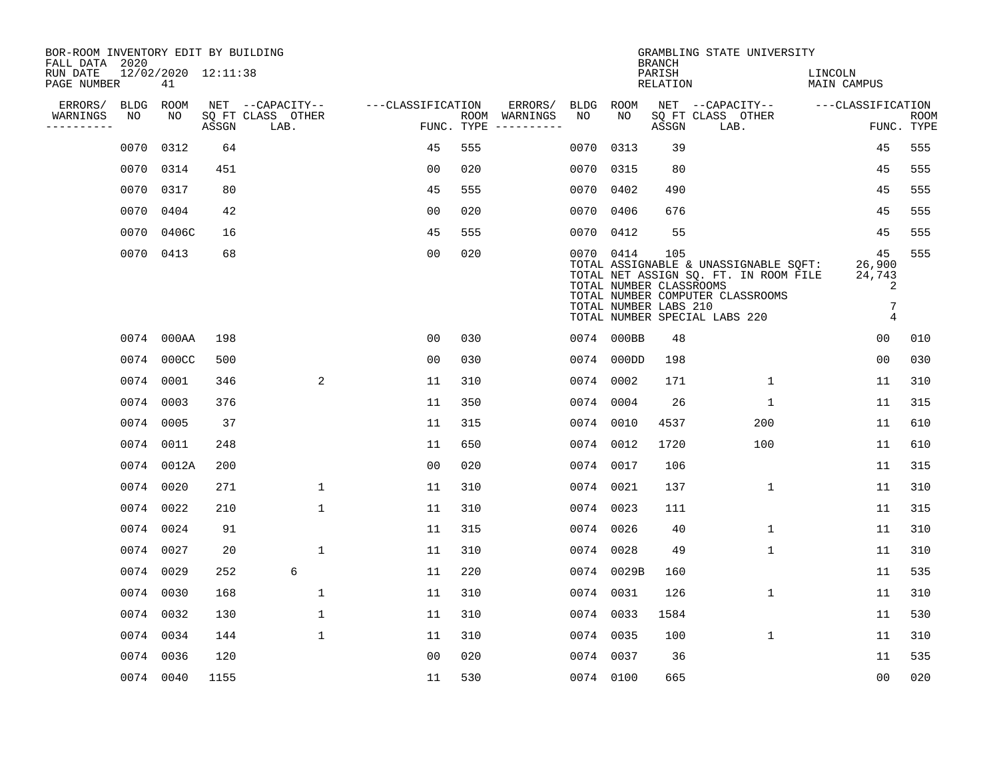| BOR-ROOM INVENTORY EDIT BY BUILDING<br>FALL DATA 2020 |             |                           |       |                           |                   |            |                              |             |                                                               | <b>BRANCH</b>      | GRAMBLING STATE UNIVERSITY                                                                                                                          |                                                                 |                           |
|-------------------------------------------------------|-------------|---------------------------|-------|---------------------------|-------------------|------------|------------------------------|-------------|---------------------------------------------------------------|--------------------|-----------------------------------------------------------------------------------------------------------------------------------------------------|-----------------------------------------------------------------|---------------------------|
| RUN DATE<br>PAGE NUMBER                               |             | 12/02/2020 12:11:38<br>41 |       |                           |                   |            |                              |             |                                                               | PARISH<br>RELATION |                                                                                                                                                     | LINCOLN<br><b>MAIN CAMPUS</b>                                   |                           |
| ERRORS/                                               | <b>BLDG</b> | ROOM                      |       | NET --CAPACITY--          | ---CLASSIFICATION |            | ERRORS/                      | <b>BLDG</b> | ROOM                                                          |                    | NET --CAPACITY--                                                                                                                                    | ---CLASSIFICATION                                               |                           |
| WARNINGS<br>----------                                | NO          | NO                        | ASSGN | SQ FT CLASS OTHER<br>LAB. |                   | FUNC. TYPE | ROOM WARNINGS<br>----------- | NO          | NO                                                            | ASSGN              | SQ FT CLASS OTHER<br>LAB.                                                                                                                           |                                                                 | <b>ROOM</b><br>FUNC. TYPE |
|                                                       | 0070        | 0312                      | 64    |                           | 45                | 555        |                              | 0070        | 0313                                                          | 39                 |                                                                                                                                                     | 45                                                              | 555                       |
|                                                       | 0070        | 0314                      | 451   |                           | 0 <sub>0</sub>    | 020        |                              |             | 0070 0315                                                     | 80                 |                                                                                                                                                     | 45                                                              | 555                       |
|                                                       | 0070        | 0317                      | 80    |                           | 45                | 555        |                              |             | 0070 0402                                                     | 490                |                                                                                                                                                     | 45                                                              | 555                       |
|                                                       | 0070        | 0404                      | 42    |                           | 0 <sub>0</sub>    | 020        |                              |             | 0070 0406                                                     | 676                |                                                                                                                                                     | 45                                                              | 555                       |
|                                                       | 0070        | 0406C                     | 16    |                           | 45                | 555        |                              |             | 0070 0412                                                     | 55                 |                                                                                                                                                     | 45                                                              | 555                       |
|                                                       |             | 0070 0413                 | 68    |                           | 0 <sub>0</sub>    | 020        |                              |             | 0070 0414<br>TOTAL NUMBER CLASSROOMS<br>TOTAL NUMBER LABS 210 | 105                | TOTAL ASSIGNABLE & UNASSIGNABLE SQFT:<br>TOTAL NET ASSIGN SQ. FT. IN ROOM FILE<br>TOTAL NUMBER COMPUTER CLASSROOMS<br>TOTAL NUMBER SPECIAL LABS 220 | 45<br>26,900<br>24,743<br>2<br>$\overline{7}$<br>$\overline{4}$ | 555                       |
|                                                       |             | 0074 000AA                | 198   |                           | 0 <sub>0</sub>    | 030        |                              |             | 0074 000BB                                                    | 48                 |                                                                                                                                                     | 00                                                              | 010                       |
|                                                       | 0074        | 000CC                     | 500   |                           | 00                | 030        |                              | 0074        | 000DD                                                         | 198                |                                                                                                                                                     | 00                                                              | 030                       |
|                                                       | 0074        | 0001                      | 346   | 2                         | 11                | 310        |                              | 0074        | 0002                                                          | 171                | 1                                                                                                                                                   | 11                                                              | 310                       |
|                                                       | 0074        | 0003                      | 376   |                           | 11                | 350        |                              | 0074        | 0004                                                          | 26                 | $\mathbf 1$                                                                                                                                         | 11                                                              | 315                       |
|                                                       | 0074        | 0005                      | 37    |                           | 11                | 315        |                              |             | 0074 0010                                                     | 4537               | 200                                                                                                                                                 | 11                                                              | 610                       |
|                                                       |             | 0074 0011                 | 248   |                           | 11                | 650        |                              |             | 0074 0012                                                     | 1720               | 100                                                                                                                                                 | 11                                                              | 610                       |
|                                                       |             | 0074 0012A                | 200   |                           | 0 <sub>0</sub>    | 020        |                              |             | 0074 0017                                                     | 106                |                                                                                                                                                     | 11                                                              | 315                       |
|                                                       |             | 0074 0020                 | 271   | $\mathbf 1$               | 11                | 310        |                              | 0074 0021   |                                                               | 137                | 1                                                                                                                                                   | 11                                                              | 310                       |
|                                                       |             | 0074 0022                 | 210   | $\mathbf{1}$              | 11                | 310        |                              |             | 0074 0023                                                     | 111                |                                                                                                                                                     | 11                                                              | 315                       |
|                                                       |             | 0074 0024                 | 91    |                           | 11                | 315        |                              |             | 0074 0026                                                     | 40                 | 1                                                                                                                                                   | 11                                                              | 310                       |
|                                                       |             | 0074 0027                 | 20    | $\mathbf{1}$              | 11                | 310        |                              |             | 0074 0028                                                     | 49                 | $\mathbf 1$                                                                                                                                         | 11                                                              | 310                       |
|                                                       | 0074 0029   |                           | 252   | 6                         | 11                | 220        |                              |             | 0074 0029B                                                    | 160                |                                                                                                                                                     | 11                                                              | 535                       |
|                                                       | 0074        | 0030                      | 168   | $\mathbf 1$               | 11                | 310        |                              |             | 0074 0031                                                     | 126                | 1                                                                                                                                                   | 11                                                              | 310                       |
|                                                       |             | 0074 0032                 | 130   | $\mathbf 1$               | 11                | 310        |                              |             | 0074 0033                                                     | 1584               |                                                                                                                                                     | 11                                                              | 530                       |
|                                                       | 0074 0034   |                           | 144   | $\mathbf{1}$              | 11                | 310        |                              |             | 0074 0035                                                     | 100                | $\mathbf 1$                                                                                                                                         | 11                                                              | 310                       |
|                                                       | 0074 0036   |                           | 120   |                           | 0 <sub>0</sub>    | 020        |                              |             | 0074 0037                                                     | 36                 |                                                                                                                                                     | 11                                                              | 535                       |
|                                                       |             | 0074 0040                 | 1155  |                           | 11                | 530        |                              |             | 0074 0100                                                     | 665                |                                                                                                                                                     | 0 <sub>0</sub>                                                  | 020                       |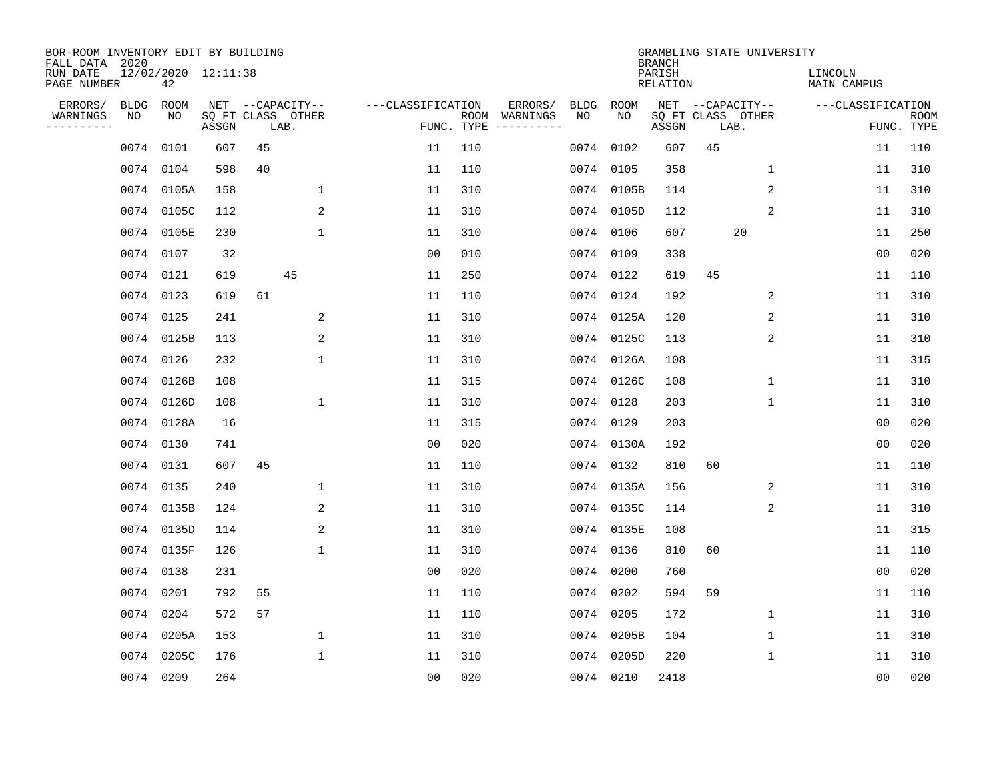| BOR-ROOM INVENTORY EDIT BY BUILDING<br>FALL DATA 2020 |             |                           |       |    |                           |                   |                    |                         |             |            | <b>BRANCH</b>             |                           | GRAMBLING STATE UNIVERSITY |                               |                           |
|-------------------------------------------------------|-------------|---------------------------|-------|----|---------------------------|-------------------|--------------------|-------------------------|-------------|------------|---------------------------|---------------------------|----------------------------|-------------------------------|---------------------------|
| RUN DATE<br>PAGE NUMBER                               |             | 12/02/2020 12:11:38<br>42 |       |    |                           |                   |                    |                         |             |            | PARISH<br><b>RELATION</b> |                           |                            | LINCOLN<br><b>MAIN CAMPUS</b> |                           |
| ERRORS/                                               | <b>BLDG</b> | ROOM                      |       |    | NET --CAPACITY--          | ---CLASSIFICATION |                    | ERRORS/                 | <b>BLDG</b> | ROOM       |                           | NET --CAPACITY--          |                            | ---CLASSIFICATION             |                           |
| WARNINGS<br>----------                                | NO          | NO                        | ASSGN |    | SQ FT CLASS OTHER<br>LAB. |                   | ROOM<br>FUNC. TYPE | WARNINGS<br>----------- | NO          | NO         | ASSGN                     | SQ FT CLASS OTHER<br>LAB. |                            |                               | <b>ROOM</b><br>FUNC. TYPE |
|                                                       | 0074        | 0101                      | 607   | 45 |                           | 11                | 110                |                         | 0074        | 0102       | 607                       | 45                        |                            | 11                            | 110                       |
|                                                       | 0074        | 0104                      | 598   | 40 |                           | 11                | 110                |                         | 0074        | 0105       | 358                       |                           | 1                          | 11                            | 310                       |
|                                                       | 0074        | 0105A                     | 158   |    | 1                         | 11                | 310                |                         | 0074        | 0105B      | 114                       |                           | 2                          | 11                            | 310                       |
|                                                       | 0074        | 0105C                     | 112   |    | 2                         | 11                | 310                |                         | 0074        | 0105D      | 112                       |                           | 2                          | 11                            | 310                       |
|                                                       | 0074        | 0105E                     | 230   |    | 1                         | 11                | 310                |                         | 0074        | 0106       | 607                       |                           | 20                         | 11                            | 250                       |
|                                                       | 0074        | 0107                      | 32    |    |                           | 0 <sub>0</sub>    | 010                |                         |             | 0074 0109  | 338                       |                           |                            | 0 <sub>0</sub>                | 020                       |
|                                                       | 0074        | 0121                      | 619   |    | 45                        | 11                | 250                |                         | 0074        | 0122       | 619                       | 45                        |                            | 11                            | 110                       |
|                                                       | 0074        | 0123                      | 619   | 61 |                           | 11                | 110                |                         |             | 0074 0124  | 192                       |                           | 2                          | 11                            | 310                       |
|                                                       | 0074        | 0125                      | 241   |    | 2                         | 11                | 310                |                         | 0074        | 0125A      | 120                       |                           | 2                          | 11                            | 310                       |
|                                                       | 0074        | 0125B                     | 113   |    | 2                         | 11                | 310                |                         |             | 0074 0125C | 113                       |                           | 2                          | 11                            | 310                       |
|                                                       | 0074        | 0126                      | 232   |    | $\mathbf 1$               | 11                | 310                |                         |             | 0074 0126A | 108                       |                           |                            | 11                            | 315                       |
|                                                       | 0074        | 0126B                     | 108   |    |                           | 11                | 315                |                         |             | 0074 0126C | 108                       |                           | $\mathbf 1$                | 11                            | 310                       |
|                                                       | 0074        | 0126D                     | 108   |    | $\mathbf{1}$              | 11                | 310                |                         | 0074        | 0128       | 203                       |                           | $\mathbf{1}$               | 11                            | 310                       |
|                                                       | 0074        | 0128A                     | 16    |    |                           | 11                | 315                |                         | 0074        | 0129       | 203                       |                           |                            | 00                            | 020                       |
|                                                       | 0074        | 0130                      | 741   |    |                           | 00                | 020                |                         | 0074        | 0130A      | 192                       |                           |                            | 00                            | 020                       |
|                                                       | 0074        | 0131                      | 607   | 45 |                           | 11                | 110                |                         | 0074        | 0132       | 810                       | 60                        |                            | 11                            | 110                       |
|                                                       | 0074        | 0135                      | 240   |    | 1                         | 11                | 310                |                         | 0074        | 0135A      | 156                       |                           | 2                          | 11                            | 310                       |
|                                                       | 0074        | 0135B                     | 124   |    | 2                         | 11                | 310                |                         | 0074        | 0135C      | 114                       |                           | 2                          | 11                            | 310                       |
|                                                       | 0074        | 0135D                     | 114   |    | 2                         | 11                | 310                |                         |             | 0074 0135E | 108                       |                           |                            | 11                            | 315                       |
|                                                       | 0074        | 0135F                     | 126   |    | $\mathbf 1$               | 11                | 310                |                         |             | 0074 0136  | 810                       | 60                        |                            | 11                            | 110                       |
|                                                       | 0074        | 0138                      | 231   |    |                           | 0 <sub>0</sub>    | 020                |                         | 0074        | 0200       | 760                       |                           |                            | 0 <sub>0</sub>                | 020                       |
|                                                       | 0074        | 0201                      | 792   | 55 |                           | 11                | 110                |                         | 0074        | 0202       | 594                       | 59                        |                            | 11                            | 110                       |
|                                                       | 0074        | 0204                      | 572   | 57 |                           | 11                | 110                |                         | 0074        | 0205       | 172                       |                           | 1                          | 11                            | 310                       |
|                                                       | 0074        | 0205A                     | 153   |    | 1                         | 11                | 310                |                         |             | 0074 0205B | 104                       |                           | 1                          | 11                            | 310                       |
|                                                       | 0074        | 0205C                     | 176   |    | $\mathbf 1$               | 11                | 310                |                         | 0074        | 0205D      | 220                       |                           | 1                          | 11                            | 310                       |
|                                                       | 0074        | 0209                      | 264   |    |                           | 0 <sub>0</sub>    | 020                |                         |             | 0074 0210  | 2418                      |                           |                            | 0 <sub>0</sub>                | 020                       |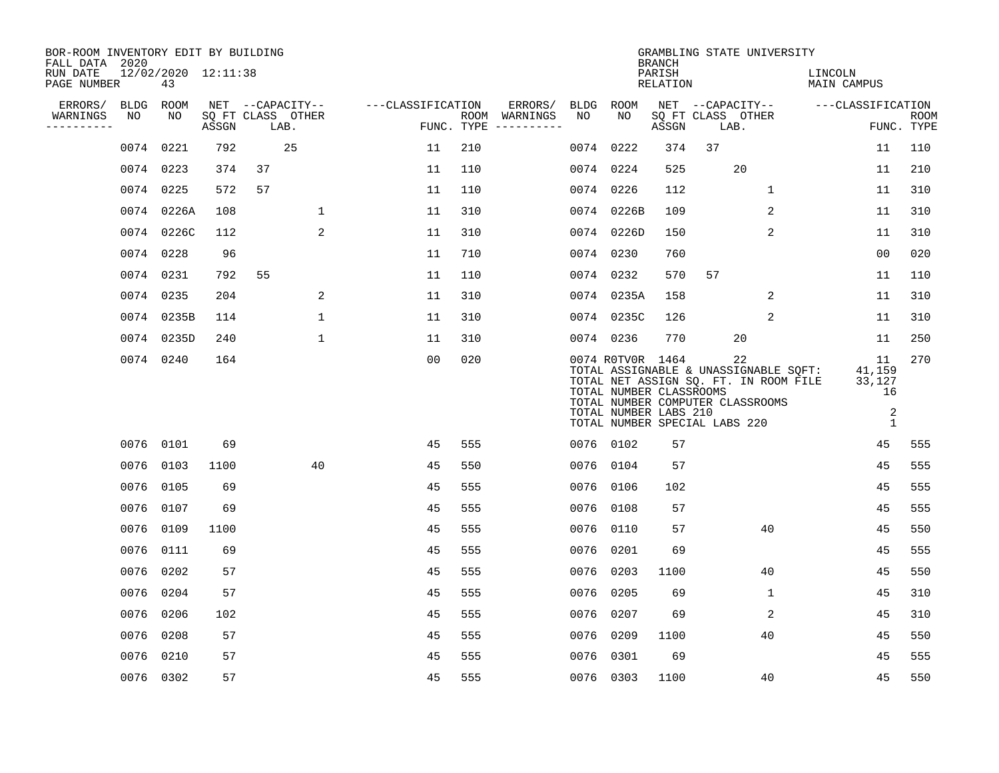| BOR-ROOM INVENTORY EDIT BY BUILDING<br>FALL DATA 2020 |             |                           |       |                           |             |                   |     |                                      |      |                                                                                                       | <b>BRANCH</b>      |    | GRAMBLING STATE UNIVERSITY                                                                                               |                        |                                                     |                           |
|-------------------------------------------------------|-------------|---------------------------|-------|---------------------------|-------------|-------------------|-----|--------------------------------------|------|-------------------------------------------------------------------------------------------------------|--------------------|----|--------------------------------------------------------------------------------------------------------------------------|------------------------|-----------------------------------------------------|---------------------------|
| RUN DATE<br>PAGE NUMBER                               |             | 12/02/2020 12:11:38<br>43 |       |                           |             |                   |     |                                      |      |                                                                                                       | PARISH<br>RELATION |    |                                                                                                                          | LINCOLN<br>MAIN CAMPUS |                                                     |                           |
| ERRORS/                                               | <b>BLDG</b> | ROOM                      |       | NET --CAPACITY--          |             | ---CLASSIFICATION |     | ERRORS/                              |      | BLDG ROOM                                                                                             |                    |    | NET --CAPACITY--                                                                                                         | ---CLASSIFICATION      |                                                     |                           |
| WARNINGS<br>----------                                | NO          | NO.                       | ASSGN | SQ FT CLASS OTHER<br>LAB. |             |                   |     | ROOM WARNINGS<br>FUNC. TYPE $------$ | NO.  | NO.                                                                                                   | ASSGN              |    | SQ FT CLASS OTHER<br>LAB.                                                                                                |                        |                                                     | <b>ROOM</b><br>FUNC. TYPE |
|                                                       |             | 0074 0221                 | 792   | 25                        |             | 11                | 210 |                                      |      | 0074 0222                                                                                             | 374                | 37 |                                                                                                                          |                        | 11                                                  | 110                       |
|                                                       |             | 0074 0223                 | 374   | 37                        |             | 11                | 110 |                                      |      | 0074 0224                                                                                             | 525                |    | 20                                                                                                                       |                        | 11                                                  | 210                       |
|                                                       |             | 0074 0225                 | 572   | 57                        |             | 11                | 110 |                                      |      | 0074 0226                                                                                             | 112                |    | 1                                                                                                                        |                        | 11                                                  | 310                       |
|                                                       |             | 0074 0226A                | 108   |                           | 1           | 11                | 310 |                                      |      | 0074 0226B                                                                                            | 109                |    | 2                                                                                                                        |                        | 11                                                  | 310                       |
|                                                       |             | 0074 0226C                | 112   |                           | 2           | 11                | 310 |                                      |      | 0074 0226D                                                                                            | 150                |    | $\overline{2}$                                                                                                           |                        | 11                                                  | 310                       |
|                                                       |             | 0074 0228                 | 96    |                           |             | 11                | 710 |                                      |      | 0074 0230                                                                                             | 760                |    |                                                                                                                          |                        | 00                                                  | 020                       |
|                                                       |             | 0074 0231                 | 792   | 55                        |             | 11                | 110 |                                      |      | 0074 0232                                                                                             | 570                | 57 |                                                                                                                          |                        | 11                                                  | 110                       |
|                                                       |             | 0074 0235                 | 204   |                           | 2           | 11                | 310 |                                      |      | 0074 0235A                                                                                            | 158                |    | 2                                                                                                                        |                        | 11                                                  | 310                       |
|                                                       |             | 0074 0235B                | 114   |                           | $\mathbf 1$ | 11                | 310 |                                      |      | 0074 0235C                                                                                            | 126                |    | 2                                                                                                                        |                        | 11                                                  | 310                       |
|                                                       |             | 0074 0235D                | 240   |                           | $\mathbf 1$ | 11                | 310 |                                      |      | 0074 0236                                                                                             | 770                |    | 20                                                                                                                       |                        | 11                                                  | 250                       |
|                                                       |             | 0074 0240                 | 164   |                           |             | 0 <sub>0</sub>    | 020 |                                      |      | 0074 ROTVOR 1464<br>TOTAL NUMBER CLASSROOMS<br>TOTAL NUMBER LABS 210<br>TOTAL NUMBER SPECIAL LABS 220 |                    |    | 22<br>TOTAL ASSIGNABLE & UNASSIGNABLE SQFT:<br>TOTAL NET ASSIGN SQ. FT. IN ROOM FILE<br>TOTAL NUMBER COMPUTER CLASSROOMS |                        | 11<br>41,159<br>33,127<br>16<br>$\overline{2}$<br>1 | 270                       |
|                                                       | 0076 0101   |                           | 69    |                           |             | 45                | 555 |                                      |      | 0076 0102                                                                                             | 57                 |    |                                                                                                                          |                        | 45                                                  | 555                       |
|                                                       | 0076        | 0103                      | 1100  | 40                        |             | 45                | 550 |                                      |      | 0076 0104                                                                                             | 57                 |    |                                                                                                                          |                        | 45                                                  | 555                       |
|                                                       | 0076        | 0105                      | 69    |                           |             | 45                | 555 |                                      | 0076 | 0106                                                                                                  | 102                |    |                                                                                                                          |                        | 45                                                  | 555                       |
|                                                       | 0076        | 0107                      | 69    |                           |             | 45                | 555 |                                      | 0076 | 0108                                                                                                  | 57                 |    |                                                                                                                          |                        | 45                                                  | 555                       |
|                                                       | 0076        | 0109                      | 1100  |                           |             | 45                | 555 |                                      |      | 0076 0110                                                                                             | 57                 |    | 40                                                                                                                       |                        | 45                                                  | 550                       |
|                                                       | 0076        | 0111                      | 69    |                           |             | 45                | 555 |                                      |      | 0076 0201                                                                                             | 69                 |    |                                                                                                                          |                        | 45                                                  | 555                       |
|                                                       | 0076        | 0202                      | 57    |                           |             | 45                | 555 |                                      |      | 0076 0203                                                                                             | 1100               |    | 40                                                                                                                       |                        | 45                                                  | 550                       |
|                                                       | 0076        | 0204                      | 57    |                           |             | 45                | 555 |                                      | 0076 | 0205                                                                                                  | 69                 |    | 1                                                                                                                        |                        | 45                                                  | 310                       |
|                                                       | 0076        | 0206                      | 102   |                           |             | 45                | 555 |                                      |      | 0076 0207                                                                                             | 69                 |    | 2                                                                                                                        |                        | 45                                                  | 310                       |
|                                                       | 0076        | 0208                      | 57    |                           |             | 45                | 555 |                                      |      | 0076 0209                                                                                             | 1100               |    | 40                                                                                                                       |                        | 45                                                  | 550                       |
|                                                       | 0076        | 0210                      | 57    |                           |             | 45                | 555 |                                      |      | 0076 0301                                                                                             | 69                 |    |                                                                                                                          |                        | 45                                                  | 555                       |
|                                                       |             | 0076 0302                 | 57    |                           |             | 45                | 555 |                                      |      | 0076 0303                                                                                             | 1100               |    | 40                                                                                                                       |                        | 45                                                  | 550                       |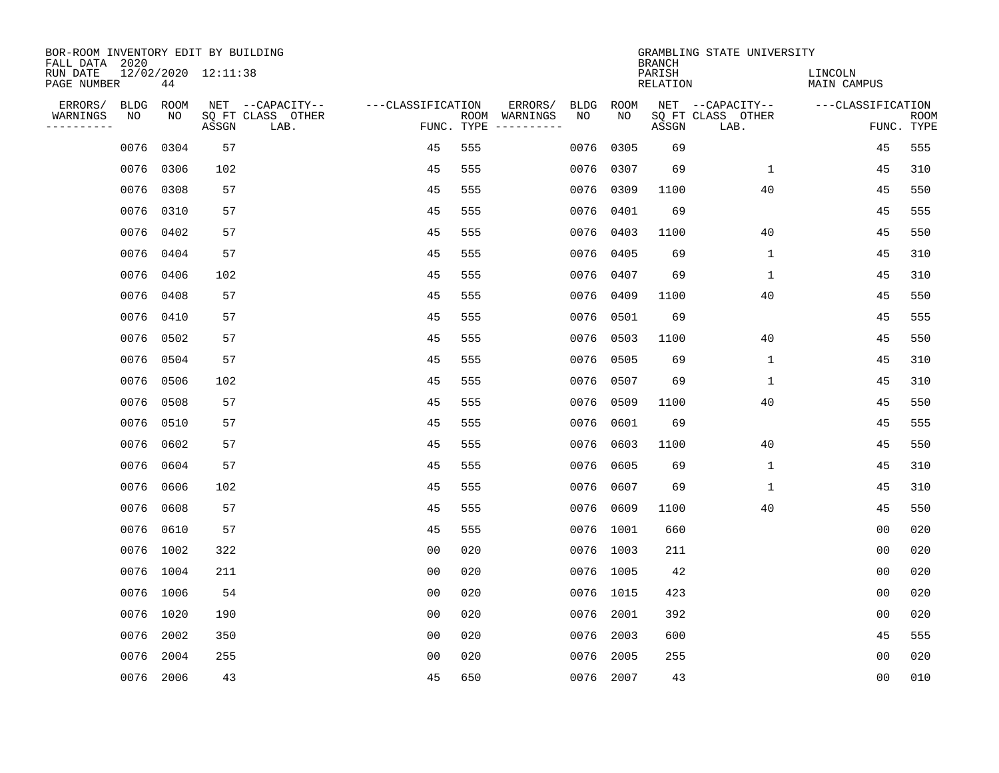| BOR-ROOM INVENTORY EDIT BY BUILDING                      |            |                         |                                               |                   |     |                                                 |            |            |                                     | GRAMBLING STATE UNIVERSITY                    |                               |                           |
|----------------------------------------------------------|------------|-------------------------|-----------------------------------------------|-------------------|-----|-------------------------------------------------|------------|------------|-------------------------------------|-----------------------------------------------|-------------------------------|---------------------------|
| FALL DATA 2020<br>RUN DATE<br>PAGE NUMBER                | 44         | $12/02/2020$ $12:11:38$ |                                               |                   |     |                                                 |            |            | <b>BRANCH</b><br>PARISH<br>RELATION |                                               | LINCOLN<br><b>MAIN CAMPUS</b> |                           |
| ERRORS/<br>BLDG<br>WARNINGS<br>NO<br>. _ _ _ _ _ _ _ _ _ | ROOM<br>NO | ASSGN                   | NET --CAPACITY--<br>SQ FT CLASS OTHER<br>LAB. | ---CLASSIFICATION |     | ERRORS/<br>ROOM WARNINGS<br>FUNC. TYPE $------$ | BLDG<br>NO | ROOM<br>NO | ASSGN                               | NET --CAPACITY--<br>SQ FT CLASS OTHER<br>LAB. | ---CLASSIFICATION             | <b>ROOM</b><br>FUNC. TYPE |
| 0076                                                     | 0304       | 57                      |                                               | 45                | 555 |                                                 | 0076       | 0305       | 69                                  |                                               | 45                            | 555                       |
| 0076                                                     | 0306       | 102                     |                                               | 45                | 555 |                                                 |            | 0076 0307  | 69                                  | $\mathbf{1}$                                  | 45                            | 310                       |
| 0076                                                     | 0308       | 57                      |                                               | 45                | 555 |                                                 |            | 0076 0309  | 1100                                | 40                                            | 45                            | 550                       |
|                                                          | 0076 0310  | 57                      |                                               | 45                | 555 |                                                 |            | 0076 0401  | 69                                  |                                               | 45                            | 555                       |
| 0076                                                     | 0402       | 57                      |                                               | 45                | 555 |                                                 | 0076       | 0403       | 1100                                | 40                                            | 45                            | 550                       |
|                                                          | 0076 0404  | 57                      |                                               | 45                | 555 |                                                 |            | 0076 0405  | 69                                  | 1                                             | 45                            | 310                       |
|                                                          | 0076 0406  | 102                     |                                               | 45                | 555 |                                                 |            | 0076 0407  | 69                                  | $\mathbf{1}$                                  | 45                            | 310                       |
|                                                          | 0076 0408  | 57                      |                                               | 45                | 555 |                                                 |            | 0076 0409  | 1100                                | 40                                            | 45                            | 550                       |
| 0076                                                     | 0410       | 57                      |                                               | 45                | 555 |                                                 | 0076       | 0501       | 69                                  |                                               | 45                            | 555                       |
| 0076                                                     | 0502       | 57                      |                                               | 45                | 555 |                                                 |            | 0076 0503  | 1100                                | 40                                            | 45                            | 550                       |
| 0076                                                     | 0504       | 57                      |                                               | 45                | 555 |                                                 | 0076       | 0505       | 69                                  | 1                                             | 45                            | 310                       |
| 0076                                                     | 0506       | 102                     |                                               | 45                | 555 |                                                 |            | 0076 0507  | 69                                  | 1                                             | 45                            | 310                       |
| 0076                                                     | 0508       | 57                      |                                               | 45                | 555 |                                                 | 0076       | 0509       | 1100                                | 40                                            | 45                            | 550                       |
| 0076                                                     | 0510       | 57                      |                                               | 45                | 555 |                                                 | 0076       | 0601       | 69                                  |                                               | 45                            | 555                       |
| 0076                                                     | 0602       | 57                      |                                               | 45                | 555 |                                                 |            | 0076 0603  | 1100                                | 40                                            | 45                            | 550                       |
| 0076                                                     | 0604       | 57                      |                                               | 45                | 555 |                                                 |            | 0076 0605  | 69                                  | $\mathbf{1}$                                  | 45                            | 310                       |
| 0076                                                     | 0606       | 102                     |                                               | 45                | 555 |                                                 |            | 0076 0607  | 69                                  | 1                                             | 45                            | 310                       |
| 0076                                                     | 0608       | 57                      |                                               | 45                | 555 |                                                 |            | 0076 0609  | 1100                                | 40                                            | 45                            | 550                       |
| 0076                                                     | 0610       | 57                      |                                               | 45                | 555 |                                                 |            | 0076 1001  | 660                                 |                                               | 0 <sub>0</sub>                | 020                       |
| 0076                                                     | 1002       | 322                     |                                               | 0 <sub>0</sub>    | 020 |                                                 |            | 0076 1003  | 211                                 |                                               | 0 <sub>0</sub>                | 020                       |
|                                                          | 0076 1004  | 211                     |                                               | 0 <sub>0</sub>    | 020 |                                                 |            | 0076 1005  | 42                                  |                                               | 0 <sub>0</sub>                | 020                       |
|                                                          | 0076 1006  | 54                      |                                               | 0 <sub>0</sub>    | 020 |                                                 |            | 0076 1015  | 423                                 |                                               | 0 <sub>0</sub>                | 020                       |
|                                                          | 0076 1020  | 190                     |                                               | 0 <sub>0</sub>    | 020 |                                                 | 0076       | 2001       | 392                                 |                                               | 0 <sub>0</sub>                | 020                       |
| 0076                                                     | 2002       | 350                     |                                               | 0 <sub>0</sub>    | 020 |                                                 | 0076       | 2003       | 600                                 |                                               | 45                            | 555                       |
| 0076                                                     | 2004       | 255                     |                                               | 0 <sub>0</sub>    | 020 |                                                 | 0076       | 2005       | 255                                 |                                               | 0 <sub>0</sub>                | 020                       |
|                                                          | 0076 2006  | 43                      |                                               | 45                | 650 |                                                 |            | 0076 2007  | 43                                  |                                               | 0 <sub>0</sub>                | 010                       |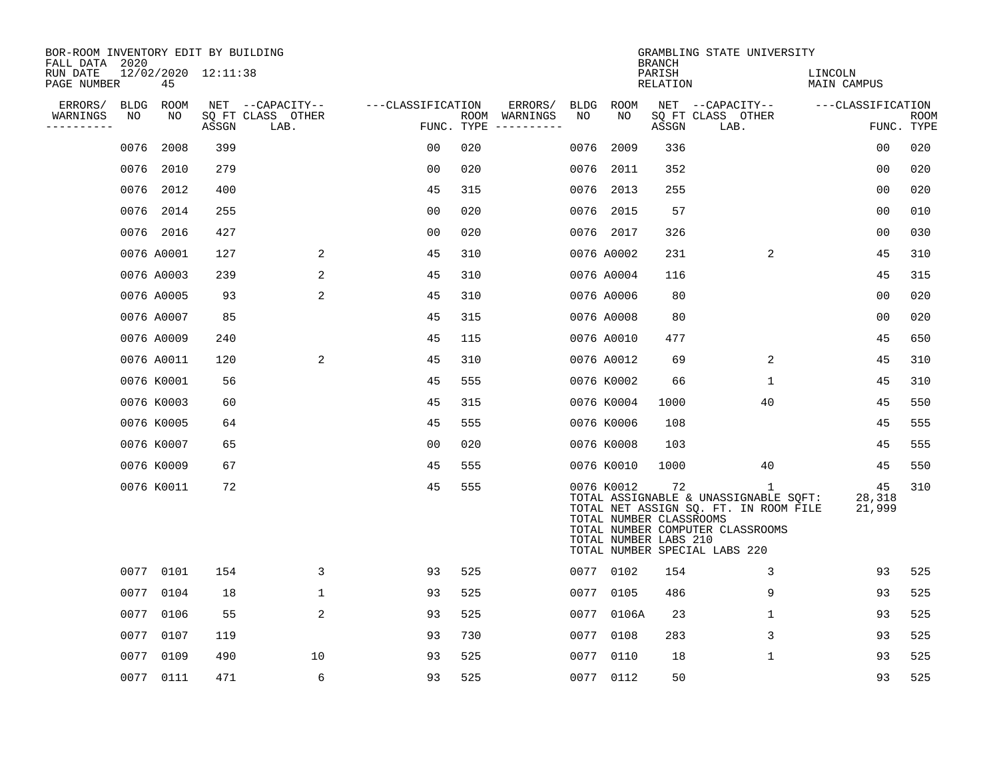| BOR-ROOM INVENTORY EDIT BY BUILDING<br>FALL DATA 2020 |             |                           |       |                           |                   |                    |          |             |            | <b>BRANCH</b>                                          | GRAMBLING STATE UNIVERSITY                                                                                                                               |                        |                    |
|-------------------------------------------------------|-------------|---------------------------|-------|---------------------------|-------------------|--------------------|----------|-------------|------------|--------------------------------------------------------|----------------------------------------------------------------------------------------------------------------------------------------------------------|------------------------|--------------------|
| RUN DATE<br>PAGE NUMBER                               |             | 12/02/2020 12:11:38<br>45 |       |                           |                   |                    |          |             |            | PARISH<br>RELATION                                     |                                                                                                                                                          | LINCOLN<br>MAIN CAMPUS |                    |
| ERRORS/                                               | <b>BLDG</b> | ROOM                      |       | NET --CAPACITY--          | ---CLASSIFICATION |                    | ERRORS/  | <b>BLDG</b> | ROOM       |                                                        | NET --CAPACITY--                                                                                                                                         | ---CLASSIFICATION      |                    |
| WARNINGS<br>----------                                | NO          | NO                        | ASSGN | SQ FT CLASS OTHER<br>LAB. |                   | ROOM<br>FUNC. TYPE | WARNINGS | NO          | NO         | ASSGN                                                  | SQ FT CLASS OTHER<br>LAB.                                                                                                                                |                        | ROOM<br>FUNC. TYPE |
|                                                       | 0076        | 2008                      | 399   |                           | 0 <sub>0</sub>    | 020                |          | 0076        | 2009       | 336                                                    |                                                                                                                                                          | 0 <sub>0</sub>         | 020                |
|                                                       | 0076        | 2010                      | 279   |                           | 00                | 020                |          | 0076        | 2011       | 352                                                    |                                                                                                                                                          | 00                     | 020                |
|                                                       | 0076        | 2012                      | 400   |                           | 45                | 315                |          | 0076        | 2013       | 255                                                    |                                                                                                                                                          | 00                     | 020                |
|                                                       | 0076        | 2014                      | 255   |                           | 0 <sub>0</sub>    | 020                |          |             | 0076 2015  | 57                                                     |                                                                                                                                                          | 0 <sub>0</sub>         | 010                |
|                                                       | 0076        | 2016                      | 427   |                           | 0 <sub>0</sub>    | 020                |          |             | 0076 2017  | 326                                                    |                                                                                                                                                          | 0 <sub>0</sub>         | 030                |
|                                                       |             | 0076 A0001                | 127   | 2                         | 45                | 310                |          |             | 0076 A0002 | 231                                                    | 2                                                                                                                                                        | 45                     | 310                |
|                                                       |             | 0076 A0003                | 239   | 2                         | 45                | 310                |          |             | 0076 A0004 | 116                                                    |                                                                                                                                                          | 45                     | 315                |
|                                                       |             | 0076 A0005                | 93    | 2                         | 45                | 310                |          |             | 0076 A0006 | 80                                                     |                                                                                                                                                          | 0 <sub>0</sub>         | 020                |
|                                                       |             | 0076 A0007                | 85    |                           | 45                | 315                |          |             | 0076 A0008 | 80                                                     |                                                                                                                                                          | 0 <sub>0</sub>         | 020                |
|                                                       |             | 0076 A0009                | 240   |                           | 45                | 115                |          |             | 0076 A0010 | 477                                                    |                                                                                                                                                          | 45                     | 650                |
|                                                       |             | 0076 A0011                | 120   | 2                         | 45                | 310                |          |             | 0076 A0012 | 69                                                     | 2                                                                                                                                                        | 45                     | 310                |
|                                                       |             | 0076 K0001                | 56    |                           | 45                | 555                |          |             | 0076 K0002 | 66                                                     | 1                                                                                                                                                        | 45                     | 310                |
|                                                       |             | 0076 K0003                | 60    |                           | 45                | 315                |          |             | 0076 K0004 | 1000                                                   | 40                                                                                                                                                       | 45                     | 550                |
|                                                       |             | 0076 K0005                | 64    |                           | 45                | 555                |          |             | 0076 K0006 | 108                                                    |                                                                                                                                                          | 45                     | 555                |
|                                                       |             | 0076 K0007                | 65    |                           | 0 <sub>0</sub>    | 020                |          |             | 0076 K0008 | 103                                                    |                                                                                                                                                          | 45                     | 555                |
|                                                       |             | 0076 K0009                | 67    |                           | 45                | 555                |          |             | 0076 K0010 | 1000                                                   | 40                                                                                                                                                       | 45                     | 550                |
|                                                       |             | 0076 K0011                | 72    |                           | 45                | 555                |          |             | 0076 K0012 | 72<br>TOTAL NUMBER CLASSROOMS<br>TOTAL NUMBER LABS 210 | 1<br>TOTAL ASSIGNABLE & UNASSIGNABLE SQFT:<br>TOTAL NET ASSIGN SQ. FT. IN ROOM FILE<br>TOTAL NUMBER COMPUTER CLASSROOMS<br>TOTAL NUMBER SPECIAL LABS 220 | 45<br>28,318<br>21,999 | 310                |
|                                                       |             | 0077 0101                 | 154   | 3                         | 93                | 525                |          |             | 0077 0102  | 154                                                    | 3                                                                                                                                                        | 93                     | 525                |
|                                                       | 0077        | 0104                      | 18    | $\mathbf 1$               | 93                | 525                |          | 0077        | 0105       | 486                                                    | 9                                                                                                                                                        | 93                     | 525                |
|                                                       |             | 0077 0106                 | 55    | 2                         | 93                | 525                |          |             | 0077 0106A | 23                                                     | $\mathbf{1}$                                                                                                                                             | 93                     | 525                |
|                                                       | 0077        | 0107                      | 119   |                           | 93                | 730                |          | 0077        | 0108       | 283                                                    | 3                                                                                                                                                        | 93                     | 525                |
|                                                       | 0077        | 0109                      | 490   | 10                        | 93                | 525                |          | 0077        | 0110       | 18                                                     | 1                                                                                                                                                        | 93                     | 525                |
|                                                       |             | 0077 0111                 | 471   | 6                         | 93                | 525                |          |             | 0077 0112  | 50                                                     |                                                                                                                                                          | 93                     | 525                |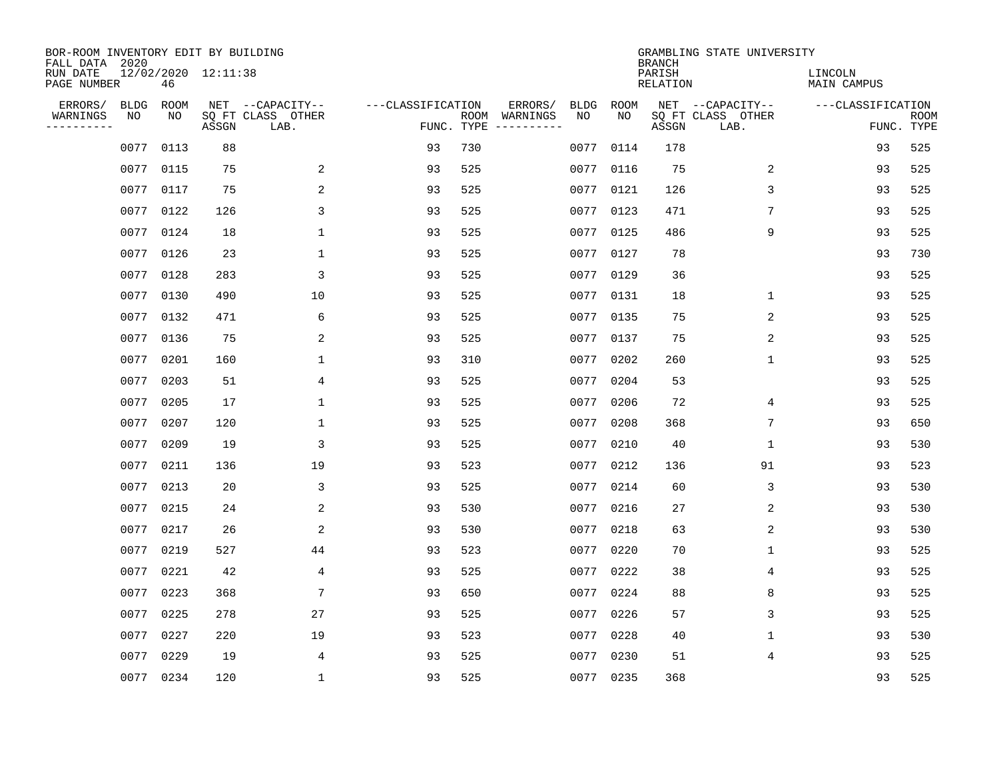| BOR-ROOM INVENTORY EDIT BY BUILDING<br>FALL DATA 2020 |                   |            |                     |                                               |                   |                    |                                                                                                                                                                                                                                                                                                                                                                                                                                                                                                    |            |             | <b>BRANCH</b>      | GRAMBLING STATE UNIVERSITY                    |                               |                           |
|-------------------------------------------------------|-------------------|------------|---------------------|-----------------------------------------------|-------------------|--------------------|----------------------------------------------------------------------------------------------------------------------------------------------------------------------------------------------------------------------------------------------------------------------------------------------------------------------------------------------------------------------------------------------------------------------------------------------------------------------------------------------------|------------|-------------|--------------------|-----------------------------------------------|-------------------------------|---------------------------|
| RUN DATE<br>PAGE NUMBER                               |                   | 46         | 12/02/2020 12:11:38 |                                               |                   |                    |                                                                                                                                                                                                                                                                                                                                                                                                                                                                                                    |            |             | PARISH<br>RELATION |                                               | LINCOLN<br><b>MAIN CAMPUS</b> |                           |
| ERRORS/<br>WARNINGS<br>---------                      | <b>BLDG</b><br>NO | ROOM<br>NO | ASSGN               | NET --CAPACITY--<br>SQ FT CLASS OTHER<br>LAB. | ---CLASSIFICATION | ROOM<br>FUNC. TYPE | ERRORS/<br>WARNINGS<br>$\begin{tabular}{ccccccccc} \multicolumn{2}{c }{\multicolumn{2}{c }{\multicolumn{2}{c }{\multicolumn{2}{c }{\multicolumn{2}{c}}}} & \multicolumn{2}{c }{\multicolumn{2}{c }{\multicolumn{2}{c }{\multicolumn{2}{c}}}} & \multicolumn{2}{c }{\multicolumn{2}{c }{\multicolumn{2}{c }{\multicolumn{2}{c}}}} & \multicolumn{2}{c }{\multicolumn{2}{c }{\multicolumn{2}{c }{\multicolumn{2}{c}}}} & \multicolumn{2}{c }{\multicolumn{2}{c }{\multicolumn{2}{c }{\multicolumn{2$ | BLDG<br>NO | ROOM<br>NO. | ASSGN              | NET --CAPACITY--<br>SQ FT CLASS OTHER<br>LAB. | ---CLASSIFICATION             | <b>ROOM</b><br>FUNC. TYPE |
|                                                       | 0077              | 0113       | 88                  |                                               | 93                | 730                |                                                                                                                                                                                                                                                                                                                                                                                                                                                                                                    | 0077       | 0114        | 178                |                                               | 93                            | 525                       |
|                                                       | 0077              | 0115       | 75                  | 2                                             | 93                | 525                |                                                                                                                                                                                                                                                                                                                                                                                                                                                                                                    |            | 0077 0116   | 75                 | 2                                             | 93                            | 525                       |
|                                                       | 0077              | 0117       | 75                  | 2                                             | 93                | 525                |                                                                                                                                                                                                                                                                                                                                                                                                                                                                                                    |            | 0077 0121   | 126                | 3                                             | 93                            | 525                       |
|                                                       | 0077              | 0122       | 126                 | 3                                             | 93                | 525                |                                                                                                                                                                                                                                                                                                                                                                                                                                                                                                    |            | 0077 0123   | 471                | 7                                             | 93                            | 525                       |
|                                                       | 0077              | 0124       | 18                  | $\mathbf{1}$                                  | 93                | 525                |                                                                                                                                                                                                                                                                                                                                                                                                                                                                                                    |            | 0077 0125   | 486                | 9                                             | 93                            | 525                       |
|                                                       | 0077              | 0126       | 23                  | 1                                             | 93                | 525                |                                                                                                                                                                                                                                                                                                                                                                                                                                                                                                    |            | 0077 0127   | 78                 |                                               | 93                            | 730                       |
|                                                       | 0077              | 0128       | 283                 | 3                                             | 93                | 525                |                                                                                                                                                                                                                                                                                                                                                                                                                                                                                                    |            | 0077 0129   | 36                 |                                               | 93                            | 525                       |
|                                                       | 0077              | 0130       | 490                 | 10                                            | 93                | 525                |                                                                                                                                                                                                                                                                                                                                                                                                                                                                                                    |            | 0077 0131   | 18                 | $\mathbf 1$                                   | 93                            | 525                       |
|                                                       | 0077              | 0132       | 471                 | 6                                             | 93                | 525                |                                                                                                                                                                                                                                                                                                                                                                                                                                                                                                    | 0077       | 0135        | 75                 | 2                                             | 93                            | 525                       |
|                                                       | 0077              | 0136       | 75                  | 2                                             | 93                | 525                |                                                                                                                                                                                                                                                                                                                                                                                                                                                                                                    |            | 0077 0137   | 75                 | 2                                             | 93                            | 525                       |
|                                                       | 0077              | 0201       | 160                 | $\mathbf{1}$                                  | 93                | 310                |                                                                                                                                                                                                                                                                                                                                                                                                                                                                                                    | 0077       | 0202        | 260                | $\mathbf 1$                                   | 93                            | 525                       |
|                                                       | 0077              | 0203       | 51                  | 4                                             | 93                | 525                |                                                                                                                                                                                                                                                                                                                                                                                                                                                                                                    |            | 0077 0204   | 53                 |                                               | 93                            | 525                       |
|                                                       | 0077              | 0205       | 17                  | $\mathbf{1}$                                  | 93                | 525                |                                                                                                                                                                                                                                                                                                                                                                                                                                                                                                    | 0077       | 0206        | 72                 | 4                                             | 93                            | 525                       |
|                                                       | 0077              | 0207       | 120                 | $\mathbf{1}$                                  | 93                | 525                |                                                                                                                                                                                                                                                                                                                                                                                                                                                                                                    | 0077       | 0208        | 368                | 7                                             | 93                            | 650                       |
|                                                       | 0077              | 0209       | 19                  | 3                                             | 93                | 525                |                                                                                                                                                                                                                                                                                                                                                                                                                                                                                                    | 0077       | 0210        | 40                 | 1                                             | 93                            | 530                       |
|                                                       | 0077              | 0211       | 136                 | 19                                            | 93                | 523                |                                                                                                                                                                                                                                                                                                                                                                                                                                                                                                    | 0077       | 0212        | 136                | 91                                            | 93                            | 523                       |
|                                                       | 0077              | 0213       | 20                  | 3                                             | 93                | 525                |                                                                                                                                                                                                                                                                                                                                                                                                                                                                                                    | 0077       | 0214        | 60                 | 3                                             | 93                            | 530                       |
|                                                       | 0077              | 0215       | 24                  | 2                                             | 93                | 530                |                                                                                                                                                                                                                                                                                                                                                                                                                                                                                                    | 0077       | 0216        | 27                 | 2                                             | 93                            | 530                       |
|                                                       | 0077              | 0217       | 26                  | 2                                             | 93                | 530                |                                                                                                                                                                                                                                                                                                                                                                                                                                                                                                    | 0077       | 0218        | 63                 | 2                                             | 93                            | 530                       |
|                                                       | 0077              | 0219       | 527                 | 44                                            | 93                | 523                |                                                                                                                                                                                                                                                                                                                                                                                                                                                                                                    | 0077       | 0220        | 70                 | 1                                             | 93                            | 525                       |
|                                                       | 0077              | 0221       | 42                  | 4                                             | 93                | 525                |                                                                                                                                                                                                                                                                                                                                                                                                                                                                                                    |            | 0077 0222   | 38                 | 4                                             | 93                            | 525                       |
|                                                       | 0077              | 0223       | 368                 | $7\phantom{.0}$                               | 93                | 650                |                                                                                                                                                                                                                                                                                                                                                                                                                                                                                                    | 0077       | 0224        | 88                 | 8                                             | 93                            | 525                       |
|                                                       | 0077              | 0225       | 278                 | 27                                            | 93                | 525                |                                                                                                                                                                                                                                                                                                                                                                                                                                                                                                    | 0077       | 0226        | 57                 | 3                                             | 93                            | 525                       |
|                                                       | 0077              | 0227       | 220                 | 19                                            | 93                | 523                |                                                                                                                                                                                                                                                                                                                                                                                                                                                                                                    | 0077       | 0228        | 40                 | $\mathbf 1$                                   | 93                            | 530                       |
|                                                       | 0077              | 0229       | 19                  | 4                                             | 93                | 525                |                                                                                                                                                                                                                                                                                                                                                                                                                                                                                                    |            | 0077 0230   | 51                 | 4                                             | 93                            | 525                       |
|                                                       | 0077 0234         |            | 120                 | 1                                             | 93                | 525                |                                                                                                                                                                                                                                                                                                                                                                                                                                                                                                    |            | 0077 0235   | 368                |                                               | 93                            | 525                       |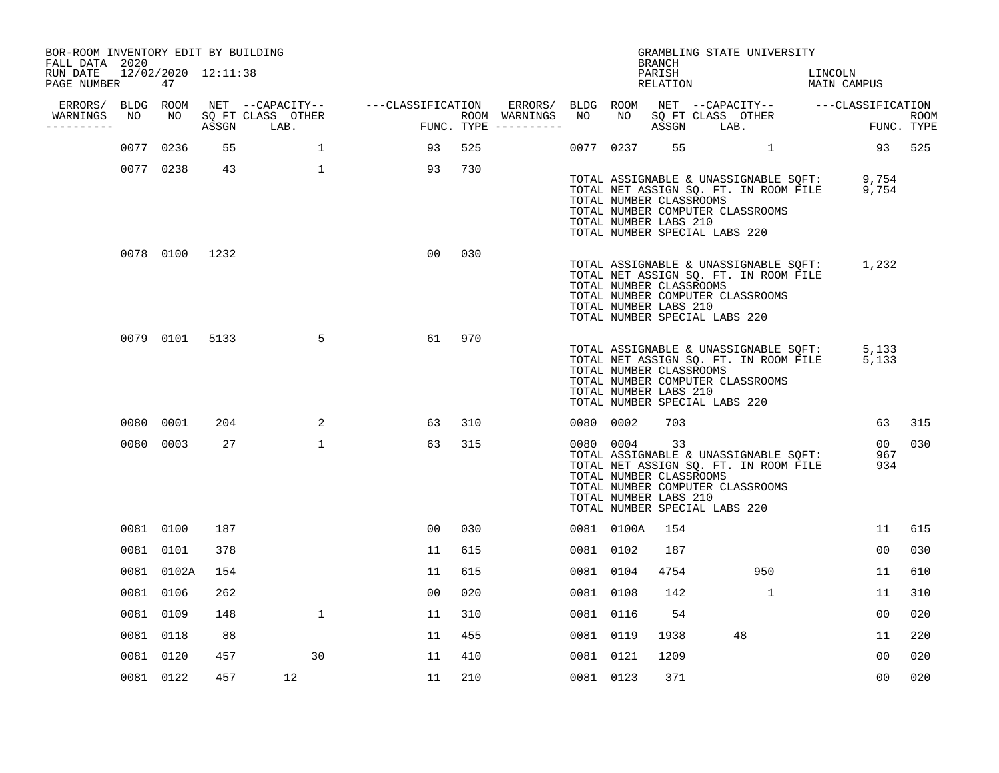| BOR-ROOM INVENTORY EDIT BY BUILDING<br>FALL DATA 2020 |           |            |                     |                           |                                    |     |                                      |           |                                                               | BRANCH             |                                                                   | GRAMBLING STATE UNIVERSITY                                                     |                                    |                           |
|-------------------------------------------------------|-----------|------------|---------------------|---------------------------|------------------------------------|-----|--------------------------------------|-----------|---------------------------------------------------------------|--------------------|-------------------------------------------------------------------|--------------------------------------------------------------------------------|------------------------------------|---------------------------|
| RUN DATE<br>PAGE NUMBER                               |           | 47         | 12/02/2020 12:11:38 |                           |                                    |     |                                      |           |                                                               | PARISH<br>RELATION |                                                                   |                                                                                | LINCOLN<br>MAIN CAMPUS             |                           |
| ERRORS/                                               |           | BLDG ROOM  |                     |                           | NET --CAPACITY-- ---CLASSIFICATION |     | ERRORS/                              | BLDG ROOM |                                                               |                    |                                                                   |                                                                                | NET --CAPACITY-- ---CLASSIFICATION |                           |
| WARNINGS<br>NO.<br>----------                         |           | NO         | ASSGN               | SQ FT CLASS OTHER<br>LAB. |                                    |     | ROOM WARNINGS<br>FUNC. TYPE $------$ | NO        | NO                                                            | ASSGN              | SQ FT CLASS OTHER<br>LAB.                                         |                                                                                |                                    | <b>ROOM</b><br>FUNC. TYPE |
|                                                       |           | 0077 0236  | 55                  | 1                         | 93                                 | 525 |                                      |           | 0077 0237                                                     | 55                 |                                                                   | $\mathbf{1}$                                                                   |                                    | 93 525                    |
|                                                       |           | 0077 0238  | 43                  | 1                         | 93                                 | 730 |                                      |           | TOTAL NUMBER CLASSROOMS<br>TOTAL NUMBER LABS 210              |                    | TOTAL NUMBER COMPUTER CLASSROOMS<br>TOTAL NUMBER SPECIAL LABS 220 | TOTAL ASSIGNABLE & UNASSIGNABLE SQFT:<br>TOTAL NET ASSIGN SQ. FT. IN ROOM FILE | 9,754<br>9,754                     |                           |
|                                                       |           |            | 0078 0100 1232      |                           | 00                                 | 030 |                                      |           | TOTAL NUMBER CLASSROOMS<br>TOTAL NUMBER LABS 210              |                    | TOTAL NUMBER COMPUTER CLASSROOMS<br>TOTAL NUMBER SPECIAL LABS 220 | TOTAL ASSIGNABLE & UNASSIGNABLE SQFT:<br>TOTAL NET ASSIGN SQ. FT. IN ROOM FILE | 1,232                              |                           |
|                                                       |           | 0079 0101  | 5133                | $\sim$ 5 $\sim$ 5         | 61                                 | 970 |                                      |           | TOTAL NUMBER CLASSROOMS<br>TOTAL NUMBER LABS 210              |                    | TOTAL NUMBER COMPUTER CLASSROOMS<br>TOTAL NUMBER SPECIAL LABS 220 | TOTAL ASSIGNABLE & UNASSIGNABLE SQFT:<br>TOTAL NET ASSIGN SQ. FT. IN ROOM FILE | 5,133<br>5,133                     |                           |
|                                                       |           | 0080 0001  | 204                 | 2                         | 63                                 | 310 |                                      | 0080 0002 |                                                               | 703                |                                                                   |                                                                                | 63                                 | 315                       |
|                                                       |           | 0080 0003  | 27                  | $\mathbf{1}$              | 63                                 | 315 |                                      |           | 0080 0004<br>TOTAL NUMBER CLASSROOMS<br>TOTAL NUMBER LABS 210 | 33                 | TOTAL NUMBER COMPUTER CLASSROOMS<br>TOTAL NUMBER SPECIAL LABS 220 | TOTAL ASSIGNABLE & UNASSIGNABLE SQFT:<br>TOTAL NET ASSIGN SQ. FT. IN ROOM FILE | 00 <sub>o</sub><br>967<br>934      | 030                       |
|                                                       |           | 0081 0100  | 187                 |                           | 00                                 | 030 |                                      |           | 0081 0100A                                                    | 154                |                                                                   |                                                                                | 11                                 | 615                       |
|                                                       |           | 0081 0101  | 378                 |                           | 11                                 | 615 |                                      | 0081 0102 |                                                               | 187                |                                                                   |                                                                                | 00                                 | 030                       |
|                                                       |           | 0081 0102A | 154                 |                           | 11                                 | 615 |                                      | 0081 0104 |                                                               | 4754               |                                                                   | 950                                                                            | 11                                 | 610                       |
|                                                       |           | 0081 0106  | 262                 |                           | 0 <sub>0</sub>                     | 020 |                                      | 0081 0108 |                                                               | 142                |                                                                   | $\mathbf{1}$                                                                   | 11                                 | 310                       |
|                                                       | 0081 0109 |            | 148                 | $\mathbf{1}$              | 11                                 | 310 |                                      | 0081 0116 |                                                               | 54                 |                                                                   |                                                                                | 0 <sub>0</sub>                     | 020                       |
|                                                       | 0081 0118 |            | 88                  |                           | 11                                 | 455 |                                      | 0081 0119 |                                                               | 1938               | 48                                                                |                                                                                | 11                                 | 220                       |
|                                                       | 0081 0120 |            | 457                 | 30                        | 11                                 | 410 |                                      | 0081 0121 |                                                               | 1209               |                                                                   |                                                                                | 00                                 | 020                       |
|                                                       |           | 0081 0122  | 457                 | 12                        | 11                                 | 210 |                                      | 0081 0123 |                                                               | 371                |                                                                   |                                                                                | 00                                 | 020                       |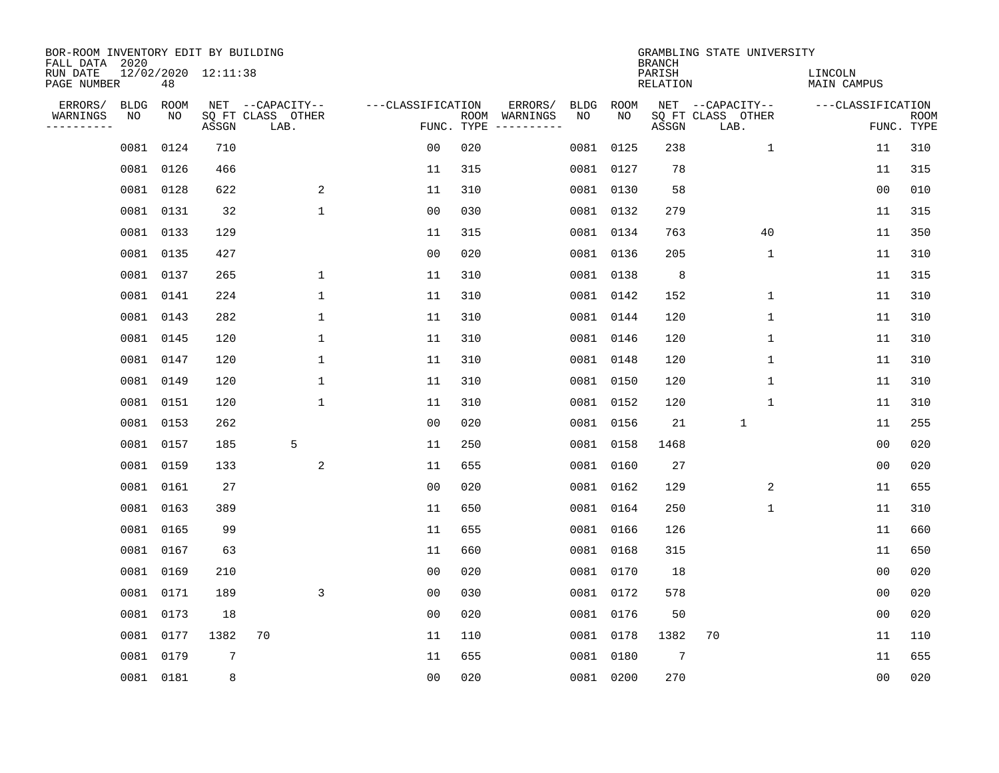| BOR-ROOM INVENTORY EDIT BY BUILDING<br>FALL DATA 2020 |             |           |                     |                           |                   |      |                         |             |           | <b>BRANCH</b>             | GRAMBLING STATE UNIVERSITY |                               |                           |
|-------------------------------------------------------|-------------|-----------|---------------------|---------------------------|-------------------|------|-------------------------|-------------|-----------|---------------------------|----------------------------|-------------------------------|---------------------------|
| RUN DATE<br>PAGE NUMBER                               |             | 48        | 12/02/2020 12:11:38 |                           |                   |      |                         |             |           | PARISH<br><b>RELATION</b> |                            | LINCOLN<br><b>MAIN CAMPUS</b> |                           |
| ERRORS/                                               | <b>BLDG</b> | ROOM      |                     | NET --CAPACITY--          | ---CLASSIFICATION |      | ERRORS/                 | <b>BLDG</b> | ROOM      |                           | NET --CAPACITY--           | ---CLASSIFICATION             |                           |
| WARNINGS<br>----------                                | NO          | NO        | ASSGN               | SQ FT CLASS OTHER<br>LAB. | FUNC. TYPE        | ROOM | WARNINGS<br>----------- | NO          | NO        | ASSGN                     | SQ FT CLASS OTHER<br>LAB.  |                               | <b>ROOM</b><br>FUNC. TYPE |
|                                                       | 0081        | 0124      | 710                 |                           | 00                | 020  |                         | 0081        | 0125      | 238                       | $\mathbf{1}$               | 11                            | 310                       |
|                                                       | 0081        | 0126      | 466                 |                           | 11                | 315  |                         |             | 0081 0127 | 78                        |                            | 11                            | 315                       |
|                                                       | 0081        | 0128      | 622                 | 2                         | 11                | 310  |                         |             | 0081 0130 | 58                        |                            | 0 <sub>0</sub>                | 010                       |
|                                                       | 0081        | 0131      | 32                  | 1                         | 0 <sub>0</sub>    | 030  |                         |             | 0081 0132 | 279                       |                            | 11                            | 315                       |
|                                                       | 0081        | 0133      | 129                 |                           | 11                | 315  |                         | 0081        | 0134      | 763                       | 40                         | 11                            | 350                       |
|                                                       | 0081        | 0135      | 427                 |                           | 0 <sub>0</sub>    | 020  |                         |             | 0081 0136 | 205                       | $\mathbf 1$                | 11                            | 310                       |
|                                                       | 0081        | 0137      | 265                 | 1                         | 11                | 310  |                         |             | 0081 0138 | 8                         |                            | 11                            | 315                       |
|                                                       | 0081        | 0141      | 224                 | $\mathbf{1}$              | 11                | 310  |                         |             | 0081 0142 | 152                       | $\mathbf{1}$               | 11                            | 310                       |
|                                                       | 0081        | 0143      | 282                 | $\mathbf 1$               | 11                | 310  |                         | 0081        | 0144      | 120                       | $\mathbf 1$                | 11                            | 310                       |
|                                                       | 0081        | 0145      | 120                 | 1                         | 11                | 310  |                         |             | 0081 0146 | 120                       | $\mathbf 1$                | 11                            | 310                       |
|                                                       | 0081        | 0147      | 120                 | 1                         | 11                | 310  |                         | 0081        | 0148      | 120                       | $\mathbf{1}$               | 11                            | 310                       |
|                                                       | 0081        | 0149      | 120                 | 1                         | 11                | 310  |                         |             | 0081 0150 | 120                       | $\mathbf 1$                | 11                            | 310                       |
|                                                       | 0081        | 0151      | 120                 | 1                         | 11                | 310  |                         | 0081        | 0152      | 120                       | $\mathbf 1$                | 11                            | 310                       |
|                                                       | 0081        | 0153      | 262                 |                           | 0 <sub>0</sub>    | 020  |                         | 0081        | 0156      | 21                        | $\mathbf 1$                | 11                            | 255                       |
|                                                       | 0081        | 0157      | 185                 | 5                         | 11                | 250  |                         | 0081        | 0158      | 1468                      |                            | 0 <sub>0</sub>                | 020                       |
|                                                       | 0081        | 0159      | 133                 | 2                         | 11                | 655  |                         | 0081        | 0160      | 27                        |                            | 0 <sub>0</sub>                | 020                       |
|                                                       | 0081        | 0161      | 27                  |                           | 0 <sub>0</sub>    | 020  |                         | 0081        | 0162      | 129                       | 2                          | 11                            | 655                       |
|                                                       | 0081        | 0163      | 389                 |                           | 11                | 650  |                         | 0081        | 0164      | 250                       | 1                          | 11                            | 310                       |
|                                                       | 0081        | 0165      | 99                  |                           | 11                | 655  |                         | 0081        | 0166      | 126                       |                            | 11                            | 660                       |
|                                                       | 0081        | 0167      | 63                  |                           | 11                | 660  |                         | 0081        | 0168      | 315                       |                            | 11                            | 650                       |
|                                                       | 0081        | 0169      | 210                 |                           | 0 <sub>0</sub>    | 020  |                         | 0081        | 0170      | 18                        |                            | 0 <sub>0</sub>                | 020                       |
|                                                       | 0081        | 0171      | 189                 | 3                         | 0 <sub>0</sub>    | 030  |                         | 0081        | 0172      | 578                       |                            | 0 <sub>0</sub>                | 020                       |
|                                                       | 0081        | 0173      | 18                  |                           | 0 <sub>0</sub>    | 020  |                         |             | 0081 0176 | 50                        |                            | 0 <sub>0</sub>                | 020                       |
|                                                       | 0081        | 0177      | 1382                | 70                        | 11                | 110  |                         | 0081        | 0178      | 1382                      | 70                         | 11                            | 110                       |
|                                                       | 0081        | 0179      | $7\phantom{.0}$     |                           | 11                | 655  |                         | 0081        | 0180      | $7\phantom{.0}$           |                            | 11                            | 655                       |
|                                                       |             | 0081 0181 | 8                   |                           | 0 <sub>0</sub>    | 020  |                         |             | 0081 0200 | 270                       |                            | 00                            | 020                       |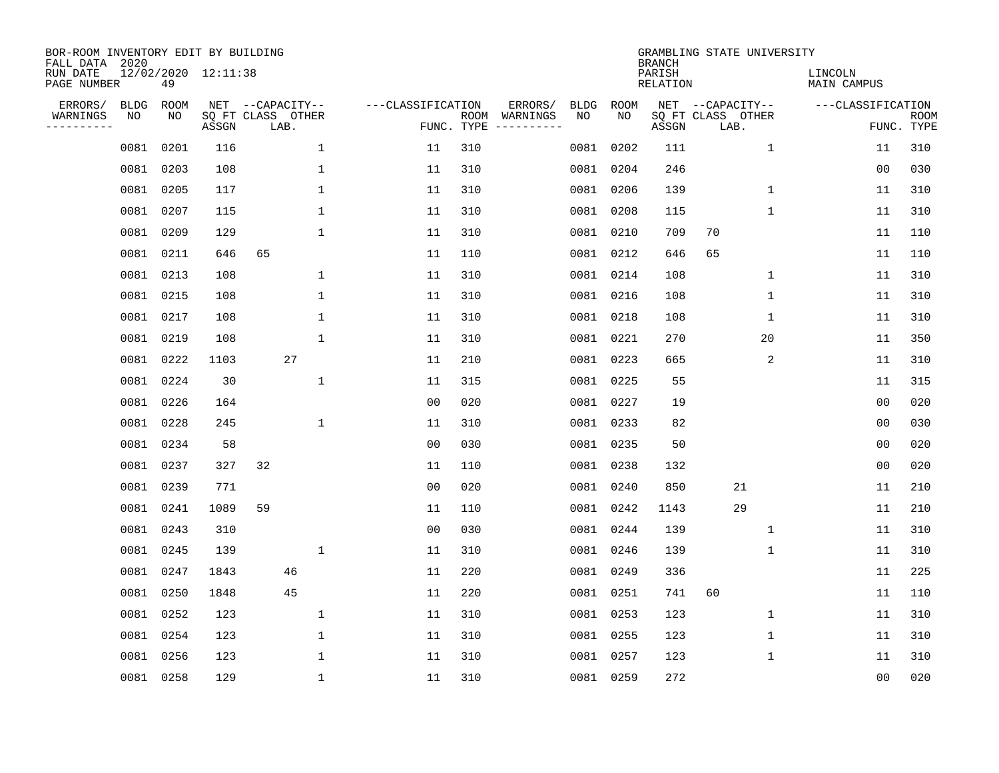| BOR-ROOM INVENTORY EDIT BY BUILDING<br>FALL DATA 2020 |                   |            |                     |                                               |              |                   |            |                                                                                                                                                      |            | <b>BRANCH</b>             | GRAMBLING STATE UNIVERSITY                    |                               |                |                           |
|-------------------------------------------------------|-------------------|------------|---------------------|-----------------------------------------------|--------------|-------------------|------------|------------------------------------------------------------------------------------------------------------------------------------------------------|------------|---------------------------|-----------------------------------------------|-------------------------------|----------------|---------------------------|
| RUN DATE<br>PAGE NUMBER                               |                   | 49         | 12/02/2020 12:11:38 |                                               |              |                   |            |                                                                                                                                                      |            | PARISH<br><b>RELATION</b> |                                               | LINCOLN<br><b>MAIN CAMPUS</b> |                |                           |
| ERRORS/<br>WARNINGS<br>---------                      | <b>BLDG</b><br>NO | ROOM<br>NO | ASSGN               | NET --CAPACITY--<br>SQ FT CLASS OTHER<br>LAB. |              | ---CLASSIFICATION | FUNC. TYPE | ERRORS/<br>BLDG<br>ROOM WARNINGS<br>NO<br>$\begin{tabular}{ccccccccc} - & - & - & - & - & - & - & - \\ & - & - & - & - & - & - & - \\ \end{tabular}$ | ROOM<br>NO | ASSGN                     | NET --CAPACITY--<br>SQ FT CLASS OTHER<br>LAB. | ---CLASSIFICATION             |                | <b>ROOM</b><br>FUNC. TYPE |
|                                                       | 0081              | 0201       | 116                 |                                               | $\mathbf 1$  | 11                | 310        | 0081                                                                                                                                                 | 0202       | 111                       | $\mathbf{1}$                                  |                               | 11             | 310                       |
|                                                       | 0081              | 0203       | 108                 |                                               | $\mathbf{1}$ | 11                | 310        |                                                                                                                                                      | 0081 0204  | 246                       |                                               |                               | 00             | 030                       |
|                                                       | 0081              | 0205       | 117                 |                                               | $\mathbf{1}$ | 11                | 310        |                                                                                                                                                      | 0081 0206  | 139                       | $\mathbf{1}$                                  |                               | 11             | 310                       |
|                                                       | 0081 0207         |            | 115                 |                                               | $\mathbf{1}$ | 11                | 310        |                                                                                                                                                      | 0081 0208  | 115                       | $\mathbf{1}$                                  |                               | 11             | 310                       |
|                                                       | 0081              | 0209       | 129                 |                                               | $\mathbf{1}$ | 11                | 310        |                                                                                                                                                      | 0081 0210  | 709                       | 70                                            |                               | 11             | 110                       |
|                                                       | 0081 0211         |            | 646                 | 65                                            |              | 11                | 110        |                                                                                                                                                      | 0081 0212  | 646                       | 65                                            |                               | 11             | 110                       |
|                                                       | 0081 0213         |            | 108                 |                                               | $\mathbf 1$  | 11                | 310        |                                                                                                                                                      | 0081 0214  | 108                       | $\mathbf 1$                                   |                               | 11             | 310                       |
|                                                       | 0081 0215         |            | 108                 |                                               | 1            | 11                | 310        |                                                                                                                                                      | 0081 0216  | 108                       | $\mathbf 1$                                   |                               | 11             | 310                       |
|                                                       | 0081 0217         |            | 108                 |                                               | $\mathbf 1$  | 11                | 310        |                                                                                                                                                      | 0081 0218  | 108                       | 1                                             |                               | 11             | 310                       |
|                                                       | 0081 0219         |            | 108                 |                                               | $\mathbf 1$  | 11                | 310        |                                                                                                                                                      | 0081 0221  | 270                       | 20                                            |                               | 11             | 350                       |
|                                                       | 0081 0222         |            | 1103                | 27                                            |              | 11                | 210        | 0081                                                                                                                                                 | 0223       | 665                       | 2                                             |                               | 11             | 310                       |
|                                                       | 0081 0224         |            | 30                  |                                               | $\mathbf{1}$ | 11                | 315        |                                                                                                                                                      | 0081 0225  | 55                        |                                               |                               | 11             | 315                       |
|                                                       | 0081              | 0226       | 164                 |                                               |              | 0 <sub>0</sub>    | 020        | 0081                                                                                                                                                 | 0227       | 19                        |                                               |                               | 0 <sub>0</sub> | 020                       |
|                                                       | 0081              | 0228       | 245                 |                                               | 1            | 11                | 310        |                                                                                                                                                      | 0081 0233  | 82                        |                                               |                               | 0 <sub>0</sub> | 030                       |
|                                                       | 0081              | 0234       | 58                  |                                               |              | 0 <sub>0</sub>    | 030        |                                                                                                                                                      | 0081 0235  | 50                        |                                               |                               | 0 <sub>0</sub> | 020                       |
|                                                       | 0081              | 0237       | 327                 | 32                                            |              | 11                | 110        |                                                                                                                                                      | 0081 0238  | 132                       |                                               |                               | 0 <sub>0</sub> | 020                       |
|                                                       | 0081              | 0239       | 771                 |                                               |              | 0 <sub>0</sub>    | 020        |                                                                                                                                                      | 0081 0240  | 850                       | 21                                            |                               | 11             | 210                       |
|                                                       | 0081              | 0241       | 1089                | 59                                            |              | 11                | 110        |                                                                                                                                                      | 0081 0242  | 1143                      | 29                                            |                               | 11             | 210                       |
|                                                       | 0081              | 0243       | 310                 |                                               |              | 0 <sub>0</sub>    | 030        |                                                                                                                                                      | 0081 0244  | 139                       | 1                                             |                               | 11             | 310                       |
|                                                       | 0081              | 0245       | 139                 |                                               | $\mathbf{1}$ | 11                | 310        |                                                                                                                                                      | 0081 0246  | 139                       | $\mathbf 1$                                   |                               | 11             | 310                       |
|                                                       | 0081              | 0247       | 1843                | 46                                            |              | 11                | 220        |                                                                                                                                                      | 0081 0249  | 336                       |                                               |                               | 11             | 225                       |
|                                                       | 0081              | 0250       | 1848                | 45                                            |              | 11                | 220        |                                                                                                                                                      | 0081 0251  | 741                       | 60                                            |                               | 11             | 110                       |
|                                                       | 0081              | 0252       | 123                 |                                               | 1            | 11                | 310        |                                                                                                                                                      | 0081 0253  | 123                       | 1                                             |                               | 11             | 310                       |
|                                                       | 0081 0254         |            | 123                 |                                               | $\mathbf 1$  | 11                | 310        |                                                                                                                                                      | 0081 0255  | 123                       | $\mathbf 1$                                   |                               | 11             | 310                       |
|                                                       | 0081              | 0256       | 123                 |                                               | 1            | 11                | 310        |                                                                                                                                                      | 0081 0257  | 123                       | 1                                             |                               | 11             | 310                       |
|                                                       | 0081 0258         |            | 129                 |                                               | $\mathbf{1}$ | 11                | 310        |                                                                                                                                                      | 0081 0259  | 272                       |                                               |                               | 00             | 020                       |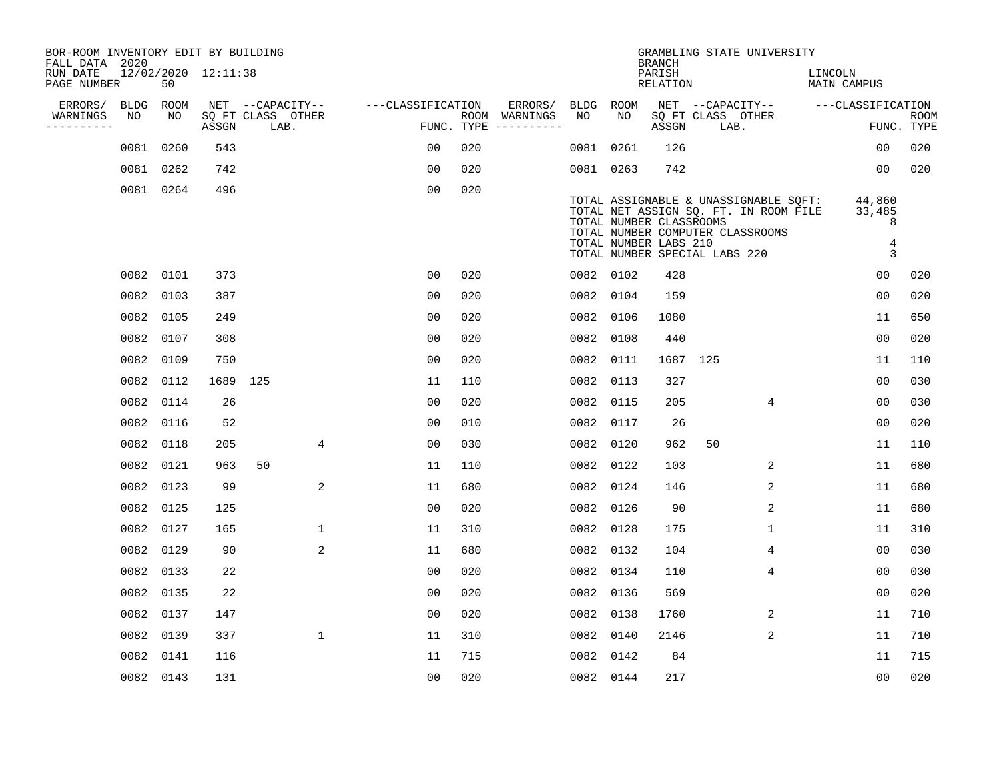| BOR-ROOM INVENTORY EDIT BY BUILDING       |             |           |                     |                           |                  |                   |                |     |                              |           |      |                                                                                   |     | GRAMBLING STATE UNIVERSITY                                                                                         |         |                                              |                           |
|-------------------------------------------|-------------|-----------|---------------------|---------------------------|------------------|-------------------|----------------|-----|------------------------------|-----------|------|-----------------------------------------------------------------------------------|-----|--------------------------------------------------------------------------------------------------------------------|---------|----------------------------------------------|---------------------------|
| FALL DATA 2020<br>RUN DATE<br>PAGE NUMBER |             | 50        | 12/02/2020 12:11:38 |                           |                  |                   |                |     |                              |           |      | <b>BRANCH</b><br>PARISH<br><b>RELATION</b>                                        |     |                                                                                                                    | LINCOLN | <b>MAIN CAMPUS</b>                           |                           |
| ERRORS/                                   | <b>BLDG</b> | ROOM      |                     |                           | NET --CAPACITY-- | ---CLASSIFICATION |                |     | ERRORS/                      | BLDG      | ROOM |                                                                                   |     | NET --CAPACITY--                                                                                                   |         | ---CLASSIFICATION                            |                           |
| WARNINGS<br>----------                    | NO          | NO        | ASSGN               | SQ FT CLASS OTHER<br>LAB. |                  |                   | FUNC. TYPE     |     | ROOM WARNINGS<br>----------- | NO        | NO   | ASSGN                                                                             |     | SQ FT CLASS OTHER<br>LAB.                                                                                          |         |                                              | <b>ROOM</b><br>FUNC. TYPE |
|                                           | 0081        | 0260      | 543                 |                           |                  |                   | 00             | 020 |                              | 0081 0261 |      | 126                                                                               |     |                                                                                                                    |         | 00                                           | 020                       |
|                                           | 0081        | 0262      | 742                 |                           |                  |                   | 00             | 020 |                              | 0081 0263 |      | 742                                                                               |     |                                                                                                                    |         | 0 <sub>0</sub>                               | 020                       |
|                                           |             | 0081 0264 | 496                 |                           |                  |                   | 0 <sub>0</sub> | 020 |                              |           |      | TOTAL NUMBER CLASSROOMS<br>TOTAL NUMBER LABS 210<br>TOTAL NUMBER SPECIAL LABS 220 |     | TOTAL ASSIGNABLE & UNASSIGNABLE SQFT:<br>TOTAL NET ASSIGN SQ. FT. IN ROOM FILE<br>TOTAL NUMBER COMPUTER CLASSROOMS |         | 44,860<br>33,485<br>8<br>$\overline{4}$<br>3 |                           |
|                                           |             | 0082 0101 | 373                 |                           |                  |                   | 0 <sub>0</sub> | 020 |                              | 0082 0102 |      | 428                                                                               |     |                                                                                                                    |         | 0 <sub>0</sub>                               | 020                       |
|                                           |             | 0082 0103 | 387                 |                           |                  |                   | 0 <sub>0</sub> | 020 |                              | 0082 0104 |      | 159                                                                               |     |                                                                                                                    |         | 0 <sub>0</sub>                               | 020                       |
|                                           | 0082        | 0105      | 249                 |                           |                  |                   | 0 <sub>0</sub> | 020 |                              | 0082      | 0106 | 1080                                                                              |     |                                                                                                                    |         | 11                                           | 650                       |
|                                           |             | 0082 0107 | 308                 |                           |                  |                   | 0 <sub>0</sub> | 020 |                              | 0082 0108 |      | 440                                                                               |     |                                                                                                                    |         | 00                                           | 020                       |
|                                           | 0082        | 0109      | 750                 |                           |                  |                   | 0 <sub>0</sub> | 020 |                              | 0082      | 0111 | 1687                                                                              | 125 |                                                                                                                    |         | 11                                           | 110                       |
|                                           |             | 0082 0112 | 1689 125            |                           |                  |                   | 11             | 110 |                              | 0082 0113 |      | 327                                                                               |     |                                                                                                                    |         | 0 <sub>0</sub>                               | 030                       |
|                                           | 0082        | 0114      | 26                  |                           |                  |                   | 0 <sub>0</sub> | 020 |                              | 0082      | 0115 | 205                                                                               |     | 4                                                                                                                  |         | 0 <sub>0</sub>                               | 030                       |
|                                           | 0082        | 0116      | 52                  |                           |                  |                   | 0 <sub>0</sub> | 010 |                              | 0082 0117 |      | 26                                                                                |     |                                                                                                                    |         | 0 <sub>0</sub>                               | 020                       |
|                                           | 0082        | 0118      | 205                 |                           | 4                |                   | 0 <sub>0</sub> | 030 |                              | 0082      | 0120 | 962                                                                               | 50  |                                                                                                                    |         | 11                                           | 110                       |
|                                           | 0082        | 0121      | 963                 | 50                        |                  |                   | 11             | 110 |                              | 0082 0122 |      | 103                                                                               |     | 2                                                                                                                  |         | 11                                           | 680                       |
|                                           | 0082        | 0123      | 99                  |                           | 2                |                   | 11             | 680 |                              | 0082 0124 |      | 146                                                                               |     | 2                                                                                                                  |         | 11                                           | 680                       |
|                                           | 0082        | 0125      | 125                 |                           |                  |                   | 0 <sub>0</sub> | 020 |                              | 0082 0126 |      | 90                                                                                |     | 2                                                                                                                  |         | 11                                           | 680                       |
|                                           |             | 0082 0127 | 165                 |                           | $\mathbf 1$      |                   | 11             | 310 |                              | 0082 0128 |      | 175                                                                               |     | 1                                                                                                                  |         | 11                                           | 310                       |
|                                           | 0082        | 0129      | 90                  |                           | 2                |                   | 11             | 680 |                              | 0082 0132 |      | 104                                                                               |     | 4                                                                                                                  |         | 0 <sub>0</sub>                               | 030                       |
|                                           | 0082        | 0133      | 22                  |                           |                  |                   | 0 <sub>0</sub> | 020 |                              | 0082 0134 |      | 110                                                                               |     | 4                                                                                                                  |         | 0 <sub>0</sub>                               | 030                       |
|                                           | 0082        | 0135      | 22                  |                           |                  |                   | 0 <sub>0</sub> | 020 |                              | 0082      | 0136 | 569                                                                               |     |                                                                                                                    |         | 0 <sub>0</sub>                               | 020                       |
|                                           |             | 0082 0137 | 147                 |                           |                  |                   | 0 <sub>0</sub> | 020 |                              | 0082 0138 |      | 1760                                                                              |     | 2                                                                                                                  |         | 11                                           | 710                       |
|                                           | 0082        | 0139      | 337                 |                           | $\mathbf{1}$     |                   | 11             | 310 |                              | 0082 0140 |      | 2146                                                                              |     | 2                                                                                                                  |         | 11                                           | 710                       |
|                                           | 0082        | 0141      | 116                 |                           |                  |                   | 11             | 715 |                              | 0082 0142 |      | 84                                                                                |     |                                                                                                                    |         | 11                                           | 715                       |
|                                           |             | 0082 0143 | 131                 |                           |                  |                   | 0 <sub>0</sub> | 020 |                              | 0082 0144 |      | 217                                                                               |     |                                                                                                                    |         | 0 <sub>0</sub>                               | 020                       |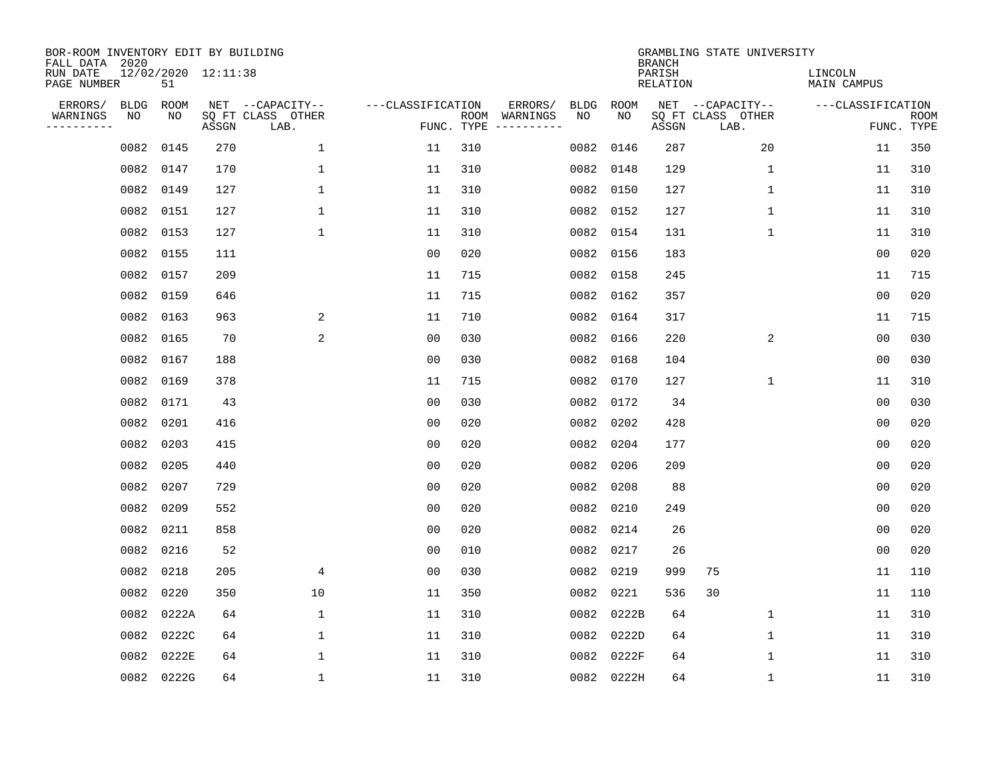| BOR-ROOM INVENTORY EDIT BY BUILDING<br>FALL DATA 2020 |                   |            |                     |                                       |                   |            |                                                                                                            |            |            | <b>BRANCH</b>             | GRAMBLING STATE UNIVERSITY            |                        |             |
|-------------------------------------------------------|-------------------|------------|---------------------|---------------------------------------|-------------------|------------|------------------------------------------------------------------------------------------------------------|------------|------------|---------------------------|---------------------------------------|------------------------|-------------|
| RUN DATE<br>PAGE NUMBER                               |                   | 51         | 12/02/2020 12:11:38 |                                       |                   |            |                                                                                                            |            |            | PARISH<br><b>RELATION</b> |                                       | LINCOLN<br>MAIN CAMPUS |             |
| ERRORS/<br>WARNINGS                                   | <b>BLDG</b><br>NO | ROOM<br>NO |                     | NET --CAPACITY--<br>SQ FT CLASS OTHER | ---CLASSIFICATION |            | ERRORS/<br>ROOM WARNINGS                                                                                   | BLDG<br>NO | ROOM<br>NO |                           | NET --CAPACITY--<br>SQ FT CLASS OTHER | ---CLASSIFICATION      | <b>ROOM</b> |
| ----------                                            |                   |            | ASSGN               | LAB.                                  |                   | FUNC. TYPE | $\begin{tabular}{ccccccccc} - & - & - & - & - & - & - & - \\ & - & - & - & - & - & - & - \\ \end{tabular}$ |            |            | ASSGN                     | LAB.                                  |                        | FUNC. TYPE  |
|                                                       | 0082              | 0145       | 270                 | $\mathbf{1}$                          | 11                | 310        |                                                                                                            | 0082       | 0146       | 287                       | 20                                    | 11                     | 350         |
|                                                       |                   | 0082 0147  | 170                 | $\mathbf{1}$                          | 11                | 310        |                                                                                                            | 0082       | 0148       | 129                       | 1                                     | 11                     | 310         |
|                                                       | 0082              | 0149       | 127                 | $\mathbf{1}$                          | 11                | 310        |                                                                                                            | 0082       | 0150       | 127                       | $\mathbf{1}$                          | 11                     | 310         |
|                                                       |                   | 0082 0151  | 127                 | $\mathbf{1}$                          | 11                | 310        |                                                                                                            | 0082       | 0152       | 127                       | $\mathbf{1}$                          | 11                     | 310         |
|                                                       |                   | 0082 0153  | 127                 | $\mathbf{1}$                          | 11                | 310        |                                                                                                            | 0082       | 0154       | 131                       | $\mathbf 1$                           | 11                     | 310         |
|                                                       |                   | 0082 0155  | 111                 |                                       | 0 <sub>0</sub>    | 020        |                                                                                                            | 0082       | 0156       | 183                       |                                       | 0 <sub>0</sub>         | 020         |
|                                                       |                   | 0082 0157  | 209                 |                                       | 11                | 715        |                                                                                                            | 0082       | 0158       | 245                       |                                       | 11                     | 715         |
|                                                       |                   | 0082 0159  | 646                 |                                       | 11                | 715        |                                                                                                            | 0082       | 0162       | 357                       |                                       | 0 <sub>0</sub>         | 020         |
|                                                       | 0082              | 0163       | 963                 | 2                                     | 11                | 710        |                                                                                                            | 0082       | 0164       | 317                       |                                       | 11                     | 715         |
|                                                       |                   | 0082 0165  | 70                  | 2                                     | 0 <sub>0</sub>    | 030        |                                                                                                            | 0082       | 0166       | 220                       | 2                                     | 0 <sub>0</sub>         | 030         |
|                                                       | 0082              | 0167       | 188                 |                                       | 0 <sub>0</sub>    | 030        |                                                                                                            | 0082       | 0168       | 104                       |                                       | 0 <sub>0</sub>         | 030         |
|                                                       |                   | 0082 0169  | 378                 |                                       | 11                | 715        |                                                                                                            | 0082       | 0170       | 127                       | $\mathbf{1}$                          | 11                     | 310         |
|                                                       | 0082              | 0171       | 43                  |                                       | 0 <sub>0</sub>    | 030        |                                                                                                            | 0082       | 0172       | 34                        |                                       | 0 <sub>0</sub>         | 030         |
|                                                       | 0082              | 0201       | 416                 |                                       | 0 <sub>0</sub>    | 020        |                                                                                                            | 0082       | 0202       | 428                       |                                       | 0 <sub>0</sub>         | 020         |
|                                                       | 0082              | 0203       | 415                 |                                       | 0 <sub>0</sub>    | 020        |                                                                                                            | 0082       | 0204       | 177                       |                                       | 0 <sub>0</sub>         | 020         |
|                                                       | 0082              | 0205       | 440                 |                                       | 0 <sub>0</sub>    | 020        |                                                                                                            | 0082       | 0206       | 209                       |                                       | 0 <sub>0</sub>         | 020         |
|                                                       | 0082              | 0207       | 729                 |                                       | 0 <sub>0</sub>    | 020        |                                                                                                            | 0082       | 0208       | 88                        |                                       | 0 <sub>0</sub>         | 020         |
|                                                       | 0082              | 0209       | 552                 |                                       | 0 <sub>0</sub>    | 020        |                                                                                                            | 0082       | 0210       | 249                       |                                       | 0 <sub>0</sub>         | 020         |
|                                                       | 0082              | 0211       | 858                 |                                       | 0 <sub>0</sub>    | 020        |                                                                                                            | 0082       | 0214       | 26                        |                                       | 0 <sub>0</sub>         | 020         |
|                                                       | 0082              | 0216       | 52                  |                                       | 0 <sub>0</sub>    | 010        |                                                                                                            | 0082       | 0217       | 26                        |                                       | 0 <sub>0</sub>         | 020         |
|                                                       | 0082              | 0218       | 205                 | 4                                     | 0 <sub>0</sub>    | 030        |                                                                                                            | 0082       | 0219       | 999                       | 75                                    | 11                     | 110         |
|                                                       | 0082              | 0220       | 350                 | 10                                    | 11                | 350        |                                                                                                            | 0082       | 0221       | 536                       | 30                                    | 11                     | 110         |
|                                                       | 0082              | 0222A      | 64                  | $\mathbf 1$                           | 11                | 310        |                                                                                                            | 0082       | 0222B      | 64                        | $\mathbf 1$                           | 11                     | 310         |
|                                                       | 0082              | 0222C      | 64                  | $\mathbf 1$                           | 11                | 310        |                                                                                                            | 0082       | 0222D      | 64                        | $\mathbf 1$                           | 11                     | 310         |
|                                                       | 0082              | 0222E      | 64                  | 1                                     | 11                | 310        |                                                                                                            | 0082       | 0222F      | 64                        | 1                                     | 11                     | 310         |
|                                                       |                   | 0082 0222G | 64                  | $\mathbf{1}$                          | 11                | 310        |                                                                                                            |            | 0082 0222H | 64                        | 1                                     | 11                     | 310         |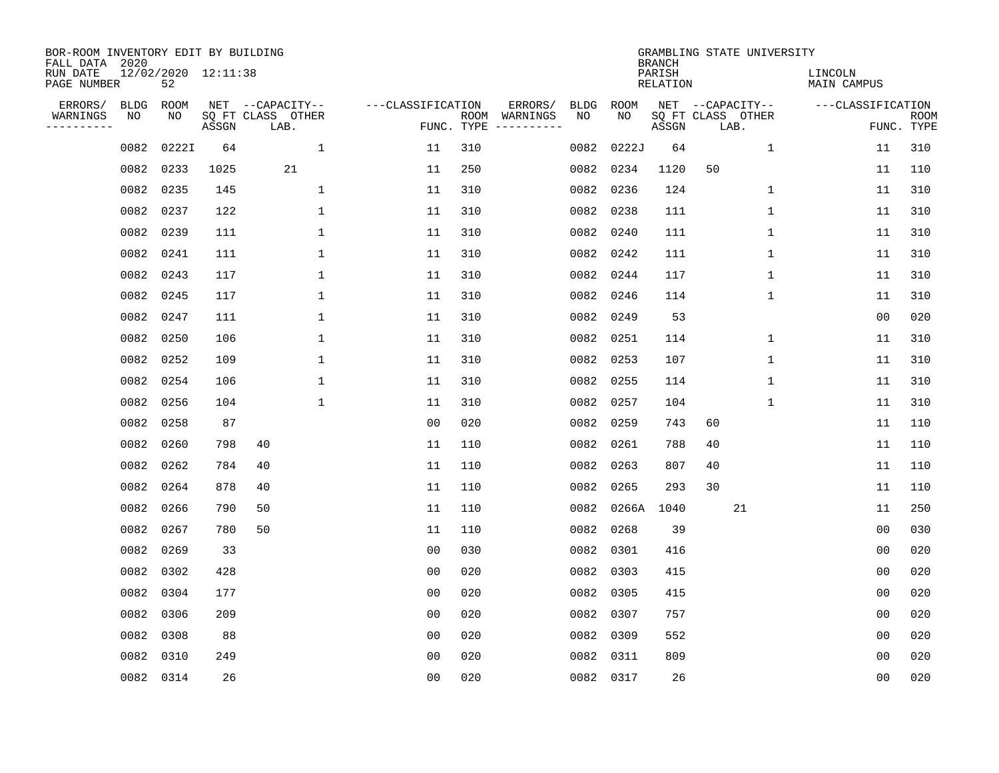| BOR-ROOM INVENTORY EDIT BY BUILDING<br>FALL DATA 2020 |             |                           |       |                           |                   |                    |          |             |             | <b>BRANCH</b>             | GRAMBLING STATE UNIVERSITY |              |                               |                           |
|-------------------------------------------------------|-------------|---------------------------|-------|---------------------------|-------------------|--------------------|----------|-------------|-------------|---------------------------|----------------------------|--------------|-------------------------------|---------------------------|
| RUN DATE<br>PAGE NUMBER                               |             | 12/02/2020 12:11:38<br>52 |       |                           |                   |                    |          |             |             | PARISH<br><b>RELATION</b> |                            |              | LINCOLN<br><b>MAIN CAMPUS</b> |                           |
| ERRORS/                                               | <b>BLDG</b> | ROOM                      |       | NET --CAPACITY--          | ---CLASSIFICATION |                    | ERRORS/  | <b>BLDG</b> | <b>ROOM</b> |                           | NET --CAPACITY--           |              | ---CLASSIFICATION             |                           |
| WARNINGS<br>----------                                | NO          | NO                        | ASSGN | SQ FT CLASS OTHER<br>LAB. |                   | ROOM<br>FUNC. TYPE | WARNINGS | NO          | NO          | ASSGN                     | SQ FT CLASS OTHER<br>LAB.  |              |                               | <b>ROOM</b><br>FUNC. TYPE |
|                                                       | 0082        | 0222I                     | 64    | 1                         | 11                | 310                |          | 0082        | 0222J       | 64                        |                            | $\mathbf 1$  | 11                            | 310                       |
|                                                       | 0082        | 0233                      | 1025  | 21                        | 11                | 250                |          | 0082        | 0234        | 1120                      | 50                         |              | 11                            | 110                       |
|                                                       | 0082        | 0235                      | 145   | $\mathbf{1}$              | 11                | 310                |          | 0082        | 0236        | 124                       |                            | $\mathbf 1$  | 11                            | 310                       |
|                                                       | 0082        | 0237                      | 122   | $\mathbf{1}$              | 11                | 310                |          | 0082        | 0238        | 111                       |                            | $\mathbf{1}$ | 11                            | 310                       |
|                                                       | 0082        | 0239                      | 111   | $\mathbf{1}$              | 11                | 310                |          | 0082        | 0240        | 111                       |                            | $\mathbf{1}$ | 11                            | 310                       |
|                                                       | 0082 0241   |                           | 111   | $\mathbf{1}$              | 11                | 310                |          | 0082        | 0242        | 111                       |                            | $\mathbf{1}$ | 11                            | 310                       |
|                                                       |             | 0082 0243                 | 117   | $\mathbf{1}$              | 11                | 310                |          | 0082        | 0244        | 117                       |                            | $\mathbf{1}$ | 11                            | 310                       |
|                                                       |             | 0082 0245                 | 117   | $\mathbf 1$               | 11                | 310                |          | 0082        | 0246        | 114                       |                            | 1            | 11                            | 310                       |
|                                                       | 0082        | 0247                      | 111   | $\mathbf 1$               | 11                | 310                |          | 0082        | 0249        | 53                        |                            |              | 0 <sub>0</sub>                | 020                       |
|                                                       | 0082        | 0250                      | 106   | $\mathbf 1$               | 11                | 310                |          | 0082        | 0251        | 114                       |                            | $\mathbf 1$  | 11                            | 310                       |
|                                                       | 0082        | 0252                      | 109   | $\mathbf{1}$              | 11                | 310                |          | 0082        | 0253        | 107                       |                            | $\mathbf 1$  | 11                            | 310                       |
|                                                       |             | 0082 0254                 | 106   | $\mathbf 1$               | 11                | 310                |          | 0082        | 0255        | 114                       |                            | 1            | 11                            | 310                       |
|                                                       | 0082        | 0256                      | 104   | $\mathbf{1}$              | 11                | 310                |          | 0082        | 0257        | 104                       |                            | 1            | 11                            | 310                       |
|                                                       | 0082        | 0258                      | 87    |                           | 0 <sub>0</sub>    | 020                |          | 0082        | 0259        | 743                       | 60                         |              | 11                            | 110                       |
|                                                       | 0082        | 0260                      | 798   | 40                        | 11                | 110                |          | 0082        | 0261        | 788                       | 40                         |              | 11                            | 110                       |
|                                                       | 0082        | 0262                      | 784   | 40                        | 11                | 110                |          | 0082        | 0263        | 807                       | 40                         |              | 11                            | 110                       |
|                                                       | 0082        | 0264                      | 878   | 40                        | 11                | 110                |          | 0082        | 0265        | 293                       | 30                         |              | 11                            | 110                       |
|                                                       | 0082        | 0266                      | 790   | 50                        | 11                | 110                |          | 0082        | 0266A       | 1040                      | 21                         |              | 11                            | 250                       |
|                                                       | 0082        | 0267                      | 780   | 50                        | 11                | 110                |          | 0082        | 0268        | 39                        |                            |              | 0 <sub>0</sub>                | 030                       |
|                                                       | 0082        | 0269                      | 33    |                           | 0 <sub>0</sub>    | 030                |          | 0082        | 0301        | 416                       |                            |              | 00                            | 020                       |
|                                                       | 0082        | 0302                      | 428   |                           | 0 <sub>0</sub>    | 020                |          | 0082        | 0303        | 415                       |                            |              | 0 <sub>0</sub>                | 020                       |
|                                                       | 0082        | 0304                      | 177   |                           | 0 <sub>0</sub>    | 020                |          | 0082        | 0305        | 415                       |                            |              | 0 <sub>0</sub>                | 020                       |
|                                                       | 0082        | 0306                      | 209   |                           | 0 <sub>0</sub>    | 020                |          | 0082        | 0307        | 757                       |                            |              | 0 <sub>0</sub>                | 020                       |
|                                                       | 0082        | 0308                      | 88    |                           | 0 <sub>0</sub>    | 020                |          | 0082        | 0309        | 552                       |                            |              | 00                            | 020                       |
|                                                       | 0082        | 0310                      | 249   |                           | 0 <sub>0</sub>    | 020                |          | 0082        | 0311        | 809                       |                            |              | 0 <sub>0</sub>                | 020                       |
|                                                       |             | 0082 0314                 | 26    |                           | 0 <sub>0</sub>    | 020                |          |             | 0082 0317   | 26                        |                            |              | 0 <sub>0</sub>                | 020                       |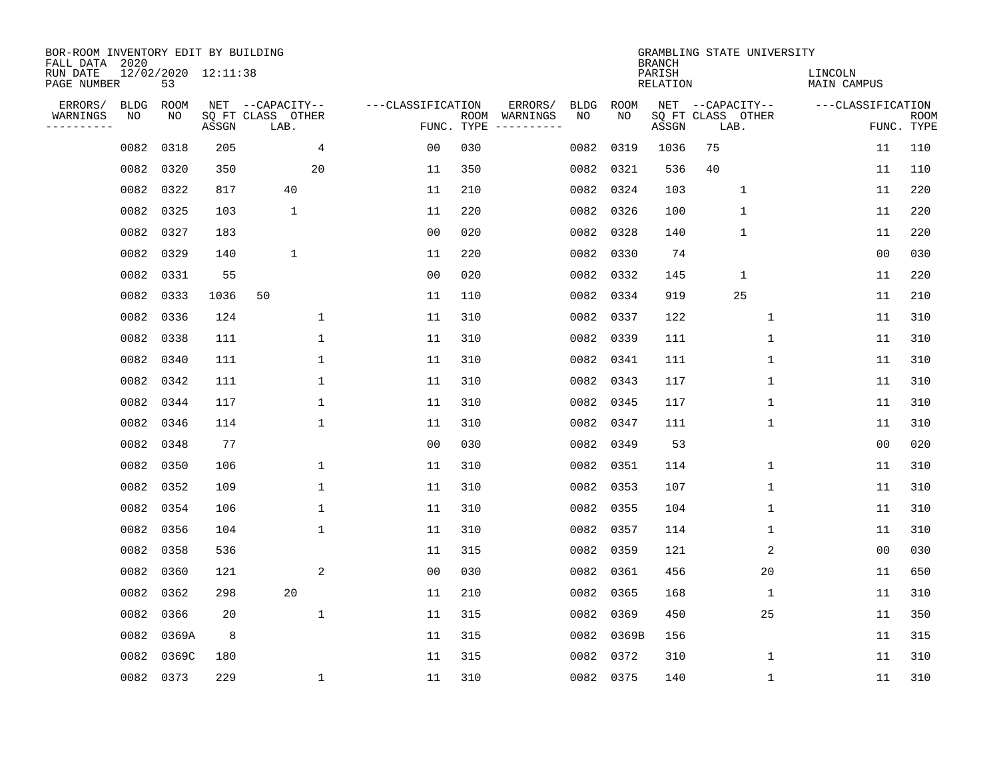| BOR-ROOM INVENTORY EDIT BY BUILDING<br>FALL DATA 2020 |             |                           |       |                           |                   |      |                         |             |           | <b>BRANCH</b>             | GRAMBLING STATE UNIVERSITY |                               |                           |
|-------------------------------------------------------|-------------|---------------------------|-------|---------------------------|-------------------|------|-------------------------|-------------|-----------|---------------------------|----------------------------|-------------------------------|---------------------------|
| RUN DATE<br>PAGE NUMBER                               |             | 12/02/2020 12:11:38<br>53 |       |                           |                   |      |                         |             |           | PARISH<br><b>RELATION</b> |                            | LINCOLN<br><b>MAIN CAMPUS</b> |                           |
| ERRORS/                                               | <b>BLDG</b> | ROOM                      |       | NET --CAPACITY--          | ---CLASSIFICATION |      | ERRORS/                 | <b>BLDG</b> | ROOM      |                           | NET --CAPACITY--           | ---CLASSIFICATION             |                           |
| WARNINGS<br>----------                                | NO          | NO                        | ASSGN | SQ FT CLASS OTHER<br>LAB. | FUNC. TYPE        | ROOM | WARNINGS<br>----------- | NO          | NO        | ASSGN                     | SQ FT CLASS OTHER<br>LAB.  |                               | <b>ROOM</b><br>FUNC. TYPE |
|                                                       | 0082        | 0318                      | 205   | 4                         | 0 <sub>0</sub>    | 030  |                         | 0082        | 0319      | 1036                      | 75                         | 11                            | 110                       |
|                                                       | 0082        | 0320                      | 350   | 20                        | 11                | 350  |                         | 0082        | 0321      | 536                       | 40                         | 11                            | 110                       |
|                                                       | 0082        | 0322                      | 817   | 40                        | 11                | 210  |                         | 0082        | 0324      | 103                       | 1                          | 11                            | 220                       |
|                                                       | 0082        | 0325                      | 103   | 1                         | 11                | 220  |                         | 0082        | 0326      | 100                       | 1                          | 11                            | 220                       |
|                                                       | 0082        | 0327                      | 183   |                           | 0 <sub>0</sub>    | 020  |                         | 0082        | 0328      | 140                       | $1\,$                      | 11                            | 220                       |
|                                                       | 0082        | 0329                      | 140   | $\mathbf 1$               | 11                | 220  |                         |             | 0082 0330 | 74                        |                            | 0 <sub>0</sub>                | 030                       |
|                                                       | 0082        | 0331                      | 55    |                           | 0 <sub>0</sub>    | 020  |                         | 0082        | 0332      | 145                       | $\mathbf{1}$               | 11                            | 220                       |
|                                                       | 0082        | 0333                      | 1036  | 50                        | 11                | 110  |                         | 0082        | 0334      | 919                       | 25                         | 11                            | 210                       |
|                                                       | 0082        | 0336                      | 124   | 1                         | 11                | 310  |                         | 0082        | 0337      | 122                       | $\mathbf 1$                | 11                            | 310                       |
|                                                       | 0082        | 0338                      | 111   | 1                         | 11                | 310  |                         | 0082        | 0339      | 111                       | 1                          | 11                            | 310                       |
|                                                       | 0082        | 0340                      | 111   | $\mathbf 1$               | 11                | 310  |                         | 0082        | 0341      | 111                       | $\mathbf 1$                | 11                            | 310                       |
|                                                       | 0082        | 0342                      | 111   | 1                         | 11                | 310  |                         | 0082        | 0343      | 117                       | $\mathbf 1$                | 11                            | 310                       |
|                                                       | 0082        | 0344                      | 117   | 1                         | 11                | 310  |                         | 0082        | 0345      | 117                       | 1                          | 11                            | 310                       |
|                                                       | 0082        | 0346                      | 114   | 1                         | 11                | 310  |                         | 0082        | 0347      | 111                       | 1                          | 11                            | 310                       |
|                                                       | 0082        | 0348                      | 77    |                           | 00                | 030  |                         | 0082        | 0349      | 53                        |                            | 00                            | 020                       |
|                                                       | 0082        | 0350                      | 106   | 1                         | 11                | 310  |                         | 0082        | 0351      | 114                       | 1                          | 11                            | 310                       |
|                                                       | 0082        | 0352                      | 109   | 1                         | 11                | 310  |                         | 0082        | 0353      | 107                       | 1                          | 11                            | 310                       |
|                                                       | 0082        | 0354                      | 106   | 1                         | 11                | 310  |                         | 0082        | 0355      | 104                       | 1                          | 11                            | 310                       |
|                                                       | 0082        | 0356                      | 104   | $\mathbf 1$               | 11                | 310  |                         | 0082        | 0357      | 114                       | 1                          | 11                            | 310                       |
|                                                       | 0082        | 0358                      | 536   |                           | 11                | 315  |                         | 0082        | 0359      | 121                       | 2                          | 0 <sub>0</sub>                | 030                       |
|                                                       | 0082        | 0360                      | 121   | 2                         | 0 <sub>0</sub>    | 030  |                         | 0082        | 0361      | 456                       | 20                         | 11                            | 650                       |
|                                                       | 0082        | 0362                      | 298   | 20                        | 11                | 210  |                         | 0082        | 0365      | 168                       | $\mathbf{1}$               | 11                            | 310                       |
|                                                       | 0082        | 0366                      | 20    | $\mathbf{1}$              | 11                | 315  |                         | 0082        | 0369      | 450                       | 25                         | 11                            | 350                       |
|                                                       | 0082        | 0369A                     | 8     |                           | 11                | 315  |                         | 0082        | 0369B     | 156                       |                            | 11                            | 315                       |
|                                                       | 0082        | 0369C                     | 180   |                           | 11                | 315  |                         | 0082        | 0372      | 310                       | 1                          | 11                            | 310                       |
|                                                       | 0082        | 0373                      | 229   | 1                         | 11                | 310  |                         |             | 0082 0375 | 140                       | 1                          | 11                            | 310                       |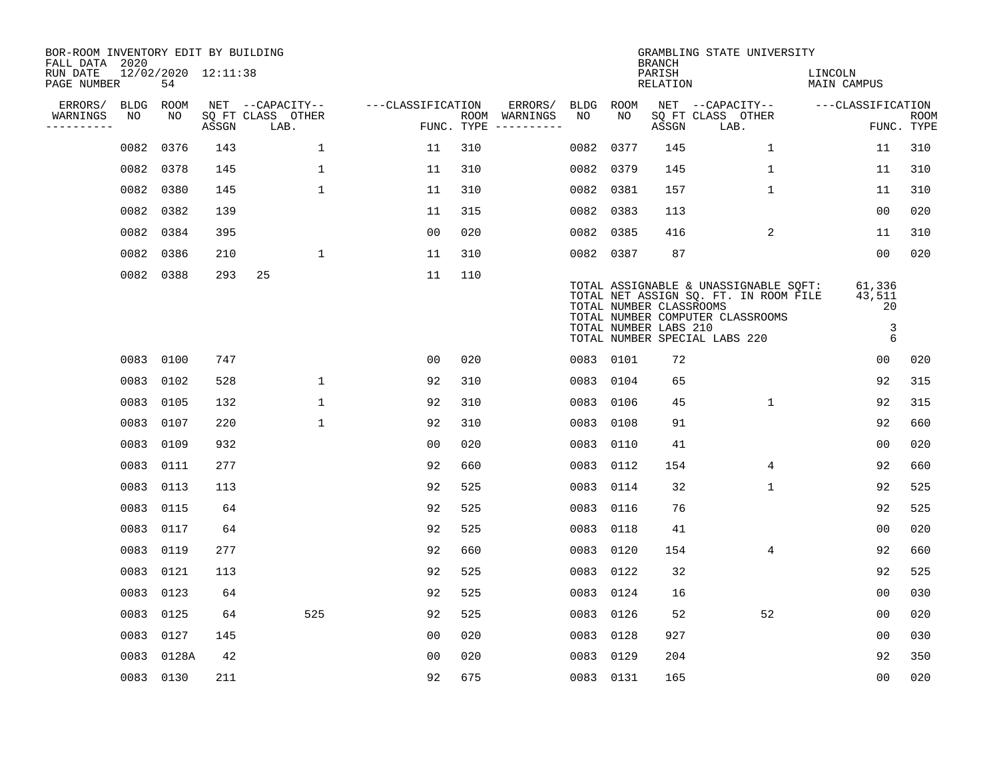| BOR-ROOM INVENTORY EDIT BY BUILDING<br>FALL DATA 2020 |           |                           |       |                           |                   |            |                              |      |           | <b>BRANCH</b>                                    | GRAMBLING STATE UNIVERSITY                                                                                                                          |                                         |                           |
|-------------------------------------------------------|-----------|---------------------------|-------|---------------------------|-------------------|------------|------------------------------|------|-----------|--------------------------------------------------|-----------------------------------------------------------------------------------------------------------------------------------------------------|-----------------------------------------|---------------------------|
| RUN DATE<br>PAGE NUMBER                               |           | 12/02/2020 12:11:38<br>54 |       |                           |                   |            |                              |      |           | PARISH<br><b>RELATION</b>                        |                                                                                                                                                     | LINCOLN<br><b>MAIN CAMPUS</b>           |                           |
| ERRORS/                                               | BLDG      | ROOM                      |       | NET --CAPACITY--          | ---CLASSIFICATION |            | ERRORS/                      | BLDG | ROOM      |                                                  | NET --CAPACITY--                                                                                                                                    | ---CLASSIFICATION                       |                           |
| WARNINGS<br>----------                                | NO        | NO                        | ASSGN | SQ FT CLASS OTHER<br>LAB. |                   | FUNC. TYPE | ROOM WARNINGS<br>----------- | NO   | NO        | ASSGN                                            | SQ FT CLASS OTHER<br>LAB.                                                                                                                           |                                         | <b>ROOM</b><br>FUNC. TYPE |
|                                                       | 0082      | 0376                      | 143   | 1                         | 11                | 310        |                              | 0082 | 0377      | 145                                              | 1                                                                                                                                                   | 11                                      | 310                       |
|                                                       |           | 0082 0378                 | 145   | 1                         | 11                | 310        |                              | 0082 | 0379      | 145                                              | 1                                                                                                                                                   | 11                                      | 310                       |
|                                                       |           | 0082 0380                 | 145   | $\mathbf{1}$              | 11                | 310        |                              |      | 0082 0381 | 157                                              | $\mathbf{1}$                                                                                                                                        | 11                                      | 310                       |
|                                                       |           | 0082 0382                 | 139   |                           | 11                | 315        |                              |      | 0082 0383 | 113                                              |                                                                                                                                                     | 0 <sub>0</sub>                          | 020                       |
|                                                       |           | 0082 0384                 | 395   |                           | 0 <sub>0</sub>    | 020        |                              | 0082 | 0385      | 416                                              | 2                                                                                                                                                   | 11                                      | 310                       |
|                                                       |           | 0082 0386                 | 210   | 1                         | 11                | 310        |                              |      | 0082 0387 | 87                                               |                                                                                                                                                     | 0 <sub>0</sub>                          | 020                       |
|                                                       |           | 0082 0388                 | 293   | 25                        | 11                | 110        |                              |      |           | TOTAL NUMBER CLASSROOMS<br>TOTAL NUMBER LABS 210 | TOTAL ASSIGNABLE & UNASSIGNABLE SQFT:<br>TOTAL NET ASSIGN SQ. FT. IN ROOM FILE<br>TOTAL NUMBER COMPUTER CLASSROOMS<br>TOTAL NUMBER SPECIAL LABS 220 | 61,336<br>43,511<br>20<br>$\frac{3}{6}$ |                           |
|                                                       |           | 0083 0100                 | 747   |                           | 00                | 020        |                              |      | 0083 0101 | 72                                               |                                                                                                                                                     | 0 <sub>0</sub>                          | 020                       |
|                                                       |           | 0083 0102                 | 528   | $\mathbf 1$               | 92                | 310        |                              |      | 0083 0104 | 65                                               |                                                                                                                                                     | 92                                      | 315                       |
|                                                       |           | 0083 0105                 | 132   | $\mathbf{1}$              | 92                | 310        |                              | 0083 | 0106      | 45                                               | $\mathbf 1$                                                                                                                                         | 92                                      | 315                       |
|                                                       |           | 0083 0107                 | 220   | $\mathbf{1}$              | 92                | 310        |                              | 0083 | 0108      | 91                                               |                                                                                                                                                     | 92                                      | 660                       |
|                                                       |           | 0083 0109                 | 932   |                           | 0 <sub>0</sub>    | 020        |                              | 0083 | 0110      | 41                                               |                                                                                                                                                     | 0 <sub>0</sub>                          | 020                       |
|                                                       | 0083 0111 |                           | 277   |                           | 92                | 660        |                              | 0083 | 0112      | 154                                              | 4                                                                                                                                                   | 92                                      | 660                       |
|                                                       |           | 0083 0113                 | 113   |                           | 92                | 525        |                              | 0083 | 0114      | 32                                               | 1                                                                                                                                                   | 92                                      | 525                       |
|                                                       | 0083 0115 |                           | 64    |                           | 92                | 525        |                              | 0083 | 0116      | 76                                               |                                                                                                                                                     | 92                                      | 525                       |
|                                                       |           | 0083 0117                 | 64    |                           | 92                | 525        |                              | 0083 | 0118      | 41                                               |                                                                                                                                                     | 0 <sub>0</sub>                          | 020                       |
|                                                       |           | 0083 0119                 | 277   |                           | 92                | 660        |                              | 0083 | 0120      | 154                                              | 4                                                                                                                                                   | 92                                      | 660                       |
|                                                       |           | 0083 0121                 | 113   |                           | 92                | 525        |                              | 0083 | 0122      | 32                                               |                                                                                                                                                     | 92                                      | 525                       |
|                                                       | 0083      | 0123                      | 64    |                           | 92                | 525        |                              | 0083 | 0124      | 16                                               |                                                                                                                                                     | 0 <sub>0</sub>                          | 030                       |
|                                                       |           | 0083 0125                 | 64    | 525                       | 92                | 525        |                              | 0083 | 0126      | 52                                               | 52                                                                                                                                                  | 0 <sub>0</sub>                          | 020                       |
|                                                       |           | 0083 0127                 | 145   |                           | 0 <sub>0</sub>    | 020        |                              | 0083 | 0128      | 927                                              |                                                                                                                                                     | 00                                      | 030                       |
|                                                       |           | 0083 0128A                | 42    |                           | 0 <sub>0</sub>    | 020        |                              | 0083 | 0129      | 204                                              |                                                                                                                                                     | 92                                      | 350                       |
|                                                       |           | 0083 0130                 | 211   |                           | 92                | 675        |                              |      | 0083 0131 | 165                                              |                                                                                                                                                     | 0 <sub>0</sub>                          | 020                       |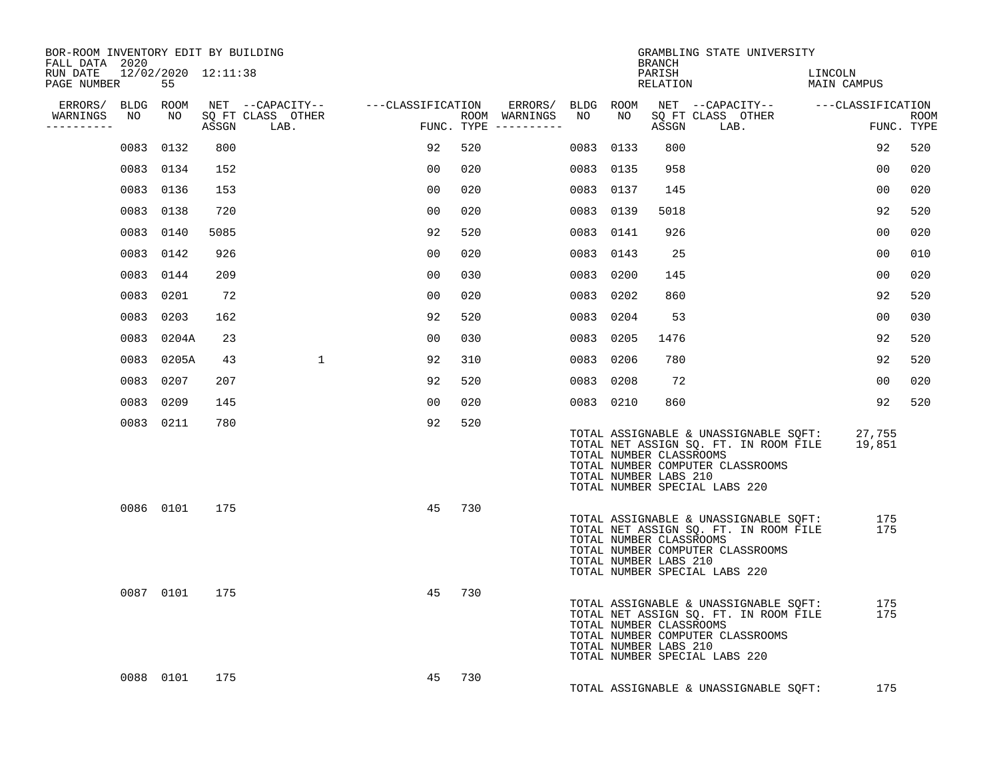| BOR-ROOM INVENTORY EDIT BY BUILDING<br>FALL DATA 2020 |           |                           |       |                                                                 |                |     |                                                           |           |    | BRANCH                                           | GRAMBLING STATE UNIVERSITY                                                                                                                                 |                        |                    |
|-------------------------------------------------------|-----------|---------------------------|-------|-----------------------------------------------------------------|----------------|-----|-----------------------------------------------------------|-----------|----|--------------------------------------------------|------------------------------------------------------------------------------------------------------------------------------------------------------------|------------------------|--------------------|
| RUN DATE<br>PAGE NUMBER                               |           | 12/02/2020 12:11:38<br>55 |       |                                                                 |                |     |                                                           |           |    | PARISH<br>RELATION                               |                                                                                                                                                            | LINCOLN<br>MAIN CAMPUS |                    |
| ERRORS/ BLDG ROOM<br>WARNINGS<br>. _ _ _ _ _ _ _ _ _  | NO        | NO                        | ASSGN | NET --CAPACITY-- ---CLASSIFICATION<br>SQ FT CLASS OTHER<br>LAB. |                |     | ERRORS/ BLDG ROOM<br>ROOM WARNINGS<br>FUNC. TYPE $------$ | NO        | NO | ASSGN                                            | NET --CAPACITY-- ---CLASSIFICATION<br>SQ FT CLASS OTHER<br>LAB.                                                                                            |                        | ROOM<br>FUNC. TYPE |
|                                                       | 0083 0132 |                           | 800   |                                                                 | 92             | 520 |                                                           | 0083 0133 |    | 800                                              |                                                                                                                                                            | 92                     | 520                |
|                                                       | 0083 0134 |                           | 152   |                                                                 | 0 <sub>0</sub> | 020 |                                                           | 0083 0135 |    | 958                                              |                                                                                                                                                            | 00                     | 020                |
|                                                       | 0083 0136 |                           | 153   |                                                                 | 00             | 020 |                                                           | 0083 0137 |    | 145                                              |                                                                                                                                                            | 00                     | 020                |
|                                                       | 0083 0138 |                           | 720   |                                                                 | 0 <sub>0</sub> | 020 |                                                           | 0083 0139 |    | 5018                                             |                                                                                                                                                            | 92                     | 520                |
|                                                       | 0083      | 0140                      | 5085  |                                                                 | 92             | 520 |                                                           | 0083 0141 |    | 926                                              |                                                                                                                                                            | 0 <sub>0</sub>         | 020                |
|                                                       | 0083 0142 |                           | 926   |                                                                 | 0 <sub>0</sub> | 020 |                                                           | 0083 0143 |    | 25                                               |                                                                                                                                                            | 00                     | 010                |
|                                                       | 0083 0144 |                           | 209   |                                                                 | 0 <sub>0</sub> | 030 |                                                           | 0083 0200 |    | 145                                              |                                                                                                                                                            | 00                     | 020                |
|                                                       | 0083      | 0201                      | 72    |                                                                 | 00             | 020 |                                                           | 0083 0202 |    | 860                                              |                                                                                                                                                            | 92                     | 520                |
|                                                       | 0083      | 0203                      | 162   |                                                                 | 92             | 520 |                                                           | 0083 0204 |    | 53                                               |                                                                                                                                                            | 00                     | 030                |
|                                                       | 0083      | 0204A                     | 23    |                                                                 | 00             | 030 |                                                           | 0083 0205 |    | 1476                                             |                                                                                                                                                            | 92                     | 520                |
|                                                       |           | 0083 0205A                | 43    | $\mathbf{1}$                                                    | 92             | 310 |                                                           | 0083 0206 |    | 780                                              |                                                                                                                                                            | 92                     | 520                |
|                                                       | 0083      | 0207                      | 207   |                                                                 | 92             | 520 |                                                           | 0083 0208 |    | 72                                               |                                                                                                                                                            | 00                     | 020                |
|                                                       | 0083      | 0209                      | 145   |                                                                 | 0 <sub>0</sub> | 020 |                                                           | 0083 0210 |    | 860                                              |                                                                                                                                                            | 92                     | 520                |
|                                                       | 0083 0211 |                           | 780   |                                                                 | 92             | 520 |                                                           |           |    | TOTAL NUMBER CLASSROOMS<br>TOTAL NUMBER LABS 210 | TOTAL ASSIGNABLE & UNASSIGNABLE SQFT: 27,755<br>TOTAL NET ASSIGN SQ. FT. IN ROOM FILE<br>TOTAL NUMBER COMPUTER CLASSROOMS<br>TOTAL NUMBER SPECIAL LABS 220 | 19,851                 |                    |
|                                                       |           | 0086 0101                 | 175   |                                                                 | 45             | 730 |                                                           |           |    | TOTAL NUMBER CLASSROOMS<br>TOTAL NUMBER LABS 210 | TOTAL ASSIGNABLE & UNASSIGNABLE SOFT:<br>TOTAL NET ASSIGN SQ. FT. IN ROOM FILE<br>TOTAL NUMBER COMPUTER CLASSROOMS<br>TOTAL NUMBER SPECIAL LABS 220        | 175<br>175             |                    |
|                                                       |           | 0087 0101                 | 175   |                                                                 | 45             | 730 |                                                           |           |    | TOTAL NUMBER CLASSROOMS<br>TOTAL NUMBER LABS 210 | TOTAL ASSIGNABLE & UNASSIGNABLE SQFT:<br>TOTAL NET ASSIGN SQ. FT. IN ROOM FILE<br>TOTAL NUMBER COMPUTER CLASSROOMS<br>TOTAL NUMBER SPECIAL LABS 220        | 175<br>175             |                    |
|                                                       |           | 0088 0101                 | 175   |                                                                 | 45             | 730 |                                                           |           |    |                                                  | TOTAL ASSIGNABLE & UNASSIGNABLE SQFT:                                                                                                                      | 175                    |                    |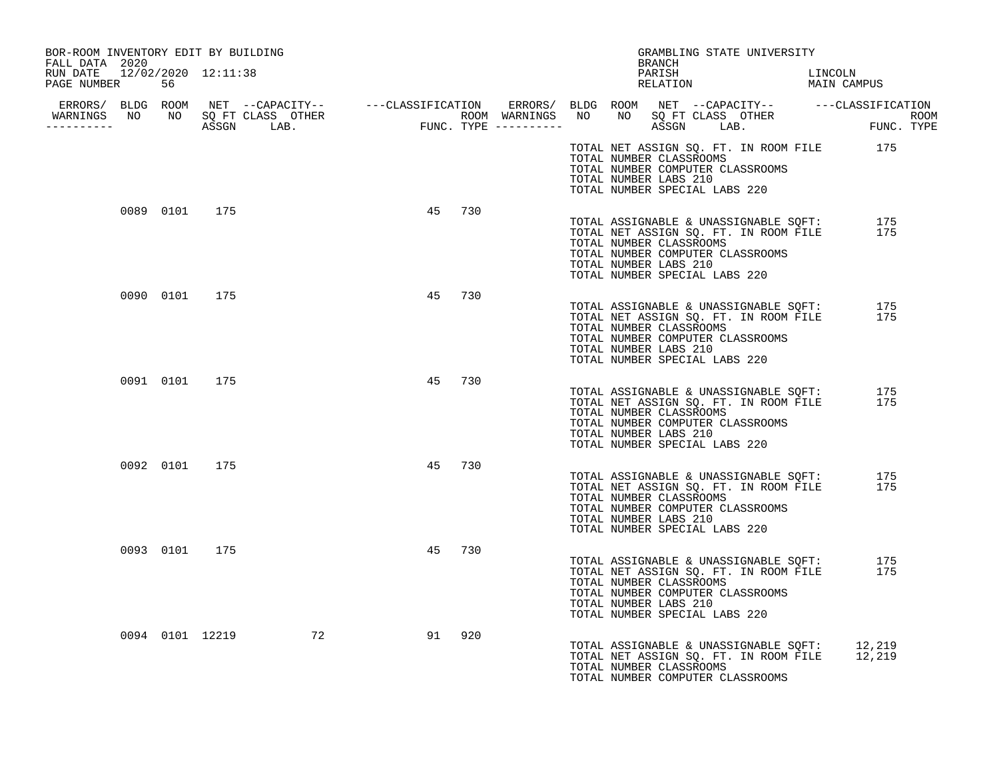| BOR-ROOM INVENTORY EDIT BY BUILDING<br>FALL DATA 2020 |    |               |                    |    |     |  | GRAMBLING STATE UNIVERSITY<br>BRANCH                                                                                                                                                                                                             |            |
|-------------------------------------------------------|----|---------------|--------------------|----|-----|--|--------------------------------------------------------------------------------------------------------------------------------------------------------------------------------------------------------------------------------------------------|------------|
| RUN DATE 12/02/2020 12:11:38<br>PAGE NUMBER           | 56 |               |                    |    |     |  | PARISH<br>PARISH LINCOLN LINCOLN RELATION MAIN CAMPUS                                                                                                                                                                                            | LINCOLN    |
| WARNINGS NO NO SQ FT CLASS OTHER<br>__________        |    |               |                    |    |     |  |                                                                                                                                                                                                                                                  |            |
|                                                       |    |               |                    |    |     |  | TOTAL NET ASSIGN SQ. FT. IN ROOM FILE 175<br>TOTAL NUMBER CLASSROOMS<br>TOTAL NUMBER COMPUTER CLASSROOMS<br>TOTAL NUMBER LABS 210<br>TOTAL NUMBER SPECIAL LABS 220                                                                               |            |
|                                                       |    | 0089 0101 175 |                    | 45 | 730 |  | TOTAL NET ASSIGN SQ. FT. IN ROOM FILE<br>TOTAL NET ASSIGN SQ. FT. IN ROOM FILE<br>TOTAL NUMBER CLASSROOMS<br>TOTAL NUMBER COMPUTER CLASSROOMS<br>TOTAL NUMBER LABS 210<br>TOTAL NUMBER SPECIAL LABS 220                                          | 175<br>175 |
|                                                       |    | 0090 0101 175 |                    | 45 | 730 |  | TOTAL ASSIGNABLE & UNASSIGNABLE SQFT:<br>TOTAL NET ASSIGN SO. FT. IN ROOM FILE<br>TOTAL NET ASSIGN SQ. FT. IN ROOM FILE<br>TOTAL NUMBER CLASSROOMS<br>TOTAL NUMBER COMPUTER CLASSROOMS<br>TOTAL NUMBER LABS 210<br>TOTAL NUMBER SPECIAL LABS 220 | 175<br>175 |
|                                                       |    | 0091 0101 175 |                    | 45 | 730 |  | TOTAL ASSIGNABLE & UNASSIGNABLE SQFT:<br>TOTAL NET ASSIGN SQ. FT. IN ROOM FILE<br>TOTAL NUMBER CLASSROOMS<br>TOTAL NUMBER COMPUTER CLASSROOMS<br>TOTAL NUMBER LABS 210<br>TOTAL NUMBER SPECIAL LABS 220                                          | 175<br>175 |
|                                                       |    | 0092 0101 175 |                    | 45 | 730 |  | TOTAL ASSIGNABLE & UNASSIGNABLE SOFT:<br>TOTAL NET ASSIGN SQ. FT. IN ROOM FILE<br>TOTAL NUMBER CLASSROOMS<br>TOTAL NUMBER COMPUTER CLASSROOMS<br>TOTAL NUMBER LABS 210<br>TOTAL NUMBER SPECIAL LABS 220                                          | 175<br>175 |
|                                                       |    | 0093 0101 175 |                    | 45 | 730 |  | TOTAL ASSIGNABLE & UNASSIGNABLE SOFT:<br>TOTAL NET ASSIGN SQ. FT. IN ROOM FILE<br>TOTAL NET ASSIGN SQ. FT. IN ROOM FILE<br>TOTAL NUMBER CLASSROOMS<br>TOTAL NUMBER COMPUTER CLASSROOMS<br>TOTAL NUMBER LABS 210<br>TOTAL NUMBER SPECIAL LABS 220 | 175<br>175 |
|                                                       |    |               | 0094 0101 12219 72 | 91 | 920 |  | TOTAL ASSIGNABLE & UNASSIGNABLE SOFT: 12,219<br>TOTAL NET ASSIGN SQ. FT. IN ROOM FILE 12,219<br>TOTAL NUMBER CLASSROOMS<br>TOTAL NUMBER COMPUTER CLASSROOMS                                                                                      |            |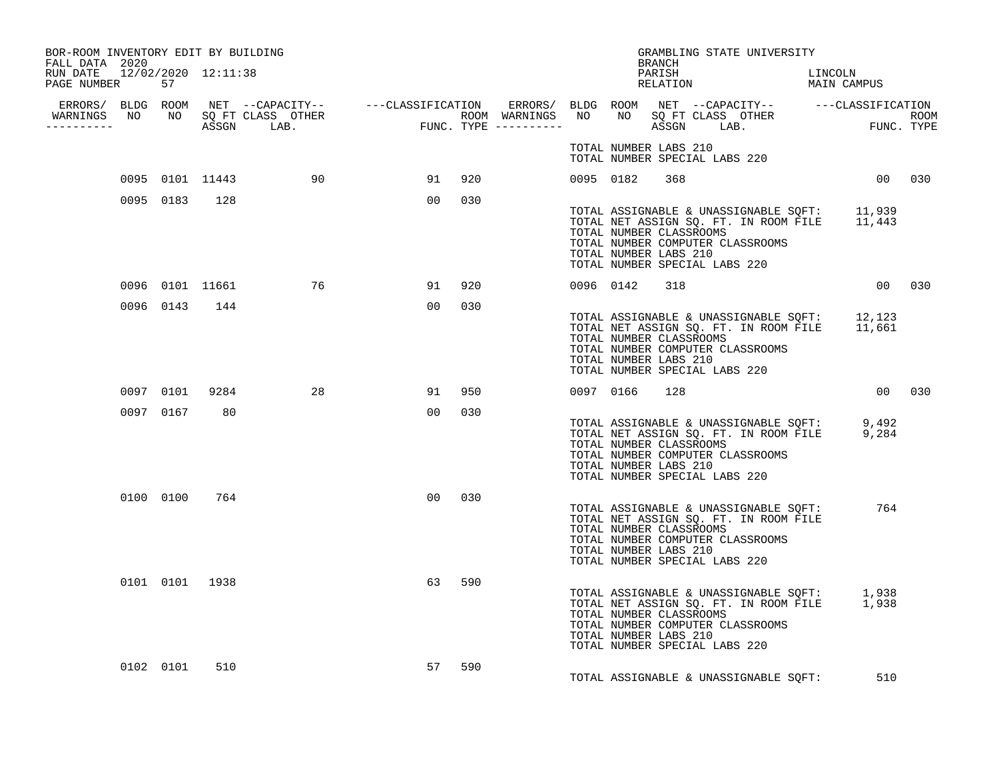| BOR-ROOM INVENTORY EDIT BY BUILDING<br>FALL DATA 2020 |           |                |                                                                                                                                                                                                                                      |                |     |  | BRANCH                                           |                                                        | GRAMBLING STATE UNIVERSITY                                                                                                       |        |  |
|-------------------------------------------------------|-----------|----------------|--------------------------------------------------------------------------------------------------------------------------------------------------------------------------------------------------------------------------------------|----------------|-----|--|--------------------------------------------------|--------------------------------------------------------|----------------------------------------------------------------------------------------------------------------------------------|--------|--|
| RUN DATE 12/02/2020 12:11:38<br>PAGE NUMBER 57        |           |                |                                                                                                                                                                                                                                      |                |     |  |                                                  |                                                        | PARISH LINCOLN RELATION MAIN CAMPUS                                                                                              |        |  |
|                                                       |           |                | ERRORS/ BLDG ROOM NET --CAPACITY-- ----CLASSIFICATION ERRORS/ BLDG ROOM NET --CAPACITY-- -----CLASSIFICATION<br>WARNINGS NO NO SQFTCLASS OTHER ROOM WARNINGS NO NO SQFTCLASS OTHER ROOM<br>----------- ASSGN LAB. FUNC.TYPE -------- |                |     |  |                                                  |                                                        |                                                                                                                                  |        |  |
|                                                       |           |                |                                                                                                                                                                                                                                      |                |     |  |                                                  | TOTAL NUMBER LABS 210<br>TOTAL NUMBER SPECIAL LABS 220 |                                                                                                                                  |        |  |
|                                                       |           |                | 0095 0101 11443 90                                                                                                                                                                                                                   | 91 920         |     |  | 0095 0182 368                                    |                                                        |                                                                                                                                  | 00 030 |  |
|                                                       |           |                | 0095 0183 128                                                                                                                                                                                                                        | 0 <sub>0</sub> | 030 |  | TOTAL NUMBER CLASSROOMS<br>TOTAL NUMBER LABS 210 |                                                        | TOTAL ASSIGNABLE & UNASSIGNABLE SQFT: 11,939<br>TOTAL NET ASSIGN SQ. FT. IN ROOM FILE 11,443<br>TOTAL NUMBER COMPUTER CLASSROOMS |        |  |
|                                                       |           |                |                                                                                                                                                                                                                                      |                |     |  |                                                  | TOTAL NUMBER SPECIAL LABS 220                          |                                                                                                                                  |        |  |
|                                                       |           |                | 0096 0101 11661 76                                                                                                                                                                                                                   | 91 920         |     |  | 0096 0142 318                                    |                                                        |                                                                                                                                  | 00 030 |  |
|                                                       |           | 0096 0143 144  |                                                                                                                                                                                                                                      | 00             | 030 |  | TOTAL NUMBER CLASSROOMS<br>TOTAL NUMBER LABS 210 | TOTAL NUMBER SPECIAL LABS 220                          | TOTAL ASSIGNABLE & UNASSIGNABLE SQFT: 12,123<br>TOTAL NET ASSIGN SQ. FT. IN ROOM FILE 11,661<br>TOTAL NUMBER COMPUTER CLASSROOMS |        |  |
|                                                       |           |                | 0097 0101 9284 28                                                                                                                                                                                                                    | 91             | 950 |  | 0097 0166 128                                    |                                                        |                                                                                                                                  | 00 030 |  |
|                                                       | 0097 0167 | 80             |                                                                                                                                                                                                                                      | 00             | 030 |  | TOTAL NUMBER CLASSROOMS<br>TOTAL NUMBER LABS 210 | TOTAL NUMBER SPECIAL LABS 220                          | TOTAL ASSIGNABLE & UNASSIGNABLE SQFT: 9,492<br>TOTAL NET ASSIGN SQ. FT. IN ROOM FILE 9,284<br>TOTAL NUMBER COMPUTER CLASSROOMS   |        |  |
|                                                       |           | 0100 0100 764  |                                                                                                                                                                                                                                      | 00             | 030 |  | TOTAL NUMBER CLASSROOMS<br>TOTAL NUMBER LABS 210 | TOTAL NUMBER SPECIAL LABS 220                          | TOTAL ASSIGNABLE & UNASSIGNABLE SQFT: 764<br>TOTAL NET ASSIGN SQ. FT. IN ROOM FILE<br>TOTAL NUMBER COMPUTER CLASSROOMS           |        |  |
|                                                       |           | 0101 0101 1938 |                                                                                                                                                                                                                                      | 63             | 590 |  | TOTAL NUMBER CLASSROOMS<br>TOTAL NUMBER LABS 210 | TOTAL NUMBER SPECIAL LABS 220                          | TOTAL ASSIGNABLE & UNASSIGNABLE SQFT: 1,938<br>TOTAL NET ASSIGN SQ. FT. IN ROOM FILE 1,938<br>TOTAL NUMBER COMPUTER CLASSROOMS   |        |  |
|                                                       | 0102 0101 | 510            |                                                                                                                                                                                                                                      | 57             | 590 |  |                                                  |                                                        | TOTAL ASSIGNABLE & UNASSIGNABLE SQFT: 510                                                                                        |        |  |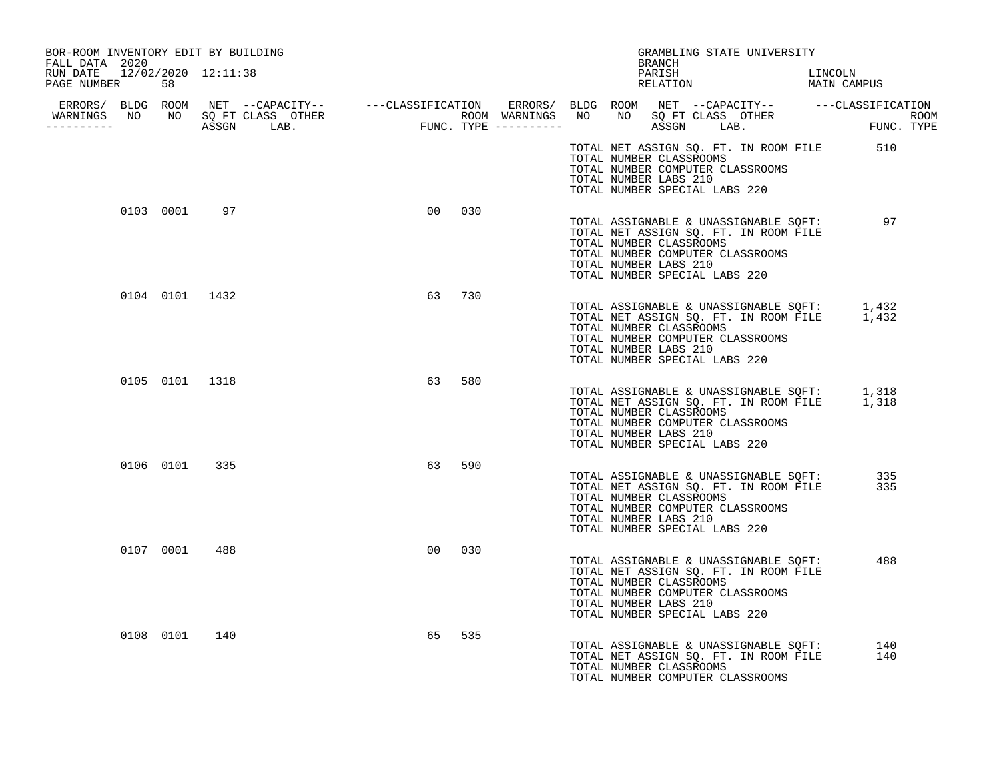| BOR-ROOM INVENTORY EDIT BY BUILDING<br>FALL DATA 2020 |                |                 |     |                                                  | BRANCH | GRAMBLING STATE UNIVERSITY                                                                                                                                      |         |            |  |
|-------------------------------------------------------|----------------|-----------------|-----|--------------------------------------------------|--------|-----------------------------------------------------------------------------------------------------------------------------------------------------------------|---------|------------|--|
| RUN DATE 12/02/2020 12:11:38<br>PAGE NUMBER<br>58     |                |                 |     |                                                  | PARISH | PARISH LINCOLN LEGISLATION MAIN CAMPUS                                                                                                                          | LINCOLN |            |  |
| WARNINGS NO NO SQ FT CLASS OTHER<br>-----------       |                |                 |     |                                                  |        |                                                                                                                                                                 |         |            |  |
|                                                       |                |                 |     | TOTAL NUMBER CLASSROOMS<br>TOTAL NUMBER LABS 210 |        | TOTAL NET ASSIGN SQ. FT. IN ROOM FILE 510<br>TOTAL NUMBER COMPUTER CLASSROOMS<br>TOTAL NUMBER SPECIAL LABS 220                                                  |         |            |  |
|                                                       | 0103 0001 97   | 00 <sup>o</sup> | 030 | TOTAL NUMBER CLASSROOMS<br>TOTAL NUMBER LABS 210 |        | TOTAL ASSIGNABLE & UNASSIGNABLE SQFT: 97<br>TOTAL NET ASSIGN SQ. FT. IN ROOM FILE<br>TOTAL NUMBER COMPUTER CLASSROOMS<br>TOTAL NUMBER SPECIAL LABS 220          |         |            |  |
|                                                       | 0104 0101 1432 | 63              | 730 | TOTAL NUMBER CLASSROOMS<br>TOTAL NUMBER LABS 210 |        | TOTAL ASSIGNABLE & UNASSIGNABLE SQFT: 1,432<br>TOTAL NET ASSIGN SQ. FT. IN ROOM FILE 1,432<br>TOTAL NUMBER COMPUTER CLASSROOMS<br>TOTAL NUMBER SPECIAL LABS 220 |         |            |  |
|                                                       | 0105 0101 1318 | 63              | 580 | TOTAL NUMBER CLASSROOMS<br>TOTAL NUMBER LABS 210 |        | TOTAL ASSIGNABLE & UNASSIGNABLE SQFT: 1,318<br>TOTAL NET ASSIGN SQ. FT. IN ROOM FILE 1,318<br>TOTAL NUMBER COMPUTER CLASSROOMS<br>TOTAL NUMBER SPECIAL LABS 220 |         |            |  |
|                                                       | 0106 0101 335  | 63              | 590 | TOTAL NUMBER CLASSROOMS<br>TOTAL NUMBER LABS 210 |        | TOTAL ASSIGNABLE & UNASSIGNABLE SQFT:<br>TOTAL NET ASSIGN SQ. FT. IN ROOM FILE<br>TOTAL NUMBER COMPUTER CLASSROOMS<br>TOTAL NUMBER SPECIAL LABS 220             |         | 335<br>335 |  |
| 0107 0001                                             | 488            | 00 <sup>o</sup> | 030 | TOTAL NUMBER CLASSROOMS<br>TOTAL NUMBER LABS 210 |        | TOTAL ASSIGNABLE & UNASSIGNABLE SQFT:<br>TOTAL NET ASSIGN SQ. FT. IN ROOM FILE<br>TOTAL NUMBER COMPUTER CLASSROOMS<br>TOTAL NUMBER SPECIAL LABS 220             |         | 488        |  |
| 0108 0101                                             | 140            | 65              | 535 | TOTAL NUMBER CLASSROOMS                          |        | TOTAL ASSIGNABLE & UNASSIGNABLE SQFT:<br>TOTAL NET ASSIGN SQ. FT. IN ROOM FILE<br>TOTAL NUMBER COMPUTER CLASSROOMS                                              |         | 140<br>140 |  |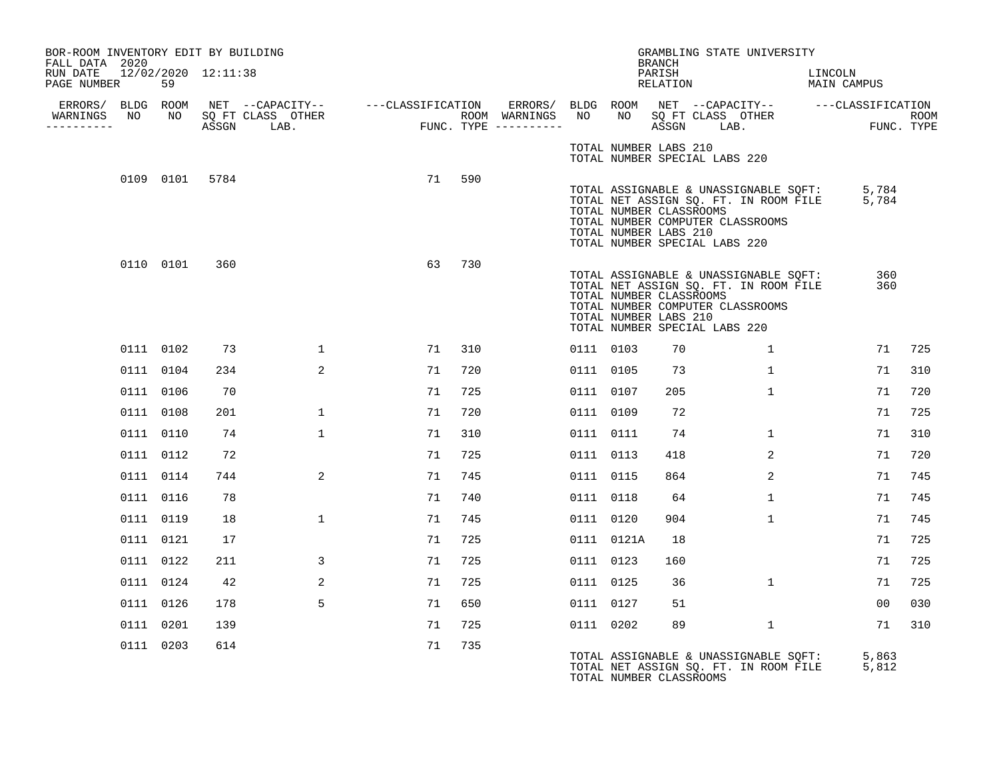| BOR-ROOM INVENTORY EDIT BY BUILDING<br>FALL DATA 2020 |           |           |                     |              |                                                       |     |                                                       |           |                                                                                   | BRANCH             |            | GRAMBLING STATE UNIVERSITY                                                                                                                       |                        |                            |      |
|-------------------------------------------------------|-----------|-----------|---------------------|--------------|-------------------------------------------------------|-----|-------------------------------------------------------|-----------|-----------------------------------------------------------------------------------|--------------------|------------|--------------------------------------------------------------------------------------------------------------------------------------------------|------------------------|----------------------------|------|
| RUN DATE<br>PAGE NUMBER                               |           | 59        | 12/02/2020 12:11:38 |              |                                                       |     |                                                       |           |                                                                                   | PARISH<br>RELATION |            |                                                                                                                                                  | LINCOLN<br>MAIN CAMPUS |                            |      |
| WARNINGS NO NO SQ FT CLASS OTHER                      |           |           |                     |              | ERRORS/ BLDG ROOM NET --CAPACITY-- ----CLASSIFICATION |     | ERRORS/ BLDG ROOM NET --CAPACITY--  ---CLASSIFICATION | NO        |                                                                                   |                    |            | NO SQ FT CLASS OTHER                                                                                                                             |                        |                            | ROOM |
| -----------                                           |           |           | ASSGN LAB.          |              | ROOM WARNINGS<br>FUNC. TYPE ----------                |     |                                                       |           |                                                                                   |                    | ASSGN LAB. |                                                                                                                                                  |                        | <b>FIING</b><br>FUNC. TYPE |      |
|                                                       |           |           |                     |              |                                                       |     |                                                       |           | TOTAL NUMBER LABS 210<br>TOTAL NUMBER SPECIAL LABS 220                            |                    |            |                                                                                                                                                  |                        |                            |      |
|                                                       |           | 0109 0101 | 5784                |              | 71                                                    | 590 |                                                       |           | TOTAL NUMBER CLASSROOMS<br>TOTAL NUMBER LABS 210<br>TOTAL NUMBER SPECIAL LABS 220 |                    |            | IUTAL ASSIGNABLE & UNASSIGNABLE SQFT:<br>TOTAL NET ASSIGN SQ. FT. IN ROOM FILE<br>TOTAL NIMARS SLOWS COMPTER<br>TOTAL NUMBER COMPUTER CLASSROOMS |                        | 5,784<br>5,784             |      |
|                                                       |           | 0110 0101 | 360                 |              | 63                                                    | 730 |                                                       |           | TOTAL NUMBER CLASSROOMS<br>TOTAL NUMBER LABS 210<br>TOTAL NUMBER SPECIAL LABS 220 |                    |            | TOTAL ASSIGNABLE & UNASSIGNABLE SQFT:<br>TOTAL NET ASSIGN SQ. FT. IN ROOM FILE<br>TOTAL NUMBER COMPUTER CLASSROOMS                               |                        | 360<br>360                 |      |
|                                                       |           | 0111 0102 | 73                  | $\mathbf{1}$ | 71                                                    | 310 |                                                       | 0111 0103 |                                                                                   | 70                 |            | $\mathbf{1}$                                                                                                                                     |                        | 71                         | 725  |
|                                                       |           | 0111 0104 | 234                 | 2            | 71                                                    | 720 |                                                       | 0111 0105 |                                                                                   | 73                 |            | $\mathbf{1}$                                                                                                                                     |                        | 71                         | 310  |
|                                                       |           | 0111 0106 | 70                  |              | 71                                                    | 725 |                                                       | 0111 0107 |                                                                                   | 205                |            | $\mathbf{1}$                                                                                                                                     |                        | 71                         | 720  |
|                                                       |           | 0111 0108 | 201                 | $\mathbf{1}$ | 71                                                    | 720 |                                                       | 0111 0109 |                                                                                   | 72                 |            |                                                                                                                                                  |                        | 71                         | 725  |
|                                                       |           | 0111 0110 | 74                  | $\mathbf{1}$ | 71                                                    | 310 |                                                       | 0111 0111 |                                                                                   | 74                 |            | $\mathbf{1}$                                                                                                                                     |                        | 71                         | 310  |
|                                                       |           | 0111 0112 | 72                  |              | 71                                                    | 725 |                                                       | 0111 0113 |                                                                                   | 418                |            | 2                                                                                                                                                |                        | 71                         | 720  |
|                                                       |           | 0111 0114 | 744                 | 2            | 71                                                    | 745 |                                                       | 0111 0115 |                                                                                   | 864                |            | 2                                                                                                                                                |                        | 71                         | 745  |
|                                                       |           | 0111 0116 | 78                  |              | 71                                                    | 740 |                                                       | 0111 0118 |                                                                                   | 64                 |            | $\mathbf{1}$                                                                                                                                     |                        | 71                         | 745  |
|                                                       | 0111 0119 |           | 18                  | $\mathbf{1}$ | 71                                                    | 745 |                                                       | 0111 0120 |                                                                                   | 904                |            | $\mathbf{1}$                                                                                                                                     |                        | 71                         | 745  |
|                                                       | 0111 0121 |           | 17                  |              | 71                                                    | 725 |                                                       |           | 0111 0121A                                                                        | 18                 |            |                                                                                                                                                  |                        | 71                         | 725  |
|                                                       |           | 0111 0122 | 211                 | 3            | 71                                                    | 725 |                                                       | 0111 0123 |                                                                                   | 160                |            |                                                                                                                                                  |                        | 71                         | 725  |
|                                                       |           | 0111 0124 | 42                  | 2            | 71                                                    | 725 |                                                       | 0111 0125 |                                                                                   | 36                 |            | $\mathbf{1}$                                                                                                                                     |                        | 71                         | 725  |
|                                                       |           | 0111 0126 | 178                 | 5            | 71                                                    | 650 |                                                       | 0111 0127 |                                                                                   | 51                 |            |                                                                                                                                                  |                        | 00                         | 030  |
|                                                       | 0111 0201 |           | 139                 |              | 71                                                    | 725 |                                                       | 0111 0202 |                                                                                   | 89                 |            | 1                                                                                                                                                |                        | 71                         | 310  |
|                                                       | 0111 0203 |           | 614                 |              | 71                                                    | 735 |                                                       |           | TOTAL NUMBER CLASSROOMS                                                           |                    |            | TOTAL ASSIGNABLE & UNASSIGNABLE SQFT:<br>TOTAL NET ASSIGN SQ. FT. IN ROOM FILE                                                                   |                        | 5,863<br>5,812             |      |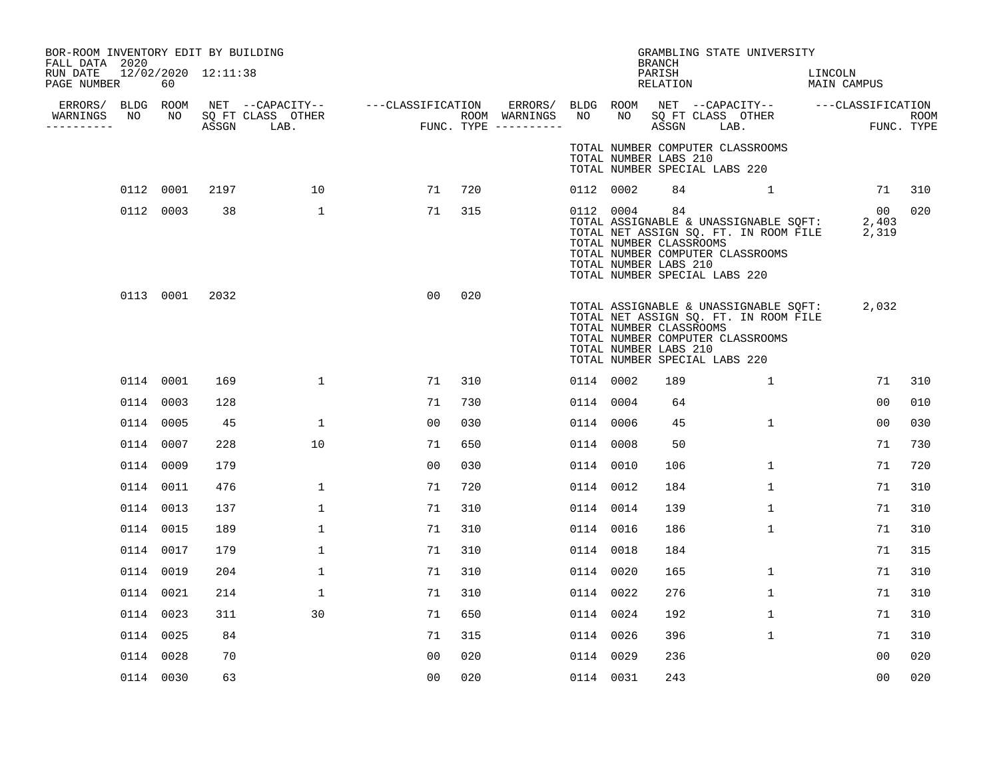| BOR-ROOM INVENTORY EDIT BY BUILDING<br>FALL DATA 2020 |           |                     |                                    |                                                              |     |                                                 |                 |    | BRANCH                                                 | GRAMBLING STATE UNIVERSITY                                                                                                                                |                          |                    |
|-------------------------------------------------------|-----------|---------------------|------------------------------------|--------------------------------------------------------------|-----|-------------------------------------------------|-----------------|----|--------------------------------------------------------|-----------------------------------------------------------------------------------------------------------------------------------------------------------|--------------------------|--------------------|
| RUN DATE<br>PAGE NUMBER                               | 60        | 12/02/2020 12:11:38 |                                    |                                                              |     |                                                 |                 |    | PARISH<br>RELATION                                     |                                                                                                                                                           | LINCOLN<br>MAIN CAMPUS   |                    |
| NO<br>WARNINGS<br>----------                          |           |                     | NO SQ FT CLASS OTHER<br>ASSGN LAB. | ERRORS/ BLDG ROOM NET --CAPACITY-- ---CLASSIFICATION<br>FUNC |     | ERRORS/<br>ROOM WARNINGS<br>FUNC. TYPE $------$ | BLDG ROOM<br>NO | NO |                                                        | NET --CAPACITY-- ---CLASSIFICATION<br>SQ FT CLASS OTHER<br>ASSGN LAB.                                                                                     |                          | ROOM<br>FUNC. TYPE |
|                                                       |           |                     |                                    |                                                              |     |                                                 |                 |    | TOTAL NUMBER LABS 210                                  | TOTAL NUMBER COMPUTER CLASSROOMS<br>TOTAL NUMBER SPECIAL LABS 220                                                                                         |                          |                    |
|                                                       | 0112 0001 | 2197                | 10                                 | 71                                                           | 720 |                                                 | 0112 0002       |    |                                                        | 84 1                                                                                                                                                      | 71                       | 310                |
|                                                       | 0112 0003 | 38                  | $\mathbf{1}$                       | 71                                                           | 315 |                                                 | 0112 0004       |    | 84<br>TOTAL NUMBER CLASSROOMS<br>TOTAL NUMBER LABS 210 | TOTAL ASSIGNABLE & UNASSIGNABLE SQFT:<br>TOTAL NET ASSIGN SQ. FT. IN ROOM FILE 2,319<br>TOTAL NUMBER COMPUTER CLASSROOMS<br>TOTAL NUMBER SPECIAL LABS 220 | $\overline{00}$<br>2,403 | 020                |
|                                                       | 0113 0001 | 2032                |                                    | 0 <sub>0</sub>                                               | 020 |                                                 |                 |    | TOTAL NUMBER CLASSROOMS<br>TOTAL NUMBER LABS 210       | TOTAL ASSIGNABLE & UNASSIGNABLE SQFT:<br>TOTAL NET ASSIGN SQ. FT. IN ROOM FILE<br>TOTAL NUMBER COMPUTER CLASSROOMS<br>TOTAL NUMBER SPECIAL LABS 220       | 2,032                    |                    |
|                                                       | 0114 0001 | 169                 | $\mathbf{1}$                       | 71                                                           | 310 |                                                 | 0114 0002       |    | 189                                                    | $\mathbf{1}$                                                                                                                                              | 71                       | 310                |
|                                                       | 0114 0003 | 128                 |                                    | 71                                                           | 730 |                                                 | 0114 0004       |    | 64                                                     |                                                                                                                                                           | 00                       | 010                |
|                                                       | 0114 0005 | 45                  | $\mathbf{1}$                       | 0 <sub>0</sub>                                               | 030 |                                                 | 0114 0006       |    | 45                                                     | $\mathbf{1}$                                                                                                                                              | 00                       | 030                |
|                                                       | 0114 0007 | 228                 | 10                                 | 71                                                           | 650 |                                                 | 0114 0008       |    | 50                                                     |                                                                                                                                                           | 71                       | 730                |
|                                                       | 0114 0009 | 179                 |                                    | 0 <sub>0</sub>                                               | 030 |                                                 | 0114 0010       |    | 106                                                    | 1                                                                                                                                                         | 71                       | 720                |
|                                                       | 0114 0011 | 476                 | 1                                  | 71                                                           | 720 |                                                 | 0114 0012       |    | 184                                                    | $\mathbf 1$                                                                                                                                               | 71                       | 310                |
|                                                       | 0114 0013 | 137                 | $\mathbf{1}$                       | 71                                                           | 310 |                                                 | 0114 0014       |    | 139                                                    | $\mathbf{1}$                                                                                                                                              | 71                       | 310                |
|                                                       | 0114 0015 | 189                 | 1                                  | 71                                                           | 310 |                                                 | 0114 0016       |    | 186                                                    | 1                                                                                                                                                         | 71                       | 310                |
|                                                       | 0114 0017 | 179                 | $\mathbf{1}$                       | 71                                                           | 310 |                                                 | 0114 0018       |    | 184                                                    |                                                                                                                                                           | 71                       | 315                |
|                                                       | 0114 0019 | 204                 | $\mathbf{1}$                       | 71                                                           | 310 |                                                 | 0114 0020       |    | 165                                                    | $\mathbf{1}$                                                                                                                                              | 71                       | 310                |
|                                                       | 0114 0021 | 214                 | $\mathbf 1$                        | 71                                                           | 310 |                                                 | 0114 0022       |    | 276                                                    | $\mathbf 1$                                                                                                                                               | 71                       | 310                |
|                                                       | 0114 0023 | 311                 | 30                                 | 71                                                           | 650 |                                                 | 0114 0024       |    | 192                                                    | $\mathbf{1}$                                                                                                                                              | 71                       | 310                |
|                                                       | 0114 0025 | 84                  |                                    | 71                                                           | 315 |                                                 | 0114 0026       |    | 396                                                    | $\mathbf{1}$                                                                                                                                              | 71                       | 310                |
|                                                       | 0114 0028 | 70                  |                                    | 0 <sub>0</sub>                                               | 020 |                                                 | 0114 0029       |    | 236                                                    |                                                                                                                                                           | 00                       | 020                |
|                                                       | 0114 0030 | 63                  |                                    | 0 <sub>0</sub>                                               | 020 |                                                 | 0114 0031       |    | 243                                                    |                                                                                                                                                           | 00                       | 020                |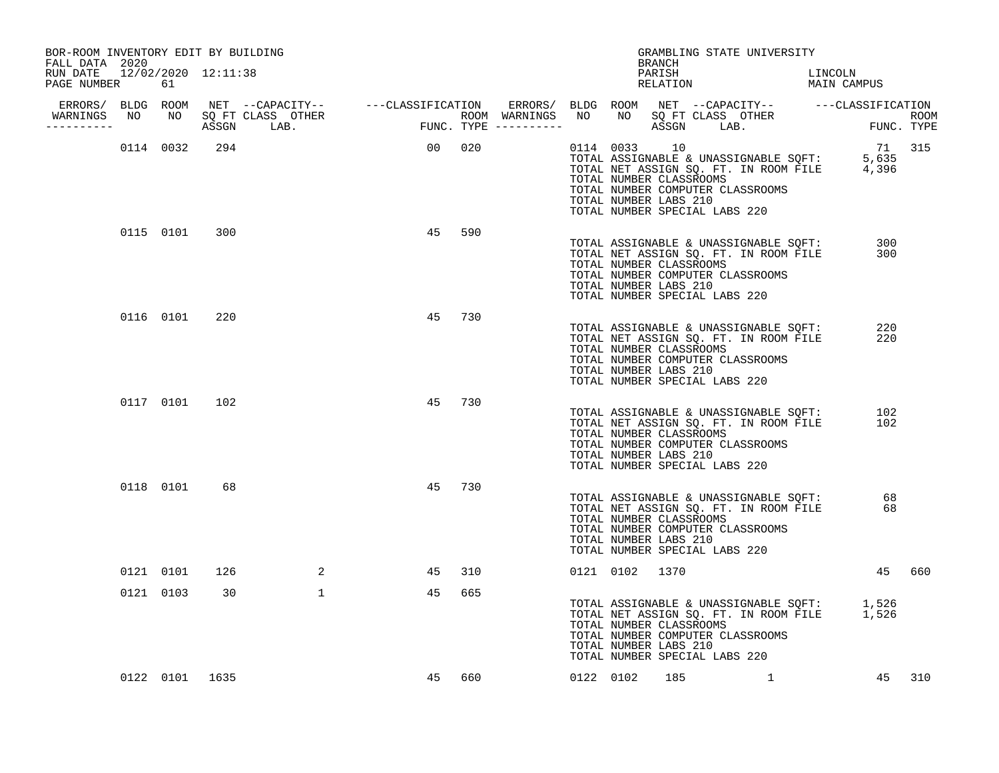| BOR-ROOM INVENTORY EDIT BY BUILDING<br>FALL DATA 2020 |           |                |               |        |     |  |                | BRANCH                                           | GRAMBLING STATE UNIVERSITY                                                                                                                                                                   |                                                                                                      |        |
|-------------------------------------------------------|-----------|----------------|---------------|--------|-----|--|----------------|--------------------------------------------------|----------------------------------------------------------------------------------------------------------------------------------------------------------------------------------------------|------------------------------------------------------------------------------------------------------|--------|
| RUN DATE 12/02/2020 12:11:38<br>PAGE NUMBER 61        |           |                |               |        |     |  |                | PARISH                                           |                                                                                                                                                                                              | LINCOLN<br>PARISH LINCOLN<br>RELATION MAIN CAMPUS                                                    |        |
|                                                       |           |                |               |        |     |  |                |                                                  |                                                                                                                                                                                              |                                                                                                      |        |
| WARNINGS NO NO SQ FT CLASS OTHER<br>-----------       |           |                |               |        |     |  |                |                                                  |                                                                                                                                                                                              |                                                                                                      |        |
|                                                       |           |                | 0114 0032 294 | 00 020 |     |  | 0114 0033 10   | TOTAL NUMBER CLASSROOMS<br>TOTAL NUMBER LABS 210 | TOTAL NUMBER COMPUTER CLASSROOMS<br>TOTAL NUMBER SPECIAL LABS 220                                                                                                                            | 71 315<br>TOTAL ASSIGNABLE & UNASSIGNABLE SQFT: 5,635<br>TOTAL NET ASSIGN SQ. FT. IN ROOM FILE 4,396 |        |
|                                                       |           | 0115 0101 300  |               | 45     | 590 |  |                | TOTAL NUMBER CLASSROOMS<br>TOTAL NUMBER LABS 210 | TOTAL ASSIGNABLE & UNASSIGNABLE SQFT:<br>TOTAL NET ASSIGN SQ. FT. IN ROOM FILE<br>TOTAL NET ASSIGN SQ. FT. IN ROOM FILE<br>TOTAL NUMBER COMPUTER CLASSROOMS<br>TOTAL NUMBER SPECIAL LABS 220 | 300<br>300                                                                                           |        |
|                                                       | 0116 0101 | 220            |               | 45     | 730 |  |                | TOTAL NUMBER CLASSROOMS<br>TOTAL NUMBER LABS 210 | TOTAL ASSIGNABLE & UNASSIGNABLE SQFT:<br>TOTAL NET ASSIGN SQ. FT. IN ROOM FILE<br>TOTAL NUMBER COMPUTER CLASSROOMS<br>TOTAL NUMBER SPECIAL LABS 220                                          | 220<br>220                                                                                           |        |
|                                                       |           | 0117 0101 102  |               | 45     | 730 |  |                | TOTAL NUMBER CLASSROOMS<br>TOTAL NUMBER LABS 210 | TOTAL ASSIGNABLE & UNASSIGNABLE SQFT:<br>TOTAL NET ASSIGN SQ. FT. IN ROOM FILE<br>TOTAL NUMBER COMPUTER CLASSROOMS<br>TOTAL NUMBER SPECIAL LABS 220                                          | 102<br>102                                                                                           |        |
|                                                       | 0118 0101 | 68             |               | 45     | 730 |  |                | TOTAL NUMBER CLASSROOMS<br>TOTAL NUMBER LABS 210 | TOTAL NUMBER COMPUTER CLASSROOMS<br>TOTAL NUMBER SPECIAL LABS 220                                                                                                                            | TOTAL ASSIGNABLE & UNASSIGNABLE SQFT: 68<br>TOTAL NET ASSIGN SQ. FT. IN ROOM FILE 68                 |        |
|                                                       | 0121 0101 | 126            | 2             | 45     | 310 |  | 0121 0102 1370 |                                                  |                                                                                                                                                                                              |                                                                                                      | 45 660 |
|                                                       | 0121 0103 | 30             | $\mathbf{1}$  | 45     | 665 |  |                | TOTAL NUMBER CLASSROOMS<br>TOTAL NUMBER LABS 210 | TOTAL NUMBER COMPUTER CLASSROOMS<br>TOTAL NUMBER SPECIAL LABS 220                                                                                                                            | TOTAL ASSIGNABLE & UNASSIGNABLE SQFT: 1,526<br>TOTAL NET ASSIGN SQ. FT. IN ROOM FILE 1,526           |        |
|                                                       |           | 0122 0101 1635 |               | 45 660 |     |  |                |                                                  | 0122 0102 185 1                                                                                                                                                                              |                                                                                                      | 45 310 |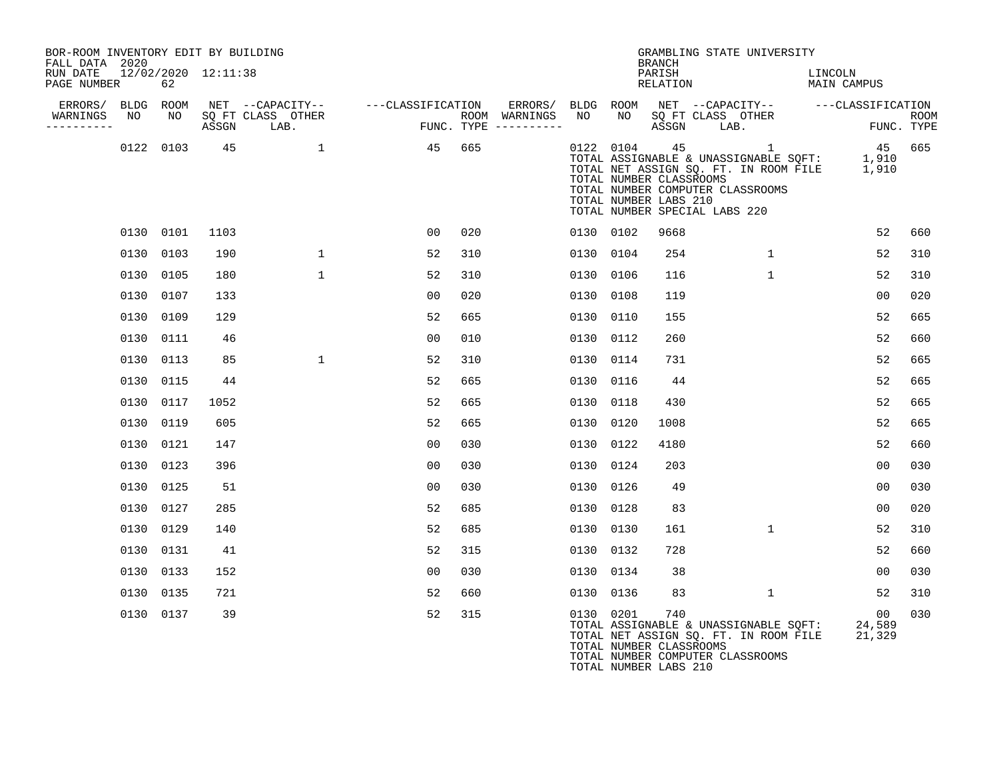| BOR-ROOM INVENTORY EDIT BY BUILDING<br>FALL DATA 2020 |           |                     |                                    |                                                                                             |     |  |           | BRANCH                                           | GRAMBLING STATE UNIVERSITY                                                                                                                                                               |                           |     |
|-------------------------------------------------------|-----------|---------------------|------------------------------------|---------------------------------------------------------------------------------------------|-----|--|-----------|--------------------------------------------------|------------------------------------------------------------------------------------------------------------------------------------------------------------------------------------------|---------------------------|-----|
| RUN DATE<br>PAGE NUMBER                               | 62        | 12/02/2020 12:11:38 |                                    |                                                                                             |     |  |           | PARISH                                           | PARISH<br>RELATION                                                                                                                                                                       | LINCOLN<br>MAIN CAMPUS    |     |
| ERRORS/ BLDG ROOM                                     |           |                     |                                    | NET --CAPACITY-- - ---CLASSIFICATION ERRORS/ BLDG ROOM NET --CAPACITY-- - ---CLASSIFICATION |     |  |           |                                                  |                                                                                                                                                                                          |                           |     |
| WARNINGS NO<br>----------                             |           |                     | NO SQ FT CLASS OTHER<br>ASSGN LAB. | ROOM WARNINGS<br>FUNC. TYPE ----------                                                      |     |  |           |                                                  | ROOM WARNINGS NO NO SQFTCLASS OTHER TYPE --------- ROOM ASSGN LAB. TYPE ---------                                                                                                        |                           |     |
|                                                       |           | 0122 0103 45        |                                    | 45                                                                                          | 665 |  |           | TOTAL NUMBER CLASSROOMS<br>TOTAL NUMBER LABS 210 | 0122 0104 45 1 45 665<br>TOTAL ASSIGNABLE & UNASSIGNABLE SQFT: 1,910<br>TOTAL NET ASSIGN SQ. FT. IN ROOM FILE 1,910<br>TOTAL NUMBER COMPUTER CLASSROOMS<br>TOTAL NUMBER SPECIAL LABS 220 |                           |     |
|                                                       | 0130 0101 | 1103                |                                    | 00                                                                                          | 020 |  | 0130 0102 | 9668                                             |                                                                                                                                                                                          | 52                        | 660 |
|                                                       | 0130 0103 | 190                 | $\mathbf{1}$                       | 52                                                                                          | 310 |  | 0130 0104 | 254                                              | $\mathbf{1}$                                                                                                                                                                             | 52                        | 310 |
|                                                       | 0130 0105 | 180                 | $\mathbf{1}$                       | 52                                                                                          | 310 |  | 0130 0106 | 116                                              | $\mathbf{1}$                                                                                                                                                                             | 52                        | 310 |
|                                                       | 0130 0107 | 133                 |                                    | 00                                                                                          | 020 |  | 0130 0108 | 119                                              |                                                                                                                                                                                          | 00                        | 020 |
|                                                       | 0130 0109 | 129                 |                                    | 52                                                                                          | 665 |  | 0130 0110 | 155                                              |                                                                                                                                                                                          | 52                        | 665 |
|                                                       | 0130 0111 | 46                  |                                    | 00                                                                                          | 010 |  | 0130 0112 | 260                                              |                                                                                                                                                                                          | 52                        | 660 |
|                                                       | 0130 0113 | 85                  | $\mathbf{1}$                       | 52                                                                                          | 310 |  | 0130 0114 | 731                                              |                                                                                                                                                                                          | 52                        | 665 |
|                                                       | 0130 0115 | 44                  |                                    | 52                                                                                          | 665 |  | 0130 0116 | 44                                               |                                                                                                                                                                                          | 52                        | 665 |
|                                                       | 0130 0117 | 1052                |                                    | 52                                                                                          | 665 |  | 0130 0118 | 430                                              |                                                                                                                                                                                          | 52                        | 665 |
|                                                       | 0130 0119 | 605                 |                                    | 52                                                                                          | 665 |  | 0130 0120 | 1008                                             |                                                                                                                                                                                          | 52                        | 665 |
|                                                       | 0130 0121 | 147                 |                                    | 00                                                                                          | 030 |  | 0130 0122 | 4180                                             |                                                                                                                                                                                          | 52                        | 660 |
|                                                       | 0130 0123 | 396                 |                                    | 00                                                                                          | 030 |  | 0130 0124 | 203                                              |                                                                                                                                                                                          | 00                        | 030 |
|                                                       | 0130 0125 | 51                  |                                    | 00                                                                                          | 030 |  | 0130 0126 | 49                                               |                                                                                                                                                                                          | 0 <sub>0</sub>            | 030 |
|                                                       | 0130 0127 | 285                 |                                    | 52                                                                                          | 685 |  | 0130 0128 | 83                                               |                                                                                                                                                                                          | 00                        | 020 |
|                                                       | 0130 0129 | 140                 |                                    | 52                                                                                          | 685 |  | 0130 0130 | 161                                              | $\mathbf{1}$                                                                                                                                                                             | 52                        | 310 |
|                                                       | 0130 0131 | 41                  |                                    | 52                                                                                          | 315 |  | 0130 0132 | 728                                              |                                                                                                                                                                                          | 52                        | 660 |
|                                                       | 0130 0133 | 152                 |                                    | 00                                                                                          | 030 |  | 0130 0134 | 38                                               |                                                                                                                                                                                          | 00                        | 030 |
|                                                       | 0130 0135 | 721                 |                                    | 52                                                                                          | 660 |  | 0130 0136 | 83                                               | $\mathbf{1}$                                                                                                                                                                             | 52                        | 310 |
|                                                       | 0130 0137 | 39                  |                                    | 52                                                                                          | 315 |  | 0130 0201 | 740<br>TOTAL NUMBER CLASSROOMS                   | TOTAL ASSIGNABLE & UNASSIGNABLE SQFT:<br>TOTAL NET ASSIGN SQ. FT. IN ROOM FILE 21,329<br>TOTAL NUMBER COMPUTER CLASSROOMS                                                                | 00 <sub>o</sub><br>24,589 | 030 |

TOTAL NUMBER LABS 210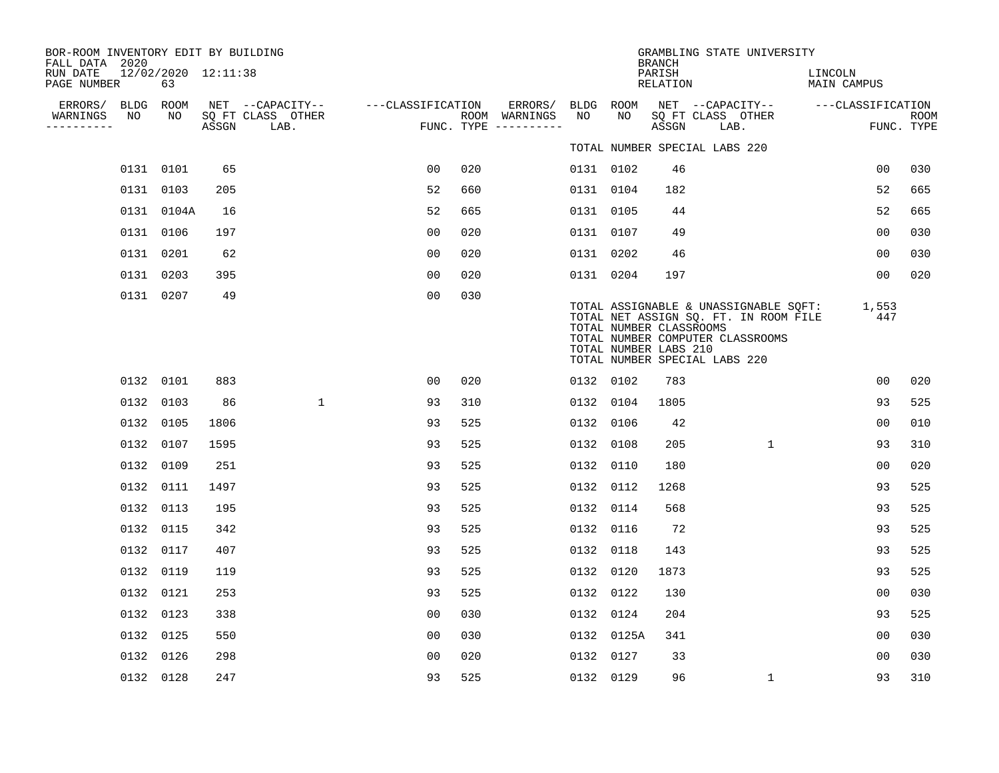| BOR-ROOM INVENTORY EDIT BY BUILDING<br>FALL DATA 2020 |           |            |                     |                                       |                   |     |                          |                 |            | BRANCH                                           |                               | GRAMBLING STATE UNIVERSITY                                                                                               |                        |                |                    |
|-------------------------------------------------------|-----------|------------|---------------------|---------------------------------------|-------------------|-----|--------------------------|-----------------|------------|--------------------------------------------------|-------------------------------|--------------------------------------------------------------------------------------------------------------------------|------------------------|----------------|--------------------|
| RUN DATE<br>PAGE NUMBER                               |           | 63         | 12/02/2020 12:11:38 |                                       |                   |     |                          |                 |            | PARISH<br>RELATION                               |                               |                                                                                                                          | LINCOLN<br>MAIN CAMPUS |                |                    |
| ERRORS/ BLDG ROOM<br>WARNINGS<br>NO                   |           | NO         |                     | NET --CAPACITY--<br>SQ FT CLASS OTHER | ---CLASSIFICATION |     | ERRORS/<br>ROOM WARNINGS | BLDG ROOM<br>NO | NO         |                                                  |                               | NET --CAPACITY-- ---CLASSIFICATION<br>SQ FT CLASS OTHER                                                                  |                        |                |                    |
| ----------                                            |           |            | ASSGN               | LAB.                                  |                   |     | FUNC. TYPE $------$      |                 |            | ASSGN                                            | LAB.                          |                                                                                                                          |                        |                | ROOM<br>FUNC. TYPE |
|                                                       |           |            |                     |                                       |                   |     |                          |                 |            |                                                  | TOTAL NUMBER SPECIAL LABS 220 |                                                                                                                          |                        |                |                    |
|                                                       | 0131 0101 |            | 65                  |                                       | 00                | 020 |                          | 0131 0102       |            | 46                                               |                               |                                                                                                                          |                        | 00             | 030                |
|                                                       | 0131 0103 |            | 205                 |                                       | 52                | 660 |                          | 0131 0104       |            | 182                                              |                               |                                                                                                                          |                        | 52             | 665                |
|                                                       |           | 0131 0104A | 16                  |                                       | 52                | 665 |                          | 0131 0105       |            | 44                                               |                               |                                                                                                                          |                        | 52             | 665                |
|                                                       | 0131 0106 |            | 197                 |                                       | 00                | 020 |                          | 0131 0107       |            | 49                                               |                               |                                                                                                                          |                        | 0 <sub>0</sub> | 030                |
|                                                       | 0131 0201 |            | 62                  |                                       | 00                | 020 |                          | 0131 0202       |            | 46                                               |                               |                                                                                                                          |                        | 0 <sub>0</sub> | 030                |
|                                                       | 0131 0203 |            | 395                 |                                       | 00                | 020 |                          | 0131 0204       |            | 197                                              |                               |                                                                                                                          |                        | 00             | 020                |
|                                                       | 0131 0207 |            | 49                  |                                       | 0 <sub>0</sub>    | 030 |                          |                 |            | TOTAL NUMBER CLASSROOMS<br>TOTAL NUMBER LABS 210 | TOTAL NUMBER SPECIAL LABS 220 | TOTAL ASSIGNABLE & UNASSIGNABLE SQFT: 1,553<br>TOTAL NET ASSIGN SQ. FT. IN ROOM FILE<br>TOTAL NUMBER COMPUTER CLASSROOMS |                        | 447            |                    |
|                                                       | 0132 0101 |            | 883                 |                                       | 00                | 020 |                          | 0132 0102       |            | 783                                              |                               |                                                                                                                          |                        | 00             | 020                |
|                                                       | 0132 0103 |            | 86                  | $\mathbf{1}$                          | 93                | 310 |                          | 0132 0104       |            | 1805                                             |                               |                                                                                                                          |                        | 93             | 525                |
|                                                       | 0132 0105 |            | 1806                |                                       | 93                | 525 |                          | 0132 0106       |            | 42                                               |                               |                                                                                                                          |                        | 0 <sub>0</sub> | 010                |
|                                                       | 0132 0107 |            | 1595                |                                       | 93                | 525 |                          | 0132 0108       |            | 205                                              |                               | $\mathbf{1}$                                                                                                             |                        | 93             | 310                |
|                                                       | 0132 0109 |            | 251                 |                                       | 93                | 525 |                          | 0132 0110       |            | 180                                              |                               |                                                                                                                          |                        | 0 <sub>0</sub> | 020                |
|                                                       | 0132 0111 |            | 1497                |                                       | 93                | 525 |                          | 0132 0112       |            | 1268                                             |                               |                                                                                                                          |                        | 93             | 525                |
|                                                       | 0132 0113 |            | 195                 |                                       | 93                | 525 |                          | 0132 0114       |            | 568                                              |                               |                                                                                                                          |                        | 93             | 525                |
|                                                       | 0132 0115 |            | 342                 |                                       | 93                | 525 |                          | 0132 0116       |            | 72                                               |                               |                                                                                                                          |                        | 93             | 525                |
|                                                       | 0132 0117 |            | 407                 |                                       | 93                | 525 |                          | 0132 0118       |            | 143                                              |                               |                                                                                                                          |                        | 93             | 525                |
|                                                       | 0132 0119 |            | 119                 |                                       | 93                | 525 |                          | 0132 0120       |            | 1873                                             |                               |                                                                                                                          |                        | 93             | 525                |
|                                                       | 0132 0121 |            | 253                 |                                       | 93                | 525 |                          | 0132 0122       |            | 130                                              |                               |                                                                                                                          |                        | 0 <sub>0</sub> | 030                |
|                                                       | 0132 0123 |            | 338                 |                                       | 0 <sub>0</sub>    | 030 |                          | 0132 0124       |            | 204                                              |                               |                                                                                                                          |                        | 93             | 525                |
|                                                       | 0132 0125 |            | 550                 |                                       | 00                | 030 |                          |                 | 0132 0125A | 341                                              |                               |                                                                                                                          |                        | 00             | 030                |
|                                                       | 0132 0126 |            | 298                 |                                       | 00                | 020 |                          | 0132 0127       |            | 33                                               |                               |                                                                                                                          |                        | 00             | 030                |
|                                                       | 0132 0128 |            | 247                 |                                       | 93                | 525 |                          | 0132 0129       |            | 96                                               |                               | 1                                                                                                                        |                        | 93             | 310                |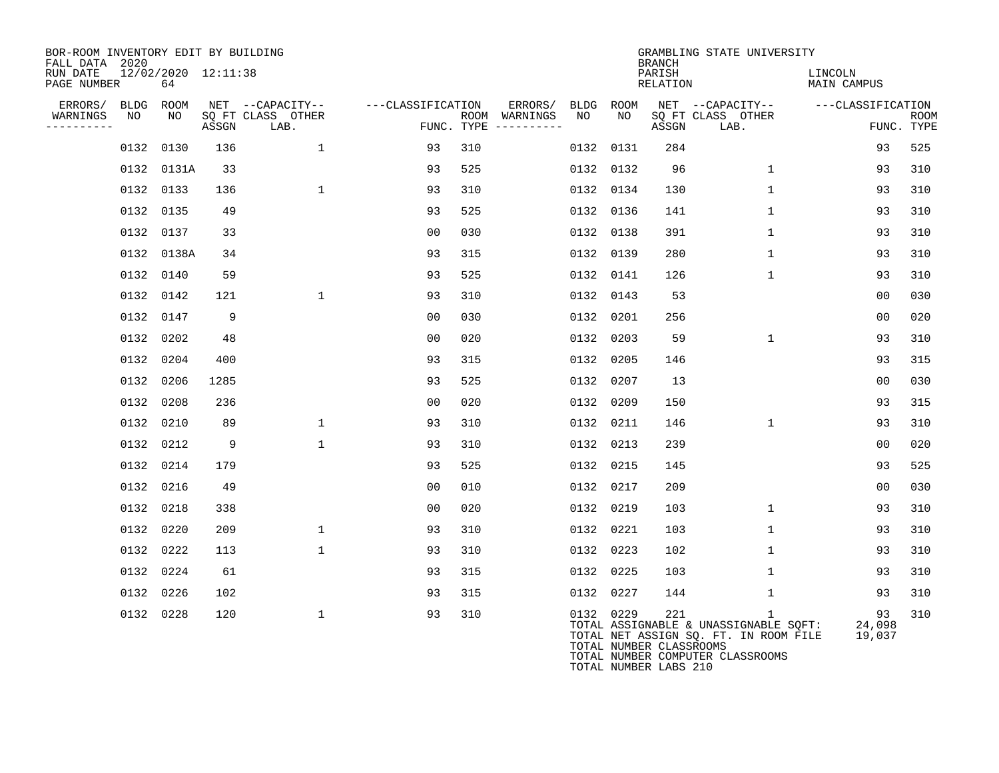| BOR-ROOM INVENTORY EDIT BY BUILDING<br>FALL DATA 2020<br>RUN DATE<br>PAGE NUMBER | 12/02/2020 12:11:38<br>64 |       |                                               |                   |                                                 |      |                  | <b>BRANCH</b><br>PARISH<br>RELATION | GRAMBLING STATE UNIVERSITY                                                                                              | LINCOLN<br><b>MAIN CAMPUS</b> |                           |
|----------------------------------------------------------------------------------|---------------------------|-------|-----------------------------------------------|-------------------|-------------------------------------------------|------|------------------|-------------------------------------|-------------------------------------------------------------------------------------------------------------------------|-------------------------------|---------------------------|
| ERRORS/<br>WARNINGS<br>NO<br>----------                                          | BLDG ROOM<br>NO           | ASSGN | NET --CAPACITY--<br>SQ FT CLASS OTHER<br>LAB. | ---CLASSIFICATION | ERRORS/<br>ROOM WARNINGS<br>FUNC. TYPE $------$ | NO   | BLDG ROOM<br>NO. | ASSGN                               | NET --CAPACITY--<br>SQ FT CLASS OTHER<br>LAB.                                                                           | ---CLASSIFICATION             | <b>ROOM</b><br>FUNC. TYPE |
| 0132                                                                             | 0130                      | 136   | $\mathbf{1}$                                  | 93                | 310                                             | 0132 | 0131             | 284                                 |                                                                                                                         | 93                            | 525                       |
|                                                                                  | 0132 0131A                | 33    |                                               | 93                | 525                                             |      | 0132 0132        | 96                                  | $\mathbf{1}$                                                                                                            | 93                            | 310                       |
|                                                                                  | 0132 0133                 | 136   | $\mathbf{1}$                                  | 93                | 310                                             |      | 0132 0134        | 130                                 | $\mathbf{1}$                                                                                                            | 93                            | 310                       |
|                                                                                  | 0132 0135                 | 49    |                                               | 93                | 525                                             | 0132 | 0136             | 141                                 | $\mathbf{1}$                                                                                                            | 93                            | 310                       |
|                                                                                  | 0132 0137                 | 33    |                                               | 0 <sub>0</sub>    | 030                                             |      | 0132 0138        | 391                                 | $\mathbf{1}$                                                                                                            | 93                            | 310                       |
|                                                                                  | 0132 0138A                | 34    |                                               | 93                | 315                                             |      | 0132 0139        | 280                                 | $\mathbf{1}$                                                                                                            | 93                            | 310                       |
|                                                                                  | 0132 0140                 | 59    |                                               | 93                | 525                                             |      | 0132 0141        | 126                                 | $\mathbf{1}$                                                                                                            | 93                            | 310                       |
|                                                                                  | 0132 0142                 | 121   | $\mathbf{1}$                                  | 93                | 310                                             |      | 0132 0143        | 53                                  |                                                                                                                         | 0 <sub>0</sub>                | 030                       |
|                                                                                  | 0132 0147                 | 9     |                                               | 00                | 030                                             |      | 0132 0201        | 256                                 |                                                                                                                         | 00                            | 020                       |
|                                                                                  | 0132 0202                 | 48    |                                               | 0 <sub>0</sub>    | 020                                             | 0132 | 0203             | 59                                  | $\mathbf{1}$                                                                                                            | 93                            | 310                       |
|                                                                                  | 0132 0204                 | 400   |                                               | 93                | 315                                             | 0132 | 0205             | 146                                 |                                                                                                                         | 93                            | 315                       |
|                                                                                  | 0132 0206                 | 1285  |                                               | 93                | 525                                             | 0132 | 0207             | 13                                  |                                                                                                                         | 0 <sub>0</sub>                | 030                       |
|                                                                                  | 0132 0208                 | 236   |                                               | 0 <sub>0</sub>    | 020                                             |      | 0132 0209        | 150                                 |                                                                                                                         | 93                            | 315                       |
|                                                                                  | 0132 0210                 | 89    | $\mathbf{1}$                                  | 93                | 310                                             |      | 0132 0211        | 146                                 | $\mathbf{1}$                                                                                                            | 93                            | 310                       |
|                                                                                  | 0132 0212                 | 9     | $\mathbf{1}$                                  | 93                | 310                                             |      | 0132 0213        | 239                                 |                                                                                                                         | 0 <sub>0</sub>                | 020                       |
|                                                                                  | 0132 0214                 | 179   |                                               | 93                | 525                                             |      | 0132 0215        | 145                                 |                                                                                                                         | 93                            | 525                       |
|                                                                                  | 0132 0216                 | 49    |                                               | 00                | 010                                             |      | 0132 0217        | 209                                 |                                                                                                                         | 0 <sub>0</sub>                | 030                       |
|                                                                                  | 0132 0218                 | 338   |                                               | 0 <sub>0</sub>    | 020                                             |      | 0132 0219        | 103                                 | $\mathbf{1}$                                                                                                            | 93                            | 310                       |
|                                                                                  | 0132 0220                 | 209   | $\mathbf{1}$                                  | 93                | 310                                             |      | 0132 0221        | 103                                 | $\mathbf{1}$                                                                                                            | 93                            | 310                       |
|                                                                                  | 0132 0222                 | 113   | $\mathbf{1}$                                  | 93                | 310                                             |      | 0132 0223        | 102                                 | $\mathbf 1$                                                                                                             | 93                            | 310                       |
|                                                                                  | 0132 0224                 | 61    |                                               | 93                | 315                                             |      | 0132 0225        | 103                                 | $\mathbf{1}$                                                                                                            | 93                            | 310                       |
|                                                                                  | 0132 0226                 | 102   |                                               | 93                | 315                                             |      | 0132 0227        | 144                                 | $\mathbf{1}$                                                                                                            | 93                            | 310                       |
|                                                                                  | 0132 0228                 | 120   | $\mathbf{1}$                                  | 93                | 310                                             |      | 0132 0229        | 221<br>TOTAL NUMBER CLASSROOMS      | 1<br>TOTAL ASSIGNABLE & UNASSIGNABLE SOFT:<br>TOTAL NET ASSIGN SQ. FT. IN ROOM FILE<br>TOTAL NUMBER COMPUTER CLASSROOMS | 93<br>24,098<br>19,037        | 310                       |

TOTAL NUMBER LABS 210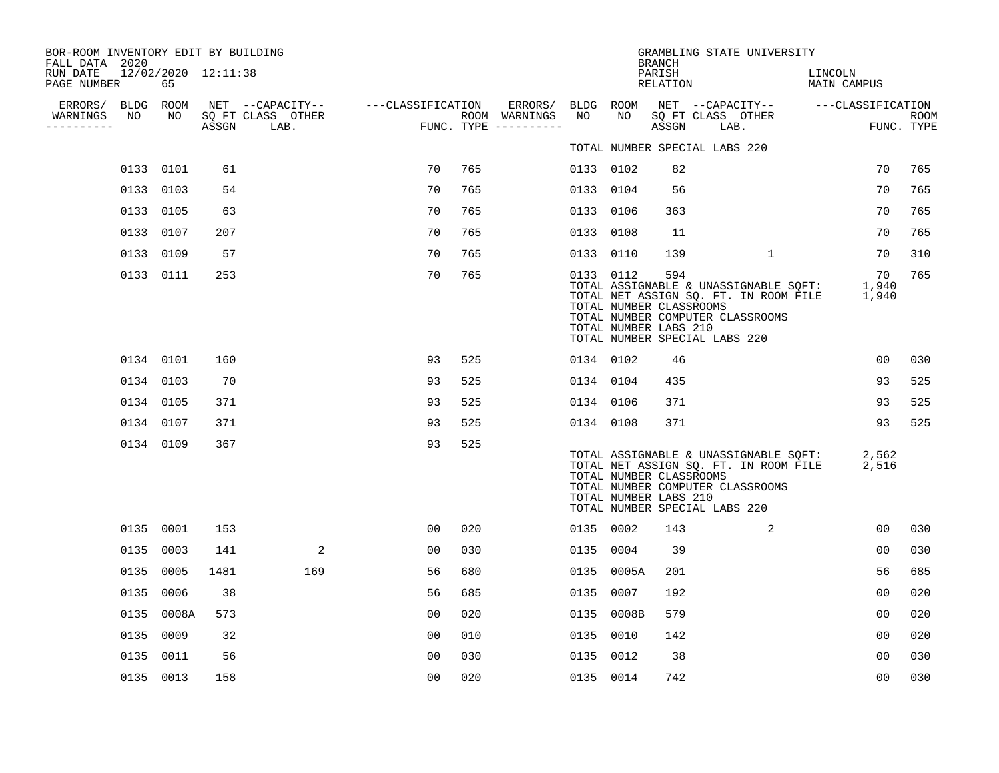| BOR-ROOM INVENTORY EDIT BY BUILDING<br>FALL DATA 2020 |                 |       |                     |                                               |                   |     |                                                 |                 |                                                  | <b>BRANCH</b>      | GRAMBLING STATE UNIVERSITY                                                                                                                          |                        |                           |
|-------------------------------------------------------|-----------------|-------|---------------------|-----------------------------------------------|-------------------|-----|-------------------------------------------------|-----------------|--------------------------------------------------|--------------------|-----------------------------------------------------------------------------------------------------------------------------------------------------|------------------------|---------------------------|
| RUN DATE<br>PAGE NUMBER                               |                 | 65    | 12/02/2020 12:11:38 |                                               |                   |     |                                                 |                 |                                                  | PARISH<br>RELATION |                                                                                                                                                     | LINCOLN<br>MAIN CAMPUS |                           |
| ERRORS/<br>WARNINGS<br>. <u>.</u>                     | BLDG ROOM<br>NO | NO    | ASSGN               | NET --CAPACITY--<br>SQ FT CLASS OTHER<br>LAB. | ---CLASSIFICATION |     | ERRORS/<br>ROOM WARNINGS<br>FUNC. TYPE $------$ | BLDG ROOM<br>NO | NO                                               | ASSGN              | NET --CAPACITY-- ----CLASSIFICATION<br>SQ FT CLASS OTHER<br>LAB.                                                                                    |                        | <b>ROOM</b><br>FUNC. TYPE |
|                                                       |                 |       |                     |                                               |                   |     |                                                 |                 |                                                  |                    | TOTAL NUMBER SPECIAL LABS 220                                                                                                                       |                        |                           |
|                                                       | 0133 0101       |       | 61                  |                                               | 70                | 765 |                                                 | 0133 0102       |                                                  | 82                 |                                                                                                                                                     | 70                     | 765                       |
|                                                       | 0133            | 0103  | 54                  |                                               | 70                | 765 |                                                 | 0133 0104       |                                                  | 56                 |                                                                                                                                                     | 70                     | 765                       |
|                                                       | 0133 0105       |       | 63                  |                                               | 70                | 765 |                                                 | 0133 0106       |                                                  | 363                |                                                                                                                                                     | 70                     | 765                       |
|                                                       | 0133            | 0107  | 207                 |                                               | 70                | 765 |                                                 | 0133            | 0108                                             | 11                 |                                                                                                                                                     | 70                     | 765                       |
|                                                       | 0133 0109       |       | 57                  |                                               | 70                | 765 |                                                 | 0133 0110       |                                                  | 139                | $\mathbf{1}$                                                                                                                                        | 70                     | 310                       |
|                                                       | 0133 0111       |       | 253                 |                                               | 70                | 765 |                                                 | 0133 0112       | TOTAL NUMBER CLASSROOMS<br>TOTAL NUMBER LABS 210 | 594                | TOTAL ASSIGNABLE & UNASSIGNABLE SQFT:<br>TOTAL NET ASSIGN SQ. FT. IN ROOM FILE<br>TOTAL NUMBER COMPUTER CLASSROOMS<br>TOTAL NUMBER SPECIAL LABS 220 | 70<br>1,940<br>1,940   | 765                       |
|                                                       | 0134 0101       |       | 160                 |                                               | 93                | 525 |                                                 | 0134 0102       |                                                  | 46                 |                                                                                                                                                     | 00                     | 030                       |
|                                                       | 0134 0103       |       | 70                  |                                               | 93                | 525 |                                                 | 0134 0104       |                                                  | 435                |                                                                                                                                                     | 93                     | 525                       |
|                                                       | 0134 0105       |       | 371                 |                                               | 93                | 525 |                                                 | 0134 0106       |                                                  | 371                |                                                                                                                                                     | 93                     | 525                       |
|                                                       | 0134 0107       |       | 371                 |                                               | 93                | 525 |                                                 | 0134 0108       |                                                  | 371                |                                                                                                                                                     | 93                     | 525                       |
|                                                       | 0134 0109       |       | 367                 |                                               | 93                | 525 |                                                 |                 | TOTAL NUMBER CLASSROOMS<br>TOTAL NUMBER LABS 210 |                    | TOTAL ASSIGNABLE & UNASSIGNABLE SQFT:<br>TOTAL NET ASSIGN SQ. FT. IN ROOM FILE<br>TOTAL NUMBER COMPUTER CLASSROOMS<br>TOTAL NUMBER SPECIAL LABS 220 | 2,562<br>2,516         |                           |
|                                                       | 0135 0001       |       | 153                 |                                               | 00                | 020 |                                                 | 0135 0002       |                                                  | 143                | 2                                                                                                                                                   | 00                     | 030                       |
|                                                       | 0135            | 0003  | 141                 | 2                                             | 00                | 030 |                                                 | 0135            | 0004                                             | 39                 |                                                                                                                                                     | 00                     | 030                       |
|                                                       | 0135            | 0005  | 1481                | 169                                           | 56                | 680 |                                                 | 0135            | 0005A                                            | 201                |                                                                                                                                                     | 56                     | 685                       |
|                                                       | 0135            | 0006  | 38                  |                                               | 56                | 685 |                                                 | 0135            | 0007                                             | 192                |                                                                                                                                                     | 00                     | 020                       |
|                                                       | 0135            | 0008A | 573                 |                                               | 0 <sub>0</sub>    | 020 |                                                 | 0135            | 0008B                                            | 579                |                                                                                                                                                     | 0 <sub>0</sub>         | 020                       |
|                                                       | 0135            | 0009  | 32                  |                                               | 0 <sub>0</sub>    | 010 |                                                 | 0135 0010       |                                                  | 142                |                                                                                                                                                     | 0 <sub>0</sub>         | 020                       |
|                                                       | 0135            | 0011  | 56                  |                                               | 0 <sub>0</sub>    | 030 |                                                 | 0135 0012       |                                                  | 38                 |                                                                                                                                                     | 00                     | 030                       |
|                                                       | 0135 0013       |       | 158                 |                                               | 0 <sub>0</sub>    | 020 |                                                 | 0135 0014       |                                                  | 742                |                                                                                                                                                     | 0 <sub>0</sub>         | 030                       |
|                                                       |                 |       |                     |                                               |                   |     |                                                 |                 |                                                  |                    |                                                                                                                                                     |                        |                           |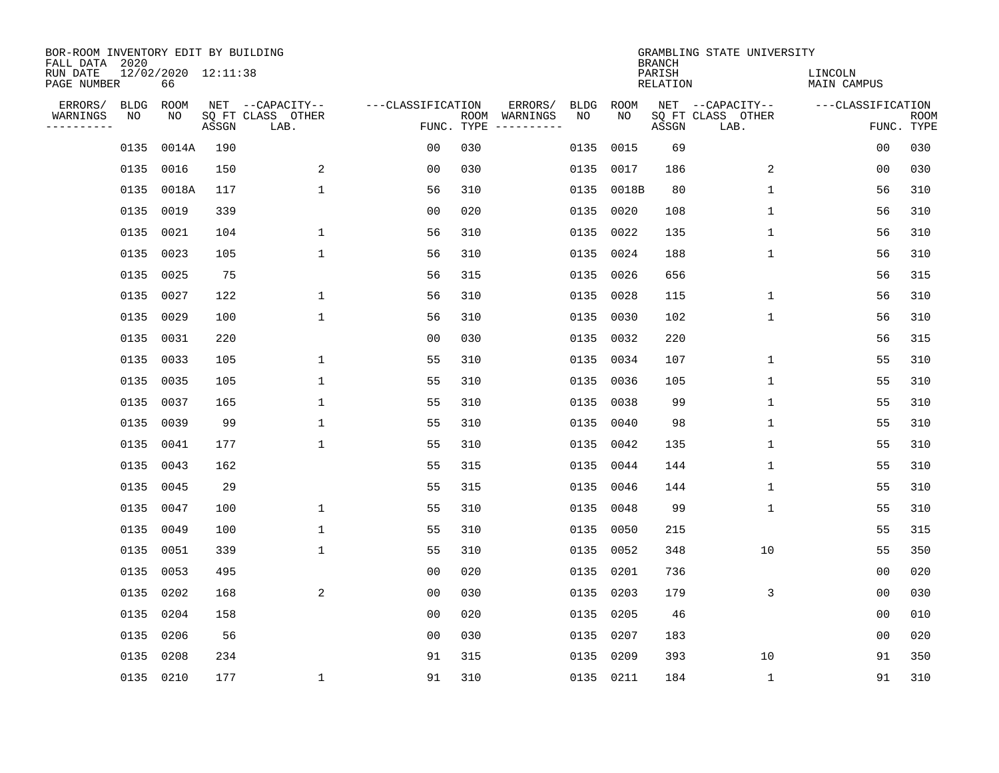| BOR-ROOM INVENTORY EDIT BY BUILDING<br>FALL DATA 2020 |             |                           |       |                           |                   |            |                              |      |           | <b>BRANCH</b>             | GRAMBLING STATE UNIVERSITY |                               |                           |
|-------------------------------------------------------|-------------|---------------------------|-------|---------------------------|-------------------|------------|------------------------------|------|-----------|---------------------------|----------------------------|-------------------------------|---------------------------|
| RUN DATE<br>PAGE NUMBER                               |             | 12/02/2020 12:11:38<br>66 |       |                           |                   |            |                              |      |           | PARISH<br><b>RELATION</b> |                            | LINCOLN<br><b>MAIN CAMPUS</b> |                           |
| ERRORS/                                               | <b>BLDG</b> | ROOM                      |       | NET --CAPACITY--          | ---CLASSIFICATION |            | ERRORS/                      | BLDG | ROOM      |                           | NET --CAPACITY--           | ---CLASSIFICATION             |                           |
| WARNINGS<br>----------                                | NO          | NO                        | ASSGN | SQ FT CLASS OTHER<br>LAB. |                   | FUNC. TYPE | ROOM WARNINGS<br>----------- | NO   | NO        | ASSGN                     | SQ FT CLASS OTHER<br>LAB.  |                               | <b>ROOM</b><br>FUNC. TYPE |
|                                                       | 0135        | 0014A                     | 190   |                           | 0 <sub>0</sub>    | 030        |                              | 0135 | 0015      | 69                        |                            | 0 <sub>0</sub>                | 030                       |
|                                                       | 0135        | 0016                      | 150   | 2                         | 0 <sub>0</sub>    | 030        |                              | 0135 | 0017      | 186                       | 2                          | 00                            | 030                       |
|                                                       | 0135        | 0018A                     | 117   | $\mathbf{1}$              | 56                | 310        |                              | 0135 | 0018B     | 80                        | $\mathbf 1$                | 56                            | 310                       |
|                                                       | 0135        | 0019                      | 339   |                           | 0 <sub>0</sub>    | 020        |                              | 0135 | 0020      | 108                       | $\mathbf{1}$               | 56                            | 310                       |
|                                                       | 0135        | 0021                      | 104   | $\mathbf{1}$              | 56                | 310        |                              | 0135 | 0022      | 135                       | $\mathbf{1}$               | 56                            | 310                       |
|                                                       | 0135        | 0023                      | 105   | $\mathbf{1}$              | 56                | 310        |                              | 0135 | 0024      | 188                       | $\mathbf{1}$               | 56                            | 310                       |
|                                                       | 0135        | 0025                      | 75    |                           | 56                | 315        |                              | 0135 | 0026      | 656                       |                            | 56                            | 315                       |
|                                                       | 0135        | 0027                      | 122   | $\mathbf{1}$              | 56                | 310        |                              | 0135 | 0028      | 115                       | 1                          | 56                            | 310                       |
|                                                       | 0135        | 0029                      | 100   | $\mathbf 1$               | 56                | 310        |                              | 0135 | 0030      | 102                       | $\mathbf 1$                | 56                            | 310                       |
|                                                       |             | 0135 0031                 | 220   |                           | 0 <sub>0</sub>    | 030        |                              | 0135 | 0032      | 220                       |                            | 56                            | 315                       |
|                                                       | 0135        | 0033                      | 105   | $\mathbf 1$               | 55                | 310        |                              | 0135 | 0034      | 107                       | $\mathbf 1$                | 55                            | 310                       |
|                                                       |             | 0135 0035                 | 105   | 1                         | 55                | 310        |                              | 0135 | 0036      | 105                       | 1                          | 55                            | 310                       |
|                                                       | 0135        | 0037                      | 165   | $\mathbf 1$               | 55                | 310        |                              | 0135 | 0038      | 99                        | $\mathbf 1$                | 55                            | 310                       |
|                                                       |             | 0135 0039                 | 99    | $\mathbf 1$               | 55                | 310        |                              | 0135 | 0040      | 98                        | 1                          | 55                            | 310                       |
|                                                       | 0135        | 0041                      | 177   | $\mathbf 1$               | 55                | 310        |                              | 0135 | 0042      | 135                       | 1                          | 55                            | 310                       |
|                                                       | 0135        | 0043                      | 162   |                           | 55                | 315        |                              | 0135 | 0044      | 144                       | 1                          | 55                            | 310                       |
|                                                       | 0135        | 0045                      | 29    |                           | 55                | 315        |                              | 0135 | 0046      | 144                       | 1                          | 55                            | 310                       |
|                                                       | 0135        | 0047                      | 100   | $\mathbf 1$               | 55                | 310        |                              | 0135 | 0048      | 99                        | 1                          | 55                            | 310                       |
|                                                       | 0135        | 0049                      | 100   | $\mathbf{1}$              | 55                | 310        |                              | 0135 | 0050      | 215                       |                            | 55                            | 315                       |
|                                                       | 0135        | 0051                      | 339   | $\mathbf{1}$              | 55                | 310        |                              | 0135 | 0052      | 348                       | 10                         | 55                            | 350                       |
|                                                       | 0135        | 0053                      | 495   |                           | 0 <sub>0</sub>    | 020        |                              | 0135 | 0201      | 736                       |                            | 0 <sub>0</sub>                | 020                       |
|                                                       | 0135        | 0202                      | 168   | 2                         | 00                | 030        |                              | 0135 | 0203      | 179                       | 3                          | 00                            | 030                       |
|                                                       | 0135        | 0204                      | 158   |                           | 0 <sub>0</sub>    | 020        |                              | 0135 | 0205      | 46                        |                            | 0 <sub>0</sub>                | 010                       |
|                                                       | 0135        | 0206                      | 56    |                           | 0 <sub>0</sub>    | 030        |                              | 0135 | 0207      | 183                       |                            | 0 <sub>0</sub>                | 020                       |
|                                                       | 0135        | 0208                      | 234   |                           | 91                | 315        |                              | 0135 | 0209      | 393                       | 10                         | 91                            | 350                       |
|                                                       |             | 0135 0210                 | 177   | $\mathbf 1$               | 91                | 310        |                              |      | 0135 0211 | 184                       | 1                          | 91                            | 310                       |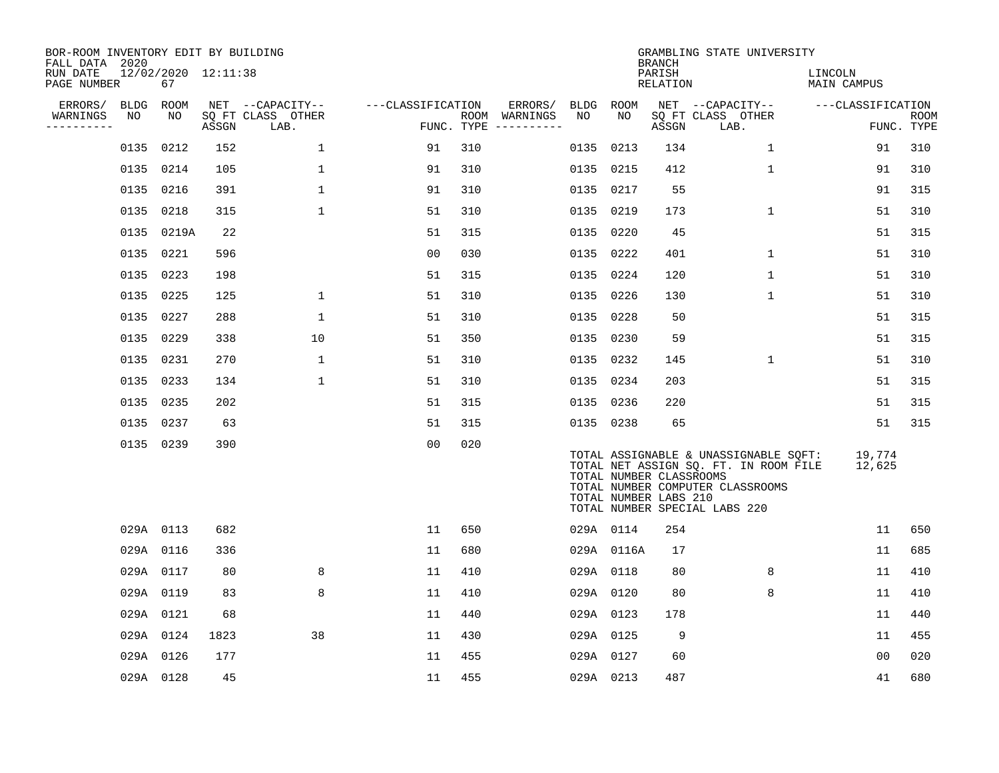| BOR-ROOM INVENTORY EDIT BY BUILDING<br>FALL DATA 2020 |                   |                           |       |                                       |                   |            |                              |                 |                                                  | <b>BRANCH</b>             | GRAMBLING STATE UNIVERSITY                                                                                                                          |                               |             |
|-------------------------------------------------------|-------------------|---------------------------|-------|---------------------------------------|-------------------|------------|------------------------------|-----------------|--------------------------------------------------|---------------------------|-----------------------------------------------------------------------------------------------------------------------------------------------------|-------------------------------|-------------|
| RUN DATE<br>PAGE NUMBER                               |                   | 12/02/2020 12:11:38<br>67 |       |                                       |                   |            |                              |                 |                                                  | PARISH<br><b>RELATION</b> |                                                                                                                                                     | LINCOLN<br><b>MAIN CAMPUS</b> |             |
| ERRORS/                                               | <b>BLDG</b><br>NO | ROOM<br>NO                |       | NET --CAPACITY--<br>SQ FT CLASS OTHER | ---CLASSIFICATION |            | ERRORS/                      | BLDG ROOM<br>NO | NO                                               |                           | NET --CAPACITY--<br>SQ FT CLASS OTHER                                                                                                               | ---CLASSIFICATION             | <b>ROOM</b> |
| WARNINGS<br>. _ _ _ _ _ _ _ _ _                       |                   |                           | ASSGN | LAB.                                  |                   | FUNC. TYPE | ROOM WARNINGS<br>----------- |                 |                                                  | ASSGN                     | LAB.                                                                                                                                                |                               | FUNC. TYPE  |
|                                                       |                   | 0135 0212                 | 152   | $\mathbf{1}$                          | 91                | 310        |                              | 0135 0213       |                                                  | 134                       | $\mathbf{1}$                                                                                                                                        | 91                            | 310         |
|                                                       | 0135 0214         |                           | 105   | 1                                     | 91                | 310        |                              | 0135 0215       |                                                  | 412                       | $\mathbf{1}$                                                                                                                                        | 91                            | 310         |
|                                                       | 0135 0216         |                           | 391   | $\mathbf{1}$                          | 91                | 310        |                              | 0135 0217       |                                                  | 55                        |                                                                                                                                                     | 91                            | 315         |
|                                                       | 0135 0218         |                           | 315   | $\mathbf 1$                           | 51                | 310        |                              | 0135 0219       |                                                  | 173                       | $\mathbf 1$                                                                                                                                         | 51                            | 310         |
|                                                       |                   | 0135 0219A                | 22    |                                       | 51                | 315        |                              | 0135 0220       |                                                  | 45                        |                                                                                                                                                     | 51                            | 315         |
|                                                       | 0135 0221         |                           | 596   |                                       | 0 <sub>0</sub>    | 030        |                              |                 | 0135 0222                                        | 401                       | $\mathbf{1}$                                                                                                                                        | 51                            | 310         |
|                                                       |                   | 0135 0223                 | 198   |                                       | 51                | 315        |                              |                 | 0135 0224                                        | 120                       | $\mathbf{1}$                                                                                                                                        | 51                            | 310         |
|                                                       |                   | 0135 0225                 | 125   | $\mathbf 1$                           | 51                | 310        |                              |                 | 0135 0226                                        | 130                       | $\mathbf 1$                                                                                                                                         | 51                            | 310         |
|                                                       | 0135              | 0227                      | 288   | 1                                     | 51                | 310        |                              | 0135 0228       |                                                  | 50                        |                                                                                                                                                     | 51                            | 315         |
|                                                       | 0135 0229         |                           | 338   | 10                                    | 51                | 350        |                              | 0135 0230       |                                                  | 59                        |                                                                                                                                                     | 51                            | 315         |
|                                                       | 0135 0231         |                           | 270   | 1                                     | 51                | 310        |                              | 0135 0232       |                                                  | 145                       | $\mathbf{1}$                                                                                                                                        | 51                            | 310         |
|                                                       | 0135 0233         |                           | 134   | 1                                     | 51                | 310        |                              | 0135 0234       |                                                  | 203                       |                                                                                                                                                     | 51                            | 315         |
|                                                       | 0135 0235         |                           | 202   |                                       | 51                | 315        |                              |                 | 0135 0236                                        | 220                       |                                                                                                                                                     | 51                            | 315         |
|                                                       | 0135 0237         |                           | 63    |                                       | 51                | 315        |                              | 0135 0238       |                                                  | 65                        |                                                                                                                                                     | 51                            | 315         |
|                                                       | 0135 0239         |                           | 390   |                                       | 0 <sub>0</sub>    | 020        |                              |                 | TOTAL NUMBER CLASSROOMS<br>TOTAL NUMBER LABS 210 |                           | TOTAL ASSIGNABLE & UNASSIGNABLE SQFT:<br>TOTAL NET ASSIGN SQ. FT. IN ROOM FILE<br>TOTAL NUMBER COMPUTER CLASSROOMS<br>TOTAL NUMBER SPECIAL LABS 220 | 19,774<br>12,625              |             |
|                                                       | 029A 0113         |                           | 682   |                                       | 11                | 650        |                              |                 | 029A 0114                                        | 254                       |                                                                                                                                                     | 11                            | 650         |
|                                                       | 029A 0116         |                           | 336   |                                       | 11                | 680        |                              |                 | 029A 0116A                                       | 17                        |                                                                                                                                                     | 11                            | 685         |
|                                                       | 029A 0117         |                           | 80    | 8                                     | 11                | 410        |                              | 029A 0118       |                                                  | 80                        | 8                                                                                                                                                   | 11                            | 410         |
|                                                       | 029A 0119         |                           | 83    | 8                                     | 11                | 410        |                              |                 | 029A 0120                                        | 80                        | 8                                                                                                                                                   | 11                            | 410         |
|                                                       | 029A 0121         |                           | 68    |                                       | 11                | 440        |                              |                 | 029A 0123                                        | 178                       |                                                                                                                                                     | 11                            | 440         |
|                                                       |                   | 029A 0124                 | 1823  | 38                                    | 11                | 430        |                              | 029A 0125       |                                                  | 9                         |                                                                                                                                                     | 11                            | 455         |
|                                                       |                   | 029A 0126                 | 177   |                                       | 11                | 455        |                              | 029A 0127       |                                                  | 60                        |                                                                                                                                                     | 0 <sub>0</sub>                | 020         |
|                                                       |                   | 029A 0128                 | 45    |                                       | 11                | 455        |                              | 029A 0213       |                                                  | 487                       |                                                                                                                                                     | 41                            | 680         |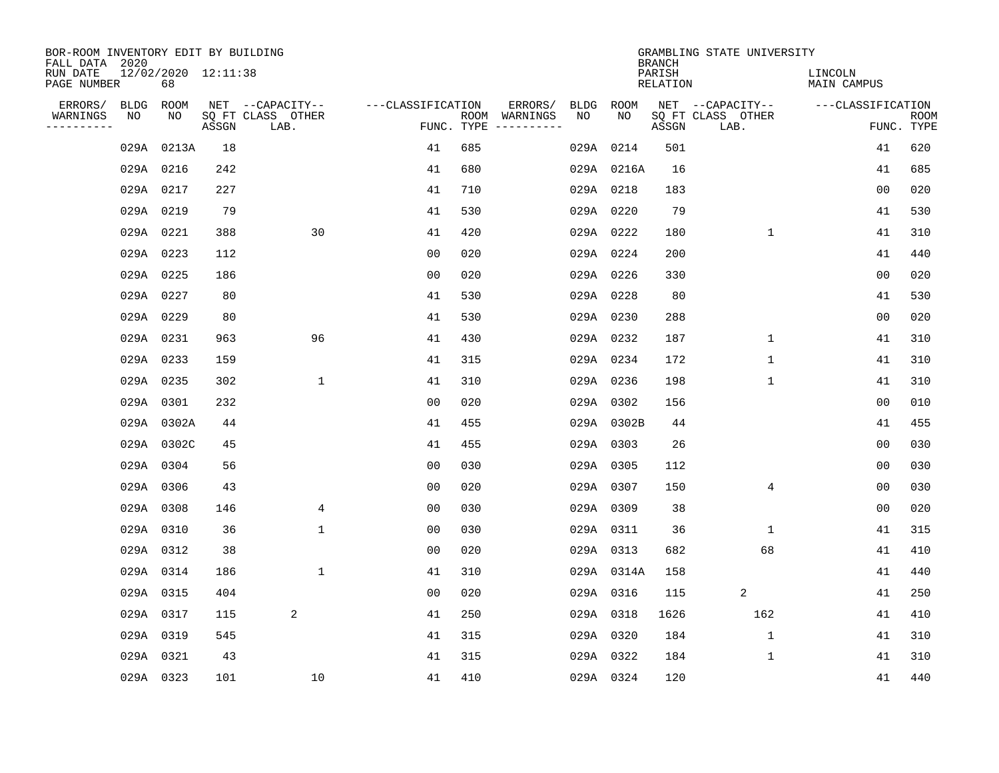| BOR-ROOM INVENTORY EDIT BY BUILDING<br>FALL DATA 2020 |             |                           |       |                           |                   |                                      |                 |            | <b>BRANCH</b>             | GRAMBLING STATE UNIVERSITY |                               |                           |
|-------------------------------------------------------|-------------|---------------------------|-------|---------------------------|-------------------|--------------------------------------|-----------------|------------|---------------------------|----------------------------|-------------------------------|---------------------------|
| RUN DATE<br>PAGE NUMBER                               |             | 12/02/2020 12:11:38<br>68 |       |                           |                   |                                      |                 |            | PARISH<br><b>RELATION</b> |                            | LINCOLN<br><b>MAIN CAMPUS</b> |                           |
| ERRORS/                                               | <b>BLDG</b> | ROOM                      |       | NET --CAPACITY--          | ---CLASSIFICATION |                                      | ERRORS/<br>BLDG | ROOM       |                           | NET --CAPACITY--           | ---CLASSIFICATION             |                           |
| WARNINGS<br>----------                                | NO          | NO                        | ASSGN | SQ FT CLASS OTHER<br>LAB. |                   | ROOM WARNINGS<br>FUNC. TYPE $------$ | NO              | NO         | ASSGN                     | SQ FT CLASS OTHER<br>LAB.  |                               | <b>ROOM</b><br>FUNC. TYPE |
|                                                       | 029A        | 0213A                     | 18    |                           | 41                | 685                                  |                 | 029A 0214  | 501                       |                            | 41                            | 620                       |
|                                                       |             | 029A 0216                 | 242   |                           | 41                | 680                                  |                 | 029A 0216A | 16                        |                            | 41                            | 685                       |
|                                                       |             | 029A 0217                 | 227   |                           | 41                | 710                                  |                 | 029A 0218  | 183                       |                            | 0 <sub>0</sub>                | 020                       |
|                                                       | 029A 0219   |                           | 79    |                           | 41                | 530                                  |                 | 029A 0220  | 79                        |                            | 41                            | 530                       |
|                                                       |             | 029A 0221                 | 388   | 30                        | 41                | 420                                  |                 | 029A 0222  | 180                       | 1                          | 41                            | 310                       |
|                                                       | 029A 0223   |                           | 112   |                           | 0 <sub>0</sub>    | 020                                  |                 | 029A 0224  | 200                       |                            | 41                            | 440                       |
|                                                       |             | 029A 0225                 | 186   |                           | 0 <sub>0</sub>    | 020                                  |                 | 029A 0226  | 330                       |                            | 00                            | 020                       |
|                                                       | 029A 0227   |                           | 80    |                           | 41                | 530                                  |                 | 029A 0228  | 80                        |                            | 41                            | 530                       |
|                                                       | 029A 0229   |                           | 80    |                           | 41                | 530                                  |                 | 029A 0230  | 288                       |                            | 0 <sub>0</sub>                | 020                       |
|                                                       | 029A 0231   |                           | 963   | 96                        | 41                | 430                                  |                 | 029A 0232  | 187                       | 1                          | 41                            | 310                       |
|                                                       |             | 029A 0233                 | 159   |                           | 41                | 315                                  |                 | 029A 0234  | 172                       | $\mathbf 1$                | 41                            | 310                       |
|                                                       | 029A 0235   |                           | 302   | $\mathbf 1$               | 41                | 310                                  |                 | 029A 0236  | 198                       | $\mathbf 1$                | 41                            | 310                       |
|                                                       | 029A        | 0301                      | 232   |                           | 0 <sub>0</sub>    | 020                                  |                 | 029A 0302  | 156                       |                            | 0 <sub>0</sub>                | 010                       |
|                                                       |             | 029A 0302A                | 44    |                           | 41                | 455                                  |                 | 029A 0302B | 44                        |                            | 41                            | 455                       |
|                                                       |             | 029A 0302C                | 45    |                           | 41                | 455                                  |                 | 029A 0303  | 26                        |                            | 0 <sub>0</sub>                | 030                       |
|                                                       |             | 029A 0304                 | 56    |                           | 0 <sub>0</sub>    | 030                                  |                 | 029A 0305  | 112                       |                            | 00                            | 030                       |
|                                                       | 029A        | 0306                      | 43    |                           | 0 <sub>0</sub>    | 020                                  |                 | 029A 0307  | 150                       | $\overline{4}$             | 0 <sub>0</sub>                | 030                       |
|                                                       | 029A        | 0308                      | 146   | 4                         | 0 <sub>0</sub>    | 030                                  |                 | 029A 0309  | 38                        |                            | 0 <sub>0</sub>                | 020                       |
|                                                       |             | 029A 0310                 | 36    | $\mathbf 1$               | 0 <sub>0</sub>    | 030                                  |                 | 029A 0311  | 36                        | 1                          | 41                            | 315                       |
|                                                       |             | 029A 0312                 | 38    |                           | 0 <sub>0</sub>    | 020                                  |                 | 029A 0313  | 682                       | 68                         | 41                            | 410                       |
|                                                       | 029A 0314   |                           | 186   | $\mathbf{1}$              | 41                | 310                                  |                 | 029A 0314A | 158                       |                            | 41                            | 440                       |
|                                                       | 029A        | 0315                      | 404   |                           | 0 <sub>0</sub>    | 020                                  |                 | 029A 0316  | 115                       | 2                          | 41                            | 250                       |
|                                                       | 029A 0317   |                           | 115   | 2                         | 41                | 250                                  |                 | 029A 0318  | 1626                      | 162                        | 41                            | 410                       |
|                                                       | 029A 0319   |                           | 545   |                           | 41                | 315                                  |                 | 029A 0320  | 184                       | $\mathbf 1$                | 41                            | 310                       |
|                                                       | 029A 0321   |                           | 43    |                           | 41                | 315                                  |                 | 029A 0322  | 184                       | 1                          | 41                            | 310                       |
|                                                       |             | 029A 0323                 | 101   | 10                        | 41                | 410                                  |                 | 029A 0324  | 120                       |                            | 41                            | 440                       |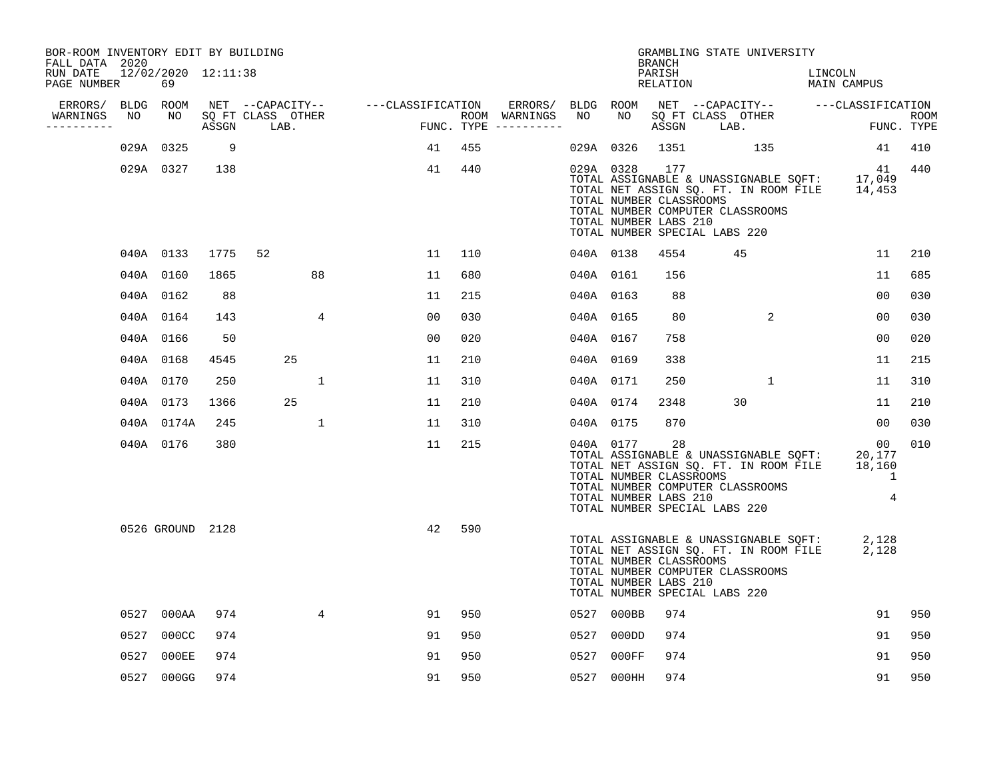| BOR-ROOM INVENTORY EDIT BY BUILDING<br>FALL DATA 2020 |      |                  |       |                                       |                   |     |                                    |           |                                                               | BRANCH             | GRAMBLING STATE UNIVERSITY                                                                                                                                        |                                                                       |                    |
|-------------------------------------------------------|------|------------------|-------|---------------------------------------|-------------------|-----|------------------------------------|-----------|---------------------------------------------------------------|--------------------|-------------------------------------------------------------------------------------------------------------------------------------------------------------------|-----------------------------------------------------------------------|--------------------|
| RUN DATE 12/02/2020 12:11:38<br>PAGE NUMBER           |      | 69               |       |                                       |                   |     |                                    |           |                                                               | PARISH<br>RELATION |                                                                                                                                                                   | LINCOLN<br>MAIN CAMPUS                                                |                    |
| ERRORS/ BLDG ROOM<br>WARNINGS                         | NO   | NO               |       | NET --CAPACITY--<br>SO FT CLASS OTHER | ---CLASSIFICATION |     | ERRORS/ BLDG ROOM<br>ROOM WARNINGS | NO        | NO                                                            |                    | NET --CAPACITY-- ---CLASSIFICATION<br>SO FT CLASS OTHER                                                                                                           |                                                                       |                    |
| ----------                                            |      |                  | ASSGN | LAB.                                  |                   |     | FUNC. TYPE $------$                |           |                                                               |                    | ASSGN LAB.                                                                                                                                                        |                                                                       | ROOM<br>FUNC. TYPE |
|                                                       |      | 029A 0325        | 9     |                                       | 41                | 455 |                                    |           | 029A 0326                                                     |                    | 1351 135                                                                                                                                                          | 41                                                                    | 410                |
|                                                       |      | 029A 0327        | 138   |                                       | 41                | 440 |                                    |           | 029A 0328<br>TOTAL NUMBER CLASSROOMS<br>TOTAL NUMBER LABS 210 | 177                | TOTAL ASSIGNABLE & UNASSIGNABLE SQFT: 17,049<br>TOTAL NET ASSIGN SQ. FT. IN ROOM FILE 14,453<br>TOTAL NUMBER COMPUTER CLASSROOMS<br>TOTAL NUMBER SPECIAL LABS 220 | 41                                                                    | 440                |
|                                                       |      | 040A 0133        | 1775  | 52                                    | 11                | 110 |                                    | 040A 0138 |                                                               | 4554               | 45                                                                                                                                                                | 11                                                                    | 210                |
|                                                       |      | 040A 0160        | 1865  | 88                                    | 11                | 680 |                                    | 040A 0161 |                                                               | 156                |                                                                                                                                                                   | 11                                                                    | 685                |
|                                                       |      | 040A 0162        | 88    |                                       | 11                | 215 |                                    |           | 040A 0163                                                     | 88                 |                                                                                                                                                                   | 00                                                                    | 030                |
|                                                       |      | 040A 0164        | 143   | 4                                     | 0 <sub>0</sub>    | 030 |                                    |           | 040A 0165                                                     | 80                 | $\overline{2}$                                                                                                                                                    | 00                                                                    | 030                |
|                                                       |      | 040A 0166        | 50    |                                       | 00                | 020 |                                    | 040A 0167 |                                                               | 758                |                                                                                                                                                                   | 0 <sub>0</sub>                                                        | 020                |
|                                                       |      | 040A 0168        | 4545  | 25                                    | 11                | 210 |                                    | 040A 0169 |                                                               | 338                |                                                                                                                                                                   | 11                                                                    | 215                |
|                                                       |      | 040A 0170        | 250   | $\mathbf{1}$                          | 11                | 310 |                                    | 040A 0171 |                                                               | 250                | 1                                                                                                                                                                 | 11                                                                    | 310                |
|                                                       |      | 040A 0173        | 1366  | 25                                    | 11                | 210 |                                    |           | 040A 0174                                                     | 2348               | 30                                                                                                                                                                | 11                                                                    | 210                |
|                                                       |      | 040A 0174A       | 245   | $\mathbf{1}$                          | 11                | 310 |                                    |           | 040A 0175                                                     | 870                |                                                                                                                                                                   | 00                                                                    | 030                |
|                                                       |      | 040A 0176        | 380   |                                       | 11                | 215 |                                    |           | 040A 0177<br>TOTAL NUMBER CLASSROOMS<br>TOTAL NUMBER LABS 210 | 28                 | TOTAL ASSIGNABLE & UNASSIGNABLE SQFT:<br>TOTAL NET ASSIGN SQ. FT. IN ROOM FILE<br>TOTAL NUMBER COMPUTER CLASSROOMS<br>TOTAL NUMBER SPECIAL LABS 220               | 00 <sub>o</sub><br>20,177<br>18,160<br>$\mathbf{1}$<br>$\overline{4}$ | 010                |
|                                                       |      | 0526 GROUND 2128 |       |                                       | 42                | 590 |                                    |           | TOTAL NUMBER CLASSROOMS<br>TOTAL NUMBER LABS 210              |                    | TOTAL ASSIGNABLE & UNASSIGNABLE SQFT:<br>TOTAL NET ASSIGN SQ. FT. IN ROOM FILE<br>TOTAL NUMBER COMPUTER CLASSROOMS<br>TOTAL NUMBER SPECIAL LABS 220               | 2,128<br>2,128                                                        |                    |
|                                                       |      | 0527 000AA       | 974   | $\overline{4}$                        | 91                | 950 |                                    |           | 0527 000BB                                                    | 974                |                                                                                                                                                                   | 91                                                                    | 950                |
|                                                       |      | 0527 000CC       | 974   |                                       | 91                | 950 |                                    | 0527      | 000DD                                                         | 974                |                                                                                                                                                                   | 91                                                                    | 950                |
|                                                       | 0527 | $000$ EE         | 974   |                                       | 91                | 950 |                                    | 0527      | $000$ FF                                                      | 974                |                                                                                                                                                                   | 91                                                                    | 950                |
|                                                       |      | 0527 000GG       | 974   |                                       | 91                | 950 |                                    |           | 0527 000HH                                                    | 974                |                                                                                                                                                                   | 91                                                                    | 950                |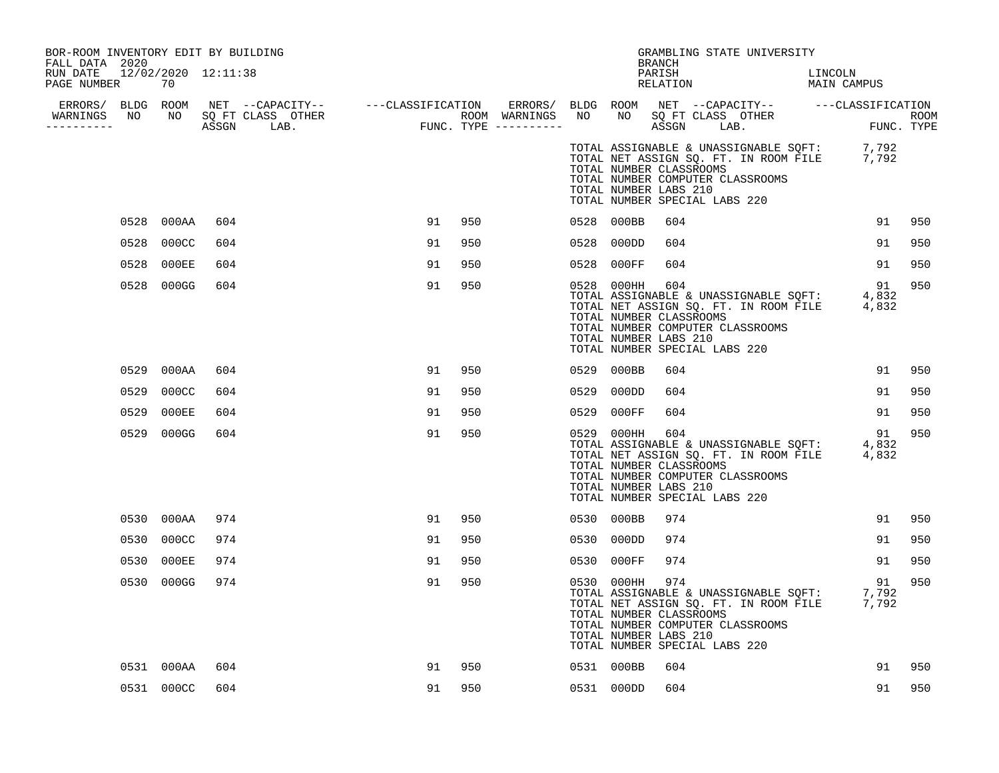| BOR-ROOM INVENTORY EDIT BY BUILDING<br>FALL DATA 2020 |            |     |    |     |  |            | GRAMBLING STATE UNIVERSITY<br>BRANCH                                                                                                                                                                                                  |                        |     |
|-------------------------------------------------------|------------|-----|----|-----|--|------------|---------------------------------------------------------------------------------------------------------------------------------------------------------------------------------------------------------------------------------------|------------------------|-----|
| RUN DATE 12/02/2020 12:11:38<br>PAGE NUMBER           | 70         |     |    |     |  |            | PARISH<br>RELATION                                                                                                                                                                                                                    | LINCOLN<br>MAIN CAMPUS |     |
|                                                       |            |     |    |     |  |            |                                                                                                                                                                                                                                       |                        |     |
|                                                       |            |     |    |     |  |            | TOTAL ASSIGNABLE & UNASSIGNABLE SQFT: 7,792<br>TOTAL NET ASSIGN SQ. FT. IN ROOM FILE 7,792<br>TOTAL NUMBER CLASSROOMS<br>TOTAL NUMBER COMPUTER CLASSROOMS<br>TOTAL NUMBER LABS 210<br>TOTAL NUMBER SPECIAL LABS 220                   |                        |     |
|                                                       | 0528 000AA | 604 | 91 | 950 |  | 0528 000BB | 604                                                                                                                                                                                                                                   | 91                     | 950 |
|                                                       | 0528 000CC | 604 | 91 | 950 |  | 0528 000DD | 604                                                                                                                                                                                                                                   | 91                     | 950 |
| 0528                                                  | $000$ EE   | 604 | 91 | 950 |  | 0528 000FF | 604                                                                                                                                                                                                                                   | 91                     | 950 |
|                                                       | 0528 000GG | 604 | 91 | 950 |  | 0528 000HH | 604<br>TOTAL ASSIGNABLE & UNASSIGNABLE SQFT: 4,832<br>TOTAL NET ASSIGN SQ. FT. IN ROOM FILE 4,832<br>TOTAL NUMBER CLASSROOMS<br>TOTAL NUMBER COMPUTER CLASSROOMS<br>TOTAL NUMBER LABS 210<br>TOTAL NUMBER SPECIAL LABS 220            | 91                     | 950 |
|                                                       | 0529 000AA | 604 | 91 | 950 |  | 0529 000BB | 604                                                                                                                                                                                                                                   | 91                     | 950 |
| 0529                                                  | 000CC      | 604 | 91 | 950 |  | 0529 000DD | 604                                                                                                                                                                                                                                   | 91                     | 950 |
| 0529                                                  | $000$ EE   | 604 | 91 | 950 |  | 0529 000FF | 604                                                                                                                                                                                                                                   | 91                     | 950 |
|                                                       | 0529 000GG | 604 | 91 | 950 |  |            | 0529 000HH 604<br>TOTAL ASSIGNABLE & UNASSIGNABLE SQFT: 4,832<br>TOTAL NET ASSIGN SQ. FT. IN ROOM FILE 4,832<br>TOTAL NUMBER CLASSROOMS<br>TOTAL NUMBER COMPUTER CLASSROOMS<br>TOTAL NUMBER LABS 210<br>TOTAL NUMBER SPECIAL LABS 220 | 91                     | 950 |
|                                                       | 0530 000AA | 974 | 91 | 950 |  | 0530 000BB | 974                                                                                                                                                                                                                                   | 91                     | 950 |
|                                                       | 0530 000CC | 974 | 91 | 950 |  | 0530 000DD | 974                                                                                                                                                                                                                                   | 91                     | 950 |
| 0530                                                  | $000$ EE   | 974 | 91 | 950 |  | 0530 000FF | 974                                                                                                                                                                                                                                   | 91                     | 950 |
|                                                       | 0530 000GG | 974 | 91 | 950 |  | 0530 000HH | 974<br>TOTAL ASSIGNABLE & UNASSIGNABLE SQFT: 7,792<br>TOTAL NET ASSIGN SQ. FT. IN ROOM FILE 7,792<br>TOTAL NUMBER CLASSROOMS<br>TOTAL NUMBER COMPUTER CLASSROOMS<br>TOTAL NUMBER LABS 210<br>TOTAL NUMBER SPECIAL LABS 220            | 91                     | 950 |
|                                                       | 0531 000AA | 604 | 91 | 950 |  | 0531 000BB | 604                                                                                                                                                                                                                                   | 91                     | 950 |
|                                                       | 0531 000CC | 604 | 91 | 950 |  | 0531 000DD | 604                                                                                                                                                                                                                                   | 91                     | 950 |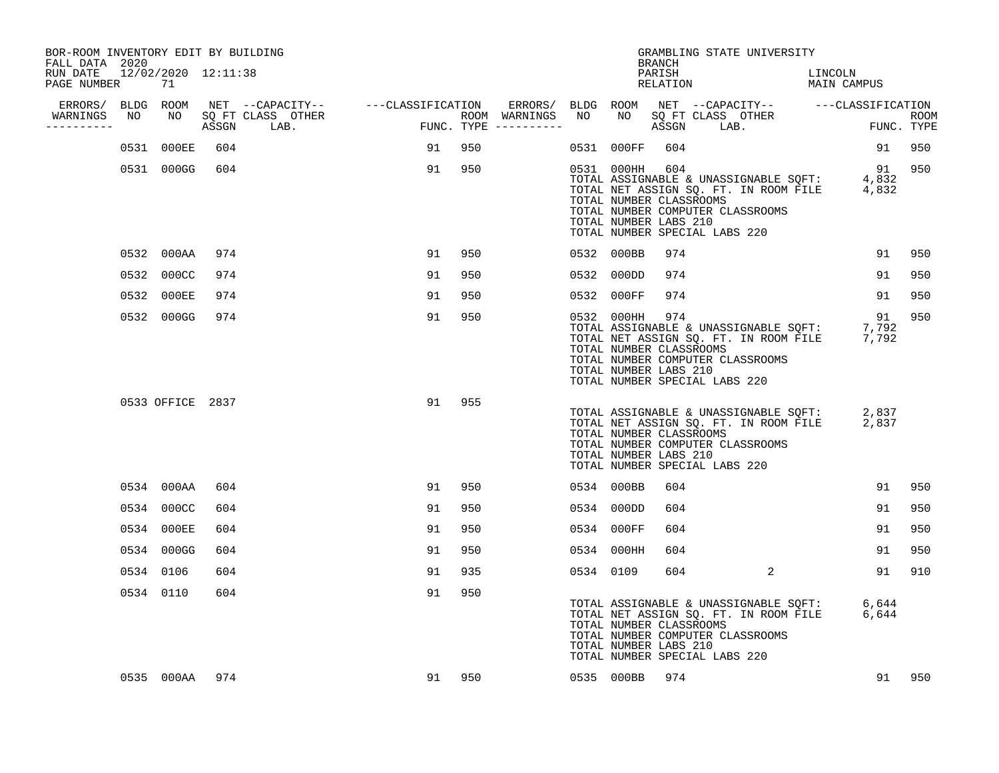| BOR-ROOM INVENTORY EDIT BY BUILDING<br>FALL DATA 2020 |                  |     |        |        |           |                | BRANCH                                                             | GRAMBLING STATE UNIVERSITY                                                                                                                                            |                                   |        |
|-------------------------------------------------------|------------------|-----|--------|--------|-----------|----------------|--------------------------------------------------------------------|-----------------------------------------------------------------------------------------------------------------------------------------------------------------------|-----------------------------------|--------|
| RUN DATE 12/02/2020 12:11:38<br>PAGE NUMBER 71        |                  |     |        |        |           |                | PARISH<br>RELATION                                                 |                                                                                                                                                                       | LINCOLN<br>LINCOLN<br>MAIN CAMPUS |        |
|                                                       |                  |     |        |        |           |                |                                                                    |                                                                                                                                                                       |                                   |        |
| WARNINGS<br>-----------                               |                  |     |        |        |           |                |                                                                    |                                                                                                                                                                       |                                   |        |
|                                                       | 0531 000EE       | 604 | 91 950 |        |           |                | 0531 000FF 604                                                     |                                                                                                                                                                       | 91 950                            |        |
|                                                       | 0531 000GG       | 604 | 91     | 950    |           |                | 0531 000HH 604<br>TOTAL NUMBER CLASSROOMS<br>TOTAL NUMBER LABS 210 | 19<br>TOTAL ASSIGNABLE & UNASSIGNABLE SQFT: 4,832<br>TOTAL NET ASSIGN SQ. FT. IN ROOM FILE 4,832<br>TOTAL NUMBER COMPUTER CLASSROOMS<br>TOTAL NUMBER SPECIAL LABS 220 | 91 950                            |        |
|                                                       | 0532 000AA       | 974 | 91     | 950    |           | 0532 000BB     | 974                                                                |                                                                                                                                                                       | 91                                | 950    |
|                                                       | 0532 000CC       | 974 | 91     | 950    |           | 0532 000DD     | 974                                                                |                                                                                                                                                                       | 91                                | 950    |
|                                                       | 0532 000EE       | 974 | 91     | 950    |           | 0532 000FF     | 974                                                                |                                                                                                                                                                       | 91                                | 950    |
|                                                       | 0532 000GG       | 974 | 91     | 950    |           | 0532 000HH 974 | TOTAL NUMBER CLASSROOMS<br>TOTAL NUMBER LABS 210                   | TOTAL ASSIGNABLE & UNASSIGNABLE SOFT: 7,792<br>TOTAL ASSIGNABLE & UNASSIGNABLE SOFT: 7,792<br>TOTAL NUMBER COMPUTER CLASSROOMS<br>TOTAL NUMBER SPECIAL LABS 220       | 91                                | 950    |
|                                                       | 0533 OFFICE 2837 |     | 91 955 |        |           |                | TOTAL NUMBER CLASSROOMS<br>TOTAL NUMBER LABS 210                   | TOTAL ASSIGNABLE & UNASSIGNABLE SQFT: 2,837<br>TOTAL NET ASSIGN SQ. FT. IN ROOM FILE 2,837<br>TOTAL NUMBER COMPUTER CLASSROOMS<br>TOTAL NUMBER SPECIAL LABS 220       |                                   |        |
|                                                       | 0534 000AA       | 604 | 91     | 950    |           | 0534 000BB     | 604                                                                |                                                                                                                                                                       | 91                                | 950    |
|                                                       | 0534 000CC       | 604 | 91     | 950    |           | 0534 000DD     | 604                                                                |                                                                                                                                                                       | 91                                | 950    |
|                                                       | 0534 000EE       | 604 | 91     | 950    |           | 0534 000FF     | 604                                                                |                                                                                                                                                                       | 91                                | 950    |
|                                                       | 0534 000GG       | 604 | 91     | 950    |           | 0534 000HH     | 604                                                                |                                                                                                                                                                       | 91                                | 950    |
|                                                       | 0534 0106        | 604 | 91     | 935    | 0534 0109 |                | 604                                                                | $\overline{2}$                                                                                                                                                        | 91                                | 910    |
|                                                       | 0534 0110        | 604 | 91     | 950    |           |                | TOTAL NUMBER CLASSROOMS<br>TOTAL NUMBER LABS 210                   | TOTAL ASSIGNABLE & UNASSIGNABLE SQFT: 6,644<br>TOTAL NET ASSIGN SQ. FT. IN ROOM FILE 6,644<br>TOTAL NUMBER COMPUTER CLASSROOMS<br>TOTAL NUMBER SPECIAL LABS 220       |                                   |        |
|                                                       | 0535 000AA 974   |     |        | 91 950 |           | 0535 000BB 974 |                                                                    |                                                                                                                                                                       |                                   | 91 950 |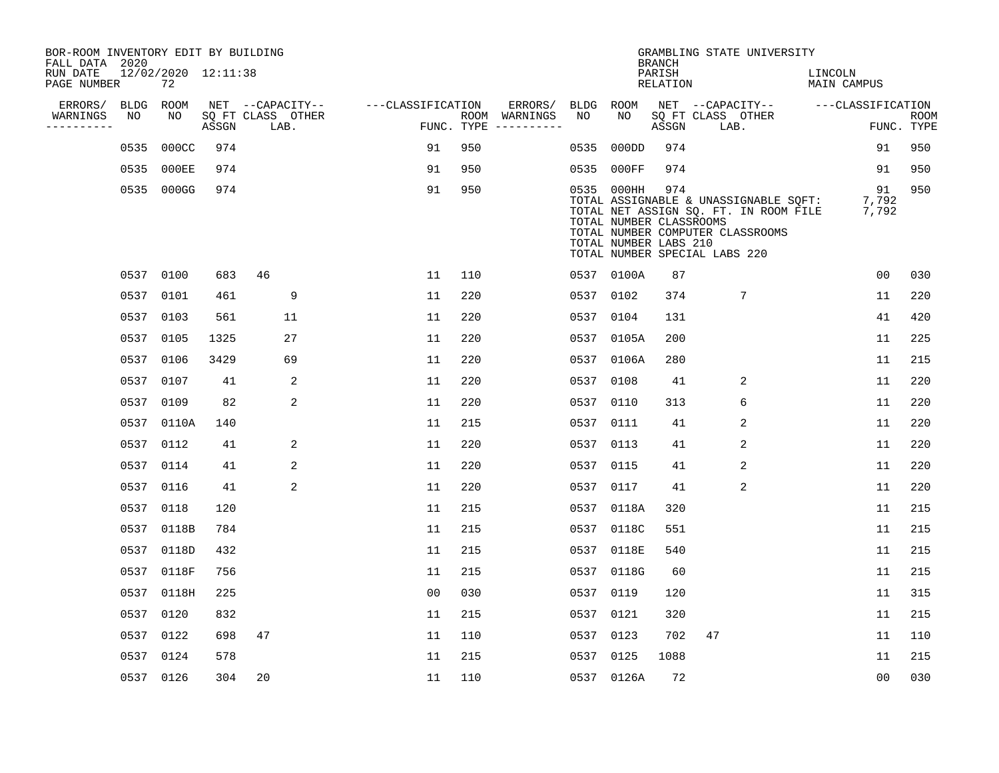| BOR-ROOM INVENTORY EDIT BY BUILDING<br>FALL DATA 2020 |             |                           |       |                           |                   |            |                              |             |                                                                | <b>BRANCH</b>             | GRAMBLING STATE UNIVERSITY                                                                                                                          |                               |                           |
|-------------------------------------------------------|-------------|---------------------------|-------|---------------------------|-------------------|------------|------------------------------|-------------|----------------------------------------------------------------|---------------------------|-----------------------------------------------------------------------------------------------------------------------------------------------------|-------------------------------|---------------------------|
| RUN DATE<br>PAGE NUMBER                               |             | 12/02/2020 12:11:38<br>72 |       |                           |                   |            |                              |             |                                                                | PARISH<br><b>RELATION</b> |                                                                                                                                                     | LINCOLN<br><b>MAIN CAMPUS</b> |                           |
| ERRORS/                                               | <b>BLDG</b> | <b>ROOM</b>               |       | NET --CAPACITY--          | ---CLASSIFICATION |            | ERRORS/                      | <b>BLDG</b> | ROOM                                                           |                           | NET --CAPACITY--                                                                                                                                    | ---CLASSIFICATION             |                           |
| WARNINGS<br>----------                                | NO          | NO                        | ASSGN | SQ FT CLASS OTHER<br>LAB. |                   | FUNC. TYPE | ROOM WARNINGS<br>----------- | NO          | NO                                                             | ASSGN                     | SQ FT CLASS OTHER<br>LAB.                                                                                                                           |                               | <b>ROOM</b><br>FUNC. TYPE |
|                                                       | 0535        | 000CC                     | 974   |                           | 91                | 950        |                              | 0535        | 000DD                                                          | 974                       |                                                                                                                                                     | 91                            | 950                       |
|                                                       | 0535        | 000EE                     | 974   |                           | 91                | 950        |                              | 0535        | $000$ FF                                                       | 974                       |                                                                                                                                                     | 91                            | 950                       |
|                                                       | 0535        | 000GG                     | 974   |                           | 91                | 950        |                              |             | 0535 000HH<br>TOTAL NUMBER CLASSROOMS<br>TOTAL NUMBER LABS 210 | 974                       | TOTAL ASSIGNABLE & UNASSIGNABLE SQFT:<br>TOTAL NET ASSIGN SQ. FT. IN ROOM FILE<br>TOTAL NUMBER COMPUTER CLASSROOMS<br>TOTAL NUMBER SPECIAL LABS 220 | 91<br>7,792<br>7,792          | 950                       |
|                                                       | 0537        | 0100                      | 683   | 46                        | 11                | 110        |                              |             | 0537 0100A                                                     | 87                        |                                                                                                                                                     | 0 <sub>0</sub>                | 030                       |
|                                                       | 0537        | 0101                      | 461   | 9                         | 11                | 220        |                              |             | 0537 0102                                                      | 374                       | 7                                                                                                                                                   | 11                            | 220                       |
|                                                       | 0537        | 0103                      | 561   | 11                        | 11                | 220        |                              | 0537        | 0104                                                           | 131                       |                                                                                                                                                     | 41                            | 420                       |
|                                                       | 0537        | 0105                      | 1325  | 27                        | 11                | 220        |                              |             | 0537 0105A                                                     | 200                       |                                                                                                                                                     | 11                            | 225                       |
|                                                       | 0537        | 0106                      | 3429  | 69                        | 11                | 220        |                              | 0537        | 0106A                                                          | 280                       |                                                                                                                                                     | 11                            | 215                       |
|                                                       | 0537        | 0107                      | 41    | 2                         | 11                | 220        |                              | 0537        | 0108                                                           | 41                        | 2                                                                                                                                                   | 11                            | 220                       |
|                                                       | 0537        | 0109                      | 82    | 2                         | 11                | 220        |                              | 0537        | 0110                                                           | 313                       | 6                                                                                                                                                   | 11                            | 220                       |
|                                                       | 0537        | 0110A                     | 140   |                           | 11                | 215        |                              | 0537        | 0111                                                           | 41                        | 2                                                                                                                                                   | 11                            | 220                       |
|                                                       | 0537        | 0112                      | 41    | 2                         | 11                | 220        |                              | 0537        | 0113                                                           | 41                        | 2                                                                                                                                                   | 11                            | 220                       |
|                                                       | 0537        | 0114                      | 41    | 2                         | 11                | 220        |                              | 0537        | 0115                                                           | 41                        | 2                                                                                                                                                   | 11                            | 220                       |
|                                                       | 0537        | 0116                      | 41    | 2                         | 11                | 220        |                              | 0537        | 0117                                                           | 41                        | $\overline{2}$                                                                                                                                      | 11                            | 220                       |
|                                                       | 0537        | 0118                      | 120   |                           | 11                | 215        |                              | 0537        | 0118A                                                          | 320                       |                                                                                                                                                     | 11                            | 215                       |
|                                                       | 0537        | 0118B                     | 784   |                           | 11                | 215        |                              | 0537        | 0118C                                                          | 551                       |                                                                                                                                                     | 11                            | 215                       |
|                                                       | 0537        | 0118D                     | 432   |                           | 11                | 215        |                              | 0537        | 0118E                                                          | 540                       |                                                                                                                                                     | 11                            | 215                       |
|                                                       | 0537        | 0118F                     | 756   |                           | 11                | 215        |                              | 0537        | 0118G                                                          | 60                        |                                                                                                                                                     | 11                            | 215                       |
|                                                       | 0537        | 0118H                     | 225   |                           | 0 <sub>0</sub>    | 030        |                              | 0537        | 0119                                                           | 120                       |                                                                                                                                                     | 11                            | 315                       |
|                                                       | 0537        | 0120                      | 832   |                           | 11                | 215        |                              | 0537        | 0121                                                           | 320                       |                                                                                                                                                     | 11                            | 215                       |
|                                                       | 0537        | 0122                      | 698   | 47                        | 11                | 110        |                              | 0537        | 0123                                                           | 702                       | 47                                                                                                                                                  | 11                            | 110                       |
|                                                       | 0537        | 0124                      | 578   |                           | 11                | 215        |                              | 0537        | 0125                                                           | 1088                      |                                                                                                                                                     | 11                            | 215                       |
|                                                       |             | 0537 0126                 | 304   | 20                        | 11                | 110        |                              |             | 0537 0126A                                                     | 72                        |                                                                                                                                                     | 00                            | 030                       |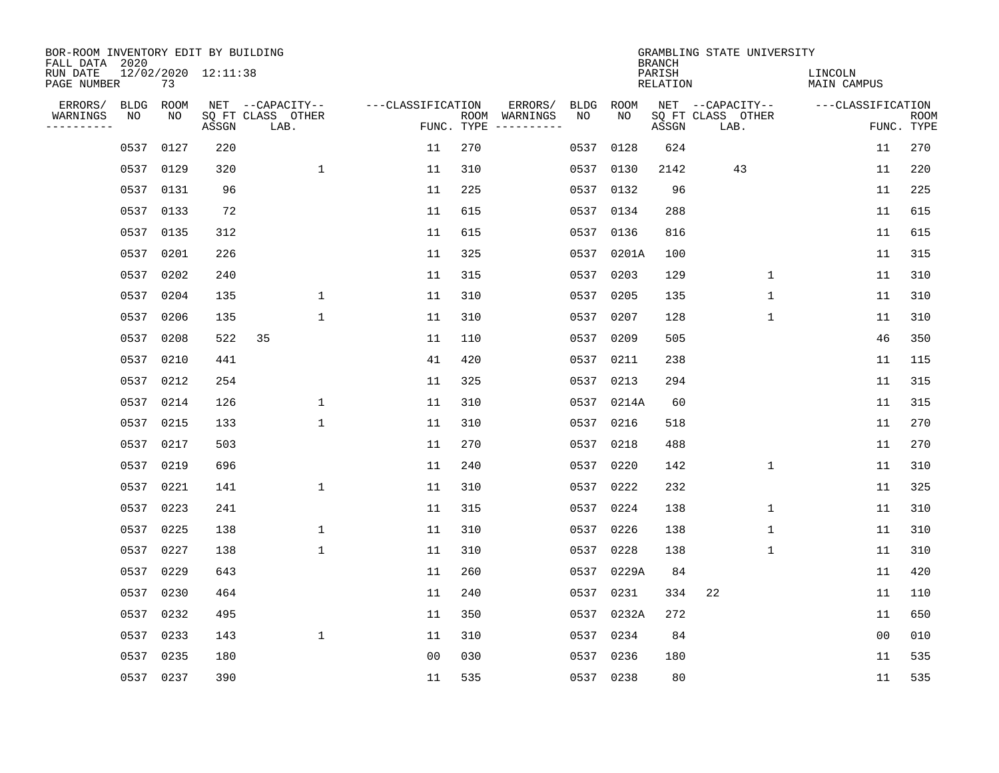| BOR-ROOM INVENTORY EDIT BY BUILDING<br>FALL DATA 2020 |             |           |                     |                           |                   |                    |                         |      |             | <b>BRANCH</b>             | GRAMBLING STATE UNIVERSITY |                               |                           |
|-------------------------------------------------------|-------------|-----------|---------------------|---------------------------|-------------------|--------------------|-------------------------|------|-------------|---------------------------|----------------------------|-------------------------------|---------------------------|
| RUN DATE<br>PAGE NUMBER                               |             | 73        | 12/02/2020 12:11:38 |                           |                   |                    |                         |      |             | PARISH<br><b>RELATION</b> |                            | LINCOLN<br><b>MAIN CAMPUS</b> |                           |
| ERRORS/                                               | <b>BLDG</b> | ROOM      |                     | NET --CAPACITY--          | ---CLASSIFICATION |                    | ERRORS/                 | BLDG | <b>ROOM</b> |                           | NET --CAPACITY--           | ---CLASSIFICATION             |                           |
| WARNINGS<br>----------                                | NO          | NO        | ASSGN               | SQ FT CLASS OTHER<br>LAB. |                   | ROOM<br>FUNC. TYPE | WARNINGS<br>----------- | NO   | NO          | ASSGN                     | SQ FT CLASS OTHER<br>LAB.  |                               | <b>ROOM</b><br>FUNC. TYPE |
|                                                       | 0537        | 0127      | 220                 |                           | 11                | 270                |                         | 0537 | 0128        | 624                       |                            | 11                            | 270                       |
|                                                       | 0537        | 0129      | 320                 | $\mathbf{1}$              | 11                | 310                |                         |      | 0537 0130   | 2142                      | 43                         | 11                            | 220                       |
|                                                       | 0537        | 0131      | 96                  |                           | 11                | 225                |                         |      | 0537 0132   | 96                        |                            | 11                            | 225                       |
|                                                       | 0537        | 0133      | 72                  |                           | 11                | 615                |                         |      | 0537 0134   | 288                       |                            | 11                            | 615                       |
|                                                       | 0537        | 0135      | 312                 |                           | 11                | 615                |                         | 0537 | 0136        | 816                       |                            | 11                            | 615                       |
|                                                       | 0537        | 0201      | 226                 |                           | 11                | 325                |                         |      | 0537 0201A  | 100                       |                            | 11                            | 315                       |
|                                                       | 0537        | 0202      | 240                 |                           | 11                | 315                |                         |      | 0537 0203   | 129                       | $\mathbf{1}$               | 11                            | 310                       |
|                                                       | 0537        | 0204      | 135                 | 1                         | 11                | 310                |                         |      | 0537 0205   | 135                       | 1                          | 11                            | 310                       |
|                                                       | 0537        | 0206      | 135                 | $\mathbf{1}$              | 11                | 310                |                         | 0537 | 0207        | 128                       | 1                          | 11                            | 310                       |
|                                                       | 0537        | 0208      | 522                 | 35                        | 11                | 110                |                         |      | 0537 0209   | 505                       |                            | 46                            | 350                       |
|                                                       | 0537        | 0210      | 441                 |                           | 41                | 420                |                         |      | 0537 0211   | 238                       |                            | 11                            | 115                       |
|                                                       | 0537        | 0212      | 254                 |                           | 11                | 325                |                         |      | 0537 0213   | 294                       |                            | 11                            | 315                       |
|                                                       | 0537        | 0214      | 126                 | $\mathbf{1}$              | 11                | 310                |                         |      | 0537 0214A  | 60                        |                            | 11                            | 315                       |
|                                                       | 0537        | 0215      | 133                 | $\mathbf{1}$              | 11                | 310                |                         |      | 0537 0216   | 518                       |                            | 11                            | 270                       |
|                                                       | 0537        | 0217      | 503                 |                           | 11                | 270                |                         | 0537 | 0218        | 488                       |                            | 11                            | 270                       |
|                                                       | 0537        | 0219      | 696                 |                           | 11                | 240                |                         | 0537 | 0220        | 142                       | 1                          | 11                            | 310                       |
|                                                       | 0537        | 0221      | 141                 | 1                         | 11                | 310                |                         | 0537 | 0222        | 232                       |                            | 11                            | 325                       |
|                                                       | 0537        | 0223      | 241                 |                           | 11                | 315                |                         | 0537 | 0224        | 138                       | 1                          | 11                            | 310                       |
|                                                       | 0537        | 0225      | 138                 | 1                         | 11                | 310                |                         | 0537 | 0226        | 138                       | 1                          | 11                            | 310                       |
|                                                       | 0537        | 0227      | 138                 | $\mathbf{1}$              | 11                | 310                |                         | 0537 | 0228        | 138                       | 1                          | 11                            | 310                       |
|                                                       | 0537        | 0229      | 643                 |                           | 11                | 260                |                         |      | 0537 0229A  | 84                        |                            | 11                            | 420                       |
|                                                       | 0537        | 0230      | 464                 |                           | 11                | 240                |                         | 0537 | 0231        | 334                       | 22                         | 11                            | 110                       |
|                                                       | 0537        | 0232      | 495                 |                           | 11                | 350                |                         |      | 0537 0232A  | 272                       |                            | 11                            | 650                       |
|                                                       | 0537        | 0233      | 143                 | $\mathbf{1}$              | 11                | 310                |                         | 0537 | 0234        | 84                        |                            | 00                            | 010                       |
|                                                       | 0537        | 0235      | 180                 |                           | 0 <sub>0</sub>    | 030                |                         | 0537 | 0236        | 180                       |                            | 11                            | 535                       |
|                                                       |             | 0537 0237 | 390                 |                           | 11                | 535                |                         |      | 0537 0238   | 80                        |                            | 11                            | 535                       |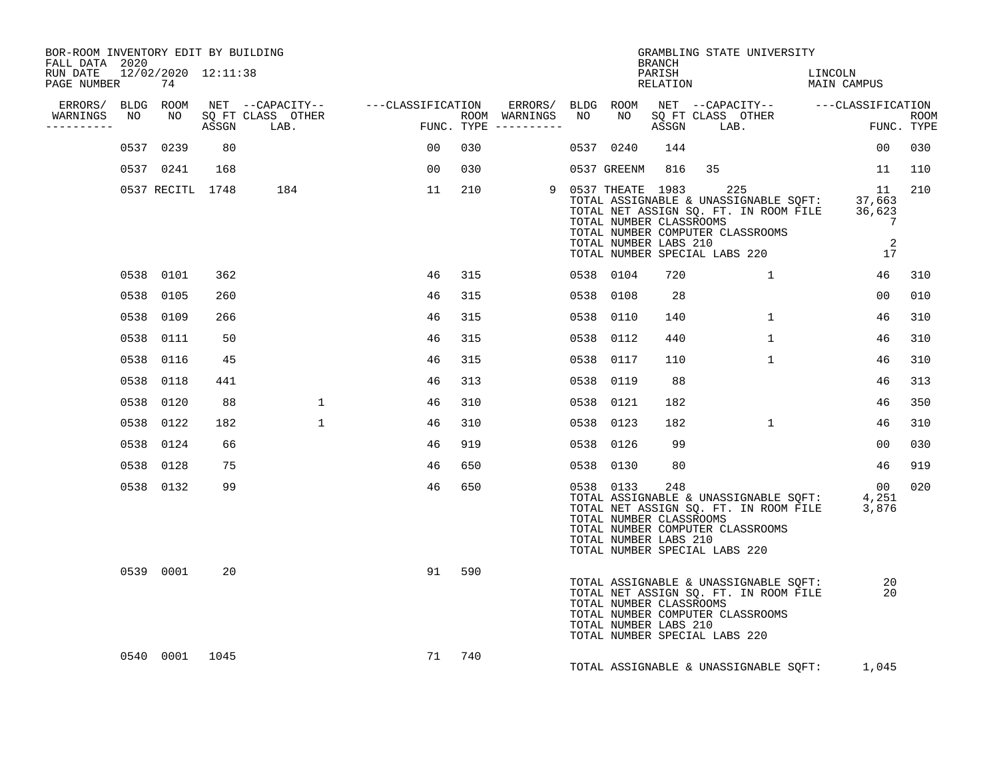| BOR-ROOM INVENTORY EDIT BY BUILDING<br>FALL DATA 2020 |                  |     |              |                 |        |                                                               | <b>BRANCH</b> | GRAMBLING STATE UNIVERSITY                                                                                                                                                                                          |                                                          |        |
|-------------------------------------------------------|------------------|-----|--------------|-----------------|--------|---------------------------------------------------------------|---------------|---------------------------------------------------------------------------------------------------------------------------------------------------------------------------------------------------------------------|----------------------------------------------------------|--------|
| RUN DATE 12/02/2020 12:11:38<br>PAGE NUMBER           | 74               |     |              |                 |        |                                                               | PARISH        | PARISH LINCOLN<br>RELATION MAIN CAMPUS                                                                                                                                                                              | LINCOLN                                                  |        |
|                                                       |                  |     |              |                 |        |                                                               |               |                                                                                                                                                                                                                     |                                                          |        |
| WARNINGS<br>----------                                |                  |     |              |                 |        |                                                               |               |                                                                                                                                                                                                                     |                                                          |        |
|                                                       | 0537 0239        | 80  |              | $00 \,$         | 030    | 0537 0240                                                     | 144           |                                                                                                                                                                                                                     | 00 <sub>o</sub>                                          | 030    |
|                                                       | 0537 0241        | 168 |              | 00 <sub>o</sub> | 030    |                                                               |               | 0537 GREENM 816 35                                                                                                                                                                                                  |                                                          | 11 110 |
|                                                       | 0537 RECITL 1748 |     | 184          | 11              | 210    | TOTAL NUMBER CLASSROOMS<br>TOTAL NUMBER LABS 210              |               | 9 0537 THEATE 1983 225<br>0537 IHEATE 1983 225<br>TOTAL ASSIGNABLE & UNASSIGNABLE SQFT: 37,663<br>TOTAL NET ASSIGN SQ. FT. IN ROOM FILE 36,623<br>TOTAL NUMBER COMPUTER CLASSROOMS<br>TOTAL NUMBER SPECIAL LABS 220 | 11<br>$\overline{7}$<br>$\overline{\phantom{0}}^2$<br>17 | 210    |
|                                                       | 0538 0101        | 362 |              | 46              | 315    | 0538 0104                                                     | 720           | $\mathbf{1}$                                                                                                                                                                                                        | 46                                                       | 310    |
|                                                       | 0538 0105        | 260 |              | 46              | 315    | 0538 0108                                                     | 28            |                                                                                                                                                                                                                     | 00                                                       | 010    |
|                                                       | 0538 0109        | 266 |              | 46              | 315    | 0538 0110                                                     | 140           | $\mathbf{1}$                                                                                                                                                                                                        | 46                                                       | 310    |
|                                                       | 0538 0111        | 50  |              | 46              | 315    | 0538 0112                                                     | 440           | $\mathbf{1}$                                                                                                                                                                                                        | 46                                                       | 310    |
|                                                       | 0538 0116        | 45  |              | 46              | 315    | 0538 0117                                                     | 110           | $\mathbf{1}$                                                                                                                                                                                                        | 46                                                       | 310    |
|                                                       | 0538 0118        | 441 |              | 46              | 313    | 0538 0119                                                     | 88            |                                                                                                                                                                                                                     | 46                                                       | 313    |
|                                                       | 0538 0120        | 88  | $\mathbf{1}$ | 46              | 310    | 0538 0121                                                     | 182           |                                                                                                                                                                                                                     | 46                                                       | 350    |
|                                                       | 0538 0122        | 182 | $\mathbf{1}$ | 46              | 310    | 0538 0123                                                     | 182           | 1                                                                                                                                                                                                                   | 46                                                       | 310    |
|                                                       | 0538 0124        | 66  |              | 46              | 919    | 0538 0126                                                     | 99            |                                                                                                                                                                                                                     | 0 <sub>0</sub>                                           | 030    |
|                                                       | 0538 0128        | 75  |              | 46              | 650    | 0538 0130                                                     | 80            |                                                                                                                                                                                                                     | 46                                                       | 919    |
|                                                       | 0538 0132        | 99  |              | 46              | 650    | 0538 0133<br>TOTAL NUMBER CLASSROOMS<br>TOTAL NUMBER LABS 210 | 248           | 00 00<br>TOTAL ASSIGNABLE & UNASSIGNABLE SQFT: 4,251<br>TOTAL NET ASSIGN SQ. FT. IN ROOM FILE 3,876<br>TOTAL NUMBER COMPUTER CLASSROOMS<br>TOTAL NUMBER SPECIAL LABS 220                                            | 00                                                       | 020    |
|                                                       | 0539 0001        | 20  |              | 91              | 590    | TOTAL NUMBER CLASSROOMS<br>TOTAL NUMBER LABS 210              |               | TOTAL ASSIGNABLE & UNASSIGNABLE SOFT:<br>TOTAL NET ASSIGN SQ. FT. IN ROOM FILE 20<br>TOTAL NUMBER COMPUTER CLASSROOMS<br>TOTAL NUMBER SPECIAL LABS 220                                                              | 20                                                       |        |
|                                                       | 0540 0001 1045   |     |              |                 | 71 740 |                                                               |               | TOTAL ASSIGNABLE & UNASSIGNABLE SQFT:                                                                                                                                                                               | 1,045                                                    |        |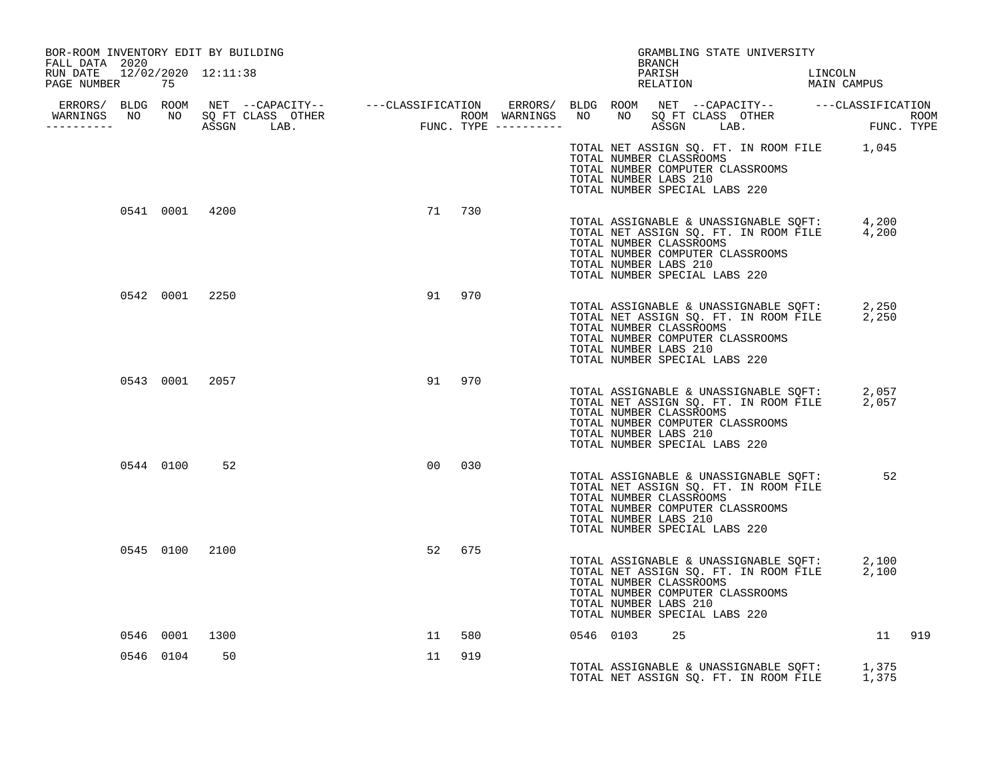| BOR-ROOM INVENTORY EDIT BY BUILDING<br>FALL DATA 2020 |                |    |                                                                                                                                                                                                                                                                          |                |     |  |                                                                                   | BRANCH                       |  | GRAMBLING STATE UNIVERSITY                                                |                                                                                            |        |
|-------------------------------------------------------|----------------|----|--------------------------------------------------------------------------------------------------------------------------------------------------------------------------------------------------------------------------------------------------------------------------|----------------|-----|--|-----------------------------------------------------------------------------------|------------------------------|--|---------------------------------------------------------------------------|--------------------------------------------------------------------------------------------|--------|
| RUN DATE 12/02/2020 12:11:38<br>PAGE NUMBER           | 75             |    |                                                                                                                                                                                                                                                                          |                |     |  |                                                                                   | PARISH<br>PARISH<br>RELATION |  |                                                                           | LINCOLN<br>MAIN CAMPUS                                                                     |        |
| -----------                                           |                |    | ERRORS/ BLDG ROOM NET --CAPACITY-- ----CLASSIFICATION ERRORS/ BLDG ROOM NET --CAPACITY-- -----CLASSIFICATION<br>NARNINGS NO NO SQFTCLASS OTHER ROOM WARNINGS NO NO SQFTCLASS OTHER ROOM<br>--------- ASSGN LAB. FUNC.TYPE ----------<br>WARNINGS NO NO SQ FT CLASS OTHER |                |     |  |                                                                                   |                              |  |                                                                           |                                                                                            |        |
|                                                       |                |    |                                                                                                                                                                                                                                                                          |                |     |  | TOTAL NUMBER CLASSROOMS<br>TOTAL NUMBER LABS 210<br>TOTAL NUMBER SPECIAL LABS 220 |                              |  | TOTAL NUMBER COMPUTER CLASSROOMS                                          | TOTAL NET ASSIGN SQ. FT. IN ROOM FILE 1,045                                                |        |
|                                                       | 0541 0001 4200 |    |                                                                                                                                                                                                                                                                          | 71 730         |     |  | TOTAL NUMBER CLASSROOMS<br>TOTAL NUMBER LABS 210<br>TOTAL NUMBER SPECIAL LABS 220 |                              |  | TOTAL NUMBER COMPUTER CLASSROOMS                                          | TOTAL ASSIGNABLE & UNASSIGNABLE SQFT: 4,200<br>TOTAL NET ASSIGN SQ. FT. IN ROOM FILE 4,200 |        |
|                                                       | 0542 0001 2250 |    |                                                                                                                                                                                                                                                                          | 91 970         |     |  | TOTAL NUMBER CLASSROOMS<br>TOTAL NUMBER LABS 210<br>TOTAL NUMBER SPECIAL LABS 220 |                              |  | TOTAL NUMBER COMPUTER CLASSROOMS                                          | TOTAL ASSIGNABLE & UNASSIGNABLE SQFT: 2,250<br>TOTAL NET ASSIGN SQ. FT. IN ROOM FILE 2,250 |        |
|                                                       | 0543 0001 2057 |    |                                                                                                                                                                                                                                                                          | 91             | 970 |  | TOTAL NUMBER CLASSROOMS<br>TOTAL NUMBER LABS 210<br>TOTAL NUMBER SPECIAL LABS 220 |                              |  | TOTAL NUMBER COMPUTER CLASSROOMS                                          | TOTAL ASSIGNABLE & UNASSIGNABLE SQFT: 2,057<br>TOTAL NET ASSIGN SQ. FT. IN ROOM FILE 2,057 |        |
|                                                       | 0544 0100 52   |    |                                                                                                                                                                                                                                                                          | 0 <sub>0</sub> | 030 |  | TOTAL NUMBER CLASSROOMS<br>TOTAL NUMBER LABS 210<br>TOTAL NUMBER SPECIAL LABS 220 |                              |  | TOTAL NET ASSIGN SQ. FT. IN ROOM FILE<br>TOTAL NUMBER COMPUTER CLASSROOMS | TOTAL ASSIGNABLE & UNASSIGNABLE SQFT: 52                                                   |        |
|                                                       | 0545 0100 2100 |    |                                                                                                                                                                                                                                                                          | 52             | 675 |  | TOTAL NUMBER CLASSROOMS<br>TOTAL NUMBER LABS 210<br>TOTAL NUMBER SPECIAL LABS 220 |                              |  | TOTAL NUMBER COMPUTER CLASSROOMS                                          | TOTAL ASSIGNABLE & UNASSIGNABLE SQFT: 2,100<br>TOTAL NET ASSIGN SQ. FT. IN ROOM FILE 2,100 |        |
|                                                       | 0546 0001 1300 |    |                                                                                                                                                                                                                                                                          | 11             | 580 |  | 0546 0103                                                                         | 25                           |  |                                                                           |                                                                                            | 11 919 |
|                                                       | 0546 0104      | 50 |                                                                                                                                                                                                                                                                          | 11             | 919 |  |                                                                                   |                              |  |                                                                           |                                                                                            |        |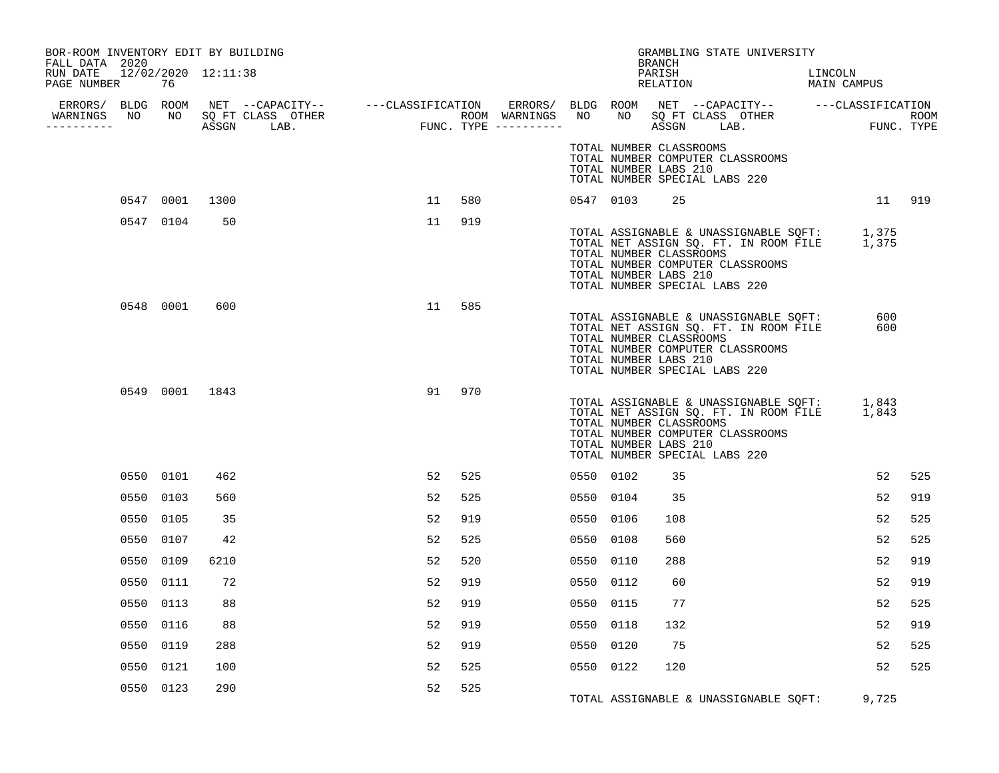| BOR-ROOM INVENTORY EDIT BY BUILDING<br>FALL DATA 2020 |           |                                       |                                        |     |           |      | GRAMBLING STATE UNIVERSITY<br><b>BRANCH</b>                                                                                                                                                                         |                        |                    |
|-------------------------------------------------------|-----------|---------------------------------------|----------------------------------------|-----|-----------|------|---------------------------------------------------------------------------------------------------------------------------------------------------------------------------------------------------------------------|------------------------|--------------------|
| RUN DATE 12/02/2020 12:11:38<br>PAGE NUMBER           | 76        |                                       |                                        |     |           |      | PARISH<br>RELATION                                                                                                                                                                                                  | LINCOLN<br>MAIN CAMPUS |                    |
|                                                       |           |                                       |                                        |     |           |      | ERRORS/ BLDG ROOM NET --CAPACITY-- ----CLASSIFICATION ERRORS/ BLDG ROOM NET --CAPACITY-- -----CLASSIFICATION                                                                                                        |                        |                    |
| WARNINGS NO<br>----------                             |           | NO SQ FT CLASS OTHER<br>ASSGN<br>LAB. | ROOM WARNINGS<br>FUNC. TYPE ---------- |     | NO        |      | NO SQ FT CLASS OTHER<br>ASSGN<br>LAB.                                                                                                                                                                               |                        | ROOM<br>FUNC. TYPE |
|                                                       |           |                                       |                                        |     |           |      | TOTAL NUMBER CLASSROOMS<br>TOTAL NUMBER COMPUTER CLASSROOMS<br>TOTAL NUMBER LABS 210<br>TOTAL NUMBER SPECIAL LABS 220                                                                                               |                        |                    |
|                                                       | 0547 0001 | 1300                                  | 11                                     | 580 | 0547 0103 |      | 25                                                                                                                                                                                                                  |                        | 11 919             |
|                                                       | 0547 0104 | 50                                    | 11                                     | 919 |           |      | TOTAL ASSIGNABLE & UNASSIGNABLE SQFT: 1,375<br>TOTAL NET ASSIGN SQ. FT. IN ROOM FILE 1,375<br>TOTAL NUMBER CLASSROOMS<br>TOTAL NUMBER COMPUTER CLASSROOMS<br>TOTAL NUMBER LABS 210<br>TOTAL NUMBER SPECIAL LABS 220 |                        |                    |
|                                                       | 0548 0001 | 600                                   | 11                                     | 585 |           |      | TOTAL ASSIGNABLE & UNASSIGNABLE SQFT:<br>TOTAL NET ASSIGN SQ. FT. IN ROOM FILE<br>TOTAL NUMBER CLASSROOMS<br>TOTAL NUMBER COMPUTER CLASSROOMS<br>TOTAL NUMBER LABS 210<br>TOTAL NUMBER SPECIAL LABS 220             | 600<br>600             |                    |
|                                                       |           | 0549 0001 1843                        | 91                                     | 970 |           |      | TOTAL ASSIGNABLE & UNASSIGNABLE SQFT:<br>TOTAL NET ASSIGN SQ. FT. IN ROOM FILE<br>TOTAL NUMBER CLASSROOMS<br>TOTAL NUMBER COMPUTER CLASSROOMS<br>TOTAL NUMBER LABS 210<br>TOTAL NUMBER SPECIAL LABS 220             | 1,843<br>1,843         |                    |
|                                                       | 0550 0101 | 462                                   | 52                                     | 525 | 0550 0102 |      | 35                                                                                                                                                                                                                  | 52                     | 525                |
|                                                       | 0550 0103 | 560                                   | 52                                     | 525 | 0550      | 0104 | 35                                                                                                                                                                                                                  | 52                     | 919                |
|                                                       | 0550 0105 | 35                                    | 52                                     | 919 | 0550 0106 |      | 108                                                                                                                                                                                                                 | 52                     | 525                |
| 0550                                                  | 0107      | 42                                    | 52                                     | 525 | 0550      | 0108 | 560                                                                                                                                                                                                                 | 52                     | 525                |
|                                                       | 0550 0109 | 6210                                  | 52                                     | 520 | 0550 0110 |      | 288                                                                                                                                                                                                                 | 52                     | 919                |
|                                                       | 0550 0111 | 72                                    | 52                                     | 919 | 0550 0112 |      | 60                                                                                                                                                                                                                  | 52                     | 919                |
|                                                       | 0550 0113 | 88                                    | 52                                     | 919 | 0550 0115 |      | 77                                                                                                                                                                                                                  | 52                     | 525                |
|                                                       | 0550 0116 | 88                                    | 52                                     | 919 | 0550 0118 |      | 132                                                                                                                                                                                                                 | 52                     | 919                |
|                                                       | 0550 0119 | 288                                   | 52                                     | 919 | 0550      | 0120 | 75                                                                                                                                                                                                                  | 52                     | 525                |
|                                                       | 0550 0121 | 100                                   | 52                                     | 525 | 0550 0122 |      | 120                                                                                                                                                                                                                 | 52                     | 525                |
|                                                       | 0550 0123 | 290                                   | 52                                     | 525 |           |      | TOTAL ASSIGNABLE & UNASSIGNABLE SOFT:                                                                                                                                                                               | 9,725                  |                    |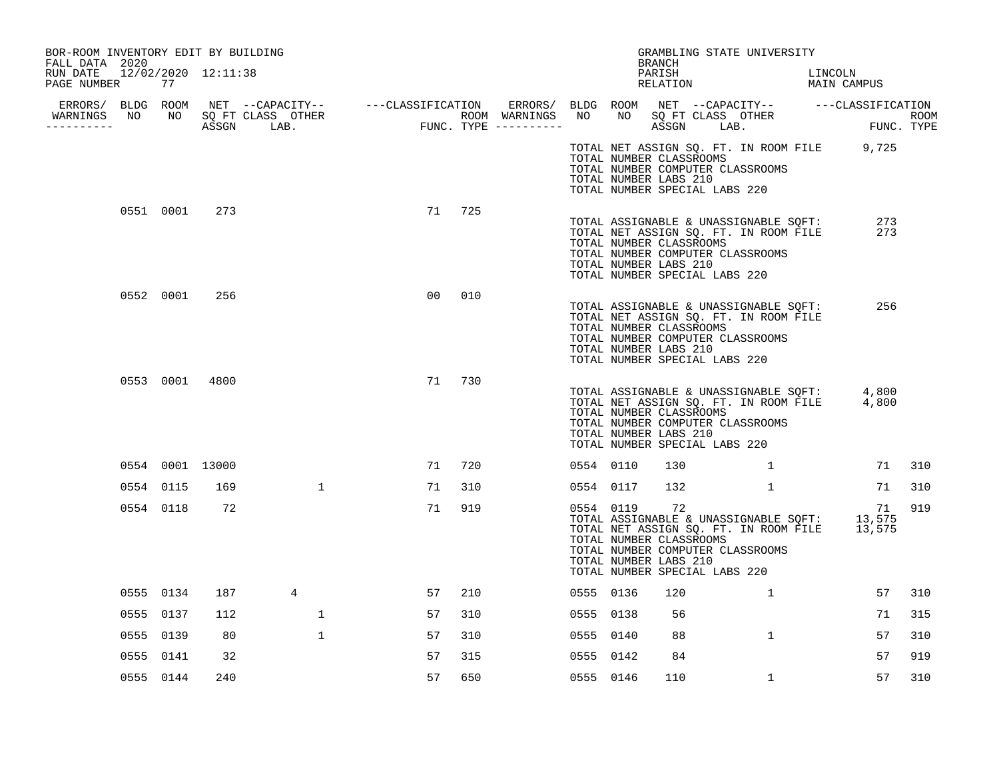| BOR-ROOM INVENTORY EDIT BY BUILDING<br>FALL DATA 2020 |           |           |                 |                                  |                |     |           |                                                                                   | BRANCH             | GRAMBLING STATE UNIVERSITY                                                                                         |         |                                                                                                    |      |
|-------------------------------------------------------|-----------|-----------|-----------------|----------------------------------|----------------|-----|-----------|-----------------------------------------------------------------------------------|--------------------|--------------------------------------------------------------------------------------------------------------------|---------|----------------------------------------------------------------------------------------------------|------|
| RUN DATE 12/02/2020 12:11:38<br>PAGE NUMBER           |           | 77        |                 |                                  |                |     |           |                                                                                   | PARISH<br>RELATION |                                                                                                                    | LINCOLN | MAIN CAMPUS                                                                                        |      |
|                                                       |           |           |                 |                                  |                |     |           |                                                                                   |                    |                                                                                                                    |         |                                                                                                    |      |
| -----------                                           |           |           |                 | WARNINGS NO NO SQ FT CLASS OTHER |                |     |           |                                                                                   |                    |                                                                                                                    |         | FUNC. TYPE                                                                                         | ROOM |
|                                                       |           |           |                 |                                  |                |     |           | TOTAL NUMBER CLASSROOMS<br>TOTAL NUMBER LABS 210<br>TOTAL NUMBER SPECIAL LABS 220 |                    | TOTAL NUMBER COMPUTER CLASSROOMS                                                                                   |         | TOTAL NET ASSIGN SQ. FT. IN ROOM FILE 9,725                                                        |      |
|                                                       |           | 0551 0001 | 273             |                                  | 71             | 725 |           | TOTAL NUMBER CLASSROOMS<br>TOTAL NUMBER LABS 210<br>TOTAL NUMBER SPECIAL LABS 220 |                    | TOTAL ASSIGNABLE & UNASSIGNABLE SQFT:<br>TOTAL NET ASSIGN SQ. FT. IN ROOM FILE<br>TOTAL NUMBER COMPUTER CLASSROOMS |         | 273<br>273                                                                                         |      |
|                                                       |           | 0552 0001 | 256             |                                  | 0 <sub>0</sub> | 010 |           | TOTAL NUMBER CLASSROOMS<br>TOTAL NUMBER LABS 210<br>TOTAL NUMBER SPECIAL LABS 220 |                    | TOTAL ASSIGNABLE & UNASSIGNABLE SQFT:<br>TOTAL NET ASSIGN SQ. FT. IN ROOM FILE<br>TOTAL NUMBER COMPUTER CLASSROOMS |         | 256                                                                                                |      |
|                                                       |           | 0553 0001 | 4800            |                                  | 71             | 730 |           | TOTAL NUMBER CLASSROOMS<br>TOTAL NUMBER LABS 210<br>TOTAL NUMBER SPECIAL LABS 220 |                    | TOTAL NUMBER COMPUTER CLASSROOMS                                                                                   |         | TOTAL ASSIGNABLE & UNASSIGNABLE SQFT: 4,800<br>TOTAL NET ASSIGN SQ. FT. IN ROOM FILE 4,800         |      |
|                                                       |           |           | 0554 0001 13000 |                                  | 71             | 720 | 0554 0110 |                                                                                   | 130                | $\mathbf{1}$                                                                                                       |         | 71                                                                                                 | 310  |
|                                                       | 0554 0115 |           | 169             | $\mathbf{1}$                     | 71             | 310 | 0554 0117 |                                                                                   | 132                | 1                                                                                                                  |         | 71                                                                                                 | 310  |
|                                                       |           | 0554 0118 | 72              |                                  | 71             | 919 | 0554 0119 | TOTAL NUMBER CLASSROOMS<br>TOTAL NUMBER LABS 210<br>TOTAL NUMBER SPECIAL LABS 220 | 72                 | TOTAL NUMBER COMPUTER CLASSROOMS                                                                                   |         | 71<br>TOTAL ASSIGNABLE & UNASSIGNABLE SOFT: 13,575<br>TOTAL NET ASSIGN SQ. FT. IN ROOM FILE 13,575 | 919  |
|                                                       | 0555 0134 |           | 187             | 4                                | 57             | 210 | 0555 0136 |                                                                                   | 120                | $\mathbf{1}$                                                                                                       |         | 57                                                                                                 | 310  |
|                                                       | 0555 0137 |           | 112             | $\mathbf 1$                      | 57             | 310 | 0555 0138 |                                                                                   | 56                 |                                                                                                                    |         | 71                                                                                                 | 315  |
|                                                       | 0555 0139 |           | 80              | 1                                | 57             | 310 | 0555 0140 |                                                                                   | 88                 | 1                                                                                                                  |         | 57                                                                                                 | 310  |
|                                                       | 0555 0141 |           | 32              |                                  | 57             | 315 | 0555 0142 |                                                                                   | 84                 |                                                                                                                    |         | 57                                                                                                 | 919  |
|                                                       | 0555 0144 |           | 240             |                                  | 57             | 650 | 0555 0146 |                                                                                   | 110                | $\mathbf{1}$                                                                                                       |         | 57                                                                                                 | 310  |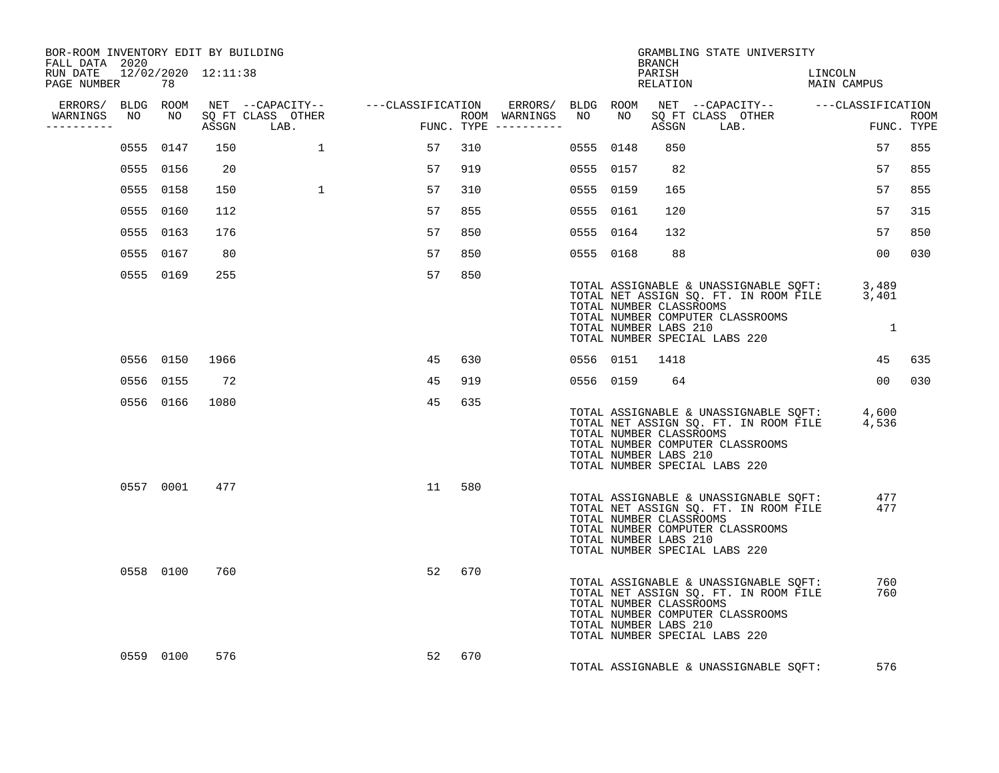| BOR-ROOM INVENTORY EDIT BY BUILDING<br>FALL DATA 2020 |                |     |              |      |     |           | BRANCH                                           | GRAMBLING STATE UNIVERSITY                                                                                                                                      |                        |        |
|-------------------------------------------------------|----------------|-----|--------------|------|-----|-----------|--------------------------------------------------|-----------------------------------------------------------------------------------------------------------------------------------------------------------------|------------------------|--------|
| RUN DATE 12/02/2020 12:11:38<br>PAGE NUMBER 78        |                |     |              |      |     |           | PARISH<br>RELATION                               |                                                                                                                                                                 | LINCOLN<br>MAIN CAMPUS |        |
|                                                       |                |     |              |      |     |           |                                                  |                                                                                                                                                                 |                        |        |
| WARNINGS NO NO SQ FT CLASS OTHER<br>----------        |                |     |              | FUNO |     |           |                                                  |                                                                                                                                                                 |                        |        |
|                                                       | 0555 0147      | 150 | $\mathbf{1}$ | 57   | 310 | 0555 0148 | 850                                              |                                                                                                                                                                 | 57                     | 855    |
|                                                       | 0555 0156      | 20  |              | 57   | 919 | 0555 0157 | 82                                               |                                                                                                                                                                 | 57                     | 855    |
|                                                       | 0555 0158      | 150 | $\mathbf{1}$ | 57   | 310 | 0555 0159 | 165                                              |                                                                                                                                                                 | 57                     | 855    |
|                                                       | 0555 0160      | 112 |              | 57   | 855 | 0555 0161 | 120                                              |                                                                                                                                                                 | 57                     | 315    |
|                                                       | 0555 0163      | 176 |              | 57   | 850 | 0555 0164 | 132                                              |                                                                                                                                                                 | 57                     | 850    |
|                                                       | 0555 0167      | 80  |              | 57   | 850 | 0555 0168 | 88                                               |                                                                                                                                                                 | 00                     | 030    |
|                                                       | 0555 0169      | 255 |              | 57   | 850 |           | TOTAL NUMBER CLASSROOMS<br>TOTAL NUMBER LABS 210 | TOTAL ASSIGNABLE & UNASSIGNABLE SQFT: 3,489<br>TOTAL NET ASSIGN SQ. FT. IN ROOM FILE 3,401<br>TOTAL NUMBER COMPUTER CLASSROOMS<br>TOTAL NUMBER SPECIAL LABS 220 | $\overline{1}$         |        |
|                                                       | 0556 0150 1966 |     |              | 45   | 630 |           | 0556 0151 1418                                   |                                                                                                                                                                 |                        | 45 635 |
|                                                       | 0556 0155      | 72  |              | 45   | 919 |           | 0556 0159 64                                     |                                                                                                                                                                 | 00                     | 030    |
|                                                       | 0556 0166 1080 |     |              | 45   | 635 |           | TOTAL NUMBER CLASSROOMS<br>TOTAL NUMBER LABS 210 | TOTAL ASSIGNABLE & UNASSIGNABLE SQFT: 4,600<br>TOTAL NET ASSIGN SQ. FT. IN ROOM FILE 4,536<br>TOTAL NUMBER COMPUTER CLASSROOMS<br>TOTAL NUMBER SPECIAL LABS 220 |                        |        |
|                                                       | 0557 0001      | 477 |              | 11   | 580 |           | TOTAL NUMBER CLASSROOMS<br>TOTAL NUMBER LABS 210 | TOTAL ASSIGNABLE & UNASSIGNABLE SQFT:<br>TOTAL NET ASSIGN SQ. FT. IN ROOM FILE<br>TOTAL NUMBER COMPUTER CLASSROOMS<br>TOTAL NUMBER SPECIAL LABS 220             | 477<br>477             |        |
|                                                       | 0558 0100      | 760 |              | 52   | 670 |           | TOTAL NUMBER CLASSROOMS<br>TOTAL NUMBER LABS 210 | TOTAL ASSIGNABLE & UNASSIGNABLE SQFT:<br>TOTAL NET ASSIGN SQ. FT. IN ROOM FILE<br>TOTAL NUMBER COMPUTER CLASSROOMS<br>TOTAL NUMBER SPECIAL LABS 220             | 760<br>760             |        |
|                                                       | 0559 0100      | 576 |              | 52   | 670 |           |                                                  | TOTAL ASSIGNABLE & UNASSIGNABLE SQFT:                                                                                                                           | 576                    |        |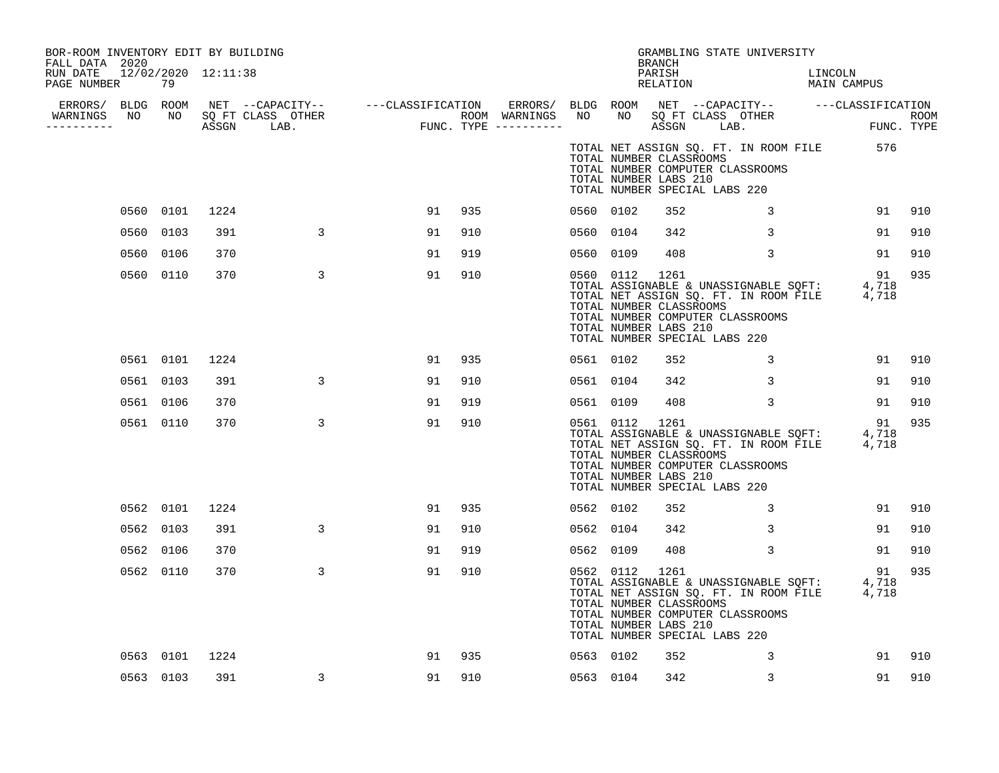| BOR-ROOM INVENTORY EDIT BY BUILDING<br>FALL DATA 2020 |           |      |                |    |     |           |                | BRANCH                                                                                    | GRAMBLING STATE UNIVERSITY       |                                                                                                     |    |        |
|-------------------------------------------------------|-----------|------|----------------|----|-----|-----------|----------------|-------------------------------------------------------------------------------------------|----------------------------------|-----------------------------------------------------------------------------------------------------|----|--------|
| RUN DATE 12/02/2020 12:11:38<br>PAGE NUMBER           | 79        |      |                |    |     |           |                | PARISH<br>RELATION                                                                        |                                  | LINCOLN<br>LINCOLN<br>MAIN CAMPUS                                                                   |    |        |
|                                                       |           |      |                |    |     |           |                |                                                                                           |                                  |                                                                                                     |    |        |
| -----------                                           |           |      |                |    |     |           |                |                                                                                           |                                  |                                                                                                     |    | ROOM   |
|                                                       |           |      |                |    |     |           |                | TOTAL NUMBER CLASSROOMS<br>TOTAL NUMBER LABS 210<br>TOTAL NUMBER SPECIAL LABS 220         | TOTAL NUMBER COMPUTER CLASSROOMS | TOTAL NET ASSIGN SQ. FT. IN ROOM FILE 576                                                           |    |        |
|                                                       | 0560 0101 | 1224 |                | 91 | 935 | 0560 0102 |                | 352                                                                                       | 3                                |                                                                                                     |    | 91 910 |
|                                                       | 0560 0103 | 391  | $\overline{3}$ | 91 | 910 | 0560 0104 |                | 342                                                                                       | $\mathbf{3}$                     |                                                                                                     | 91 | 910    |
|                                                       | 0560 0106 | 370  |                | 91 | 919 | 0560 0109 |                | 408                                                                                       | $\mathbf{3}$                     |                                                                                                     | 91 | 910    |
|                                                       | 0560 0110 | 370  | $\mathbf{3}$   | 91 | 910 |           | 0560 0112 1261 | TOTAL NUMBER CLASSROOMS<br>TOTAL NUMBER LABS 210<br>TOTAL NUMBER SPECIAL LABS 220         | TOTAL NUMBER COMPUTER CLASSROOMS | 18 J1<br>TOTAL ASSIGNABLE & UNASSIGNABLE SQFT: 4,718<br>TOTAL NET ASSIGN SQ. FT. IN ROOM FILE 4,718 | 91 | 935    |
|                                                       | 0561 0101 | 1224 |                | 91 | 935 | 0561 0102 |                | 352                                                                                       | $\overline{\mathbf{3}}$          |                                                                                                     | 91 | 910    |
|                                                       | 0561 0103 | 391  | $\mathbf{3}$   | 91 | 910 | 0561 0104 |                | 342                                                                                       | $\overline{3}$                   |                                                                                                     | 91 | 910    |
|                                                       | 0561 0106 | 370  |                | 91 | 919 | 0561 0109 |                | 408                                                                                       | $\mathbf{3}$                     |                                                                                                     | 91 | 910    |
|                                                       | 0561 0110 | 370  | 3              | 91 | 910 |           | 0561 0112      | 1261<br>TOTAL NUMBER CLASSROOMS<br>TOTAL NUMBER LABS 210<br>TOTAL NUMBER SPECIAL LABS 220 | TOTAL NUMBER COMPUTER CLASSROOMS | FOTAL ASSIGNABLE & UNASSIGNABLE SOFT: 4,718<br>TOTAL NET ASSIGN SQ. FT. IN ROOM FILE 4,718          | 91 | 935    |
|                                                       | 0562 0101 | 1224 |                | 91 | 935 | 0562 0102 |                | 352                                                                                       | $\overline{\mathbf{3}}$          |                                                                                                     | 91 | 910    |
|                                                       | 0562 0103 | 391  | 3              | 91 | 910 | 0562 0104 |                | 342                                                                                       | $\mathbf{3}$                     |                                                                                                     | 91 | 910    |
|                                                       | 0562 0106 | 370  |                | 91 | 919 | 0562 0109 |                | 408                                                                                       | $\overline{3}$                   |                                                                                                     | 91 | 910    |
|                                                       | 0562 0110 | 370  | 3              | 91 | 910 | 0562 0112 |                | 1261<br>TOTAL NUMBER CLASSROOMS<br>TOTAL NUMBER LABS 210<br>TOTAL NUMBER SPECIAL LABS 220 | TOTAL NUMBER COMPUTER CLASSROOMS | 91<br>TOTAL ASSIGNABLE & UNASSIGNABLE SQFT: 4,718<br>TOTAL NET ASSIGN SQ. FT. IN ROOM FILE 4,718    |    | 935    |
|                                                       | 0563 0101 | 1224 |                | 91 | 935 | 0563 0102 |                | 352                                                                                       | 3                                |                                                                                                     | 91 | 910    |
|                                                       | 0563 0103 | 391  | 3              | 91 | 910 | 0563 0104 |                | 342                                                                                       | 3                                |                                                                                                     | 91 | 910    |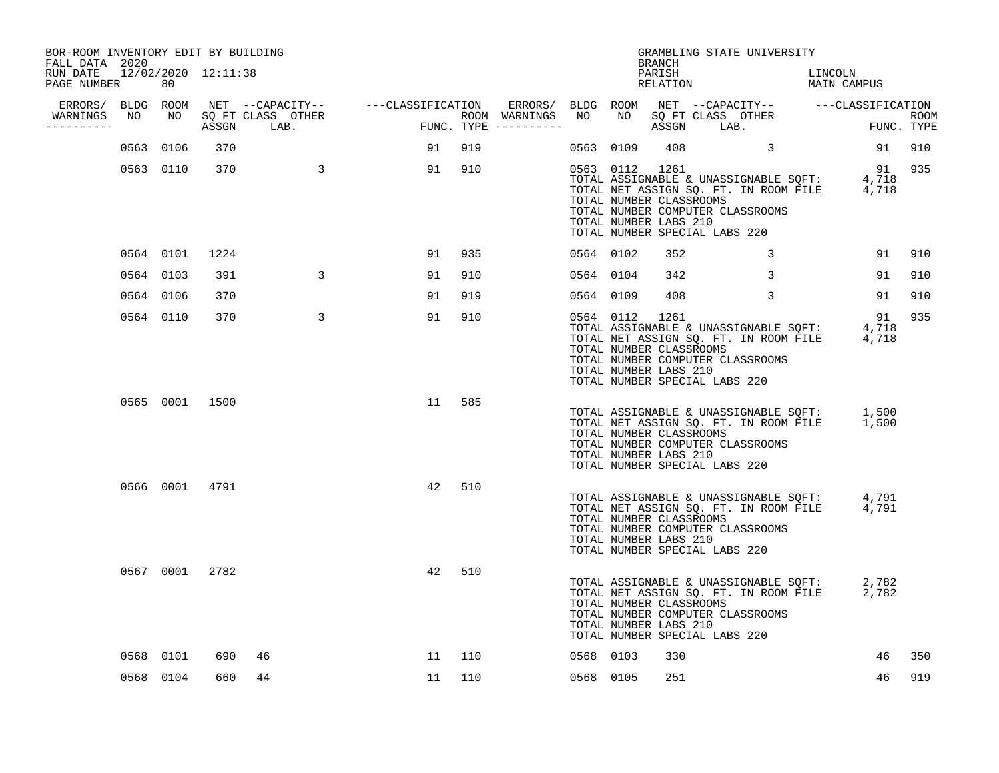| BOR-ROOM INVENTORY EDIT BY BUILDING<br>FALL DATA 2020 |           |                |                 |        |        |           |                                                                    | BRANCH | GRAMBLING STATE UNIVERSITY                                                                                                                                                                                                           |                        |        |     |
|-------------------------------------------------------|-----------|----------------|-----------------|--------|--------|-----------|--------------------------------------------------------------------|--------|--------------------------------------------------------------------------------------------------------------------------------------------------------------------------------------------------------------------------------------|------------------------|--------|-----|
| RUN DATE 12/02/2020 12:11:38<br>PAGE NUMBER           | 80        |                |                 |        |        |           |                                                                    | PARISH | RELATION                                                                                                                                                                                                                             | LINCOLN<br>MAIN CAMPUS |        |     |
|                                                       |           |                |                 |        |        |           |                                                                    |        |                                                                                                                                                                                                                                      |                        |        |     |
| WARNINGS<br>-----------                               |           |                |                 |        |        |           |                                                                    |        | ERRORS/ BLDG ROOM NET --CAPACITY-- ----CLASSIFICATION ERRORS/ BLDG ROOM NET --CAPACITY-- -----CLASSIFICATION<br>NARNINGS NO NO SQFTCLASS OTHER ROOM WARNINGS NO NO SQFTCLASS OTHER ROOM<br>---------- ASSGN LAB. FUNC.TYPE --------- |                        |        |     |
|                                                       | 0563 0106 | 370            |                 |        | 91 919 |           | 0563 0109                                                          |        | 408 3                                                                                                                                                                                                                                |                        | 91 910 |     |
|                                                       |           |                | 0563 0110 370 3 | 91 910 |        |           | 0563 0112 1261<br>TOTAL NUMBER CLASSROOMS<br>TOTAL NUMBER LABS 210 |        | 1863 0112 1261<br>TOTAL ASSIGNABLE & UNASSIGNABLE SQFT: 4,718<br>TOTAL NET ASSIGN SQ. FT. IN ROOM FILE 4,718<br>TOTAL NUMBER COMPUTER CLASSROOMS<br>TOTAL NUMBER SPECIAL LABS 220                                                    |                        | 91 935 |     |
|                                                       | 0564 0101 | 1224           |                 | 91     | 935    | 0564 0102 |                                                                    | 352    | $\overline{3}$                                                                                                                                                                                                                       |                        | 91     | 910 |
|                                                       | 0564 0103 | 391            | $\overline{3}$  | 91     | 910    | 0564 0104 |                                                                    | 342    | $\overline{3}$                                                                                                                                                                                                                       | 91                     |        | 910 |
|                                                       | 0564 0106 | 370            |                 | 91     | 919    | 0564 0109 |                                                                    | 408    | $\overline{3}$                                                                                                                                                                                                                       | 91                     |        | 910 |
|                                                       | 0564 0110 | 370            | 3               | 91     | 910    |           | 0564 0112<br>TOTAL NUMBER CLASSROOMS<br>TOTAL NUMBER LABS 210      | 1261   | TOTAL ASSIGNABLE & UNASSIGNABLE SQFT: 4,718<br>TOTAL NET ASSIGN SQ. FT. IN ROOM FILE 4,718<br>TOTAL NUMBER COMPUTER CLASSROOMS<br>TOTAL NUMBER SPECIAL LABS 220                                                                      | 91                     |        | 935 |
|                                                       |           | 0565 0001 1500 |                 | 11     | 585    |           | TOTAL NUMBER CLASSROOMS<br>TOTAL NUMBER LABS 210                   |        | TOTAL ASSIGNABLE & UNASSIGNABLE SQFT: 1,500<br>TOTAL NET ASSIGN SQ. FT. IN ROOM FILE 1,500<br>TOTAL NUMBER COMPUTER CLASSROOMS<br>TOTAL NUMBER SPECIAL LABS 220                                                                      |                        |        |     |
|                                                       |           | 0566 0001 4791 |                 | 42     | 510    |           | TOTAL NUMBER CLASSROOMS<br>TOTAL NUMBER LABS 210                   |        | TOTAL ASSIGNABLE & UNASSIGNABLE SQFT: 4,791<br>TOTAL NET ASSIGN SQ. FT. IN ROOM FILE 4,791<br>TOTAL NUMBER COMPUTER CLASSROOMS<br>TOTAL NUMBER SPECIAL LABS 220                                                                      |                        |        |     |
|                                                       |           | 0567 0001 2782 |                 | 42     | 510    |           | TOTAL NUMBER CLASSROOMS<br>TOTAL NUMBER LABS 210                   |        | TOTAL ASSIGNABLE & UNASSIGNABLE SQFT: 2,782<br>TOTAL NET ASSIGN SQ. FT. IN ROOM FILE 2,782<br>TOTAL NUMBER COMPUTER CLASSROOMS<br>TOTAL NUMBER SPECIAL LABS 220                                                                      |                        |        |     |
|                                                       | 0568 0101 | 690            | 46              | -11    | 110    | 0568 0103 |                                                                    | 330    |                                                                                                                                                                                                                                      | 46                     |        | 350 |
|                                                       | 0568 0104 | 660            | 44              | 11     | 110    | 0568 0105 |                                                                    | 251    |                                                                                                                                                                                                                                      | 46                     |        | 919 |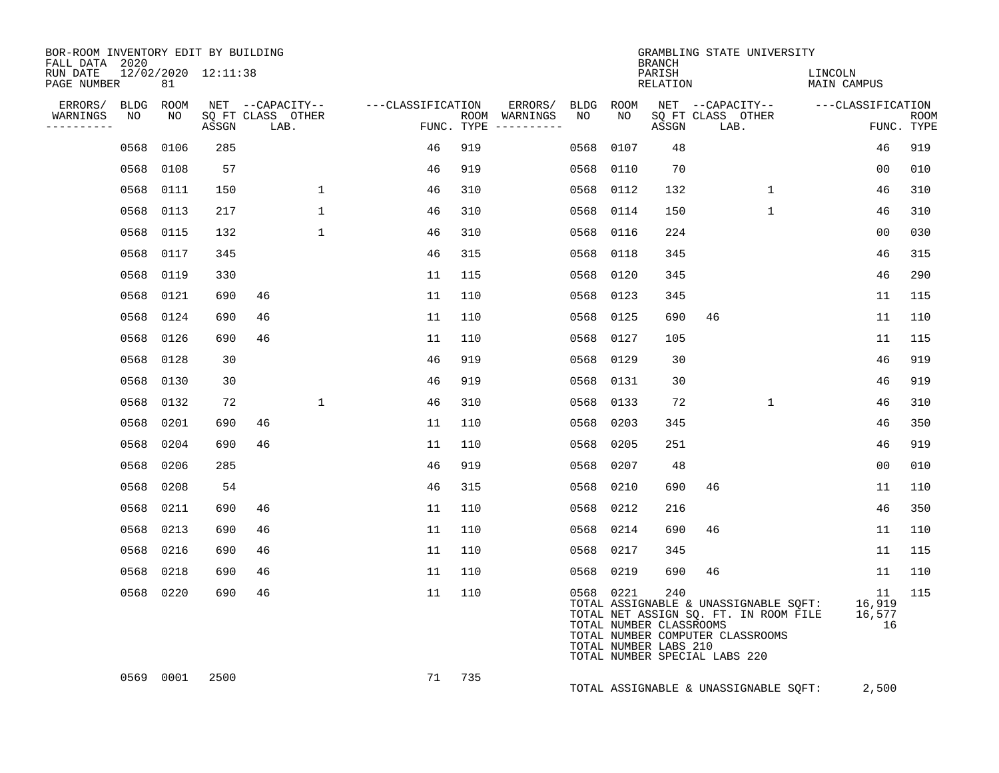| BOR-ROOM INVENTORY EDIT BY BUILDING<br>FALL DATA 2020 |            |            |                     |                                               |                   |     |                                                 |            |            | <b>BRANCH</b>                                           | GRAMBLING STATE UNIVERSITY                                                                                                                          |                              |                           |
|-------------------------------------------------------|------------|------------|---------------------|-----------------------------------------------|-------------------|-----|-------------------------------------------------|------------|------------|---------------------------------------------------------|-----------------------------------------------------------------------------------------------------------------------------------------------------|------------------------------|---------------------------|
| RUN DATE<br>PAGE NUMBER                               |            | 81         | 12/02/2020 12:11:38 |                                               |                   |     |                                                 |            |            | PARISH<br>RELATION                                      |                                                                                                                                                     | LINCOLN<br>MAIN CAMPUS       |                           |
| ERRORS/<br>WARNINGS<br>----------                     | BLDG<br>NO | ROOM<br>NO | ASSGN               | NET --CAPACITY--<br>SO FT CLASS OTHER<br>LAB. | ---CLASSIFICATION |     | ERRORS/<br>ROOM WARNINGS<br>FUNC. TYPE $------$ | BLDG<br>NO | ROOM<br>NO | ASSGN                                                   | NET --CAPACITY--<br>SO FT CLASS OTHER<br>LAB.                                                                                                       | ---CLASSIFICATION            | <b>ROOM</b><br>FUNC. TYPE |
|                                                       | 0568       | 0106       | 285                 |                                               | 46                | 919 |                                                 | 0568       | 0107       | 48                                                      |                                                                                                                                                     | 46                           | 919                       |
|                                                       | 0568       | 0108       | 57                  |                                               | 46                | 919 |                                                 | 0568       | 0110       | 70                                                      |                                                                                                                                                     | 00                           | 010                       |
|                                                       | 0568       | 0111       | 150                 | $\mathbf{1}$                                  | 46                | 310 |                                                 | 0568       | 0112       | 132                                                     | $\mathbf{1}$                                                                                                                                        | 46                           | 310                       |
|                                                       | 0568       | 0113       | 217                 | $\mathbf{1}$                                  | 46                | 310 |                                                 | 0568       | 0114       | 150                                                     | $\mathbf{1}$                                                                                                                                        | 46                           | 310                       |
|                                                       | 0568       | 0115       | 132                 | $\mathbf{1}$                                  | 46                | 310 |                                                 | 0568       | 0116       | 224                                                     |                                                                                                                                                     | 0 <sub>0</sub>               | 030                       |
|                                                       | 0568       | 0117       | 345                 |                                               | 46                | 315 |                                                 | 0568       | 0118       | 345                                                     |                                                                                                                                                     | 46                           | 315                       |
|                                                       | 0568       | 0119       | 330                 |                                               | 11                | 115 |                                                 | 0568       | 0120       | 345                                                     |                                                                                                                                                     | 46                           | 290                       |
|                                                       | 0568       | 0121       | 690                 | 46                                            | 11                | 110 |                                                 | 0568       | 0123       | 345                                                     |                                                                                                                                                     | 11                           | 115                       |
|                                                       | 0568       | 0124       | 690                 | 46                                            | 11                | 110 |                                                 | 0568       | 0125       | 690                                                     | 46                                                                                                                                                  | 11                           | 110                       |
|                                                       | 0568       | 0126       | 690                 | 46                                            | 11                | 110 |                                                 | 0568       | 0127       | 105                                                     |                                                                                                                                                     | 11                           | 115                       |
|                                                       | 0568       | 0128       | 30                  |                                               | 46                | 919 |                                                 | 0568       | 0129       | 30                                                      |                                                                                                                                                     | 46                           | 919                       |
|                                                       | 0568       | 0130       | 30                  |                                               | 46                | 919 |                                                 | 0568 0131  |            | 30                                                      |                                                                                                                                                     | 46                           | 919                       |
|                                                       | 0568       | 0132       | 72                  | $\mathbf{1}$                                  | 46                | 310 |                                                 | 0568       | 0133       | 72                                                      | $\mathbf{1}$                                                                                                                                        | 46                           | 310                       |
|                                                       | 0568       | 0201       | 690                 | 46                                            | 11                | 110 |                                                 | 0568       | 0203       | 345                                                     |                                                                                                                                                     | 46                           | 350                       |
|                                                       | 0568       | 0204       | 690                 | 46                                            | 11                | 110 |                                                 | 0568       | 0205       | 251                                                     |                                                                                                                                                     | 46                           | 919                       |
|                                                       | 0568       | 0206       | 285                 |                                               | 46                | 919 |                                                 | 0568       | 0207       | 48                                                      |                                                                                                                                                     | 0 <sub>0</sub>               | 010                       |
|                                                       | 0568       | 0208       | 54                  |                                               | 46                | 315 |                                                 | 0568       | 0210       | 690                                                     | 46                                                                                                                                                  | 11                           | 110                       |
|                                                       | 0568       | 0211       | 690                 | 46                                            | 11                | 110 |                                                 | 0568       | 0212       | 216                                                     |                                                                                                                                                     | 46                           | 350                       |
|                                                       | 0568       | 0213       | 690                 | 46                                            | 11                | 110 |                                                 | 0568       | 0214       | 690                                                     | 46                                                                                                                                                  | 11                           | 110                       |
|                                                       | 0568       | 0216       | 690                 | 46                                            | 11                | 110 |                                                 | 0568       | 0217       | 345                                                     |                                                                                                                                                     | 11                           | 115                       |
|                                                       | 0568       | 0218       | 690                 | 46                                            | 11                | 110 |                                                 | 0568       | 0219       | 690                                                     | 46                                                                                                                                                  | 11                           | 110                       |
|                                                       | 0568 0220  |            | 690                 | 46                                            | 11                | 110 |                                                 | 0568 0221  |            | 240<br>TOTAL NUMBER CLASSROOMS<br>TOTAL NUMBER LABS 210 | TOTAL ASSIGNABLE & UNASSIGNABLE SQFT:<br>TOTAL NET ASSIGN SQ. FT. IN ROOM FILE<br>TOTAL NUMBER COMPUTER CLASSROOMS<br>TOTAL NUMBER SPECIAL LABS 220 | 11<br>16,919<br>16,577<br>16 | 115                       |
|                                                       | 0569 0001  |            | 2500                |                                               | 71                | 735 |                                                 |            |            |                                                         | TOTAL ASSIGNABLE & UNASSIGNABLE SQFT:                                                                                                               | 2,500                        |                           |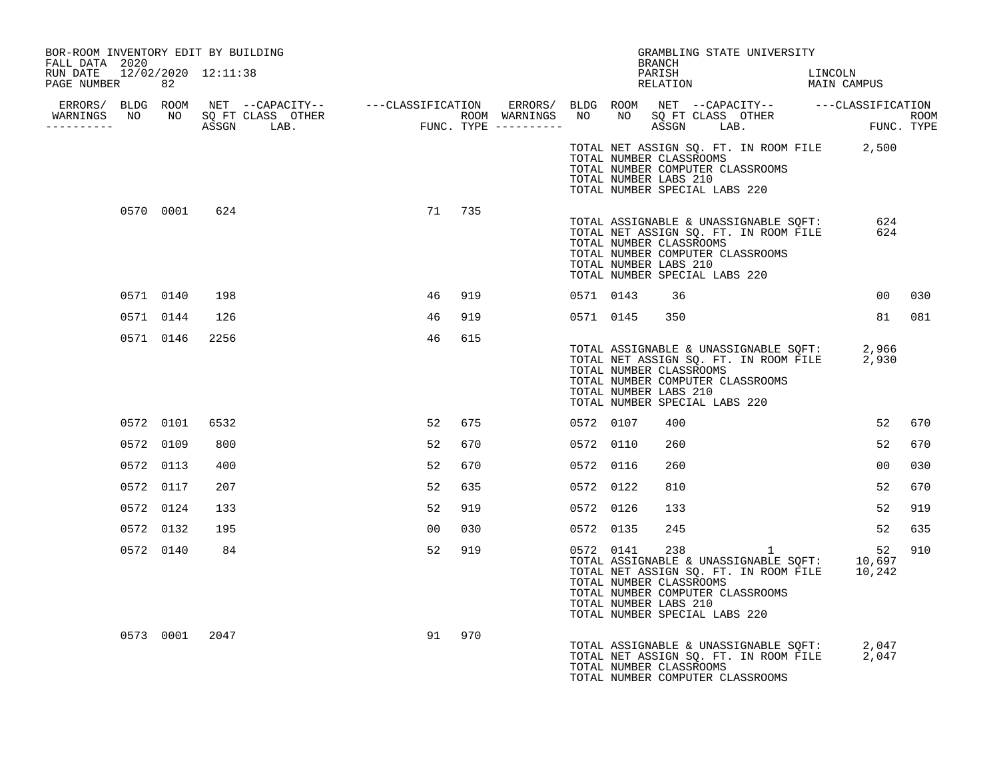| BOR-ROOM INVENTORY EDIT BY BUILDING<br>FALL DATA 2020 |           |           |                |                                                                                                                                                                                                                                      |                 |     |           |                                                                                                    | BRANCH |  | GRAMBLING STATE UNIVERSITY                                                                                                                   |                |     |
|-------------------------------------------------------|-----------|-----------|----------------|--------------------------------------------------------------------------------------------------------------------------------------------------------------------------------------------------------------------------------------|-----------------|-----|-----------|----------------------------------------------------------------------------------------------------|--------|--|----------------------------------------------------------------------------------------------------------------------------------------------|----------------|-----|
| RUN DATE 12/02/2020 12:11:38<br>PAGE NUMBER 82        |           |           |                |                                                                                                                                                                                                                                      |                 |     |           |                                                                                                    |        |  | PARISH LINCOLN RELATION MAIN CAMPUS                                                                                                          |                |     |
|                                                       |           |           |                |                                                                                                                                                                                                                                      |                 |     |           |                                                                                                    |        |  |                                                                                                                                              |                |     |
|                                                       |           |           |                | ERRORS/ BLDG ROOM NET --CAPACITY-- ----CLASSIFICATION ERRORS/ BLDG ROOM NET --CAPACITY-- -----CLASSIFICATION<br>WARNINGS NO NO SQFTCLASS OTHER ROOM WARNINGS NO NO SQFTCLASS OTHER ROOM<br>----------- ASSGN LAB. FUNC.TYPE -------- |                 |     |           |                                                                                                    |        |  |                                                                                                                                              |                |     |
|                                                       |           |           |                |                                                                                                                                                                                                                                      |                 |     |           | TOTAL NUMBER CLASSROOMS<br>TOTAL NUMBER LABS 210<br>TOTAL NUMBER SPECIAL LABS 220                  |        |  | TOTAL NET ASSIGN SQ. FT. IN ROOM FILE 2,500<br>TOTAL NUMBER COMPUTER CLASSROOMS                                                              |                |     |
|                                                       |           |           | 0570 0001 624  |                                                                                                                                                                                                                                      | 71 735          |     |           | TOTAL NUMBER CLASSROOMS<br>TOTAL NUMBER LABS 210<br>TOTAL NUMBER SPECIAL LABS 220                  |        |  | TOTAL ASSIGNABLE & UNASSIGNABLE SQFT: 624<br>TOTAL NET ASSIGN SQ. FT. IN ROOM FILE 624<br>TOTAL NUMBER COMPUTER CLASSROOMS                   |                |     |
|                                                       |           | 0571 0140 | 198            |                                                                                                                                                                                                                                      | 46              | 919 | 0571 0143 |                                                                                                    | 36     |  |                                                                                                                                              | 00             | 030 |
|                                                       |           | 0571 0144 | 126            |                                                                                                                                                                                                                                      | 46              | 919 |           | 0571 0145                                                                                          | 350    |  |                                                                                                                                              | 81             | 081 |
|                                                       | 0571 0146 |           | 2256           |                                                                                                                                                                                                                                      | 46              | 615 |           | TOTAL NUMBER CLASSROOMS<br>TOTAL NUMBER LABS 210<br>TOTAL NUMBER SPECIAL LABS 220                  |        |  | TOTAL ASSIGNABLE & UNASSIGNABLE SQFT: 2,966<br>TOTAL NET ASSIGN SQ. FT. IN ROOM FILE 2,930<br>TOTAL NUMBER COMPUTER CLASSROOMS               |                |     |
|                                                       | 0572 0101 |           | 6532           |                                                                                                                                                                                                                                      | 52              | 675 | 0572 0107 |                                                                                                    | 400    |  |                                                                                                                                              | 52             | 670 |
|                                                       | 0572 0109 |           | 800            |                                                                                                                                                                                                                                      | 52              | 670 | 0572 0110 |                                                                                                    | 260    |  |                                                                                                                                              | 52             | 670 |
|                                                       | 0572 0113 |           | 400            |                                                                                                                                                                                                                                      | 52              | 670 | 0572 0116 |                                                                                                    | 260    |  |                                                                                                                                              | 0 <sub>0</sub> | 030 |
|                                                       | 0572 0117 |           | 207            |                                                                                                                                                                                                                                      | 52              | 635 | 0572 0122 |                                                                                                    | 810    |  |                                                                                                                                              | 52             | 670 |
|                                                       | 0572 0124 |           | 133            |                                                                                                                                                                                                                                      | 52              | 919 | 0572 0126 |                                                                                                    | 133    |  |                                                                                                                                              | 52             | 919 |
|                                                       | 0572 0132 |           | 195            |                                                                                                                                                                                                                                      | 00 <sub>o</sub> | 030 | 0572 0135 |                                                                                                    | 245    |  |                                                                                                                                              | 52             | 635 |
|                                                       | 0572 0140 |           | 84             |                                                                                                                                                                                                                                      | 52              | 919 |           | 0572 0141 238<br>TOTAL NUMBER CLASSROOMS<br>TOTAL NUMBER LABS 210<br>TOTAL NUMBER SPECIAL LABS 220 |        |  | $\sim$ 1<br>TOTAL ASSIGNABLE & UNASSIGNABLE SQFT: 10,697<br>TOTAL NET ASSIGN SQ. FT. IN ROOM FILE 10,242<br>TOTAL NUMBER COMPUTER CLASSROOMS | 52             | 910 |
|                                                       |           |           | 0573 0001 2047 |                                                                                                                                                                                                                                      | 91              | 970 |           | TOTAL NUMBER CLASSROOMS                                                                            |        |  | TOTAL ASSIGNABLE & UNASSIGNABLE SQFT: 2,047<br>TOTAL NET ASSIGN SQ. FT. IN ROOM FILE 2,047<br>TOTAL NUMBER COMPUTER CLASSROOMS               |                |     |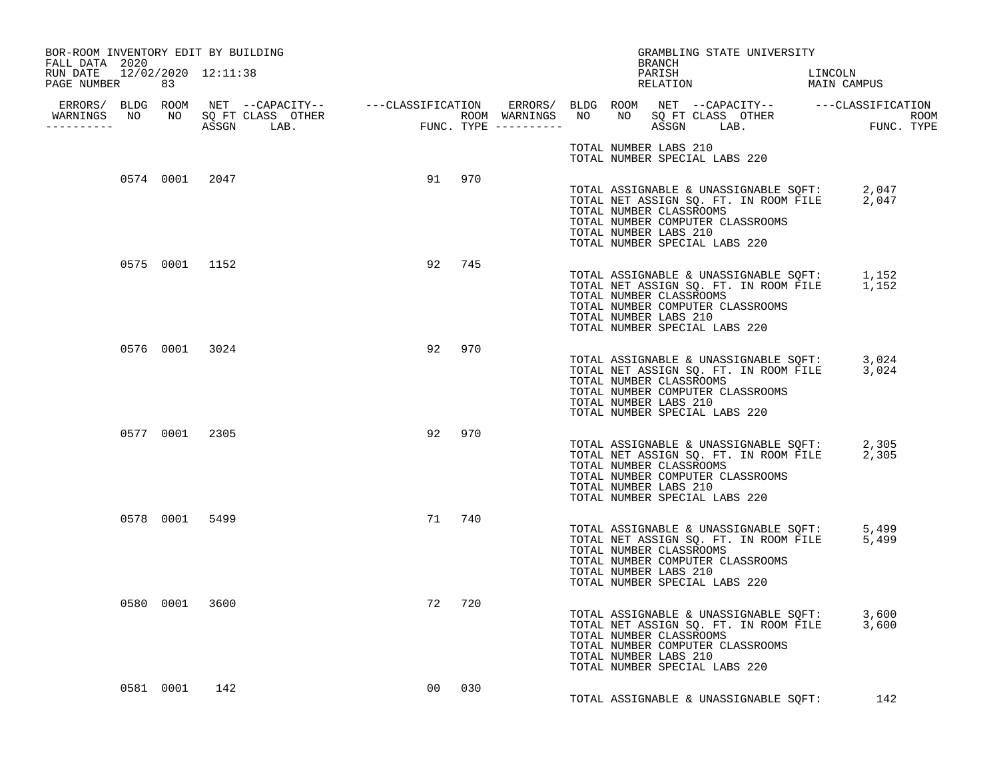| BOR-ROOM INVENTORY EDIT BY BUILDING<br>FALL DATA 2020 |                |                |        |     |  |                                                  | BRANCH | GRAMBLING STATE UNIVERSITY                                                                                                                                                                 |         |     |  |
|-------------------------------------------------------|----------------|----------------|--------|-----|--|--------------------------------------------------|--------|--------------------------------------------------------------------------------------------------------------------------------------------------------------------------------------------|---------|-----|--|
| RUN DATE 12/02/2020 12:11:38<br>PAGE NUMBER 83        |                |                |        |     |  |                                                  | PARISH | PARISH DARISH LINCOLN RELATION MAIN CAMPUS                                                                                                                                                 | LINCOLN |     |  |
| <u> - - - - - - - - - - - -</u>                       |                |                |        |     |  |                                                  |        |                                                                                                                                                                                            |         |     |  |
|                                                       |                |                |        |     |  | TOTAL NUMBER LABS 210                            |        | TOTAL NUMBER SPECIAL LABS 220                                                                                                                                                              |         |     |  |
|                                                       | 0574 0001 2047 |                | 91 970 |     |  | TOTAL NUMBER CLASSROOMS<br>TOTAL NUMBER LABS 210 |        | TOTAL ASSIGNABLE & UNASSIGNABLE SQFT: 2,047<br>TOTAL NET ASSIGN SQ. FT. IN ROOM FILE 2,047<br>TOTAL NUMBER COMPUTER CLASSROOMS<br>TOTAL NUMBER SPECIAL LABS 220                            |         |     |  |
|                                                       | 0575 0001 1152 |                | 92 745 |     |  | TOTAL NUMBER CLASSROOMS<br>TOTAL NUMBER LABS 210 |        | TOTAL ASSIGNABLE & UNASSIGNABLE SQFT: 1,152<br>TOTAL NET ASSIGN SQ. FT. IN ROOM FILE 1,152<br>TOTAL NUMBER COMPUTER CLASSROOMS<br>TOTAL NUMBER SPECIAL LABS 220                            |         |     |  |
|                                                       | 0576 0001 3024 |                | 92 970 |     |  | TOTAL NUMBER LABS 210                            |        | TOTAL ASSIGNABLE & UNASSIGNABLE SQFT: 3,024<br>TOTAL NET ASSIGN SQ. FT. IN ROOM FILE 3,024<br>TOTAL NUMBER CLASSROOMS<br>TOTAL NUMBER COMPUTER CLASSROOMS<br>TOTAL NUMBER SPECIAL LABS 220 |         |     |  |
|                                                       |                | 0577 0001 2305 | 92 970 |     |  | TOTAL NUMBER LABS 210                            |        | TOTAL ASSIGNABLE & UNASSIGNABLE SQFT: 2,305<br>TOTAL NET ASSIGN SQ. FT. IN ROOM FILE 2,305<br>TOTAL NUMBER CLASSROOMS<br>TOTAL NUMBER COMPUTER CLASSROOMS<br>TOTAL NUMBER SPECIAL LABS 220 |         |     |  |
|                                                       | 0578 0001 5499 |                | 71 740 |     |  | TOTAL NUMBER LABS 210                            |        | TOTAL ASSIGNABLE & UNASSIGNABLE SQFT: 5,499<br>TOTAL NET ASSIGN SQ. FT. IN ROOM FILE 5,499<br>TOTAL NUMBER CLASSROOMS<br>TOTAL NUMBER COMPUTER CLASSROOMS<br>TOTAL NUMBER SPECIAL LABS 220 |         |     |  |
|                                                       | 0580 0001 3600 |                | 72 720 |     |  | TOTAL NUMBER LABS 210                            |        | TOTAL ASSIGNABLE & UNASSIGNABLE SQFT: 3,600<br>TOTAL NET ASSIGN SQ. FT. IN ROOM FILE 3,600<br>TOTAL NUMBER CLASSROOMS<br>TOTAL NUMBER COMPUTER CLASSROOMS<br>TOTAL NUMBER SPECIAL LABS 220 |         |     |  |
|                                                       | 0581 0001 142  |                | 00     | 030 |  |                                                  |        | TOTAL ASSIGNABLE & UNASSIGNABLE SQFT:                                                                                                                                                      |         | 142 |  |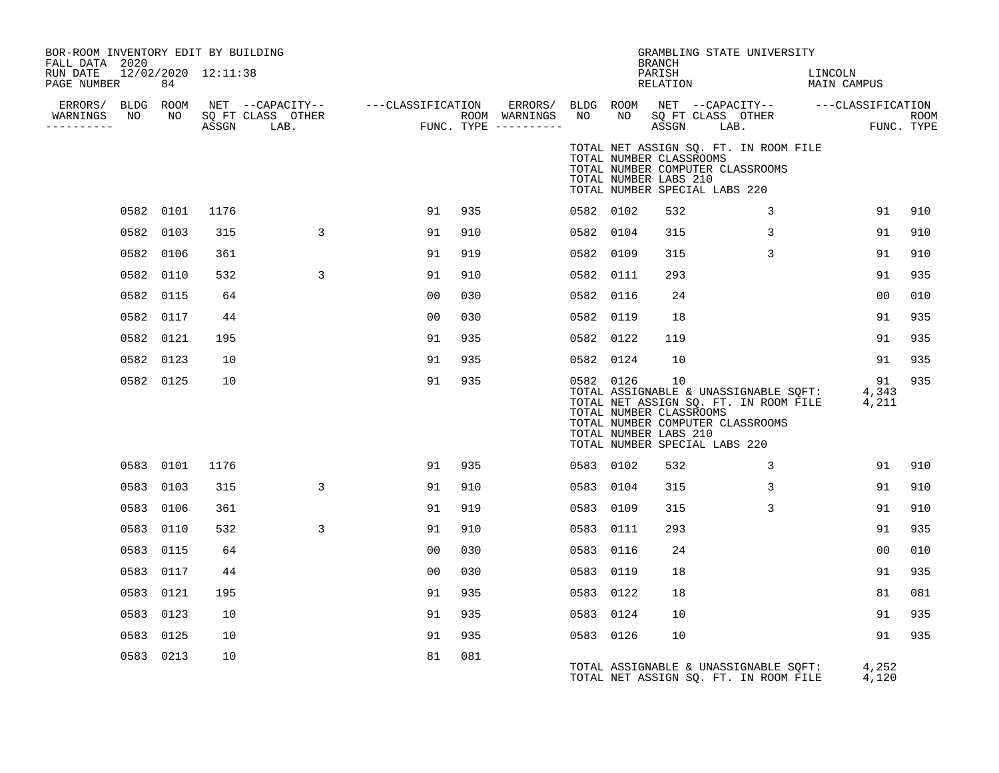| BOR-ROOM INVENTORY EDIT BY BUILDING<br>FALL DATA 2020 |           |      |   |    |     |           |                                                  | <b>BRANCH</b>      | GRAMBLING STATE UNIVERSITY                                                                                                                          |                        |                           |
|-------------------------------------------------------|-----------|------|---|----|-----|-----------|--------------------------------------------------|--------------------|-----------------------------------------------------------------------------------------------------------------------------------------------------|------------------------|---------------------------|
| RUN DATE 12/02/2020 12:11:38<br>PAGE NUMBER           | 84        |      |   |    |     |           |                                                  | PARISH<br>RELATION |                                                                                                                                                     | LINCOLN<br>MAIN CAMPUS |                           |
| ERRORS/ BLDG ROOM<br>WARNINGS NO<br>---------         | NO        |      |   |    |     |           |                                                  | ASSGN              | LAB.                                                                                                                                                |                        | <b>ROOM</b><br>FUNC. TYPE |
|                                                       |           |      |   |    |     |           | TOTAL NUMBER CLASSROOMS<br>TOTAL NUMBER LABS 210 |                    | TOTAL NET ASSIGN SQ. FT. IN ROOM FILE<br>TOTAL NUMBER COMPUTER CLASSROOMS<br>TOTAL NUMBER SPECIAL LABS 220                                          |                        |                           |
|                                                       | 0582 0101 | 1176 |   | 91 | 935 | 0582 0102 |                                                  | 532                | 3                                                                                                                                                   | 91                     | 910                       |
|                                                       | 0582 0103 | 315  | 3 | 91 | 910 | 0582 0104 |                                                  | 315                | 3                                                                                                                                                   | 91                     | 910                       |
|                                                       | 0582 0106 | 361  |   | 91 | 919 | 0582 0109 |                                                  | 315                | 3                                                                                                                                                   | 91                     | 910                       |
|                                                       | 0582 0110 | 532  | 3 | 91 | 910 | 0582 0111 |                                                  | 293                |                                                                                                                                                     | 91                     | 935                       |
|                                                       | 0582 0115 | 64   |   | 00 | 030 | 0582 0116 |                                                  | 24                 |                                                                                                                                                     | 00                     | 010                       |
|                                                       | 0582 0117 | 44   |   | 00 | 030 | 0582 0119 |                                                  | 18                 |                                                                                                                                                     | 91                     | 935                       |
|                                                       | 0582 0121 | 195  |   | 91 | 935 | 0582 0122 |                                                  | 119                |                                                                                                                                                     | 91                     | 935                       |
|                                                       | 0582 0123 | 10   |   | 91 | 935 | 0582 0124 |                                                  | 10                 |                                                                                                                                                     | 91                     | 935                       |
|                                                       | 0582 0125 | 10   |   | 91 | 935 | 0582 0126 | TOTAL NUMBER CLASSROOMS<br>TOTAL NUMBER LABS 210 | 10                 | TOTAL ASSIGNABLE & UNASSIGNABLE SOFT:<br>TOTAL NET ASSIGN SQ. FT. IN ROOM FILE<br>TOTAL NUMBER COMPUTER CLASSROOMS<br>TOTAL NUMBER SPECIAL LABS 220 | 91<br>4,343<br>4,211   | 935                       |
|                                                       | 0583 0101 | 1176 |   | 91 | 935 | 0583 0102 |                                                  | 532                | 3                                                                                                                                                   | 91                     | 910                       |
|                                                       | 0583 0103 | 315  | 3 | 91 | 910 | 0583 0104 |                                                  | 315                | 3                                                                                                                                                   | 91                     | 910                       |
| 0583                                                  | 0106      | 361  |   | 91 | 919 | 0583 0109 |                                                  | 315                | 3                                                                                                                                                   | 91                     | 910                       |
|                                                       | 0583 0110 | 532  | 3 | 91 | 910 | 0583 0111 |                                                  | 293                |                                                                                                                                                     | 91                     | 935                       |
|                                                       | 0583 0115 | 64   |   | 00 | 030 | 0583 0116 |                                                  | 24                 |                                                                                                                                                     | 00                     | 010                       |
|                                                       | 0583 0117 | 44   |   | 00 | 030 | 0583 0119 |                                                  | 18                 |                                                                                                                                                     | 91                     | 935                       |
|                                                       | 0583 0121 | 195  |   | 91 | 935 | 0583 0122 |                                                  | 18                 |                                                                                                                                                     | 81                     | 081                       |
|                                                       | 0583 0123 | 10   |   | 91 | 935 | 0583 0124 |                                                  | 10                 |                                                                                                                                                     | 91                     | 935                       |
|                                                       | 0583 0125 | 10   |   | 91 | 935 | 0583 0126 |                                                  | 10                 |                                                                                                                                                     | 91                     | 935                       |
|                                                       | 0583 0213 | 10   |   | 81 | 081 |           |                                                  |                    | TOTAL ASSIGNABLE & UNASSIGNABLE SQFT:<br>TOTAL NET ASSIGN SO. FT. IN ROOM FILE<br>TOTAL NET ASSIGN SQ. FT. IN ROOM FILE                             | 4,252<br>4,120         |                           |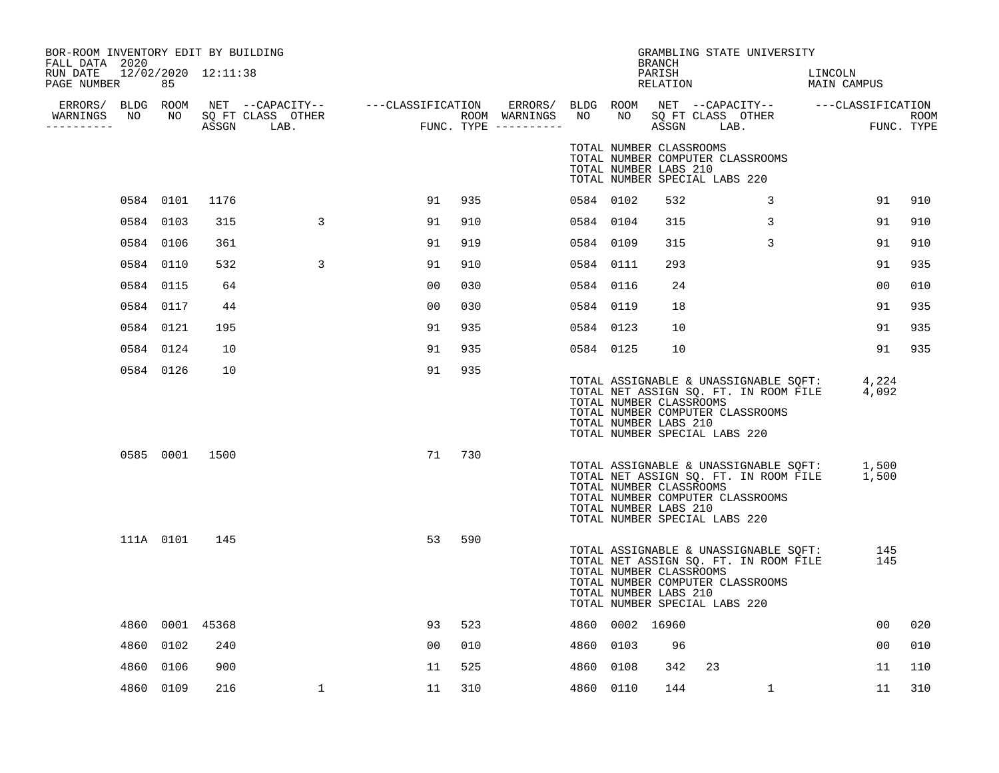| BOR-ROOM INVENTORY EDIT BY BUILDING<br>FALL DATA 2020 |           |                 |              |    |     |           |                                                  | <b>BRANCH</b>      | GRAMBLING STATE UNIVERSITY                                                                                                                                      |                        |     |
|-------------------------------------------------------|-----------|-----------------|--------------|----|-----|-----------|--------------------------------------------------|--------------------|-----------------------------------------------------------------------------------------------------------------------------------------------------------------|------------------------|-----|
| RUN DATE 12/02/2020 12:11:38<br>PAGE NUMBER           | 85        |                 |              |    |     |           |                                                  | PARISH<br>RELATION |                                                                                                                                                                 | LINCOLN<br>MAIN CAMPUS |     |
| WARNINGS NO<br>----------                             |           |                 |              |    |     |           |                                                  |                    | NET --CAPACIII<br>SQ FT CLASS OTHER<br>---- LAR                                                                                                                 |                        |     |
|                                                       |           |                 |              |    |     |           | TOTAL NUMBER CLASSROOMS<br>TOTAL NUMBER LABS 210 |                    | TOTAL NUMBER COMPUTER CLASSROOMS<br>TOTAL NUMBER SPECIAL LABS 220                                                                                               |                        |     |
|                                                       | 0584 0101 | 1176            |              | 91 | 935 | 0584 0102 |                                                  | 532                | $\overline{3}$                                                                                                                                                  | 91                     | 910 |
|                                                       | 0584 0103 | 315             | $\mathbf{3}$ | 91 | 910 | 0584 0104 |                                                  | 315                | 3                                                                                                                                                               | 91                     | 910 |
|                                                       | 0584 0106 | 361             |              | 91 | 919 | 0584 0109 |                                                  | 315                | $\mathbf{3}$                                                                                                                                                    | 91                     | 910 |
|                                                       | 0584 0110 | 532             | $\mathbf{3}$ | 91 | 910 | 0584 0111 |                                                  | 293                |                                                                                                                                                                 | 91                     | 935 |
|                                                       | 0584 0115 | 64              |              | 00 | 030 | 0584 0116 |                                                  | 24                 |                                                                                                                                                                 | 00                     | 010 |
|                                                       | 0584 0117 | 44              |              | 00 | 030 | 0584 0119 |                                                  | 18                 |                                                                                                                                                                 | 91                     | 935 |
|                                                       | 0584 0121 | 195             |              | 91 | 935 | 0584 0123 |                                                  | 10                 |                                                                                                                                                                 | 91                     | 935 |
|                                                       | 0584 0124 | 10              |              | 91 | 935 | 0584 0125 |                                                  | 10                 |                                                                                                                                                                 | 91                     | 935 |
|                                                       | 0584 0126 | 10              |              | 91 | 935 |           | TOTAL NUMBER CLASSROOMS<br>TOTAL NUMBER LABS 210 |                    | TOTAL ASSIGNABLE & UNASSIGNABLE SQFT: 4,224<br>TOTAL NET ASSIGN SQ. FT. IN ROOM FILE 4,092<br>TOTAL NUMBER COMPUTER CLASSROOMS<br>TOTAL NUMBER SPECIAL LABS 220 |                        |     |
|                                                       |           | 0585 0001 1500  |              | 71 | 730 |           | TOTAL NUMBER CLASSROOMS<br>TOTAL NUMBER LABS 210 |                    | TOTAL ASSIGNABLE & UNASSIGNABLE SQFT: 1,500<br>TOTAL NET ASSIGN SQ. FT. IN ROOM FILE 1,500<br>TOTAL NUMBER COMPUTER CLASSROOMS<br>TOTAL NUMBER SPECIAL LABS 220 |                        |     |
|                                                       | 111A 0101 | 145             |              | 53 | 590 |           | TOTAL NUMBER CLASSROOMS<br>TOTAL NUMBER LABS 210 |                    | TOTAL ASSIGNABLE & UNASSIGNABLE SQFT:<br>TOTAL NET ASSIGN SQ. FT. IN ROOM FILE<br>TOTAL NUMBER COMPUTER CLASSROOMS<br>TOTAL NUMBER SPECIAL LABS 220             | 145<br>145             |     |
|                                                       |           | 4860 0001 45368 |              | 93 | 523 |           | 4860 0002 16960                                  |                    |                                                                                                                                                                 | 00                     | 020 |
|                                                       | 4860 0102 | 240             |              | 00 | 010 | 4860 0103 |                                                  | 96                 |                                                                                                                                                                 | 00                     | 010 |
|                                                       | 4860 0106 | 900             |              | 11 | 525 | 4860 0108 |                                                  | 342                | 23                                                                                                                                                              | 11                     | 110 |
|                                                       | 4860 0109 | 216             | $\mathbf{1}$ | 11 | 310 | 4860 0110 |                                                  | 144                | 1                                                                                                                                                               | 11                     | 310 |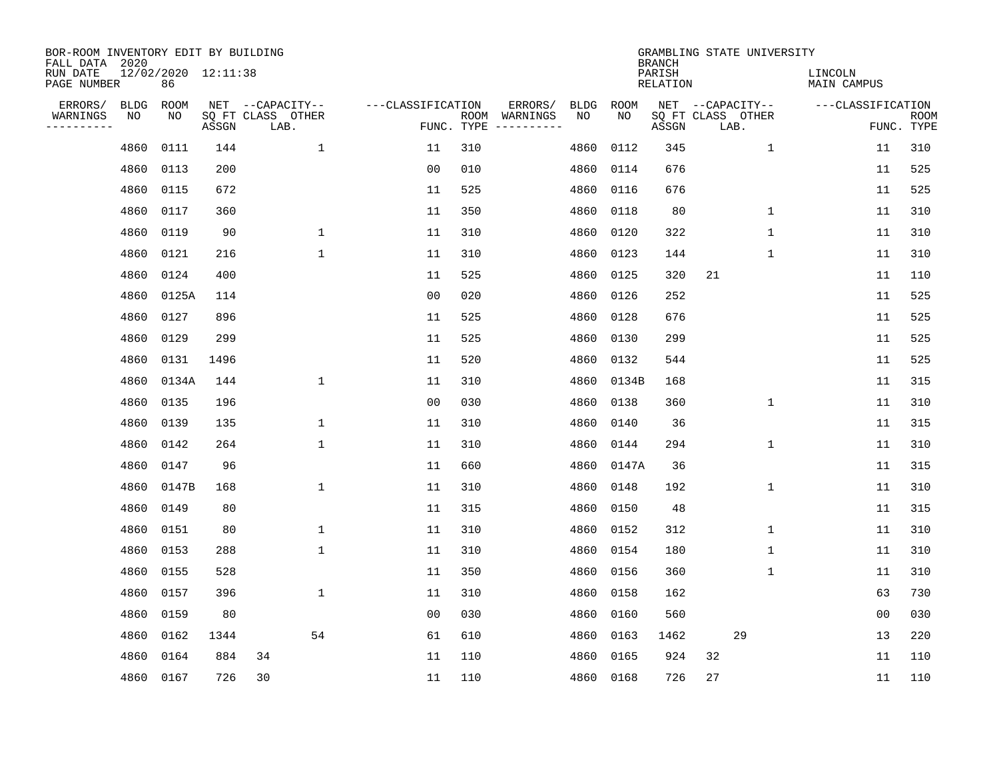| BOR-ROOM INVENTORY EDIT BY BUILDING<br>FALL DATA 2020 |             |                           |       |                           |                   |                                                                             |                         |             |             | GRAMBLING STATE UNIVERSITY |                   |      |              |                   |                |                           |
|-------------------------------------------------------|-------------|---------------------------|-------|---------------------------|-------------------|-----------------------------------------------------------------------------|-------------------------|-------------|-------------|----------------------------|-------------------|------|--------------|-------------------|----------------|---------------------------|
| RUN DATE<br>PAGE NUMBER                               |             | 12/02/2020 12:11:38<br>86 |       |                           |                   | <b>BRANCH</b><br>PARISH<br>LINCOLN<br><b>RELATION</b><br><b>MAIN CAMPUS</b> |                         |             |             |                            |                   |      |              |                   |                |                           |
| ERRORS/                                               | <b>BLDG</b> |                           |       | NET --CAPACITY--          | ---CLASSIFICATION |                                                                             | ERRORS/                 | <b>BLDG</b> | <b>ROOM</b> |                            | NET --CAPACITY--  |      |              | ---CLASSIFICATION |                |                           |
| WARNINGS<br>----------                                | NO          | NO                        | ASSGN | SQ FT CLASS OTHER<br>LAB. |                   | ROOM<br>FUNC. TYPE                                                          | WARNINGS<br>----------- | NO          | NO          | ASSGN                      | SQ FT CLASS OTHER | LAB. |              |                   |                | <b>ROOM</b><br>FUNC. TYPE |
|                                                       | 4860        | 0111                      | 144   | $\mathbf{1}$              | 11                | 310                                                                         |                         | 4860        | 0112        | 345                        |                   |      | $\mathbf{1}$ |                   | 11             | 310                       |
|                                                       | 4860        | 0113                      | 200   |                           | 00                | 010                                                                         |                         | 4860        | 0114        | 676                        |                   |      |              |                   | 11             | 525                       |
|                                                       | 4860        | 0115                      | 672   |                           | 11                | 525                                                                         |                         | 4860        | 0116        | 676                        |                   |      |              |                   | 11             | 525                       |
|                                                       | 4860        | 0117                      | 360   |                           | 11                | 350                                                                         |                         | 4860        | 0118        | 80                         |                   |      | 1            |                   | 11             | 310                       |
|                                                       | 4860        | 0119                      | 90    | $\mathbf{1}$              | 11                | 310                                                                         |                         | 4860        | 0120        | 322                        |                   |      | $\mathbf 1$  |                   | 11             | 310                       |
|                                                       | 4860        | 0121                      | 216   | $\mathbf{1}$              | 11                | 310                                                                         |                         | 4860        | 0123        | 144                        |                   |      | 1            |                   | 11             | 310                       |
|                                                       | 4860        | 0124                      | 400   |                           | 11                | 525                                                                         |                         | 4860        | 0125        | 320                        | 21                |      |              |                   | 11             | 110                       |
|                                                       | 4860        | 0125A                     | 114   |                           | 0 <sub>0</sub>    | 020                                                                         |                         | 4860        | 0126        | 252                        |                   |      |              |                   | 11             | 525                       |
|                                                       | 4860        | 0127                      | 896   |                           | 11                | 525                                                                         |                         | 4860        | 0128        | 676                        |                   |      |              |                   | 11             | 525                       |
|                                                       | 4860        | 0129                      | 299   |                           | 11                | 525                                                                         |                         | 4860        | 0130        | 299                        |                   |      |              |                   | 11             | 525                       |
|                                                       | 4860        | 0131                      | 1496  |                           | 11                | 520                                                                         |                         | 4860        | 0132        | 544                        |                   |      |              |                   | 11             | 525                       |
|                                                       | 4860        | 0134A                     | 144   | $\mathbf{1}$              | 11                | 310                                                                         |                         | 4860        | 0134B       | 168                        |                   |      |              |                   | 11             | 315                       |
|                                                       | 4860        | 0135                      | 196   |                           | 0 <sub>0</sub>    | 030                                                                         |                         | 4860        | 0138        | 360                        |                   |      | $\mathbf{1}$ |                   | 11             | 310                       |
|                                                       | 4860        | 0139                      | 135   | 1                         | 11                | 310                                                                         |                         | 4860        | 0140        | 36                         |                   |      |              |                   | 11             | 315                       |
|                                                       | 4860        | 0142                      | 264   | $\mathbf 1$               | 11                | 310                                                                         |                         | 4860        | 0144        | 294                        |                   |      | 1            |                   | 11             | 310                       |
|                                                       | 4860        | 0147                      | 96    |                           | 11                | 660                                                                         |                         | 4860        | 0147A       | 36                         |                   |      |              |                   | 11             | 315                       |
|                                                       | 4860        | 0147B                     | 168   | 1                         | 11                | 310                                                                         |                         | 4860        | 0148        | 192                        |                   |      | 1            |                   | 11             | 310                       |
|                                                       | 4860        | 0149                      | 80    |                           | 11                | 315                                                                         |                         | 4860        | 0150        | 48                         |                   |      |              |                   | 11             | 315                       |
|                                                       | 4860        | 0151                      | 80    | $\mathbf{1}$              | 11                | 310                                                                         |                         | 4860        | 0152        | 312                        |                   |      | 1            |                   | 11             | 310                       |
|                                                       | 4860        | 0153                      | 288   | $\mathbf{1}$              | 11                | 310                                                                         |                         | 4860        | 0154        | 180                        |                   |      | 1            |                   | 11             | 310                       |
|                                                       | 4860        | 0155                      | 528   |                           | 11                | 350                                                                         |                         | 4860        | 0156        | 360                        |                   |      | 1            |                   | 11             | 310                       |
|                                                       | 4860        | 0157                      | 396   | $\mathbf{1}$              | 11                | 310                                                                         |                         | 4860        | 0158        | 162                        |                   |      |              |                   | 63             | 730                       |
|                                                       | 4860        | 0159                      | 80    |                           | 0 <sub>0</sub>    | 030                                                                         |                         | 4860        | 0160        | 560                        |                   |      |              |                   | 0 <sub>0</sub> | 030                       |
|                                                       | 4860        | 0162                      | 1344  | 54                        | 61                | 610                                                                         |                         | 4860        | 0163        | 1462                       |                   | 29   |              |                   | 13             | 220                       |
|                                                       | 4860        | 0164                      | 884   | 34                        | 11                | 110                                                                         |                         | 4860        | 0165        | 924                        | 32                |      |              |                   | 11             | 110                       |
|                                                       | 4860 0167   |                           | 726   | 30                        | 11                | 110                                                                         |                         | 4860        | 0168        | 726                        | 27                |      |              |                   | 11             | 110                       |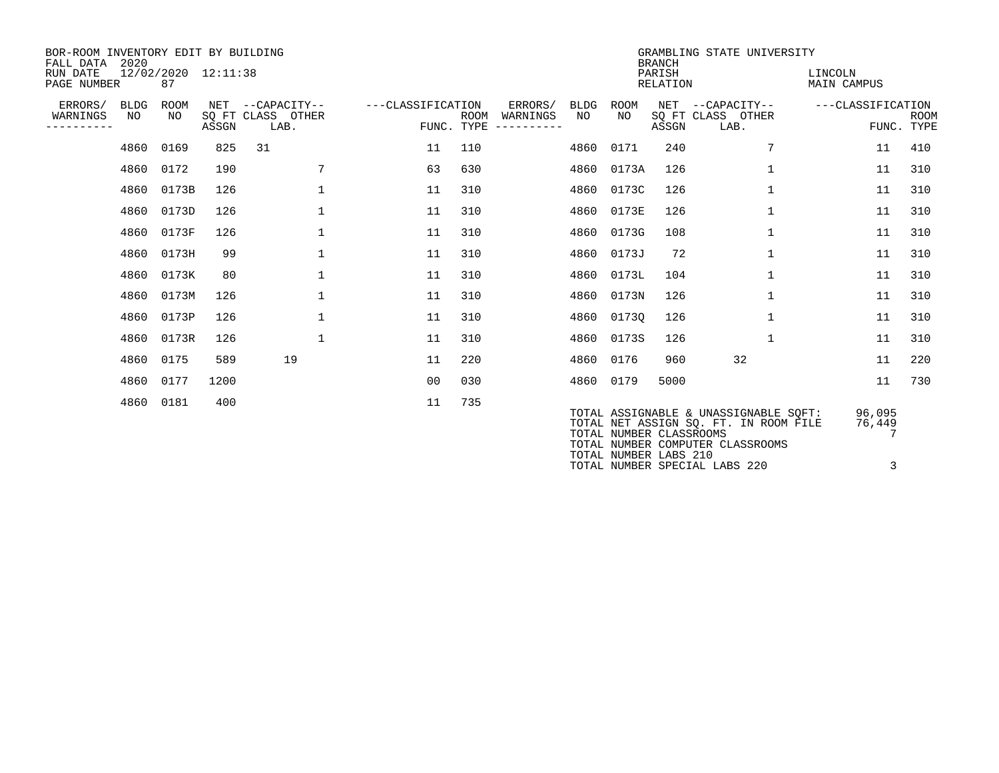| BOR-ROOM INVENTORY EDIT BY BUILDING<br>FALL DATA<br>RUN DATE<br>PAGE NUMBER | 2020              | 12/02/2020 12:11:38<br>87 |              |                                           |              |                   |                    |                                   |                    | <b>BRANCH</b><br>PARISH<br><b>RELATION</b>       | GRAMBLING STATE UNIVERSITY | LINCOLN<br><b>MAIN CAMPUS</b>                                                                                      |                       |                           |
|-----------------------------------------------------------------------------|-------------------|---------------------------|--------------|-------------------------------------------|--------------|-------------------|--------------------|-----------------------------------|--------------------|--------------------------------------------------|----------------------------|--------------------------------------------------------------------------------------------------------------------|-----------------------|---------------------------|
| ERRORS/<br>WARNINGS<br>--------                                             | <b>BLDG</b><br>NO | <b>ROOM</b><br>NO.        | NET<br>ASSGN | --CAPACITY--<br>SQ FT CLASS OTHER<br>LAB. |              | ---CLASSIFICATION | ROOM<br>FUNC. TYPE | ERRORS/<br>WARNINGS<br>---------- | <b>BLDG</b><br>NO. | <b>ROOM</b><br>NO.                               | NET<br>ASSGN               | --CAPACITY--<br>SQ FT CLASS OTHER<br>LAB.                                                                          | ---CLASSIFICATION     | <b>ROOM</b><br>FUNC. TYPE |
|                                                                             | 4860              | 0169                      | 825          | 31                                        |              | 11                | 110                |                                   | 4860               | 0171                                             | 240                        |                                                                                                                    | 11                    | 410                       |
|                                                                             | 4860              | 0172                      | 190          |                                           | 7            | 63                | 630                |                                   | 4860               | 0173A                                            | 126                        | $\mathbf{1}$                                                                                                       | 11                    | 310                       |
|                                                                             | 4860              | 0173B                     | 126          |                                           | $\mathbf{1}$ | 11                | 310                |                                   | 4860               | 0173C                                            | 126                        | $\mathbf 1$                                                                                                        | 11                    | 310                       |
|                                                                             | 4860              | 0173D                     | 126          |                                           | $\mathbf{1}$ | 11                | 310                |                                   | 4860               | 0173E                                            | 126                        | $\mathbf 1$                                                                                                        | 11                    | 310                       |
|                                                                             | 4860              | 0173F                     | 126          |                                           | $\mathbf{1}$ | 11                | 310                |                                   | 4860               | 0173G                                            | 108                        | $\mathbf{1}$                                                                                                       | 11                    | 310                       |
|                                                                             |                   | 4860 0173H                | 99           |                                           | $\mathbf{1}$ | 11                | 310                |                                   | 4860               | 0173J                                            | 72                         | $\mathbf 1$                                                                                                        | 11                    | 310                       |
|                                                                             |                   | 4860 0173K                | 80           |                                           | $\mathbf{1}$ | 11                | 310                |                                   | 4860               | 0173L                                            | 104                        | $\mathbf{1}$                                                                                                       | 11                    | 310                       |
|                                                                             | 4860              | 0173M                     | 126          |                                           | $\mathbf{1}$ | 11                | 310                |                                   | 4860               | 0173N                                            | 126                        | $\mathbf{1}$                                                                                                       | 11                    | 310                       |
|                                                                             | 4860              | 0173P                     | 126          |                                           | $\mathbf{1}$ | 11                | 310                |                                   | 4860               | 01730                                            | 126                        | $\mathbf 1$                                                                                                        | 11                    | 310                       |
|                                                                             | 4860              | 0173R                     | 126          |                                           | $\mathbf{1}$ | 11                | 310                |                                   | 4860               | 0173S                                            | 126                        | $\mathbf{1}$                                                                                                       | 11                    | 310                       |
|                                                                             | 4860              | 0175                      | 589          | 19                                        |              | 11                | 220                |                                   | 4860               | 0176                                             | 960                        | 32                                                                                                                 | 11                    | 220                       |
|                                                                             | 4860              | 0177                      | 1200         |                                           |              | 00                | 030                |                                   | 4860               | 0179                                             | 5000                       |                                                                                                                    | 11                    | 730                       |
|                                                                             | 4860              | 0181                      | 400          |                                           |              | 11                | 735                |                                   |                    | TOTAL NUMBER CLASSROOMS<br>TOTAL NUMBER LABS 210 |                            | TOTAL ASSIGNABLE & UNASSIGNABLE SOFT:<br>TOTAL NET ASSIGN SO. FT. IN ROOM FILE<br>TOTAL NUMBER COMPUTER CLASSROOMS | 96,095<br>76,449<br>7 |                           |

TOTAL NUMBER SPECIAL LABS 220 3